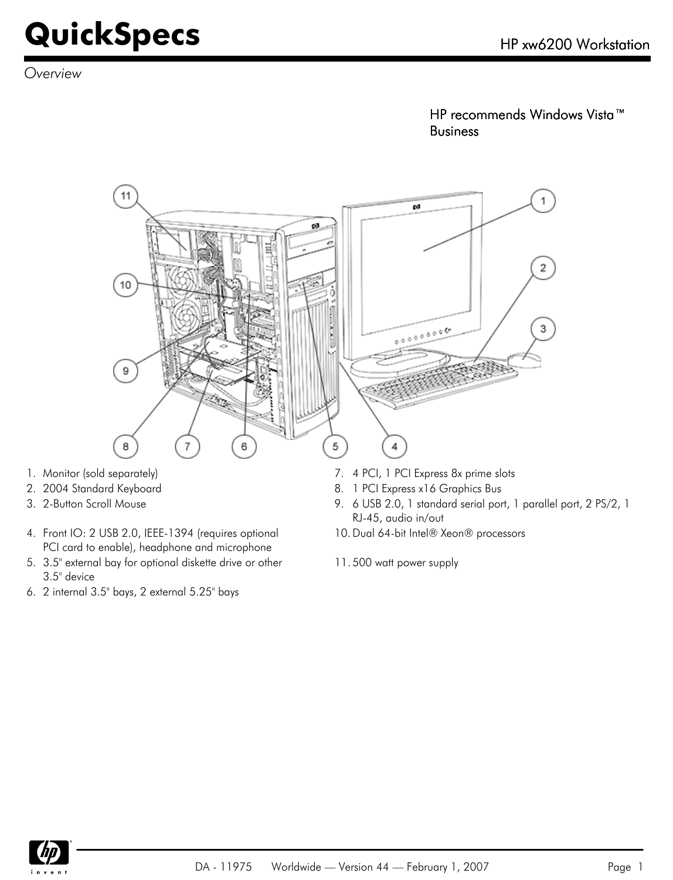*Overview*

HP recommends Windows Vista™ Business



- 
- 
- 4. Front IO: 2 USB 2.0, IEEE-1394 (requires optional PCI card to enable), headphone and microphone
- 5. 3.5" external bay for optional diskette drive or other 3.5" device
- 6. 2 internal 3.5" bays, 2 external 5.25" bays
- 2. 2004 Standard Keyboard **8. 1 PCI Express x16 Graphics Bus**
- 3. 2-Button Scroll Mouse 9. 6 USB 2.0, 1 standard serial port, 1 parallel port, 2 PS/2, 1 RJ-45, audio in/out
	- 10.Dual 64-bit Intel® Xeon® processors
	- 11. 500 watt power supply

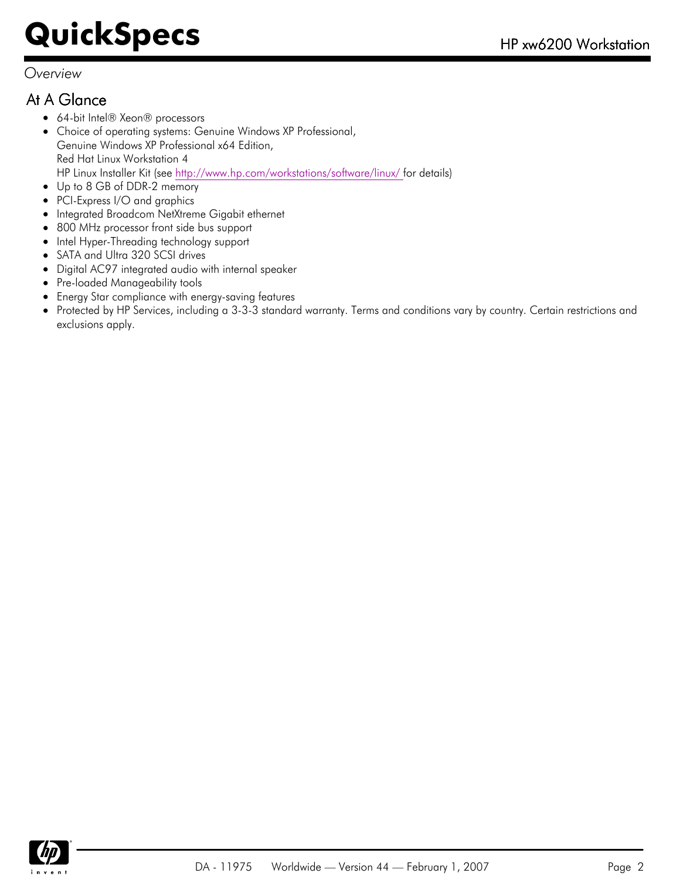#### *Overview*

### At A Glance

- 64-bit Intel® Xeon® processors
- Choice of operating systems: Genuine Windows XP Professional, Genuine Windows XP Professional x64 Edition, Red Hat Linux Workstation 4 HP Linux Installer Kit (see [http://www.hp.com/workstations/software/linux/ f](http://www.hp.com/workstations/software/linux/%20)or details)
- Up to 8 GB of DDR-2 memory
- PCI-Express I/O and graphics  $\bullet$
- Integrated Broadcom NetXtreme Gigabit ethernet  $\bullet$
- 800 MHz processor front side bus support
- Intel Hyper-Threading technology support
- SATA and Ultra 320 SCSI drives
- Digital AC97 integrated audio with internal speaker
- Pre-loaded Manageability tools  $\bullet$
- Energy Star compliance with energy-saving features
- Protected by HP Services, including a 3-3-3 standard warranty. Terms and conditions vary by country. Certain restrictions and exclusions apply.

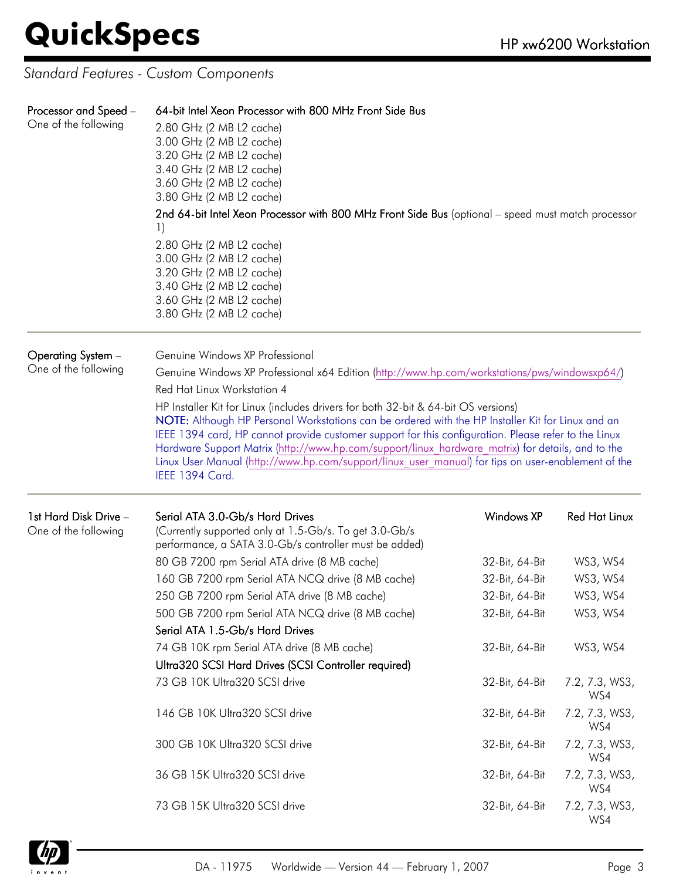*Standard Features - Custom Components*

| Processor and Speed –<br>One of the following | 64-bit Intel Xeon Processor with 800 MHz Front Side Bus<br>2.80 GHz (2 MB L2 cache)<br>3.00 GHz (2 MB L2 cache)<br>3.20 GHz (2 MB L2 cache)<br>3.40 GHz (2 MB L2 cache)<br>3.60 GHz (2 MB L2 cache)<br>3.80 GHz (2 MB L2 cache)<br>2nd 64-bit Intel Xeon Processor with 800 MHz Front Side Bus (optional - speed must match processor<br>1)<br>2.80 GHz (2 MB L2 cache)<br>3.00 GHz (2 MB L2 cache)<br>3.20 GHz (2 MB L2 cache)<br>3.40 GHz (2 MB L2 cache)<br>3.60 GHz (2 MB L2 cache)<br>3.80 GHz (2 MB L2 cache)                                                                                                                                                                              |                                                                                                             |                                                                                  |
|-----------------------------------------------|--------------------------------------------------------------------------------------------------------------------------------------------------------------------------------------------------------------------------------------------------------------------------------------------------------------------------------------------------------------------------------------------------------------------------------------------------------------------------------------------------------------------------------------------------------------------------------------------------------------------------------------------------------------------------------------------------|-------------------------------------------------------------------------------------------------------------|----------------------------------------------------------------------------------|
| Operating System -<br>One of the following    | Genuine Windows XP Professional<br>Genuine Windows XP Professional x64 Edition (http://www.hp.com/workstations/pws/windowsxp64/)<br>Red Hat Linux Workstation 4<br>HP Installer Kit for Linux (includes drivers for both 32-bit & 64-bit OS versions)<br>NOTE: Although HP Personal Workstations can be ordered with the HP Installer Kit for Linux and an<br>IEEE 1394 card, HP cannot provide customer support for this configuration. Please refer to the Linux<br>Hardware Support Matrix (http://www.hp.com/support/linux hardware matrix) for details, and to the<br>Linux User Manual (http://www.hp.com/support/linux user manual) for tips on user-enablement of the<br>IEEE 1394 Card. |                                                                                                             |                                                                                  |
| 1st Hard Disk Drive -<br>One of the following | Serial ATA 3.0-Gb/s Hard Drives<br>(Currently supported only at 1.5-Gb/s. To get 3.0-Gb/s<br>performance, a SATA 3.0-Gb/s controller must be added)<br>80 GB 7200 rpm Serial ATA drive (8 MB cache)<br>160 GB 7200 rpm Serial ATA NCQ drive (8 MB cache)<br>250 GB 7200 rpm Serial ATA drive (8 MB cache)<br>500 GB 7200 rpm Serial ATA NCQ drive (8 MB cache)<br>Serial ATA 1.5-Gb/s Hard Drives<br>74 GB 10K rpm Serial ATA drive (8 MB cache)                                                                                                                                                                                                                                                 | <b>Windows XP</b><br>32-Bit, 64-Bit<br>32-Bit, 64-Bit<br>32-Bit, 64-Bit<br>32-Bit, 64-Bit<br>32-Bit, 64-Bit | <b>Red Hat Linux</b><br>WS3, WS4<br>WS3, WS4<br>WS3, WS4<br>WS3, WS4<br>WS3, WS4 |
|                                               | Ultra320 SCSI Hard Drives (SCSI Controller required)<br>73 GB 10K Ultra320 SCSI drive                                                                                                                                                                                                                                                                                                                                                                                                                                                                                                                                                                                                            | 32-Bit, 64-Bit                                                                                              | 7.2, 7.3, WS3,<br>WS4                                                            |
|                                               | 146 GB 10K Ultra320 SCSI drive<br>300 GB 10K Ultra320 SCSI drive                                                                                                                                                                                                                                                                                                                                                                                                                                                                                                                                                                                                                                 | 32-Bit, 64-Bit<br>32-Bit, 64-Bit                                                                            | 7.2, 7.3, WS3,<br>WS4<br>7.2, 7.3, WS3,<br>WS4                                   |
|                                               | 36 GB 15K Ultra320 SCSI drive                                                                                                                                                                                                                                                                                                                                                                                                                                                                                                                                                                                                                                                                    | 32-Bit, 64-Bit                                                                                              | 7.2, 7.3, WS3,<br>WS4                                                            |
|                                               | 73 GB 15K Ultra320 SCSI drive                                                                                                                                                                                                                                                                                                                                                                                                                                                                                                                                                                                                                                                                    | 32-Bit, 64-Bit                                                                                              | 7.2, 7.3, WS3,<br>WS4                                                            |

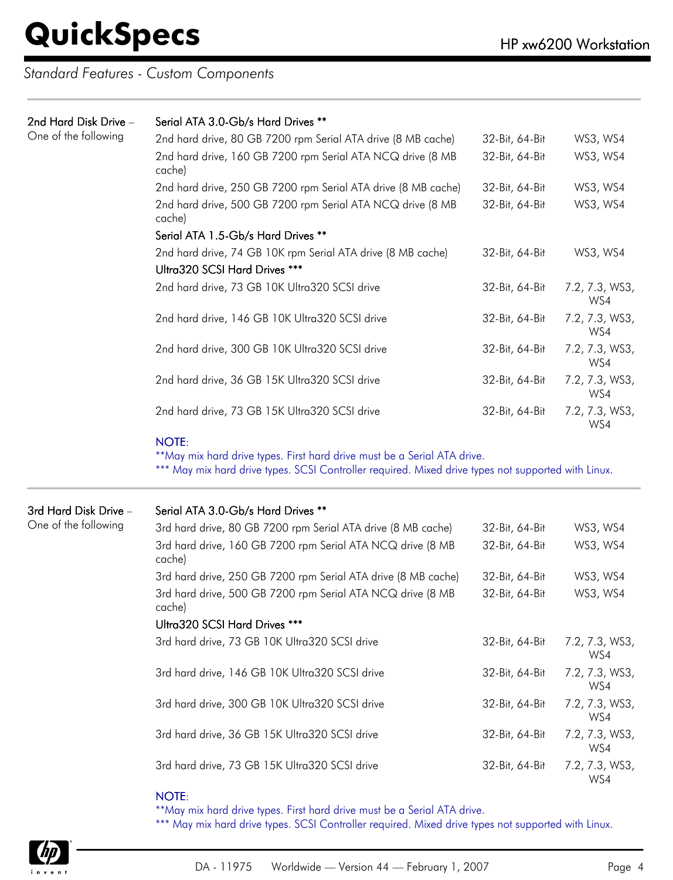*Standard Features - Custom Components*

| 2nd Hard Disk Drive - | Serial ATA 3.0-Gb/s Hard Drives **                                                                                                                                                              |                |                       |  |  |  |  |
|-----------------------|-------------------------------------------------------------------------------------------------------------------------------------------------------------------------------------------------|----------------|-----------------------|--|--|--|--|
| One of the following  | 2nd hard drive, 80 GB 7200 rpm Serial ATA drive (8 MB cache)                                                                                                                                    | 32-Bit, 64-Bit | WS3, WS4              |  |  |  |  |
|                       | 2nd hard drive, 160 GB 7200 rpm Serial ATA NCQ drive (8 MB<br>cache)                                                                                                                            | 32-Bit, 64-Bit | WS3, WS4              |  |  |  |  |
|                       | 2nd hard drive, 250 GB 7200 rpm Serial ATA drive (8 MB cache)                                                                                                                                   | 32-Bit, 64-Bit | WS3, WS4              |  |  |  |  |
|                       | 2nd hard drive, 500 GB 7200 rpm Serial ATA NCQ drive (8 MB<br>cache)                                                                                                                            | 32-Bit, 64-Bit | WS3, WS4              |  |  |  |  |
|                       | Serial ATA 1.5-Gb/s Hard Drives **                                                                                                                                                              |                |                       |  |  |  |  |
|                       | 2nd hard drive, 74 GB 10K rpm Serial ATA drive (8 MB cache)<br>Ultra320 SCSI Hard Drives ***                                                                                                    | 32-Bit, 64-Bit | WS3, WS4              |  |  |  |  |
|                       | 2nd hard drive, 73 GB 10K Ultra320 SCSI drive                                                                                                                                                   | 32-Bit, 64-Bit | 7.2, 7.3, WS3,<br>WS4 |  |  |  |  |
|                       | 2nd hard drive, 146 GB 10K Ultra320 SCSI drive                                                                                                                                                  | 32-Bit, 64-Bit | 7.2, 7.3, WS3,<br>WS4 |  |  |  |  |
|                       | 2nd hard drive, 300 GB 10K Ultra320 SCSI drive                                                                                                                                                  | 32-Bit, 64-Bit | 7.2, 7.3, WS3,<br>WS4 |  |  |  |  |
|                       | 2nd hard drive, 36 GB 15K Ultra320 SCSI drive                                                                                                                                                   | 32-Bit, 64-Bit | 7.2, 7.3, WS3,<br>WS4 |  |  |  |  |
|                       | 2nd hard drive, 73 GB 15K Ultra320 SCSI drive                                                                                                                                                   | 32-Bit, 64-Bit | 7.2, 7.3, WS3,<br>WS4 |  |  |  |  |
|                       | <b>NOTE:</b><br>**May mix hard drive types. First hard drive must be a Serial ATA drive.<br>*** May mix hard drive types. SCSI Controller required. Mixed drive types not supported with Linux. |                |                       |  |  |  |  |
| 3rd Hard Disk Drive - | Serial ATA 3.0-Gb/s Hard Drives **                                                                                                                                                              |                |                       |  |  |  |  |
| One of the following  | 3rd hard drive, 80 GB 7200 rpm Serial ATA drive (8 MB cache)                                                                                                                                    | 32-Bit, 64-Bit | WS3, WS4              |  |  |  |  |
|                       | 3rd hard drive, 160 GB 7200 rpm Serial ATA NCQ drive (8 MB<br>cache)                                                                                                                            | 32-Bit, 64-Bit | WS3, WS4              |  |  |  |  |
|                       | 3rd hard drive, 250 GB 7200 rpm Serial ATA drive (8 MB cache)                                                                                                                                   | 32-Bit, 64-Bit | WS3, WS4              |  |  |  |  |
|                       | 3rd hard drive, 500 GB 7200 rpm Serial ATA NCQ drive (8 MB<br>cache)                                                                                                                            | 32-Bit, 64-Bit | WS3, WS4              |  |  |  |  |
|                       | Ultra320 SCSI Hard Drives ***                                                                                                                                                                   |                |                       |  |  |  |  |
|                       | 3rd hard drive, 73 GB 10K Ultra320 SCSI drive                                                                                                                                                   | 32-Bit, 64-Bit | 7.2, 7.3, WS3,<br>WS4 |  |  |  |  |
|                       | 3rd hard drive, 146 GB 10K Ultra320 SCSI drive                                                                                                                                                  | 32-Bit, 64-Bit | 7.2, 7.3, WS3,<br>WS4 |  |  |  |  |
|                       | 3rd hard drive, 300 GB 10K Ultra320 SCSI drive                                                                                                                                                  | 32-Bit, 64-Bit | 7.2, 7.3, WS3,<br>WS4 |  |  |  |  |
|                       | 3rd hard drive, 36 GB 15K Ultra320 SCSI drive                                                                                                                                                   | 32-Bit, 64-Bit | 7.2, 7.3, WS3,<br>WS4 |  |  |  |  |
|                       | 3rd hard drive, 73 GB 15K Ultra320 SCSI drive                                                                                                                                                   | 32-Bit, 64-Bit | 7.2, 7.3, WS3,        |  |  |  |  |

#### NOTE:

\*\*May mix hard drive types. First hard drive must be a Serial ATA drive.

\*\*\* May mix hard drive types. SCSI Controller required. Mixed drive types not supported with Linux.



WS4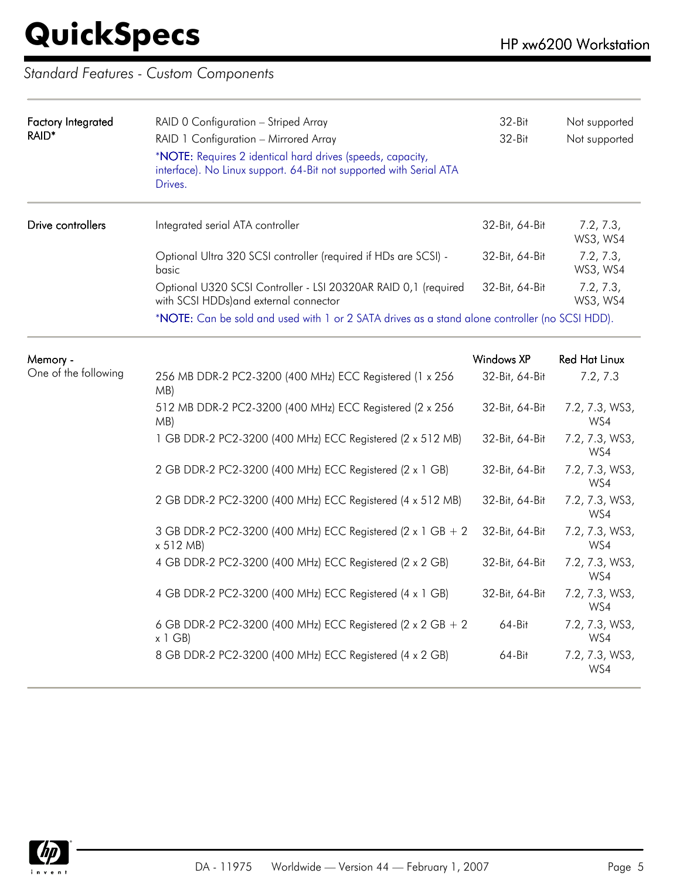### *Standard Features - Custom Components*

| <b>Factory Integrated</b><br>RAID* | RAID 0 Configuration - Striped Array<br>RAID 1 Configuration - Mirrored Array<br>*NOTE: Requires 2 identical hard drives (speeds, capacity,<br>interface). No Linux support. 64-Bit not supported with Serial ATA<br>Drives. | 32-Bit<br>32-Bit | Not supported<br>Not supported |
|------------------------------------|------------------------------------------------------------------------------------------------------------------------------------------------------------------------------------------------------------------------------|------------------|--------------------------------|
| Drive controllers                  | Integrated serial ATA controller                                                                                                                                                                                             | 32-Bit, 64-Bit   | 7.2, 7.3,<br>WS3, WS4          |
|                                    | Optional Ultra 320 SCSI controller (required if HDs are SCSI) -<br>basic                                                                                                                                                     | 32-Bit, 64-Bit   | 7.2, 7.3,<br>WS3, WS4          |
|                                    | Optional U320 SCSI Controller - LSI 20320AR RAID 0,1 (required<br>with SCSI HDDs) and external connector                                                                                                                     | 32-Bit, 64-Bit   | 7.2, 7.3,<br>WS3, WS4          |
|                                    | *NOTE: Can be sold and used with 1 or 2 SATA drives as a stand alone controller (no SCSI HDD).                                                                                                                               |                  |                                |
| Memory -                           |                                                                                                                                                                                                                              | Windows XP       | Red Hat Linux                  |
| One of the following               | 256 MB DDR-2 PC2-3200 (400 MHz) ECC Registered (1 x 256<br>MB)                                                                                                                                                               | 32-Bit, 64-Bit   | 7.2, 7.3                       |
|                                    | 512 MB DDR-2 PC2-3200 (400 MHz) ECC Registered (2 x 256<br>MB)                                                                                                                                                               | 32-Bit, 64-Bit   | 7.2, 7.3, WS3,<br>WS4          |
|                                    | 1 GB DDR-2 PC2-3200 (400 MHz) ECC Registered (2 x 512 MB)                                                                                                                                                                    | 32-Bit, 64-Bit   | 7.2, 7.3, WS3,<br>WS4          |
|                                    | 2 GB DDR-2 PC2-3200 (400 MHz) ECC Registered (2 x 1 GB)                                                                                                                                                                      | 32-Bit, 64-Bit   | 7.2, 7.3, WS3,<br>WS4          |
|                                    | 2 GB DDR-2 PC2-3200 (400 MHz) ECC Registered (4 x 512 MB)                                                                                                                                                                    | 32-Bit, 64-Bit   | 7.2, 7.3, WS3,<br>WS4          |
|                                    | 3 GB DDR-2 PC2-3200 (400 MHz) ECC Registered (2 x 1 GB + 2<br>x 512 MB                                                                                                                                                       | 32-Bit, 64-Bit   | 7.2, 7.3, WS3,<br>WS4          |
|                                    | 4 GB DDR-2 PC2-3200 (400 MHz) ECC Registered (2 x 2 GB)                                                                                                                                                                      | 32-Bit, 64-Bit   | 7.2, 7.3, WS3,<br>WS4          |
|                                    | 4 GB DDR-2 PC2-3200 (400 MHz) ECC Registered (4 x 1 GB)                                                                                                                                                                      | 32-Bit, 64-Bit   | 7.2, 7.3, WS3,<br>WS4          |
|                                    | 6 GB DDR-2 PC2-3200 (400 MHz) ECC Registered (2 x 2 GB + 2<br>x 1 GB                                                                                                                                                         | 64-Bit           | 7.2, 7.3, WS3,<br>WS4          |
|                                    | 8 GB DDR-2 PC2-3200 (400 MHz) ECC Registered (4 x 2 GB)                                                                                                                                                                      | 64-Bit           | 7.2, 7.3, WS3,<br>WS4          |

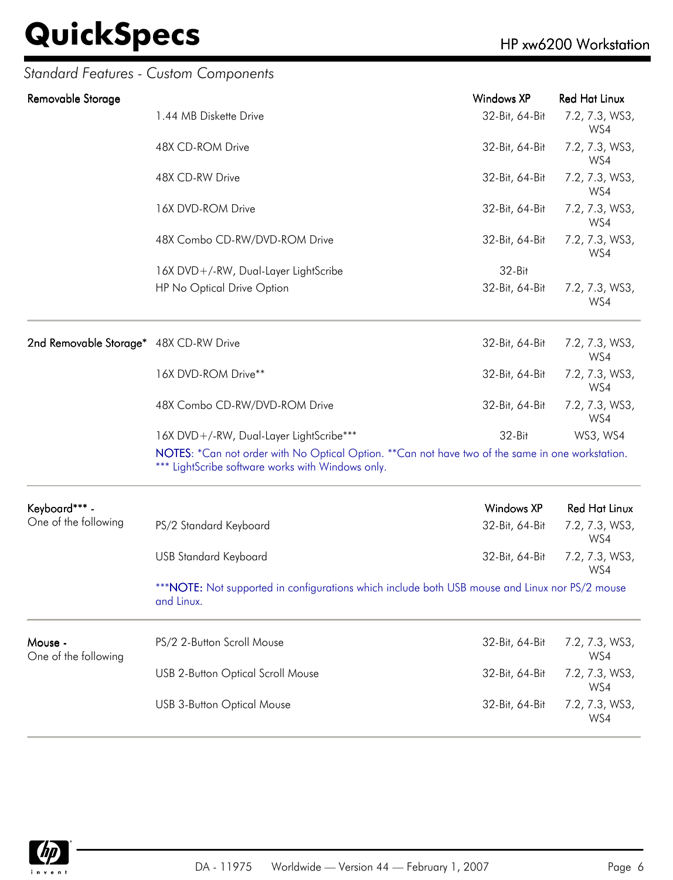# **QuickSpecs**

### *Standard Features - Custom Components*

| Removable Storage                      |                                                                                                                                                       | <b>Windows XP</b> | <b>Red Hat Linux</b>  |
|----------------------------------------|-------------------------------------------------------------------------------------------------------------------------------------------------------|-------------------|-----------------------|
|                                        | 1.44 MB Diskette Drive                                                                                                                                | 32-Bit, 64-Bit    | 7.2, 7.3, WS3,<br>WS4 |
|                                        | 48X CD-ROM Drive                                                                                                                                      | 32-Bit, 64-Bit    | 7.2, 7.3, WS3,<br>WS4 |
|                                        | 48X CD-RW Drive                                                                                                                                       | 32-Bit, 64-Bit    | 7.2, 7.3, WS3,<br>WS4 |
|                                        | 16X DVD-ROM Drive                                                                                                                                     | 32-Bit, 64-Bit    | 7.2, 7.3, WS3,<br>WS4 |
|                                        | 48X Combo CD-RW/DVD-ROM Drive                                                                                                                         | 32-Bit, 64-Bit    | 7.2, 7.3, WS3,<br>WS4 |
|                                        | 16X DVD+/-RW, Dual-Layer LightScribe                                                                                                                  | 32-Bit            |                       |
|                                        | HP No Optical Drive Option                                                                                                                            | 32-Bit, 64-Bit    | 7.2, 7.3, WS3,<br>WS4 |
| 2nd Removable Storage* 48X CD-RW Drive |                                                                                                                                                       | 32-Bit, 64-Bit    | 7.2, 7.3, WS3,<br>WS4 |
|                                        | 16X DVD-ROM Drive**                                                                                                                                   | 32-Bit, 64-Bit    | 7.2, 7.3, WS3,<br>WS4 |
|                                        | 48X Combo CD-RW/DVD-ROM Drive                                                                                                                         | 32-Bit, 64-Bit    | 7.2, 7.3, WS3,<br>WS4 |
|                                        | 16X DVD+/-RW, Dual-Layer LightScribe***                                                                                                               | 32-Bit            | WS3, WS4              |
|                                        | NOTES: *Can not order with No Optical Option. **Can not have two of the same in one workstation.<br>*** LightScribe software works with Windows only. |                   |                       |
| Keyboard*** -                          |                                                                                                                                                       | Windows XP        | <b>Red Hat Linux</b>  |
| One of the following                   | PS/2 Standard Keyboard                                                                                                                                | 32-Bit, 64-Bit    | 7.2, 7.3, WS3,<br>WS4 |
|                                        | <b>USB Standard Keyboard</b>                                                                                                                          | 32-Bit, 64-Bit    | 7.2, 7.3, WS3,<br>WS4 |
|                                        | *** NOTE: Not supported in configurations which include both USB mouse and Linux nor PS/2 mouse<br>and Linux.                                         |                   |                       |
| Mouse -<br>One of the following        | PS/2 2-Button Scroll Mouse                                                                                                                            | 32-Bit, 64-Bit    | 7.2, 7.3, WS3,<br>WS4 |
|                                        | <b>USB 2-Button Optical Scroll Mouse</b>                                                                                                              | 32-Bit, 64-Bit    | 7.2, 7.3, WS3,<br>WS4 |
|                                        | <b>USB 3-Button Optical Mouse</b>                                                                                                                     | 32-Bit, 64-Bit    | 7.2, 7.3, WS3,<br>WS4 |

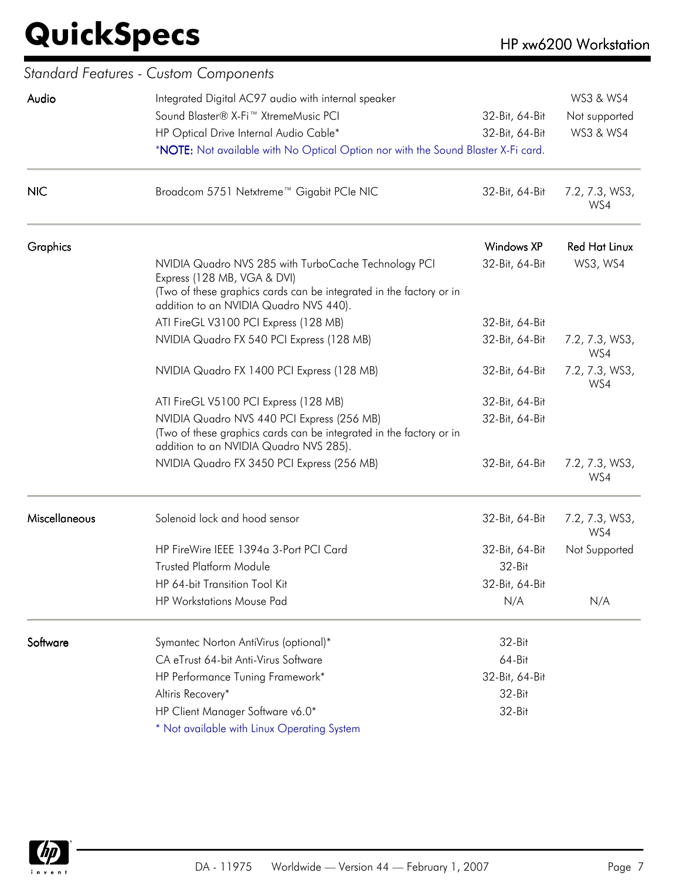|                      | Standard Features - Custom Components                                                                         |                   |                       |
|----------------------|---------------------------------------------------------------------------------------------------------------|-------------------|-----------------------|
| Audio                | Integrated Digital AC97 audio with internal speaker                                                           | WS3 & WS4         |                       |
|                      | Sound Blaster® X-Fi <sup>™</sup> XtremeMusic PCI                                                              | 32-Bit, 64-Bit    | Not supported         |
|                      | HP Optical Drive Internal Audio Cable*                                                                        | 32-Bit, 64-Bit    | WS3 & WS4             |
|                      | *NOTE: Not available with No Optical Option nor with the Sound Blaster X-Fi card.                             |                   |                       |
| <b>NIC</b>           | Broadcom 5751 Netxtreme™ Gigabit PCIe NIC                                                                     | 32-Bit, 64-Bit    | 7.2, 7.3, WS3,<br>WS4 |
| Graphics             |                                                                                                               | <b>Windows XP</b> | <b>Red Hat Linux</b>  |
|                      | NVIDIA Quadro NVS 285 with TurboCache Technology PCI<br>Express (128 MB, VGA & DVI)                           | 32-Bit, 64-Bit    | WS3, WS4              |
|                      | (Two of these graphics cards can be integrated in the factory or in<br>addition to an NVIDIA Quadro NVS 440). |                   |                       |
|                      | ATI FireGL V3100 PCI Express (128 MB)                                                                         | 32-Bit, 64-Bit    |                       |
|                      | NVIDIA Quadro FX 540 PCI Express (128 MB)                                                                     | 32-Bit, 64-Bit    | 7.2, 7.3, WS3,<br>WS4 |
|                      | NVIDIA Quadro FX 1400 PCI Express (128 MB)                                                                    | 32-Bit, 64-Bit    | 7.2, 7.3, WS3,<br>WS4 |
|                      | ATI FireGL V5100 PCI Express (128 MB)                                                                         | 32-Bit, 64-Bit    |                       |
|                      | NVIDIA Quadro NVS 440 PCI Express (256 MB)                                                                    | 32-Bit, 64-Bit    |                       |
|                      | (Two of these graphics cards can be integrated in the factory or in<br>addition to an NVIDIA Quadro NVS 285). |                   |                       |
|                      | NVIDIA Quadro FX 3450 PCI Express (256 MB)                                                                    | 32-Bit, 64-Bit    | 7.2, 7.3, WS3,<br>WS4 |
| <b>Miscellaneous</b> | Solenoid lock and hood sensor                                                                                 | 32-Bit, 64-Bit    | 7.2, 7.3, WS3,<br>WS4 |
|                      | HP FireWire IEEE 1394a 3-Port PCI Card                                                                        | 32-Bit, 64-Bit    | Not Supported         |
|                      | <b>Trusted Platform Module</b>                                                                                | 32-Bit            |                       |
|                      | HP 64-bit Transition Tool Kit                                                                                 | 32-Bit, 64-Bit    |                       |
|                      | <b>HP Workstations Mouse Pad</b>                                                                              | N/A               | N/A                   |
| Software             | Symantec Norton AntiVirus (optional)*                                                                         | 32-Bit            |                       |
|                      | CA eTrust 64-bit Anti-Virus Software                                                                          | 64-Bit            |                       |
|                      | HP Performance Tuning Framework*                                                                              | 32-Bit, 64-Bit    |                       |
|                      | Altiris Recovery*                                                                                             | 32-Bit            |                       |
|                      | HP Client Manager Software v6.0*                                                                              | 32-Bit            |                       |
|                      | * Not available with Linux Operating System                                                                   |                   |                       |

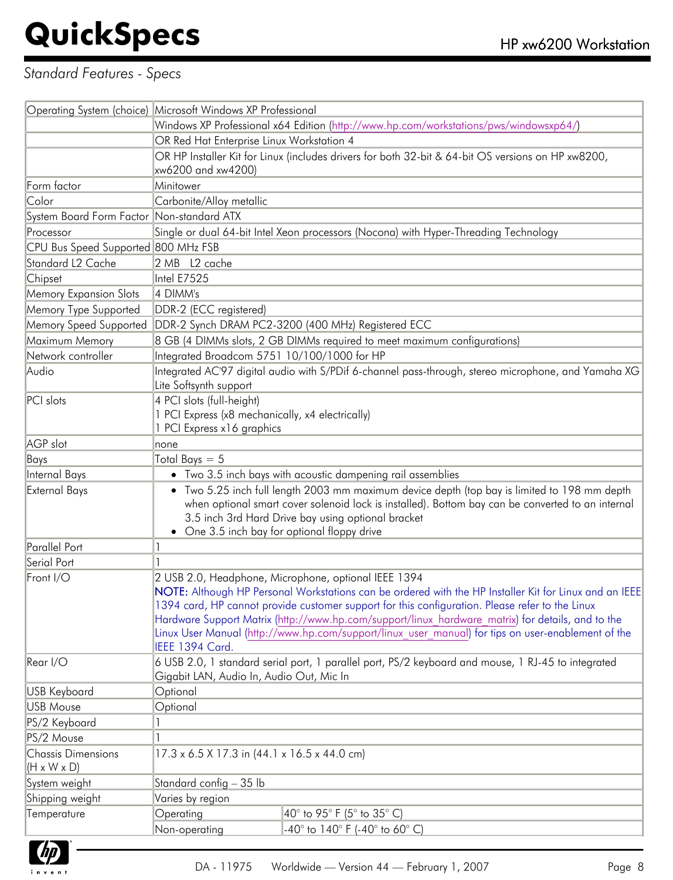### *Standard Features - Specs*

|                                                      | Operating System (choice) Microsoft Windows XP Professional                                                                                                                                               |                                                                                                     |  |
|------------------------------------------------------|-----------------------------------------------------------------------------------------------------------------------------------------------------------------------------------------------------------|-----------------------------------------------------------------------------------------------------|--|
|                                                      | Windows XP Professional x64 Edition (http://www.hp.com/workstations/pws/windowsxp64/)                                                                                                                     |                                                                                                     |  |
|                                                      | OR Red Hat Enterprise Linux Workstation 4                                                                                                                                                                 |                                                                                                     |  |
|                                                      | OR HP Installer Kit for Linux (includes drivers for both 32-bit & 64-bit OS versions on HP xw8200,                                                                                                        |                                                                                                     |  |
|                                                      | xw6200 and xw4200)                                                                                                                                                                                        |                                                                                                     |  |
| Form factor                                          | Minitower                                                                                                                                                                                                 |                                                                                                     |  |
| Color                                                | Carbonite/Alloy metallic                                                                                                                                                                                  |                                                                                                     |  |
| System Board Form Factor Non-standard ATX            |                                                                                                                                                                                                           |                                                                                                     |  |
| Processor                                            |                                                                                                                                                                                                           | Single or dual 64-bit Intel Xeon processors (Nocona) with Hyper-Threading Technology                |  |
| CPU Bus Speed Supported 800 MHz FSB                  |                                                                                                                                                                                                           |                                                                                                     |  |
| Standard L2 Cache                                    | 2 MB L2 cache                                                                                                                                                                                             |                                                                                                     |  |
| Chipset                                              | Intel E7525                                                                                                                                                                                               |                                                                                                     |  |
| <b>Memory Expansion Slots</b>                        | 4 DIMM's                                                                                                                                                                                                  |                                                                                                     |  |
| Memory Type Supported                                | DDR-2 (ECC registered)                                                                                                                                                                                    |                                                                                                     |  |
| Memory Speed Supported                               | DDR-2 Synch DRAM PC2-3200 (400 MHz) Registered ECC                                                                                                                                                        |                                                                                                     |  |
| Maximum Memory                                       |                                                                                                                                                                                                           | 8 GB (4 DIMMs slots, 2 GB DIMMs required to meet maximum configurations)                            |  |
| Network controller                                   | Integrated Broadcom 5751 10/100/1000 for HP                                                                                                                                                               |                                                                                                     |  |
| Audio                                                | Lite Softsynth support                                                                                                                                                                                    | Integrated AC'97 digital audio with S/PDif 6-channel pass-through, stereo microphone, and Yamaha XG |  |
| PCI slots                                            | 4 PCI slots (full-height)                                                                                                                                                                                 |                                                                                                     |  |
|                                                      | 1 PCI Express (x8 mechanically, x4 electrically)                                                                                                                                                          |                                                                                                     |  |
|                                                      | 1 PCI Express x16 graphics                                                                                                                                                                                |                                                                                                     |  |
| AGP slot                                             | none                                                                                                                                                                                                      |                                                                                                     |  |
| Bays                                                 | Total Bays $= 5$                                                                                                                                                                                          |                                                                                                     |  |
| Internal Bays                                        | • Two 3.5 inch bays with acoustic dampening rail assemblies                                                                                                                                               |                                                                                                     |  |
| <b>External Bays</b>                                 | • Two 5.25 inch full length 2003 mm maximum device depth (top bay is limited to 198 mm depth                                                                                                              |                                                                                                     |  |
|                                                      |                                                                                                                                                                                                           | when optional smart cover solenoid lock is installed). Bottom bay can be converted to an internal   |  |
|                                                      | 3.5 inch 3rd Hard Drive bay using optional bracket                                                                                                                                                        |                                                                                                     |  |
|                                                      | • One 3.5 inch bay for optional floppy drive                                                                                                                                                              |                                                                                                     |  |
| Parallel Port                                        |                                                                                                                                                                                                           |                                                                                                     |  |
| Serial Port                                          |                                                                                                                                                                                                           |                                                                                                     |  |
| Front I/O                                            | 2 USB 2.0, Headphone, Microphone, optional IEEE 1394                                                                                                                                                      |                                                                                                     |  |
|                                                      | NOTE: Although HP Personal Workstations can be ordered with the HP Installer Kit for Linux and an IEEE<br>1394 card, HP cannot provide customer support for this configuration. Please refer to the Linux |                                                                                                     |  |
|                                                      | Hardware Support Matrix (http://www.hp.com/support/linux hardware matrix) for details, and to the                                                                                                         |                                                                                                     |  |
|                                                      |                                                                                                                                                                                                           | Linux User Manual (http://www.hp.com/support/linux user manual) for tips on user-enablement of the  |  |
|                                                      | IEEE 1394 Card.                                                                                                                                                                                           |                                                                                                     |  |
| Rear I/O                                             |                                                                                                                                                                                                           | 6 USB 2.0, 1 standard serial port, 1 parallel port, PS/2 keyboard and mouse, 1 RJ-45 to integrated  |  |
|                                                      | Gigabit LAN, Audio In, Audio Out, Mic In                                                                                                                                                                  |                                                                                                     |  |
| <b>USB Keyboard</b>                                  | Optional                                                                                                                                                                                                  |                                                                                                     |  |
| <b>USB Mouse</b>                                     | Optional                                                                                                                                                                                                  |                                                                                                     |  |
| PS/2 Keyboard                                        |                                                                                                                                                                                                           |                                                                                                     |  |
| PS/2 Mouse                                           |                                                                                                                                                                                                           |                                                                                                     |  |
| <b>Chassis Dimensions</b><br>$(H \times W \times D)$ | 17.3 x 6.5 X 17.3 in (44.1 x 16.5 x 44.0 cm)                                                                                                                                                              |                                                                                                     |  |
| System weight                                        | Standard config - 35 lb                                                                                                                                                                                   |                                                                                                     |  |
| Shipping weight                                      | Varies by region                                                                                                                                                                                          |                                                                                                     |  |
| Temperature                                          | $40^{\circ}$ to 95° F (5° to 35° C)<br>Operating                                                                                                                                                          |                                                                                                     |  |
|                                                      | Non-operating                                                                                                                                                                                             | -40° to 140° F (-40° to 60° C)                                                                      |  |

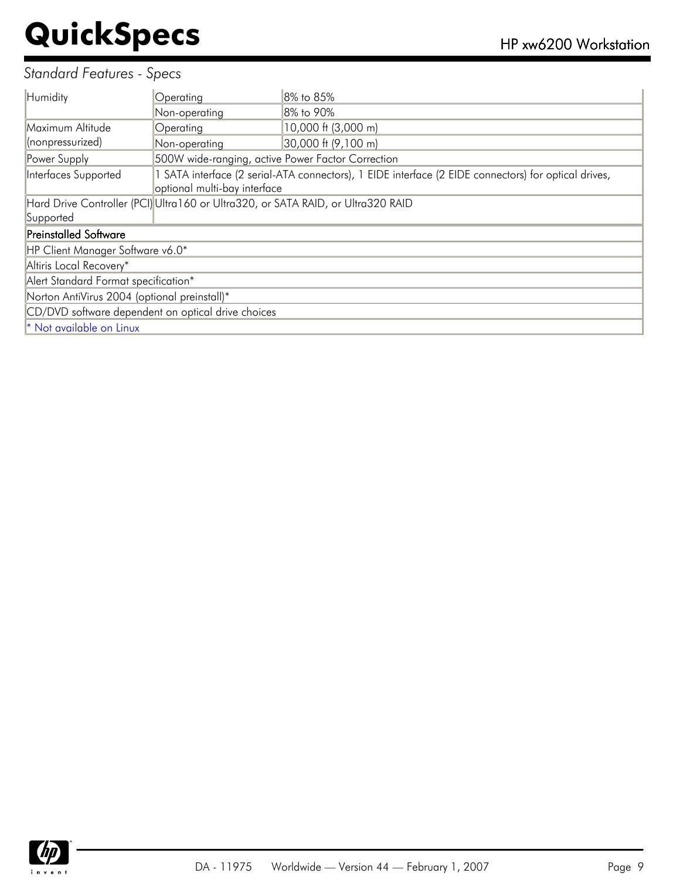### *Standard Features - Specs*

| Humidity                                           | Operating                                                                                                                            | 8% to 85%                                                                       |  |
|----------------------------------------------------|--------------------------------------------------------------------------------------------------------------------------------------|---------------------------------------------------------------------------------|--|
|                                                    | Non-operating                                                                                                                        | 8% to 90%                                                                       |  |
| Maximum Altitude                                   | Operating                                                                                                                            | 10,000 ft (3,000 m)                                                             |  |
| (nonpressurized)                                   | Non-operating                                                                                                                        | 30,000 ft (9,100 m)                                                             |  |
| Power Supply                                       | 500W wide-ranging, active Power Factor Correction                                                                                    |                                                                                 |  |
| Interfaces Supported                               | 1 SATA interface (2 serial-ATA connectors), 1 EIDE interface (2 EIDE connectors) for optical drives,<br>optional multi-bay interface |                                                                                 |  |
|                                                    |                                                                                                                                      | Hard Drive Controller (PCI)Ultra160 or Ultra320, or SATA RAID, or Ultra320 RAID |  |
| Supported                                          |                                                                                                                                      |                                                                                 |  |
| <b>Preinstalled Software</b>                       |                                                                                                                                      |                                                                                 |  |
| HP Client Manager Software v6.0*                   |                                                                                                                                      |                                                                                 |  |
| Altiris Local Recovery*                            |                                                                                                                                      |                                                                                 |  |
| Alert Standard Format specification*               |                                                                                                                                      |                                                                                 |  |
| Norton AntiVirus 2004 (optional preinstall)*       |                                                                                                                                      |                                                                                 |  |
| CD/DVD software dependent on optical drive choices |                                                                                                                                      |                                                                                 |  |
| * Not available on Linux                           |                                                                                                                                      |                                                                                 |  |

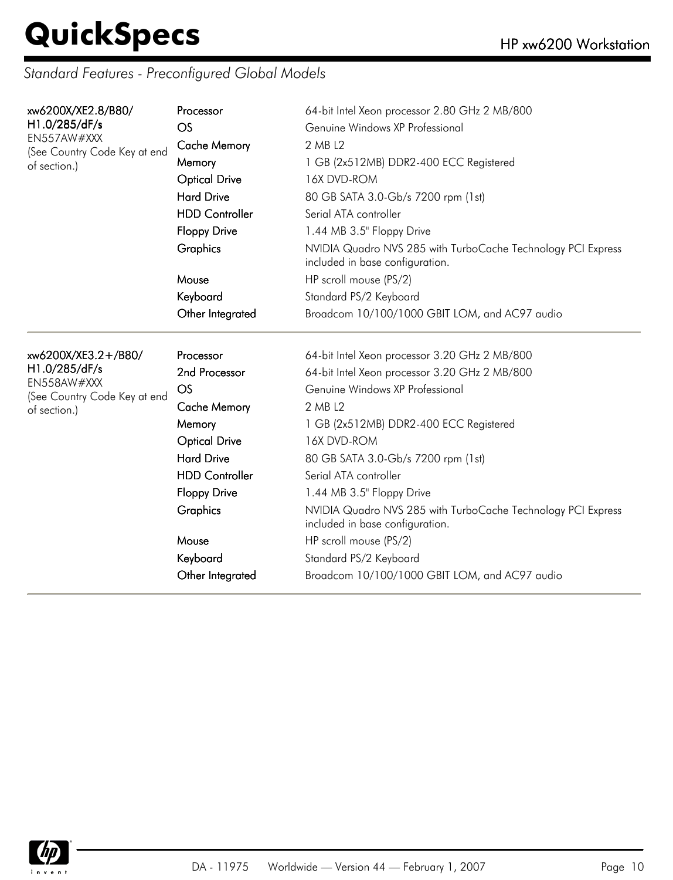| xw6200X/XE2.8/B80/                          | Processor             | 64-bit Intel Xeon processor 2.80 GHz 2 MB/800                                                   |
|---------------------------------------------|-----------------------|-------------------------------------------------------------------------------------------------|
| H1.0/285/dF/s                               | <b>OS</b>             | Genuine Windows XP Professional                                                                 |
| EN557AW#XXX<br>(See Country Code Key at end | <b>Cache Memory</b>   | 2 MB L2                                                                                         |
| of section.)                                | Memory                | 1 GB (2x512MB) DDR2-400 ECC Registered                                                          |
|                                             | <b>Optical Drive</b>  | 16X DVD-ROM                                                                                     |
|                                             | <b>Hard Drive</b>     | 80 GB SATA 3.0-Gb/s 7200 rpm (1st)                                                              |
|                                             | <b>HDD Controller</b> | Serial ATA controller                                                                           |
|                                             | <b>Floppy Drive</b>   | 1.44 MB 3.5" Floppy Drive                                                                       |
|                                             | Graphics              | NVIDIA Quadro NVS 285 with TurboCache Technology PCI Express<br>included in base configuration. |
|                                             | Mouse                 | HP scroll mouse (PS/2)                                                                          |
|                                             | Keyboard              | Standard PS/2 Keyboard                                                                          |
|                                             | Other Integrated      | Broadcom 10/100/1000 GBIT LOM, and AC97 audio                                                   |
|                                             |                       |                                                                                                 |
| xw6200X/XE3.2+/B80/                         | Processor             | 64-bit Intel Xeon processor 3.20 GHz 2 MB/800                                                   |
| H1.0/285/dF/s                               |                       | 64-bit Intel Xeon processor 3.20 GHz 2 MB/800                                                   |
|                                             | 2nd Processor         |                                                                                                 |
| EN558AW#XXX                                 | OS                    | Genuine Windows XP Professional                                                                 |
| (See Country Code Key at end                | <b>Cache Memory</b>   | 2 MB L2                                                                                         |
| of section.)                                | Memory                | 1 GB (2x512MB) DDR2-400 ECC Registered                                                          |
|                                             | <b>Optical Drive</b>  | 16X DVD-ROM                                                                                     |
|                                             | <b>Hard Drive</b>     | 80 GB SATA 3.0-Gb/s 7200 rpm (1st)                                                              |
|                                             | <b>HDD Controller</b> | Serial ATA controller                                                                           |
|                                             | <b>Floppy Drive</b>   | 1.44 MB 3.5" Floppy Drive                                                                       |
|                                             | Graphics              | NVIDIA Quadro NVS 285 with TurboCache Technology PCI Express<br>included in base configuration. |
|                                             | Mouse                 | HP scroll mouse (PS/2)                                                                          |
|                                             | Keyboard              | Standard PS/2 Keyboard                                                                          |

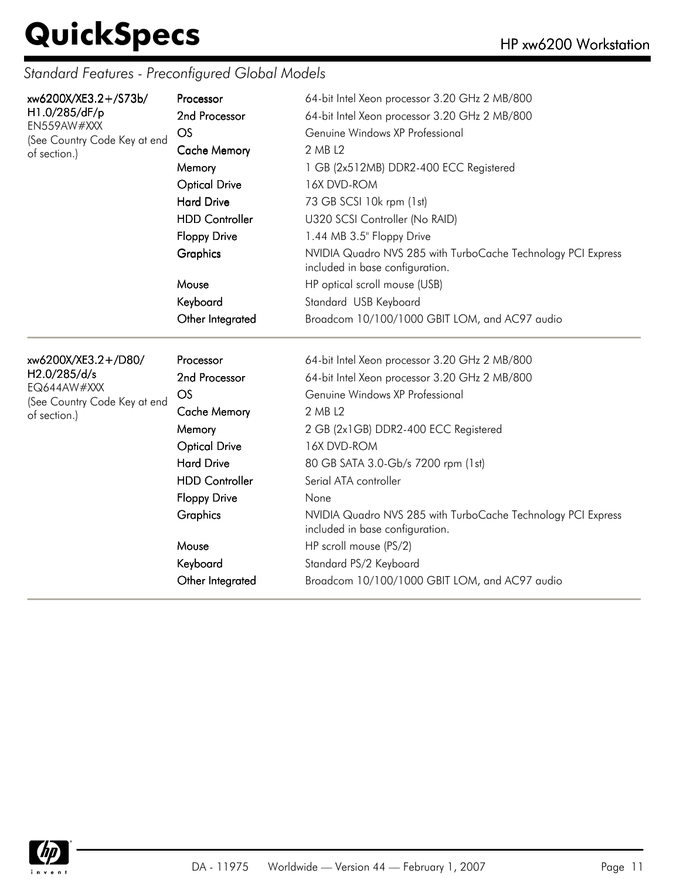| xw6200X/XE3.2+/S73b/<br>H1.0/285/dF/p<br>EN559AW#XXX<br>(See Country Code Key at end<br>of section.) | Processor<br>2nd Processor<br>OS<br><b>Cache Memory</b><br>Memory<br><b>Optical Drive</b><br><b>Hard Drive</b><br><b>HDD Controller</b><br><b>Floppy Drive</b><br>Graphics<br>Mouse<br>Keyboard<br>Other Integrated | 64-bit Intel Xeon processor 3.20 GHz 2 MB/800<br>64-bit Intel Xeon processor 3.20 GHz 2 MB/800<br>Genuine Windows XP Professional<br>2 MB L2<br>1 GB (2x512MB) DDR2-400 ECC Registered<br>16X DVD-ROM<br>73 GB SCSI 10k rpm (1st)<br>U320 SCSI Controller (No RAID)<br>1.44 MB 3.5" Floppy Drive<br>NVIDIA Quadro NVS 285 with TurboCache Technology PCI Express<br>included in base configuration.<br>HP optical scroll mouse (USB)<br>Standard USB Keyboard<br>Broadcom 10/100/1000 GBIT LOM, and AC97 audio |
|------------------------------------------------------------------------------------------------------|---------------------------------------------------------------------------------------------------------------------------------------------------------------------------------------------------------------------|----------------------------------------------------------------------------------------------------------------------------------------------------------------------------------------------------------------------------------------------------------------------------------------------------------------------------------------------------------------------------------------------------------------------------------------------------------------------------------------------------------------|
| xw6200X/XE3.2+/D80/<br>H2.0/285/d/s<br>EQ644AW#XXX<br>(See Country Code Key at end<br>of section.)   | Processor<br>2nd Processor<br>OS<br><b>Cache Memory</b><br>Memory<br><b>Optical Drive</b><br><b>Hard Drive</b><br><b>HDD Controller</b><br><b>Floppy Drive</b><br>Graphics<br>Mouse<br>Keyboard<br>Other Integrated | 64-bit Intel Xeon processor 3.20 GHz 2 MB/800<br>64-bit Intel Xeon processor 3.20 GHz 2 MB/800<br>Genuine Windows XP Professional<br>2 MB L2<br>2 GB (2x1GB) DDR2-400 ECC Registered<br>16X DVD-ROM<br>80 GB SATA 3.0-Gb/s 7200 rpm (1st)<br>Serial ATA controller<br>None<br>NVIDIA Quadro NVS 285 with TurboCache Technology PCI Express<br>included in base configuration.<br>HP scroll mouse (PS/2)<br>Standard PS/2 Keyboard<br>Broadcom 10/100/1000 GBIT LOM, and AC97 audio                             |

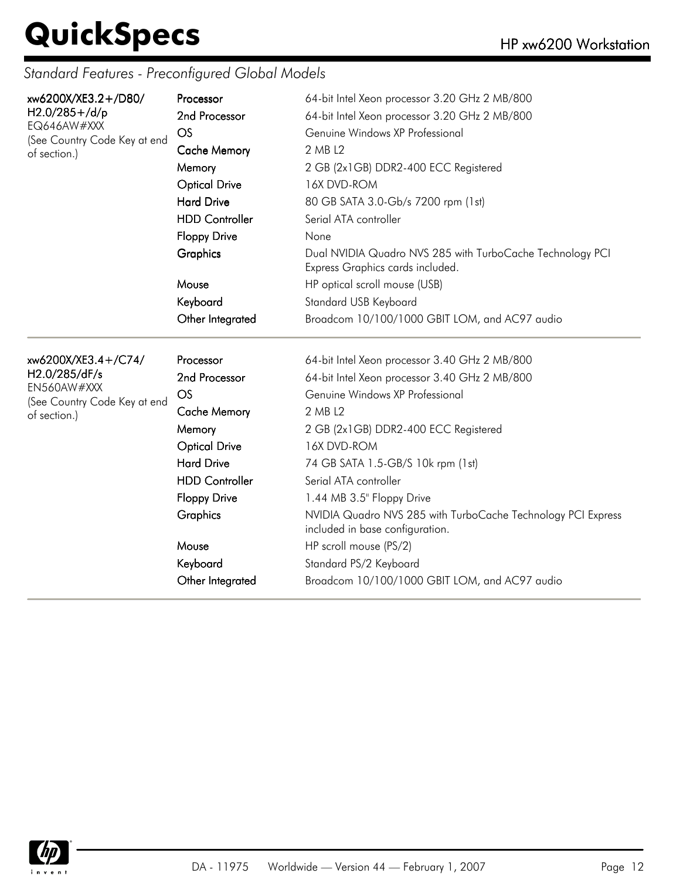| xw6200X/XE3.2+/D80/<br>H2.0/285+/d/p<br>EQ646AW#XXX<br>(See Country Code Key at end<br>of section.) | Processor<br>2nd Processor<br>OS<br><b>Cache Memory</b><br>Memory<br><b>Optical Drive</b><br><b>Hard Drive</b><br><b>HDD Controller</b><br><b>Floppy Drive</b><br>Graphics<br>Mouse<br>Keyboard<br>Other Integrated | 64-bit Intel Xeon processor 3.20 GHz 2 MB/800<br>64-bit Intel Xeon processor 3.20 GHz 2 MB/800<br>Genuine Windows XP Professional<br>2 MB L2<br>2 GB (2x1GB) DDR2-400 ECC Registered<br>16X DVD-ROM<br>80 GB SATA 3.0-Gb/s 7200 rpm (1st)<br>Serial ATA controller<br>None<br>Dual NVIDIA Quadro NVS 285 with TurboCache Technology PCI<br>Express Graphics cards included.<br>HP optical scroll mouse (USB)<br>Standard USB Keyboard<br>Broadcom 10/100/1000 GBIT LOM, and AC97 audio                 |
|-----------------------------------------------------------------------------------------------------|---------------------------------------------------------------------------------------------------------------------------------------------------------------------------------------------------------------------|--------------------------------------------------------------------------------------------------------------------------------------------------------------------------------------------------------------------------------------------------------------------------------------------------------------------------------------------------------------------------------------------------------------------------------------------------------------------------------------------------------|
| xw6200X/XE3.4+/C74/<br>H2.0/285/dF/s<br>EN560AW#XXX<br>(See Country Code Key at end<br>of section.) | Processor<br>2nd Processor<br>OS<br><b>Cache Memory</b><br>Memory<br><b>Optical Drive</b><br><b>Hard Drive</b><br><b>HDD Controller</b><br><b>Floppy Drive</b><br>Graphics<br>Mouse<br>Keyboard<br>Other Integrated | 64-bit Intel Xeon processor 3.40 GHz 2 MB/800<br>64-bit Intel Xeon processor 3.40 GHz 2 MB/800<br>Genuine Windows XP Professional<br>2 MB L2<br>2 GB (2x1GB) DDR2-400 ECC Registered<br>16X DVD-ROM<br>74 GB SATA 1.5-GB/S 10k rpm (1st)<br>Serial ATA controller<br>1.44 MB 3.5" Floppy Drive<br>NVIDIA Quadro NVS 285 with TurboCache Technology PCI Express<br>included in base configuration.<br>HP scroll mouse (PS/2)<br>Standard PS/2 Keyboard<br>Broadcom 10/100/1000 GBIT LOM, and AC97 audio |

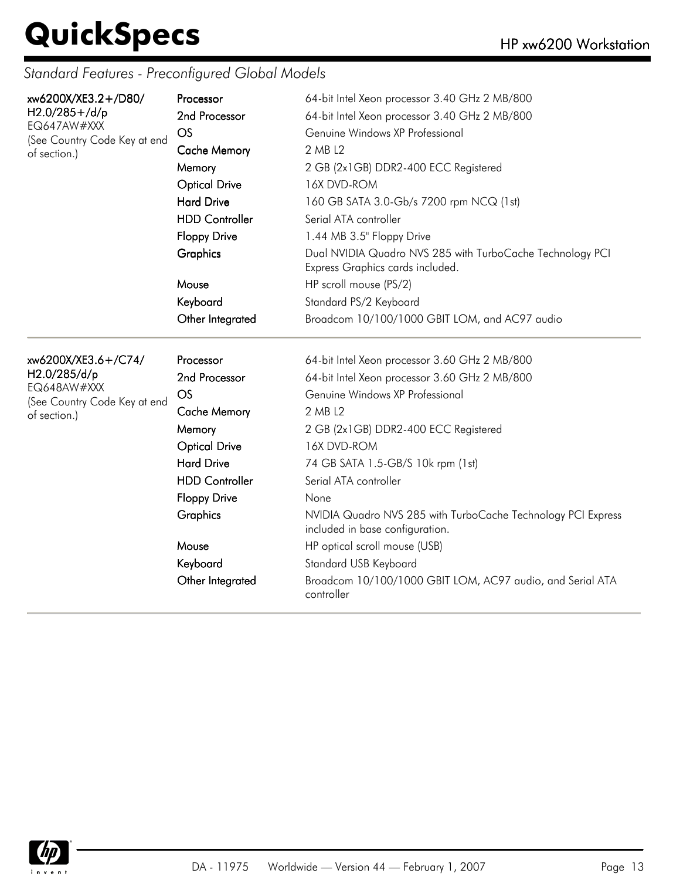| xw6200X/XE3.2+/D80/<br>$H2.0/285 + /d/p$<br>EQ647AW#XXX<br>(See Country Code Key at end<br>of section.) | Processor<br>2nd Processor<br>OS<br><b>Cache Memory</b><br>Memory<br><b>Optical Drive</b><br><b>Hard Drive</b><br><b>HDD Controller</b><br><b>Floppy Drive</b><br>Graphics<br>Mouse<br>Keyboard<br>Other Integrated | 64-bit Intel Xeon processor 3.40 GHz 2 MB/800<br>64-bit Intel Xeon processor 3.40 GHz 2 MB/800<br>Genuine Windows XP Professional<br>2 MB L2<br>2 GB (2x1GB) DDR2-400 ECC Registered<br>16X DVD-ROM<br>160 GB SATA 3.0-Gb/s 7200 rpm NCQ (1st)<br>Serial ATA controller<br>1.44 MB 3.5" Floppy Drive<br>Dual NVIDIA Quadro NVS 285 with TurboCache Technology PCI<br>Express Graphics cards included.<br>HP scroll mouse (PS/2)<br>Standard PS/2 Keyboard<br>Broadcom 10/100/1000 GBIT LOM, and AC97 audio        |
|---------------------------------------------------------------------------------------------------------|---------------------------------------------------------------------------------------------------------------------------------------------------------------------------------------------------------------------|-------------------------------------------------------------------------------------------------------------------------------------------------------------------------------------------------------------------------------------------------------------------------------------------------------------------------------------------------------------------------------------------------------------------------------------------------------------------------------------------------------------------|
| xw6200X/XE3.6+/C74/<br>H2.0/285/d/p<br>EQ648AW#XXX<br>(See Country Code Key at end<br>of section.)      | Processor<br>2nd Processor<br>OS<br><b>Cache Memory</b><br>Memory<br><b>Optical Drive</b><br><b>Hard Drive</b><br><b>HDD Controller</b><br><b>Floppy Drive</b><br>Graphics<br>Mouse<br>Keyboard<br>Other Integrated | 64-bit Intel Xeon processor 3.60 GHz 2 MB/800<br>64-bit Intel Xeon processor 3.60 GHz 2 MB/800<br>Genuine Windows XP Professional<br>2 MB L2<br>2 GB (2x1GB) DDR2-400 ECC Registered<br>16X DVD-ROM<br>74 GB SATA 1.5-GB/S 10k rpm (1st)<br>Serial ATA controller<br>None<br>NVIDIA Quadro NVS 285 with TurboCache Technology PCI Express<br>included in base configuration.<br>HP optical scroll mouse (USB)<br>Standard USB Keyboard<br>Broadcom 10/100/1000 GBIT LOM, AC97 audio, and Serial ATA<br>controller |

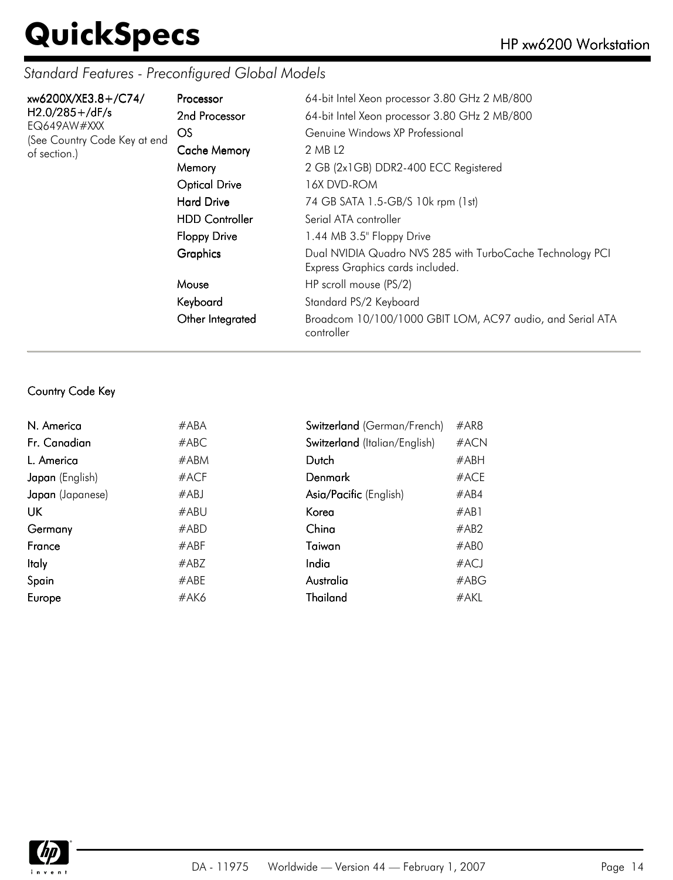### *Standard Features - Preconfigured Global Models*

| xw6200X/XE3.8+/C74/<br>$H2.0/285 + /dF/s$<br>EQ649AW#XXX<br>(See Country Code Key at end<br>of section.) | Processor<br>2nd Processor<br>OS.<br><b>Cache Memory</b><br>Memory                        | 64-bit Intel Xeon processor 3.80 GHz 2 MB/800<br>64-bit Intel Xeon processor 3.80 GHz 2 MB/800<br>Genuine Windows XP Professional<br>2 MB L2<br>2 GB (2x1GB) DDR2-400 ECC Registered |
|----------------------------------------------------------------------------------------------------------|-------------------------------------------------------------------------------------------|--------------------------------------------------------------------------------------------------------------------------------------------------------------------------------------|
|                                                                                                          | <b>Optical Drive</b><br><b>Hard Drive</b><br><b>HDD Controller</b><br><b>Floppy Drive</b> | 16X DVD-ROM<br>74 GB SATA 1.5-GB/S 10k rpm (1st)<br>Serial ATA controller<br>1.44 MB 3.5" Floppy Drive                                                                               |
|                                                                                                          | Graphics                                                                                  | Dual NVIDIA Quadro NVS 285 with TurboCache Technology PCI<br>Express Graphics cards included.                                                                                        |
|                                                                                                          | Mouse<br>Keyboard                                                                         | HP scroll mouse (PS/2)<br>Standard PS/2 Keyboard                                                                                                                                     |
|                                                                                                          | Other Integrated                                                                          | Broadcom 10/100/1000 GBIT LOM, AC97 audio, and Serial ATA<br>controller                                                                                                              |

#### Country Code Key

| N. America       | #ABA    | Switzerland (German/French)   | #AR8 |
|------------------|---------|-------------------------------|------|
| Fr. Canadian     | #ABC    | Switzerland (Italian/English) | #ACN |
| L. America       | #ABM    | Dutch                         | #ABH |
| Japan (English)  | $#$ ACF | Denmark                       | #ACE |
| Japan (Japanese) | #ABJ    | Asia/Pacific (English)        | #AB4 |
| UK               | #ABU    | Korea                         | #AB1 |
| Germany          | #ABD    | China                         | #AB2 |
| France           | #ABF    | Taiwan                        | #ABO |
| <b>Italy</b>     | #ABZ    | India                         | #ACJ |
| Spain            | #ABE    | Australia                     | #ABC |
| Europe           | #AK6    | Thailand                      | #AKL |
|                  |         |                               |      |

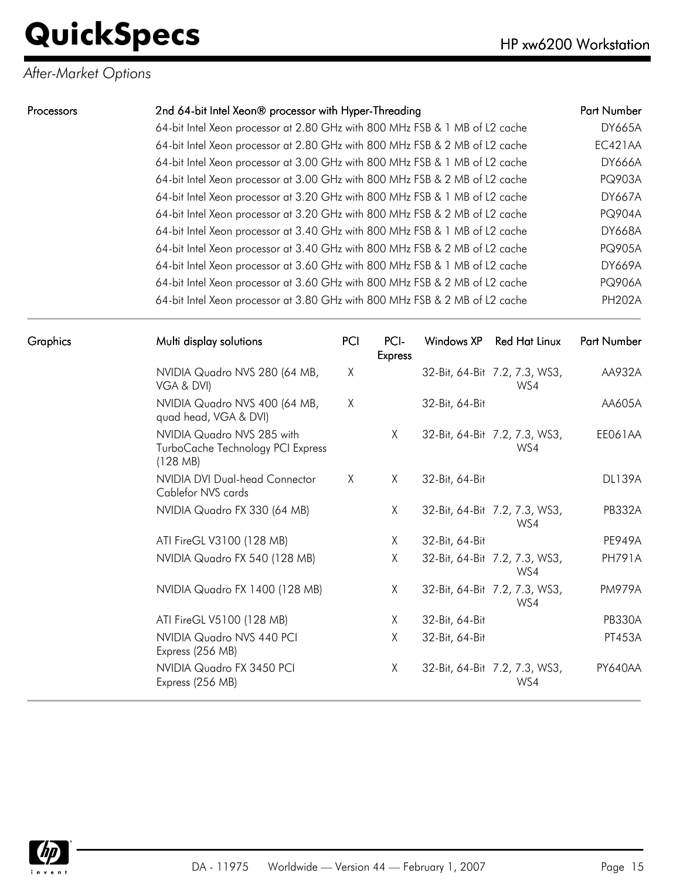### *After-Market Options*

| Processors | 2nd 64-bit Intel Xeon® processor with Hyper-Threading                       | <b>Part Number</b> |
|------------|-----------------------------------------------------------------------------|--------------------|
|            | 64-bit Intel Xeon processor at 2.80 GHz with 800 MHz FSB & 1 MB of L2 cache | <b>DY665A</b>      |
|            | 64-bit Intel Xeon processor at 2.80 GHz with 800 MHz FSB & 2 MB of L2 cache | EC421AA            |
|            | 64-bit Intel Xeon processor at 3.00 GHz with 800 MHz FSB & 1 MB of L2 cache | <b>DY666A</b>      |
|            | 64-bit Intel Xeon processor at 3.00 GHz with 800 MHz FSB & 2 MB of L2 cache | <b>PQ903A</b>      |
|            | 64-bit Intel Xeon processor at 3.20 GHz with 800 MHz FSB & 1 MB of L2 cache | <b>DY667A</b>      |
|            | 64-bit Intel Xeon processor at 3.20 GHz with 800 MHz FSB & 2 MB of L2 cache | <b>PQ904A</b>      |
|            | 64-bit Intel Xeon processor at 3.40 GHz with 800 MHz FSB & 1 MB of L2 cache | <b>DY668A</b>      |
|            | 64-bit Intel Xeon processor at 3.40 GHz with 800 MHz FSB & 2 MB of L2 cache | <b>PQ905A</b>      |
|            | 64-bit Intel Xeon processor at 3.60 GHz with 800 MHz FSB & 1 MB of L2 cache | <b>DY669A</b>      |
|            | 64-bit Intel Xeon processor at 3.60 GHz with 800 MHz FSB & 2 MB of L2 cache | <b>PQ906A</b>      |
|            | 64-bit Intel Xeon processor at 3.80 GHz with 800 MHz FSB & 2 MB of L2 cache | <b>PH202A</b>      |

| <b>Graphics</b> | Multi display solutions                                                     | PCI | PCI-<br><b>Express</b> | Windows XP     | Red Hat Linux                        | Part Number   |
|-----------------|-----------------------------------------------------------------------------|-----|------------------------|----------------|--------------------------------------|---------------|
|                 | NVIDIA Quadro NVS 280 (64 MB,<br>VGA & DVI)                                 | χ   |                        |                | 32-Bit, 64-Bit 7.2, 7.3, WS3,<br>WS4 | AA932A        |
|                 | NVIDIA Quadro NVS 400 (64 MB,<br>quad head, VGA & DVI)                      | X   |                        | 32-Bit, 64-Bit |                                      | AA605A        |
|                 | NVIDIA Quadro NVS 285 with<br>TurboCache Technology PCI Express<br>(128 MB) |     | X                      |                | 32-Bit, 64-Bit 7.2, 7.3, WS3,<br>WS4 | EE061AA       |
|                 | NVIDIA DVI Dual-head Connector<br>Cablefor NVS cards                        | X   | X                      | 32-Bit, 64-Bit |                                      | <b>DL139A</b> |
|                 | NVIDIA Quadro FX 330 (64 MB)                                                |     | X                      |                | 32-Bit, 64-Bit 7.2, 7.3, WS3,<br>WS4 | <b>PB332A</b> |
|                 | ATI FireGL V3100 (128 MB)                                                   |     | X                      | 32-Bit, 64-Bit |                                      | <b>PE949A</b> |
|                 | NVIDIA Quadro FX 540 (128 MB)                                               |     | X                      |                | 32-Bit, 64-Bit 7.2, 7.3, WS3,<br>WS4 | <b>PH791A</b> |
|                 | NVIDIA Quadro FX 1400 (128 MB)                                              |     | X                      |                | 32-Bit, 64-Bit 7.2, 7.3, WS3,<br>WS4 | <b>PM979A</b> |
|                 | ATI FireGL V5100 (128 MB)                                                   |     | Χ                      | 32-Bit, 64-Bit |                                      | <b>PB330A</b> |
|                 | NVIDIA Quadro NVS 440 PCI<br>Express (256 MB)                               |     | X                      | 32-Bit, 64-Bit |                                      | PT453A        |
|                 | NVIDIA Quadro FX 3450 PCI<br>Express (256 MB)                               |     | X                      |                | 32-Bit, 64-Bit 7.2, 7.3, WS3,<br>WS4 | PY640AA       |

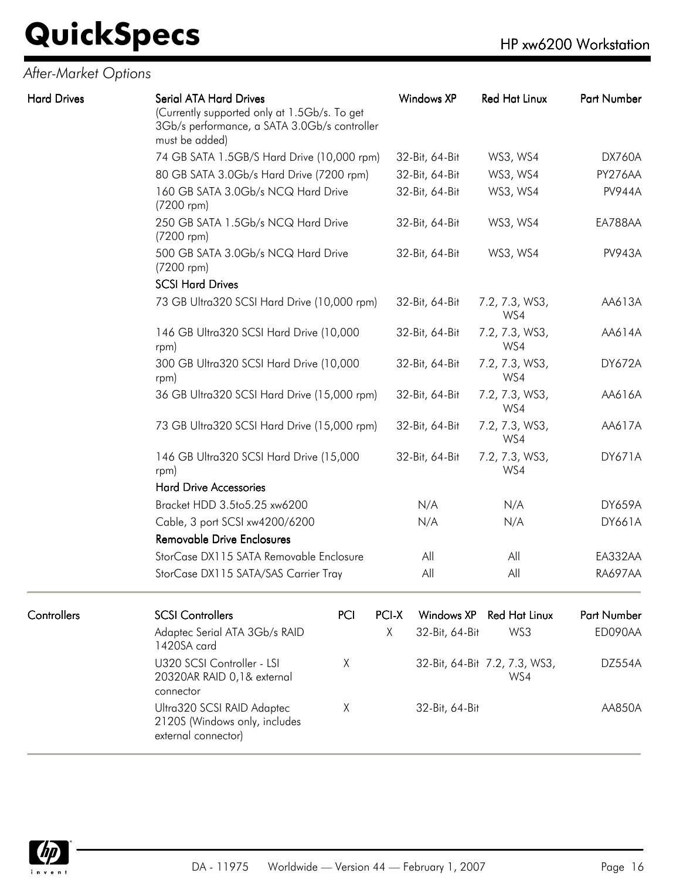### *After-Market Options*

Hard Drives

| <b>Serial ATA Hard Drives</b><br>(Currently supported only at 1.5Gb/s. To get<br>3Gb/s performance, a SATA 3.0Gb/s controller<br>must be added) | <b>Windows XP</b> | <b>Red Hat Linux</b>  | Part Number    |
|-------------------------------------------------------------------------------------------------------------------------------------------------|-------------------|-----------------------|----------------|
| 74 GB SATA 1.5GB/S Hard Drive (10,000 rpm)                                                                                                      | 32-Bit, 64-Bit    | WS3, WS4              | <b>DX760A</b>  |
| 80 GB SATA 3.0Gb/s Hard Drive (7200 rpm)                                                                                                        | 32-Bit, 64-Bit    | WS3, WS4              | PY276AA        |
| 160 GB SATA 3.0Gb/s NCQ Hard Drive<br>(7200 rpm)                                                                                                | 32-Bit, 64-Bit    | WS3, WS4              | <b>PV944A</b>  |
| 250 GB SATA 1.5Gb/s NCQ Hard Drive<br>(7200 rpm)                                                                                                | 32-Bit, 64-Bit    | WS3, WS4              | EA788AA        |
| 500 GB SATA 3.0Gb/s NCQ Hard Drive<br>(7200 rpm)                                                                                                | 32-Bit, 64-Bit    | WS3, WS4              | <b>PV943A</b>  |
| <b>SCSI Hard Drives</b>                                                                                                                         |                   |                       |                |
| 73 GB Ultra320 SCSI Hard Drive (10,000 rpm)                                                                                                     | 32-Bit, 64-Bit    | 7.2, 7.3, WS3,<br>WS4 | AA613A         |
| 146 GB Ultra320 SCSI Hard Drive (10,000<br>rpm)                                                                                                 | 32-Bit, 64-Bit    | 7.2, 7.3, WS3,<br>WS4 | AA614A         |
| 300 GB Ultra320 SCSI Hard Drive (10,000<br>rpm)                                                                                                 | 32-Bit, 64-Bit    | 7.2, 7.3, WS3,<br>WS4 | <b>DY672A</b>  |
| 36 GB Ultra320 SCSI Hard Drive (15,000 rpm)                                                                                                     | 32-Bit, 64-Bit    | 7.2, 7.3, WS3,<br>WS4 | AA616A         |
| 73 GB Ultra320 SCSI Hard Drive (15,000 rpm)                                                                                                     | 32-Bit, 64-Bit    | 7.2, 7.3, WS3,<br>WS4 | AA617A         |
| 146 GB Ultra320 SCSI Hard Drive (15,000<br>rpm)                                                                                                 | 32-Bit, 64-Bit    | 7.2, 7.3, WS3,<br>WS4 | <b>DY671A</b>  |
| <b>Hard Drive Accessories</b>                                                                                                                   |                   |                       |                |
| Bracket HDD 3.5to5.25 xw6200                                                                                                                    | N/A               | N/A                   | <b>DY659A</b>  |
| Cable, 3 port SCSI xw4200/6200                                                                                                                  | N/A               | N/A                   | DY661A         |
| <b>Removable Drive Enclosures</b>                                                                                                               |                   |                       |                |
| StorCase DX115 SATA Removable Enclosure                                                                                                         | All               | All                   | EA332AA        |
| StorCase DX115 SATA/SAS Carrier Tray                                                                                                            | All               | All                   | <b>RA697AA</b> |

| Controllers | <b>SCSI Controllers</b>                                                            | PCI | <b>PCLX</b> |                | Windows XP Red Hat Linux             | <b>Part Number</b> |
|-------------|------------------------------------------------------------------------------------|-----|-------------|----------------|--------------------------------------|--------------------|
|             | Adaptec Serial ATA 3Gb/s RAID<br>1420SA card                                       |     | X.          | 32-Bit, 64-Bit | WS3                                  | ED090AA            |
|             | U320 SCSI Controller - LSI<br>20320AR RAID 0,1& external<br>connector              |     |             |                | 32-Bit, 64-Bit 7.2, 7.3, WS3,<br>WS4 | DZ554A             |
|             | Ultra320 SCSI RAID Adaptec<br>2120S (Windows only, includes<br>external connector) |     |             | 32-Bit, 64-Bit |                                      | AA850A             |

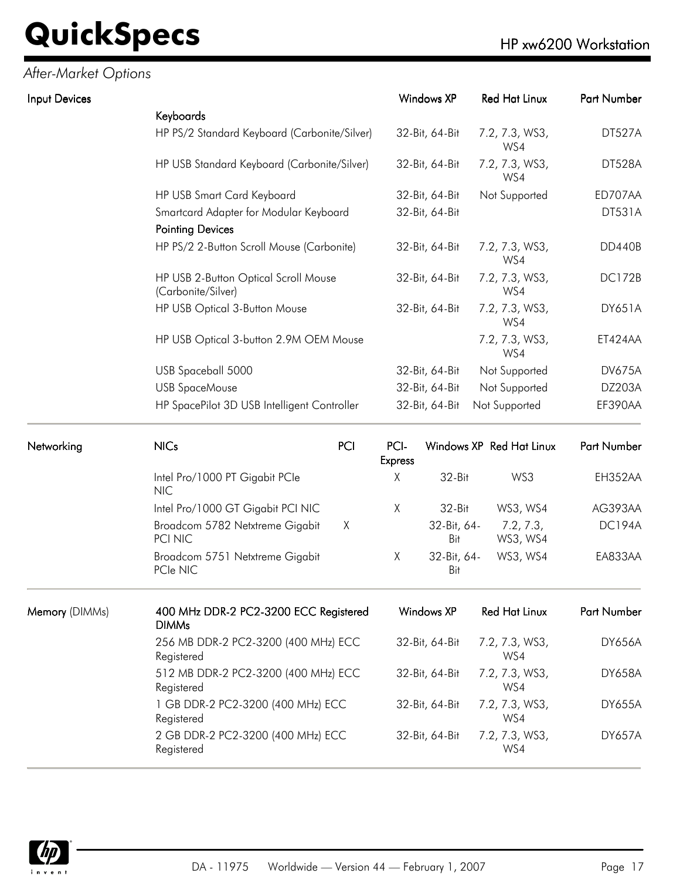*After-Market Options*

| Input Devices |                                                            | Windows XP             | <b>Red Hat Linux</b>     | Part Number        |
|---------------|------------------------------------------------------------|------------------------|--------------------------|--------------------|
|               | Keyboards                                                  |                        |                          |                    |
|               | HP PS/2 Standard Keyboard (Carbonite/Silver)               | 32-Bit, 64-Bit         | 7.2, 7.3, WS3,<br>WS4    | DT527A             |
|               | HP USB Standard Keyboard (Carbonite/Silver)                | 32-Bit, 64-Bit         | 7.2, 7.3, WS3,<br>WS4    | DT528A             |
|               | HP USB Smart Card Keyboard                                 | 32-Bit, 64-Bit         | Not Supported            | ED707AA            |
|               | Smartcard Adapter for Modular Keyboard                     | 32-Bit, 64-Bit         |                          | <b>DT531A</b>      |
|               | <b>Pointing Devices</b>                                    |                        |                          |                    |
|               | HP PS/2 2-Button Scroll Mouse (Carbonite)                  | 32-Bit, 64-Bit         | 7.2, 7.3, WS3,<br>WS4    | <b>DD440B</b>      |
|               | HP USB 2-Button Optical Scroll Mouse<br>(Carbonite/Silver) | 32-Bit, 64-Bit         | 7.2, 7.3, WS3,<br>WS4    | <b>DC172B</b>      |
|               | HP USB Optical 3-Button Mouse                              | 32-Bit, 64-Bit         | 7.2, 7.3, WS3,<br>WS4    | <b>DY651A</b>      |
|               | HP USB Optical 3-button 2.9M OEM Mouse                     |                        | 7.2, 7.3, WS3,<br>WS4    | ET424AA            |
|               | USB Spaceball 5000                                         | 32-Bit, 64-Bit         | Not Supported            | <b>DV675A</b>      |
|               | <b>USB SpaceMouse</b>                                      | 32-Bit, 64-Bit         | Not Supported            | <b>DZ203A</b>      |
|               | HP SpacePilot 3D USB Intelligent Controller                | 32-Bit, 64-Bit         | Not Supported            | EF390AA            |
| Networking    | <b>NICs</b><br>PCI                                         | PCI-<br><b>Express</b> | Windows XP Red Hat Linux | <b>Part Number</b> |

| <b>Express</b> |                    |                       |               |
|----------------|--------------------|-----------------------|---------------|
| Χ              | $32-Hit$           | WS3                   | EH352AA       |
| Χ              | $32-Hit$           | WS3, WS4              | AG393AA       |
|                | 32-Bit, 64-<br>Bit | 7.2, 7.3,<br>WS3, WS4 | <b>DC194A</b> |
| Χ              | 32-Bit, 64-<br>Bit | WS3, WS4              | EA833AA       |
|                |                    |                       |               |

| Memory (DIMMs) | 400 MHz DDR-2 PC2-3200 ECC Registered<br><b>DIMMs</b> | Windows XP     | Red Hat Linux         | Part Number   |
|----------------|-------------------------------------------------------|----------------|-----------------------|---------------|
|                | 256 MB DDR-2 PC2-3200 (400 MHz) ECC<br>Registered     | 32-Bit, 64-Bit | 7.2, 7.3, WS3,<br>WS4 | <b>DY656A</b> |
|                | 512 MB DDR-2 PC2-3200 (400 MHz) ECC<br>Registered     | 32-Bit, 64-Bit | 7.2, 7.3, WS3,<br>WS4 | <b>DY658A</b> |
|                | 1 GB DDR-2 PC2-3200 (400 MHz) ECC<br>Registered       | 32-Bit, 64-Bit | 7.2, 7.3, WS3,<br>WS4 | <b>DY655A</b> |
|                | 2 GB DDR-2 PC2-3200 (400 MHz) ECC<br>Registered       | 32-Bit, 64-Bit | 7.2, 7.3, WS3,<br>WS4 | <b>DY657A</b> |

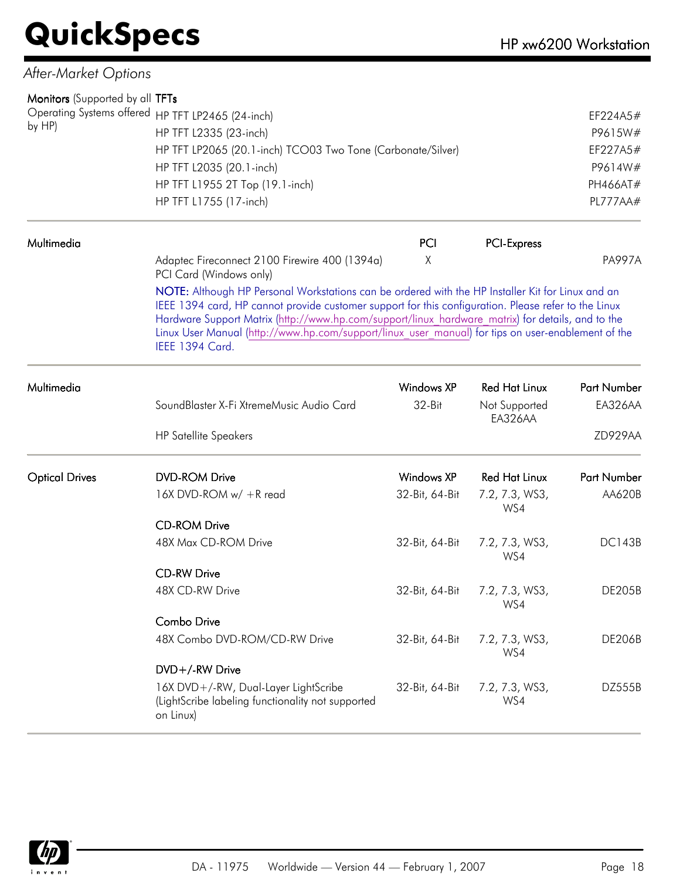| After-Market Options                              |                                                                                                                       |                   |                          |               |  |  |  |
|---------------------------------------------------|-----------------------------------------------------------------------------------------------------------------------|-------------------|--------------------------|---------------|--|--|--|
| Monitors (Supported by all TFTs                   |                                                                                                                       |                   |                          |               |  |  |  |
| Operating Systems offered HP TFT LP2465 (24-inch) |                                                                                                                       |                   |                          | EF224A5#      |  |  |  |
| by HP)                                            | HP TFT L2335 (23-inch)                                                                                                |                   |                          |               |  |  |  |
|                                                   | HP TFT LP2065 (20.1-inch) TCO03 Two Tone (Carbonate/Silver)                                                           | EF227A5#          |                          |               |  |  |  |
|                                                   | HP TFT L2035 (20.1-inch)                                                                                              |                   |                          | P9614W#       |  |  |  |
|                                                   | HP TFT L1955 2T Top (19.1-inch)                                                                                       |                   |                          | PH466AT#      |  |  |  |
|                                                   | HP TFT L1755 (17-inch)                                                                                                |                   |                          | PL777AA#      |  |  |  |
| Multimedia                                        |                                                                                                                       | PCI               | <b>PCI-Express</b>       |               |  |  |  |
|                                                   | Adaptec Fireconnect 2100 Firewire 400 (1394a)<br>PCI Card (Windows only)                                              | X                 |                          | <b>PA997A</b> |  |  |  |
|                                                   | Linux User Manual (http://www.hp.com/support/linux user manual) for tips on user-enablement of the<br>IEEE 1394 Card. |                   |                          |               |  |  |  |
| Multimedia                                        |                                                                                                                       | Windows XP        | <b>Red Hat Linux</b>     | Part Number   |  |  |  |
|                                                   | SoundBlaster X-Fi XtremeMusic Audio Card                                                                              | 32-Bit            | Not Supported<br>EA326AA | EA326AA       |  |  |  |
|                                                   | <b>HP Satellite Speakers</b>                                                                                          |                   |                          | ZD929AA       |  |  |  |
| <b>Optical Drives</b>                             | <b>DVD-ROM Drive</b>                                                                                                  | <b>Windows XP</b> | <b>Red Hat Linux</b>     | Part Number   |  |  |  |
|                                                   | 16X DVD-ROM w/ +R read                                                                                                | 32-Bit, 64-Bit    | 7.2, 7.3, WS3,<br>WS4    | AA620B        |  |  |  |
|                                                   | <b>CD-ROM Drive</b>                                                                                                   |                   |                          |               |  |  |  |
|                                                   | 48X Max CD-ROM Drive                                                                                                  | 32-Bit, 64-Bit    | 7.2, 7.3, WS3,<br>WS4    | <b>DC143B</b> |  |  |  |
|                                                   | <b>CD-RW Drive</b>                                                                                                    |                   |                          |               |  |  |  |
|                                                   | 48X CD-RW Drive                                                                                                       | 32-Bit, 64-Bit    | 7.2, 7.3, WS3,<br>WS4    | <b>DE205B</b> |  |  |  |
|                                                   | Combo Drive                                                                                                           |                   |                          |               |  |  |  |
|                                                   | 48X Combo DVD-ROM/CD-RW Drive                                                                                         | 32-Bit, 64-Bit    | 7.2, 7.3, WS3,<br>WS4    | <b>DE206B</b> |  |  |  |
|                                                   | DVD+/-RW Drive                                                                                                        |                   |                          |               |  |  |  |
|                                                   | 16X DVD+/-RW, Dual-Layer LightScribe<br>(LightScribe labeling functionality not supported<br>on Linux)                | 32-Bit, 64-Bit    | 7.2, 7.3, WS3,<br>WS4    | DZ555B        |  |  |  |

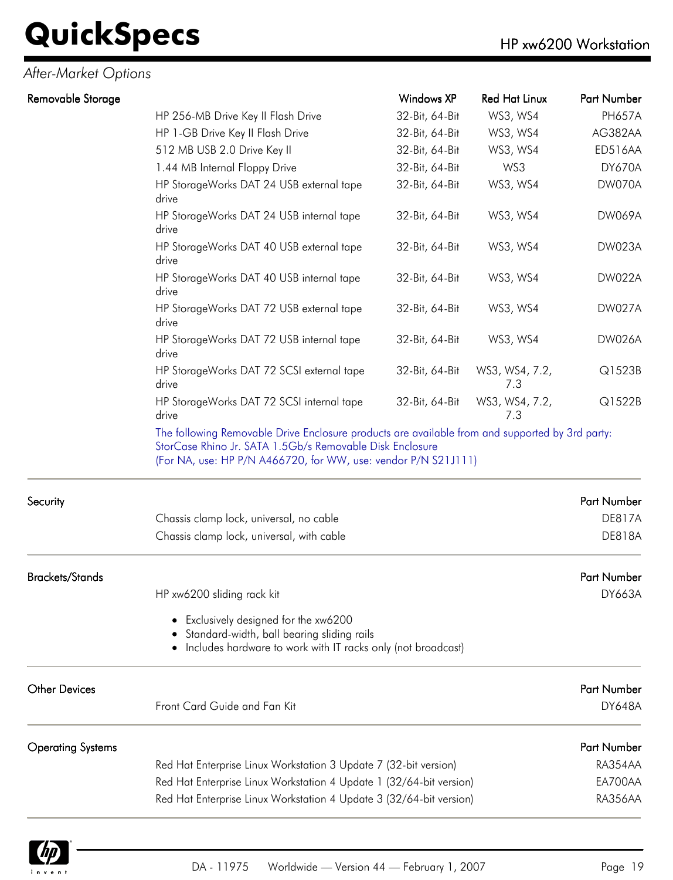### *After-Market Options*

| Removable Storage        |                                                                                                                                                                                                                               | <b>Windows XP</b> | <b>Red Hat Linux</b>  | Part Number        |
|--------------------------|-------------------------------------------------------------------------------------------------------------------------------------------------------------------------------------------------------------------------------|-------------------|-----------------------|--------------------|
|                          | HP 256-MB Drive Key II Flash Drive                                                                                                                                                                                            | 32-Bit, 64-Bit    | WS3, WS4              | <b>PH657A</b>      |
|                          | HP 1-GB Drive Key II Flash Drive                                                                                                                                                                                              | 32-Bit, 64-Bit    | WS3, WS4              | AG382AA            |
|                          | 512 MB USB 2.0 Drive Key II                                                                                                                                                                                                   | 32-Bit, 64-Bit    | WS3, WS4              | ED516AA            |
|                          | 1.44 MB Internal Floppy Drive                                                                                                                                                                                                 | 32-Bit, 64-Bit    | WS3                   | DY670A             |
|                          | HP StorageWorks DAT 24 USB external tape<br>drive                                                                                                                                                                             | 32-Bit, 64-Bit    | WS3, WS4              | DW070A             |
|                          | HP StorageWorks DAT 24 USB internal tape<br>drive                                                                                                                                                                             | 32-Bit, 64-Bit    | WS3, WS4              | <b>DW069A</b>      |
|                          | HP StorageWorks DAT 40 USB external tape<br>drive                                                                                                                                                                             | 32-Bit, 64-Bit    | WS3, WS4              | DW023A             |
|                          | HP StorageWorks DAT 40 USB internal tape<br>drive                                                                                                                                                                             | 32-Bit, 64-Bit    | WS3, WS4              | DW022A             |
|                          | HP StorageWorks DAT 72 USB external tape<br>drive                                                                                                                                                                             | 32-Bit, 64-Bit    | WS3, WS4              | DW027A             |
|                          | HP StorageWorks DAT 72 USB internal tape<br>drive                                                                                                                                                                             | 32-Bit, 64-Bit    | WS3, WS4              | DW026A             |
|                          | HP StorageWorks DAT 72 SCSI external tape<br>drive                                                                                                                                                                            | 32-Bit, 64-Bit    | WS3, WS4, 7.2,<br>7.3 | Q1523B             |
|                          | HP StorageWorks DAT 72 SCSI internal tape<br>drive                                                                                                                                                                            | 32-Bit, 64-Bit    | WS3, WS4, 7.2,<br>7.3 | Q1522B             |
|                          | The following Removable Drive Enclosure products are available from and supported by 3rd party:<br>StorCase Rhino Jr. SATA 1.5Gb/s Removable Disk Enclosure<br>(For NA, use: HP P/N A466720, for WW, use: vendor P/N S21J111) |                   |                       |                    |
| Security                 |                                                                                                                                                                                                                               |                   |                       | Part Number        |
|                          | Chassis clamp lock, universal, no cable                                                                                                                                                                                       |                   |                       | <b>DE817A</b>      |
|                          | Chassis clamp lock, universal, with cable                                                                                                                                                                                     |                   |                       | <b>DE818A</b>      |
| <b>Brackets/Stands</b>   |                                                                                                                                                                                                                               |                   |                       | Part Number        |
|                          | HP xw6200 sliding rack kit                                                                                                                                                                                                    |                   |                       | DY663A             |
|                          | Exclusively designed for the xw6200<br>Standard-width, ball bearing sliding rails<br>Includes hardware to work with IT racks only (not broadcast)                                                                             |                   |                       |                    |
| <b>Other Devices</b>     |                                                                                                                                                                                                                               |                   |                       | <b>Part Number</b> |
|                          | Front Card Guide and Fan Kit                                                                                                                                                                                                  |                   |                       | <b>DY648A</b>      |
| <b>Operating Systems</b> |                                                                                                                                                                                                                               |                   |                       | Part Number        |
|                          | Red Hat Enterprise Linux Workstation 3 Update 7 (32-bit version)                                                                                                                                                              |                   |                       | RA354AA            |
|                          | Red Hat Enterprise Linux Workstation 4 Update 1 (32/64-bit version)                                                                                                                                                           |                   |                       | EA700AA            |
|                          | Red Hat Enterprise Linux Workstation 4 Update 3 (32/64-bit version)                                                                                                                                                           |                   |                       | RA356AA            |

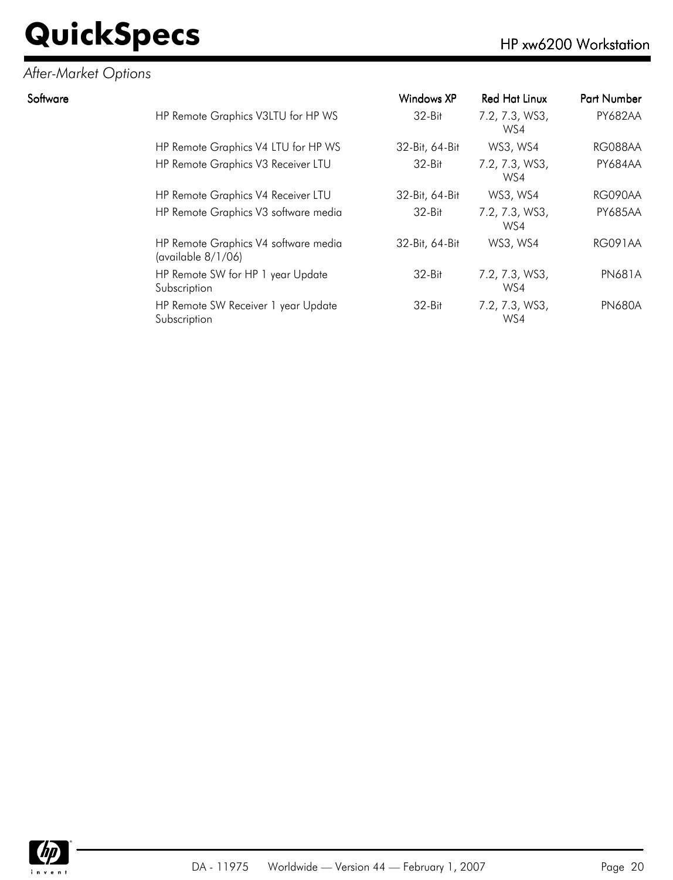### *After-Market Options*

| Software |                                                            | Windows XP     | <b>Red Hat Linux</b>  | Part Number    |
|----------|------------------------------------------------------------|----------------|-----------------------|----------------|
|          | HP Remote Graphics V3LTU for HP WS                         | $32-Hit$       | 7.2, 7.3, WS3,<br>WS4 | <b>PY682AA</b> |
|          | HP Remote Graphics V4 LTU for HP WS                        | 32-Bit, 64-Bit | WS3, WS4              | RG088AA        |
|          | HP Remote Graphics V3 Receiver LTU                         | $32-Hit$       | 7.2, 7.3, WS3,<br>WS4 | <b>PY684AA</b> |
|          | HP Remote Graphics V4 Receiver LTU                         | 32-Bit, 64-Bit | WS3, WS4              | RG090AA        |
|          | HP Remote Graphics V3 software media                       | $32-Hit$       | 7.2, 7.3, WS3,<br>WS4 | <b>PY685AA</b> |
|          | HP Remote Graphics V4 software media<br>(available 8/1/06) | 32-Bit, 64-Bit | WS3, WS4              | <b>RG091AA</b> |
|          | HP Remote SW for HP 1 year Update<br>Subscription          | $32-Hit$       | 7.2, 7.3, WS3,<br>WS4 | <b>PN681A</b>  |
|          | HP Remote SW Receiver 1 year Update<br>Subscription        | $32-Hit$       | 7.2, 7.3, WS3,<br>WS4 | <b>PN680A</b>  |

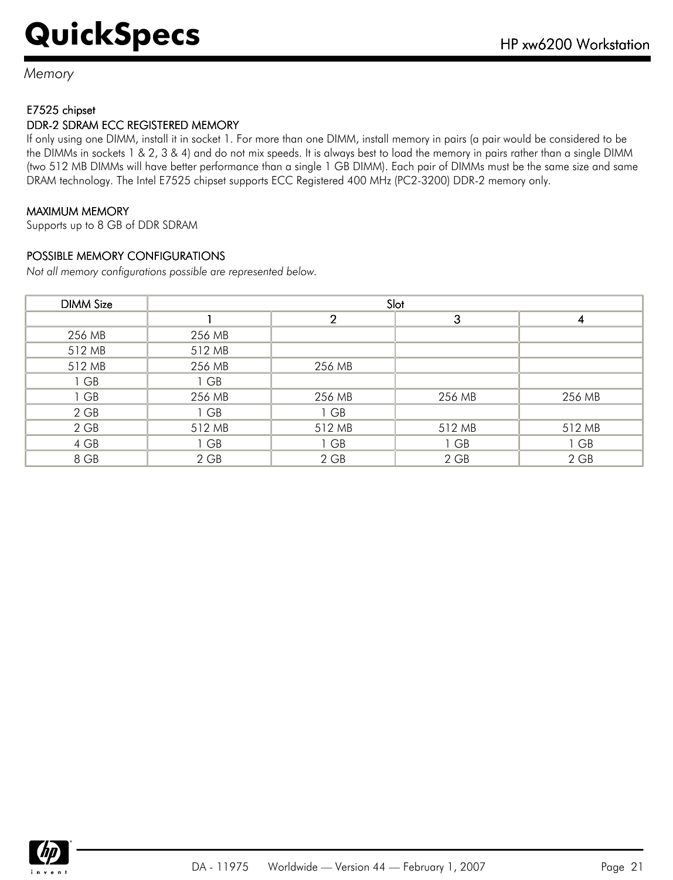*Memory*

#### E7525 chipset

#### DDR-2 SDRAM ECC REGISTERED MEMORY

If only using one DIMM, install it in socket 1. For more than one DIMM, install memory in pairs (a pair would be considered to be the DIMMs in sockets 1 & 2, 3 & 4) and do not mix speeds. It is always best to load the memory in pairs rather than a single DIMM (two 512 MB DIMMs will have better performance than a single 1 GB DIMM). Each pair of DIMMs must be the same size and same DRAM technology. The Intel E7525 chipset supports ECC Registered 400 MHz (PC2-3200) DDR-2 memory only.

#### MAXIMUM MEMORY

Supports up to 8 GB of DDR SDRAM

#### POSSIBLE MEMORY CONFIGURATIONS

*Not all memory configurations possible are represented below.*

| <b>DIMM Size</b> | Slot   |                |        |        |
|------------------|--------|----------------|--------|--------|
|                  |        | $\overline{2}$ | 3      |        |
| 256 MB           | 256 MB |                |        |        |
| 512 MB           | 512 MB |                |        |        |
| 512 MB           | 256 MB | 256 MB         |        |        |
| 1 GB             | 1 GB   |                |        |        |
| 1 GB             | 256 MB | 256 MB         | 256 MB | 256 MB |
| $2$ GB           | 1 GB   | 1 GB           |        |        |
| $2$ GB           | 512 MB | 512 MB         | 512 MB | 512 MB |
| 4 GB             | 1 GB   | 1 GB           | 1 GB   | 1 GB   |
| 8 GB             | $2$ GB | $2$ GB         | 2 GB   | 2 GB   |

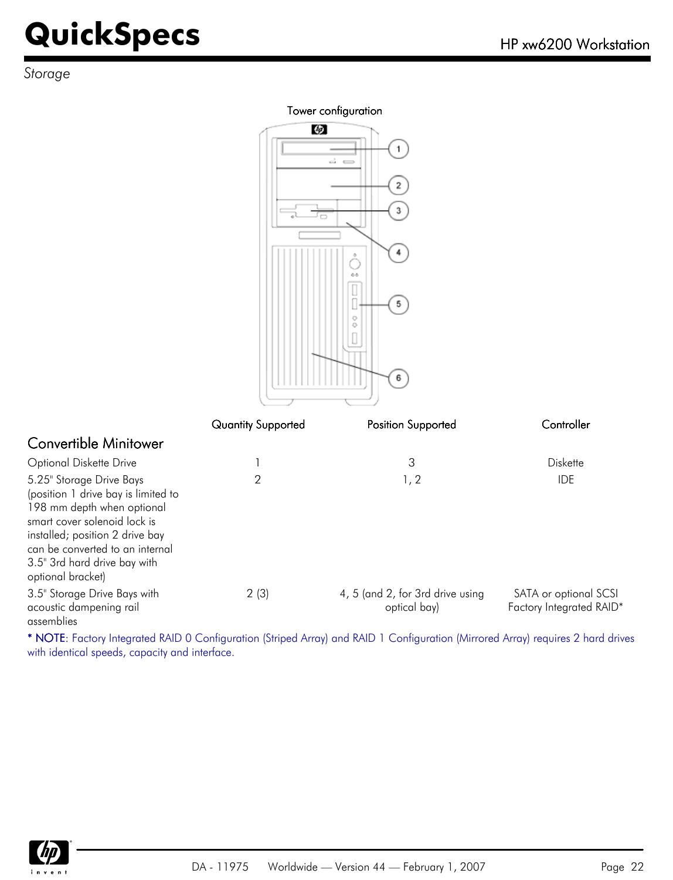*Storage*

#### Tower configuration

Ø.

ſle

|                                                                                                                                                                                                                                                          |                           | 1<br>ക്ക<br>$\mathbf 2$<br>3<br>4<br>ò<br>0.6<br>Ω<br>5<br>o<br>Ō<br>6 |                                                   |
|----------------------------------------------------------------------------------------------------------------------------------------------------------------------------------------------------------------------------------------------------------|---------------------------|------------------------------------------------------------------------|---------------------------------------------------|
|                                                                                                                                                                                                                                                          | <b>Quantity Supported</b> | Position Supported                                                     | Controller                                        |
| <b>Convertible Minitower</b>                                                                                                                                                                                                                             |                           |                                                                        |                                                   |
| Optional Diskette Drive                                                                                                                                                                                                                                  | 1                         | 3                                                                      | <b>Diskette</b>                                   |
| 5.25" Storage Drive Bays<br>(position 1 drive bay is limited to<br>198 mm depth when optional<br>smart cover solenoid lock is<br>installed; position 2 drive bay<br>can be converted to an internal<br>3.5" 3rd hard drive bay with<br>optional bracket) | $\overline{2}$            | 1, 2                                                                   | <b>IDE</b>                                        |
| 3.5" Storage Drive Bays with<br>acoustic dampening rail<br>assemblies                                                                                                                                                                                    | 2(3)                      | 4, 5 (and 2, for 3rd drive using<br>optical bay)                       | SATA or optional SCSI<br>Factory Integrated RAID* |

\* NOTE: Factory Integrated RAID 0 Configuration (Striped Array) and RAID 1 Configuration (Mirrored Array) requires 2 hard drives with identical speeds, capacity and interface.

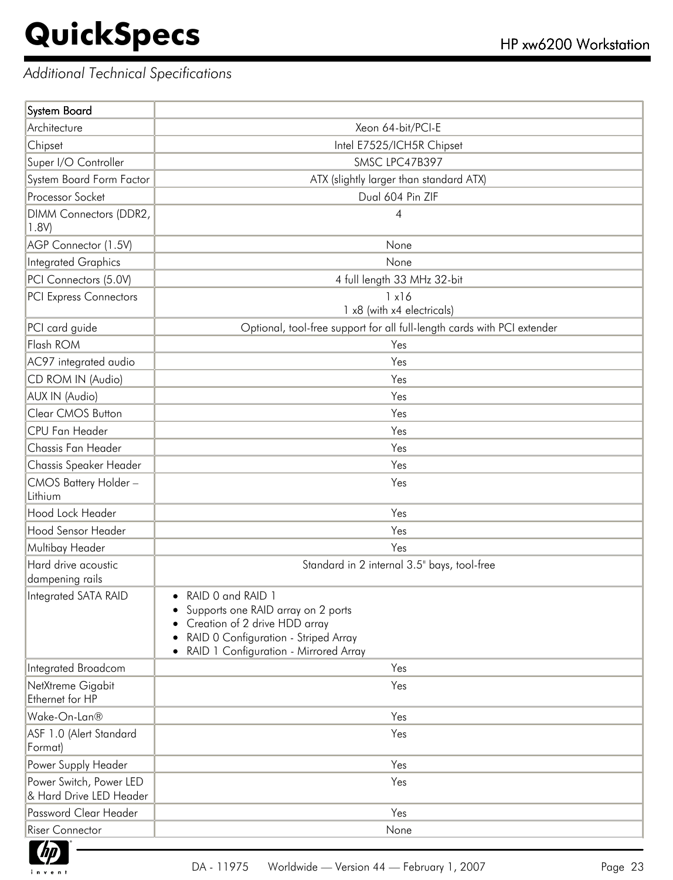f

### *Additional Technical Specifications*

| System Board                                       |                                                                                                                                                                           |
|----------------------------------------------------|---------------------------------------------------------------------------------------------------------------------------------------------------------------------------|
| Architecture                                       | Xeon 64-bit/PCI-E                                                                                                                                                         |
| Chipset                                            | Intel E7525/ICH5R Chipset                                                                                                                                                 |
| Super I/O Controller                               | SMSC LPC47B397                                                                                                                                                            |
| System Board Form Factor                           | ATX (slightly larger than standard ATX)                                                                                                                                   |
| Processor Socket                                   | Dual 604 Pin ZIF                                                                                                                                                          |
| DIMM Connectors (DDR2,<br>1.8V)                    | 4                                                                                                                                                                         |
| AGP Connector (1.5V)                               | None                                                                                                                                                                      |
| <b>Integrated Graphics</b>                         | None                                                                                                                                                                      |
| PCI Connectors (5.0V)                              | 4 full length 33 MHz 32-bit                                                                                                                                               |
| <b>PCI Express Connectors</b>                      | 1x16<br>1 x8 (with x4 electricals)                                                                                                                                        |
| PCI card guide                                     | Optional, tool-free support for all full-length cards with PCI extender                                                                                                   |
| Flash ROM                                          | Yes                                                                                                                                                                       |
| AC97 integrated audio                              | Yes                                                                                                                                                                       |
| CD ROM IN (Audio)                                  | Yes                                                                                                                                                                       |
| AUX IN (Audio)                                     | Yes                                                                                                                                                                       |
| Clear CMOS Button                                  | Yes                                                                                                                                                                       |
| CPU Fan Header                                     | Yes                                                                                                                                                                       |
| Chassis Fan Header                                 | Yes                                                                                                                                                                       |
| Chassis Speaker Header                             | Yes                                                                                                                                                                       |
| CMOS Battery Holder-<br>Lithium                    | Yes                                                                                                                                                                       |
| Hood Lock Header                                   | Yes                                                                                                                                                                       |
| Hood Sensor Header                                 | Yes                                                                                                                                                                       |
| Multibay Header                                    | Yes                                                                                                                                                                       |
| Hard drive acoustic<br>dampening rails             | Standard in 2 internal 3.5" bays, tool-free                                                                                                                               |
| Integrated SATA RAID                               | RAID 0 and RAID 1<br>Supports one RAID array on 2 ports<br>Creation of 2 drive HDD array<br>RAID 0 Configuration - Striped Array<br>RAID 1 Configuration - Mirrored Array |
| Integrated Broadcom                                | Yes                                                                                                                                                                       |
| NetXtreme Gigabit<br>Ethernet for HP               | Yes                                                                                                                                                                       |
| Wake-On-Lan®                                       | Yes                                                                                                                                                                       |
| ASF 1.0 (Alert Standard<br>Format)                 | Yes                                                                                                                                                                       |
| Power Supply Header                                | Yes                                                                                                                                                                       |
| Power Switch, Power LED<br>& Hard Drive LED Header | Yes                                                                                                                                                                       |
| Password Clear Header                              | Yes                                                                                                                                                                       |
| <b>Riser Connector</b>                             | None                                                                                                                                                                      |

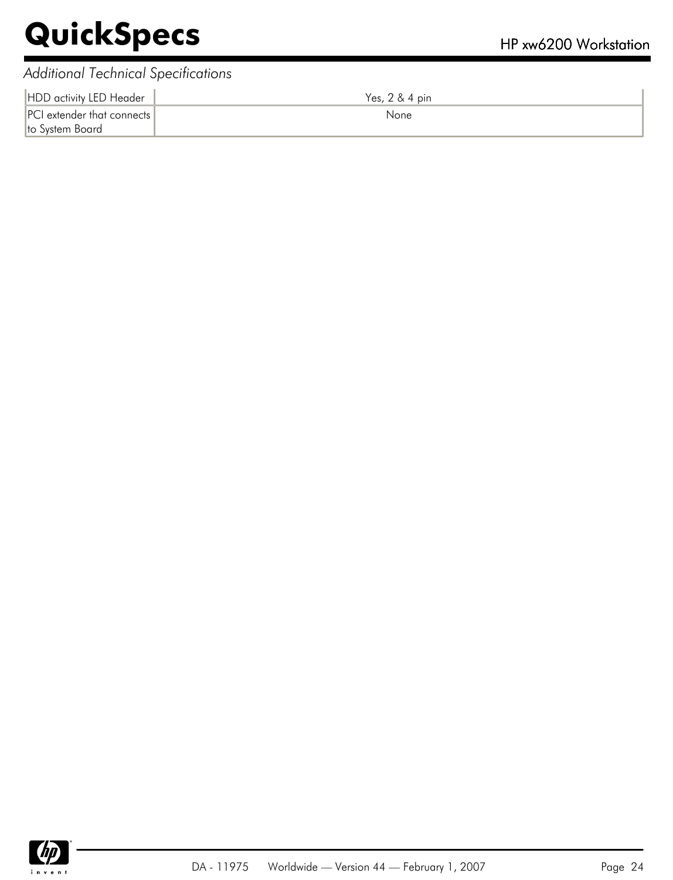### *Additional Technical Specifications*

| HDD activity LED Header                       | Yes, 2 & 4 pin |
|-----------------------------------------------|----------------|
| PCI extender that connects<br>to System Board | None           |

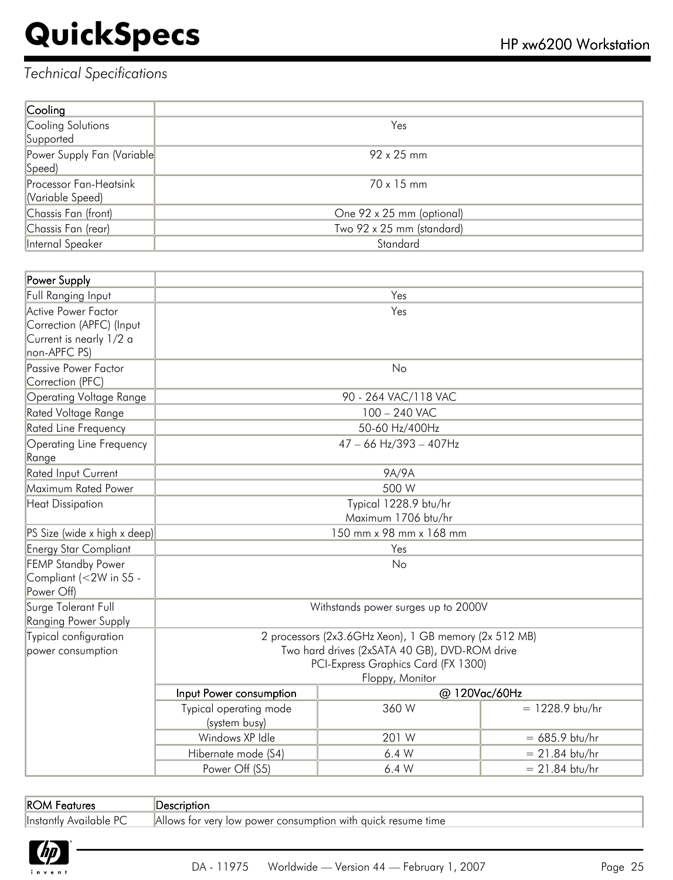### *Technical Specifications*

| Cooling                       |                           |
|-------------------------------|---------------------------|
| Cooling Solutions             | Yes                       |
| Supported                     |                           |
| Power Supply Fan (Variable)   | $92 \times 25$ mm         |
| Speed)                        |                           |
| <b>Processor Fan-Heatsink</b> | $70 \times 15$ mm         |
| Variable Speed)               |                           |
| Chassis Fan (front)           | One 92 x 25 mm (optional) |
| Chassis Fan (rear)            | Two 92 x 25 mm (standard) |
| Internal Speaker              | Standard                  |

| Power Supply                                         |                                                                                                        |                          |                   |  |
|------------------------------------------------------|--------------------------------------------------------------------------------------------------------|--------------------------|-------------------|--|
| Full Ranging Input                                   | Yes                                                                                                    |                          |                   |  |
| Active Power Factor                                  | Yes                                                                                                    |                          |                   |  |
| Correction (APFC) (Input<br>Current is nearly 1/2 a  |                                                                                                        |                          |                   |  |
| non-APFC PS)                                         |                                                                                                        |                          |                   |  |
| Passive Power Factor                                 |                                                                                                        | No                       |                   |  |
| Correction (PFC)                                     |                                                                                                        |                          |                   |  |
| Operating Voltage Range                              |                                                                                                        | 90 - 264 VAC/118 VAC     |                   |  |
| Rated Voltage Range                                  |                                                                                                        | 100 - 240 VAC            |                   |  |
| Rated Line Frequency                                 |                                                                                                        | 50-60 Hz/400Hz           |                   |  |
| <b>Operating Line Frequency</b><br>Range             |                                                                                                        | $47 - 66$ Hz/393 - 407Hz |                   |  |
| <b>Rated Input Current</b>                           |                                                                                                        | 9A/9A                    |                   |  |
| Maximum Rated Power                                  |                                                                                                        | 500 W                    |                   |  |
| <b>Heat Dissipation</b>                              |                                                                                                        | Typical 1228.9 btu/hr    |                   |  |
|                                                      |                                                                                                        | Maximum 1706 btu/hr      |                   |  |
| PS Size (wide x high x deep)                         | 150 mm x 98 mm x 168 mm                                                                                |                          |                   |  |
| <b>Energy Star Compliant</b>                         | Yes                                                                                                    |                          |                   |  |
| <b>FEMP Standby Power</b>                            | No                                                                                                     |                          |                   |  |
| Compliant (<2W in S5 -                               |                                                                                                        |                          |                   |  |
| Power Off)                                           |                                                                                                        |                          |                   |  |
| Surge Tolerant Full                                  | Withstands power surges up to 2000V                                                                    |                          |                   |  |
| <b>Ranging Power Supply</b><br>Typical configuration |                                                                                                        |                          |                   |  |
| power consumption                                    | 2 processors (2x3.6GHz Xeon), 1 GB memory (2x 512 MB)<br>Two hard drives (2xSATA 40 GB), DVD-ROM drive |                          |                   |  |
|                                                      | PCI-Express Graphics Card (FX 1300)                                                                    |                          |                   |  |
|                                                      |                                                                                                        | Floppy, Monitor          |                   |  |
|                                                      | Input Power consumption                                                                                | @ 120Vac/60Hz            |                   |  |
|                                                      | Typical operating mode<br>(system busy)                                                                | 360 W                    | $= 1228.9$ btu/hr |  |
|                                                      | Windows XP Idle                                                                                        | 201 W                    | $= 685.9$ btu/hr  |  |
|                                                      | Hibernate mode (S4)                                                                                    | 6.4W                     | $= 21.84$ btu/hr  |  |
|                                                      | Power Off (S5)                                                                                         | 6.4W                     | $= 21.84$ btu/hr  |  |

| <b>IROM Features</b> |  |  |
|----------------------|--|--|
|                      |  |  |

Description

Instantly Available PC Allows for very low power consumption with quick resume time

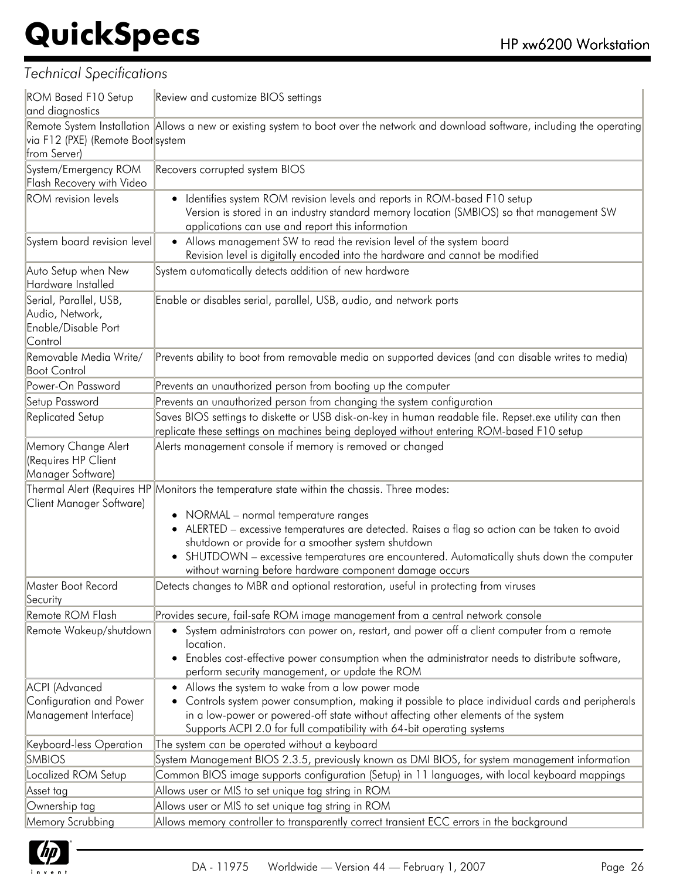| <b>ROM Based F10 Setup</b><br>and diagnostics                               | Review and customize BIOS settings                                                                                                                                                                                                                                                                                                                                                                                                                  |
|-----------------------------------------------------------------------------|-----------------------------------------------------------------------------------------------------------------------------------------------------------------------------------------------------------------------------------------------------------------------------------------------------------------------------------------------------------------------------------------------------------------------------------------------------|
| via F12 (PXE) (Remote Boot system<br>from Server)                           | Remote System Installation Allows a new or existing system to boot over the network and download software, including the operating                                                                                                                                                                                                                                                                                                                  |
| System/Emergency ROM<br>Flash Recovery with Video                           | Recovers corrupted system BIOS                                                                                                                                                                                                                                                                                                                                                                                                                      |
| <b>ROM</b> revision levels                                                  | Identifies system ROM revision levels and reports in ROM-based F10 setup<br>Version is stored in an industry standard memory location (SMBIOS) so that management SW<br>applications can use and report this information                                                                                                                                                                                                                            |
| System board revision level                                                 | • Allows management SW to read the revision level of the system board<br>Revision level is digitally encoded into the hardware and cannot be modified                                                                                                                                                                                                                                                                                               |
| Auto Setup when New                                                         | System automatically detects addition of new hardware                                                                                                                                                                                                                                                                                                                                                                                               |
| Hardware Installed                                                          |                                                                                                                                                                                                                                                                                                                                                                                                                                                     |
| Serial, Parallel, USB,<br>Audio, Network,<br>Enable/Disable Port<br>Control | Enable or disables serial, parallel, USB, audio, and network ports                                                                                                                                                                                                                                                                                                                                                                                  |
| Removable Media Write/<br><b>Boot Control</b>                               | Prevents ability to boot from removable media on supported devices (and can disable writes to media)                                                                                                                                                                                                                                                                                                                                                |
| Power-On Password                                                           | Prevents an unauthorized person from booting up the computer                                                                                                                                                                                                                                                                                                                                                                                        |
| Setup Password                                                              | Prevents an unauthorized person from changing the system configuration                                                                                                                                                                                                                                                                                                                                                                              |
| Replicated Setup                                                            | Saves BIOS settings to diskette or USB disk-on-key in human readable file. Repset.exe utility can then<br>replicate these settings on machines being deployed without entering ROM-based F10 setup                                                                                                                                                                                                                                                  |
| Memory Change Alert<br>(Requires HP Client<br>Manager Software)             | Alerts management console if memory is removed or changed                                                                                                                                                                                                                                                                                                                                                                                           |
| Client Manager Software)                                                    | Thermal Alert (Requires HP Monitors the temperature state within the chassis. Three modes:<br>• NORMAL - normal temperature ranges<br>• ALERTED - excessive temperatures are detected. Raises a flag so action can be taken to avoid<br>shutdown or provide for a smoother system shutdown<br>• SHUTDOWN - excessive temperatures are encountered. Automatically shuts down the computer<br>without warning before hardware component damage occurs |
| Master Boot Record<br>Security                                              | Detects changes to MBR and optional restoration, useful in protecting from viruses                                                                                                                                                                                                                                                                                                                                                                  |
| Remote ROM Flash                                                            | Provides secure, fail-safe ROM image management from a central network console                                                                                                                                                                                                                                                                                                                                                                      |
| Remote Wakeup/shutdown                                                      | • System administrators can power on, restart, and power off a client computer from a remote<br>location.<br>Enables cost-effective power consumption when the administrator needs to distribute software,<br>$\bullet$<br>perform security management, or update the ROM                                                                                                                                                                           |
| <b>ACPI</b> (Advanced<br>Configuration and Power<br>Management Interface)   | • Allows the system to wake from a low power mode<br>Controls system power consumption, making it possible to place individual cards and peripherals<br>in a low-power or powered-off state without affecting other elements of the system<br>Supports ACPI 2.0 for full compatibility with 64-bit operating systems                                                                                                                                |
| Keyboard-less Operation                                                     | The system can be operated without a keyboard                                                                                                                                                                                                                                                                                                                                                                                                       |
| <b>SMBIOS</b>                                                               | System Management BIOS 2.3.5, previously known as DMI BIOS, for system management information                                                                                                                                                                                                                                                                                                                                                       |
| Localized ROM Setup                                                         | Common BIOS image supports configuration (Setup) in 11 languages, with local keyboard mappings                                                                                                                                                                                                                                                                                                                                                      |
| Asset tag                                                                   | Allows user or MIS to set unique tag string in ROM                                                                                                                                                                                                                                                                                                                                                                                                  |
| Ownership tag                                                               | Allows user or MIS to set unique tag string in ROM                                                                                                                                                                                                                                                                                                                                                                                                  |
| Memory Scrubbing                                                            | Allows memory controller to transparently correct transient ECC errors in the background                                                                                                                                                                                                                                                                                                                                                            |

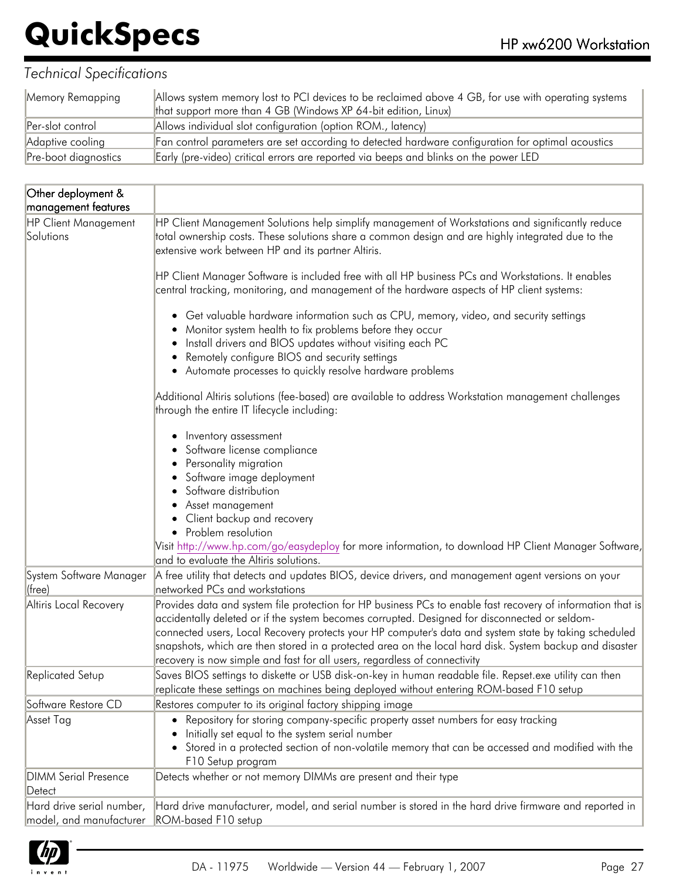| Memory Remapping     | Allows system memory lost to PCI devices to be reclaimed above 4 GB, for use with operating systems<br>that support more than 4 GB (Windows XP 64-bit edition, Linux) |
|----------------------|-----------------------------------------------------------------------------------------------------------------------------------------------------------------------|
| Per-slot control     | Allows individual slot configuration (option ROM., latency)                                                                                                           |
| Adaptive cooling     | Fan control parameters are set according to detected hardware configuration for optimal acoustics                                                                     |
| Pre-boot diagnostics | Early (pre-video) critical errors are reported via beeps and blinks on the power LED                                                                                  |

| Other deployment &                                          |                                                                                                                                                                                                                                                                                                                                                                                                                                                                                                                                                                                                                                                                                                                                                                                                                                 |
|-------------------------------------------------------------|---------------------------------------------------------------------------------------------------------------------------------------------------------------------------------------------------------------------------------------------------------------------------------------------------------------------------------------------------------------------------------------------------------------------------------------------------------------------------------------------------------------------------------------------------------------------------------------------------------------------------------------------------------------------------------------------------------------------------------------------------------------------------------------------------------------------------------|
| management features                                         |                                                                                                                                                                                                                                                                                                                                                                                                                                                                                                                                                                                                                                                                                                                                                                                                                                 |
| <b>HP Client Management</b><br>Solutions                    | HP Client Management Solutions help simplify management of Workstations and significantly reduce<br>total ownership costs. These solutions share a common design and are highly integrated due to the<br>extensive work between HP and its partner Altiris.                                                                                                                                                                                                                                                                                                                                                                                                                                                                                                                                                                     |
|                                                             | HP Client Manager Software is included free with all HP business PCs and Workstations. It enables<br>central tracking, monitoring, and management of the hardware aspects of HP client systems:                                                                                                                                                                                                                                                                                                                                                                                                                                                                                                                                                                                                                                 |
|                                                             | • Get valuable hardware information such as CPU, memory, video, and security settings<br>Monitor system health to fix problems before they occur<br>Install drivers and BIOS updates without visiting each PC<br>Remotely configure BIOS and security settings<br>• Automate processes to quickly resolve hardware problems                                                                                                                                                                                                                                                                                                                                                                                                                                                                                                     |
|                                                             | Additional Altiris solutions (fee-based) are available to address Workstation management challenges<br>through the entire IT lifecycle including:                                                                                                                                                                                                                                                                                                                                                                                                                                                                                                                                                                                                                                                                               |
| System Software Manager<br>(free)<br>Altiris Local Recovery | Inventory assessment<br>Software license compliance<br>Personality migration<br>Software image deployment<br>Software distribution<br>Asset management<br>Client backup and recovery<br>• Problem resolution<br>Visit http://www.hp.com/go/easydeploy for more information, to download HP Client Manager Software,<br>and to evaluate the Altiris solutions.<br>A free utility that detects and updates BIOS, device drivers, and management agent versions on your<br>networked PCs and workstations<br>Provides data and system file protection for HP business PCs to enable fast recovery of information that is<br>accidentally deleted or if the system becomes corrupted. Designed for disconnected or seldom-<br>connected users, Local Recovery protects your HP computer's data and system state by taking scheduled |
| <b>Replicated Setup</b>                                     | snapshots, which are then stored in a protected area on the local hard disk. System backup and disaster<br>recovery is now simple and fast for all users, regardless of connectivity<br>Saves BIOS settings to diskette or USB disk-on-key in human readable file. Repset.exe utility can then                                                                                                                                                                                                                                                                                                                                                                                                                                                                                                                                  |
|                                                             | replicate these settings on machines being deployed without entering ROM-based F10 setup                                                                                                                                                                                                                                                                                                                                                                                                                                                                                                                                                                                                                                                                                                                                        |
| Software Restore CD                                         | Restores computer to its original factory shipping image                                                                                                                                                                                                                                                                                                                                                                                                                                                                                                                                                                                                                                                                                                                                                                        |
| Asset Tag                                                   | Repository for storing company-specific property asset numbers for easy tracking<br>Initially set equal to the system serial number<br>• Stored in a protected section of non-volatile memory that can be accessed and modified with the<br>F10 Setup program                                                                                                                                                                                                                                                                                                                                                                                                                                                                                                                                                                   |
| <b>DIMM Serial Presence</b><br>Detect                       | Detects whether or not memory DIMMs are present and their type                                                                                                                                                                                                                                                                                                                                                                                                                                                                                                                                                                                                                                                                                                                                                                  |
| Hard drive serial number,<br>model, and manufacturer        | Hard drive manufacturer, model, and serial number is stored in the hard drive firmware and reported in<br>ROM-based F10 setup                                                                                                                                                                                                                                                                                                                                                                                                                                                                                                                                                                                                                                                                                                   |

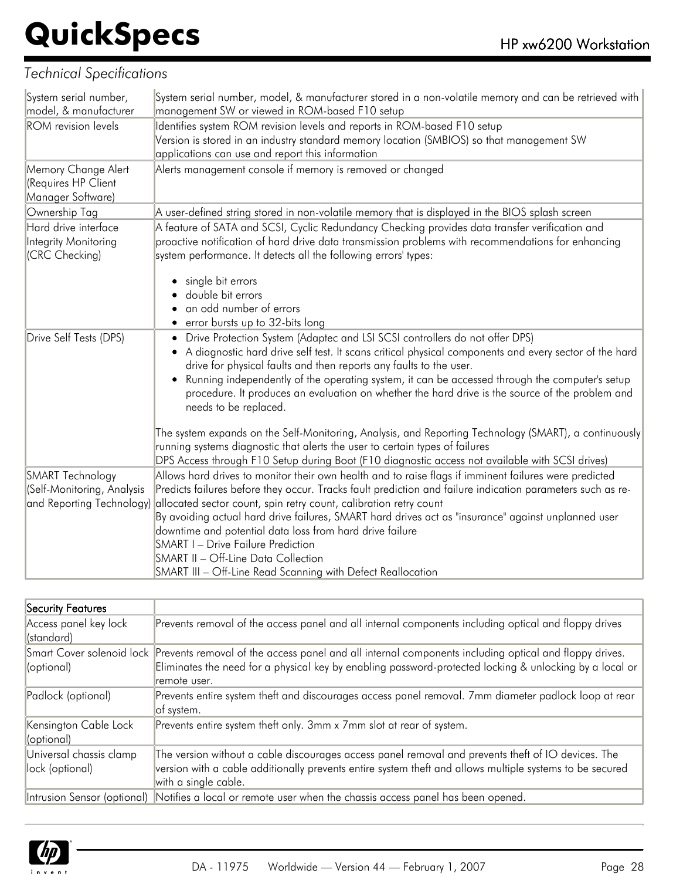| System serial number,      | System serial number, model, & manufacturer stored in a non-volatile memory and can be retrieved with                    |
|----------------------------|--------------------------------------------------------------------------------------------------------------------------|
| model, & manufacturer      | management SW or viewed in ROM-based F10 setup                                                                           |
| <b>ROM</b> revision levels | Identifies system ROM revision levels and reports in ROM-based F10 setup                                                 |
|                            | Version is stored in an industry standard memory location (SMBIOS) so that management SW                                 |
|                            | applications can use and report this information                                                                         |
| Memory Change Alert        | Alerts management console if memory is removed or changed                                                                |
| (Requires HP Client        |                                                                                                                          |
| Manager Software)          |                                                                                                                          |
| Ownership Tag              | A user-defined string stored in non-volatile memory that is displayed in the BIOS splash screen                          |
| Hard drive interface       | A feature of SATA and SCSI, Cyclic Redundancy Checking provides data transfer verification and                           |
| Integrity Monitoring       | proactive notification of hard drive data transmission problems with recommendations for enhancing                       |
| (CRC Checking)             | system performance. It detects all the following errors' types:                                                          |
|                            |                                                                                                                          |
|                            | single bit errors                                                                                                        |
|                            | double bit errors                                                                                                        |
|                            | an odd number of errors                                                                                                  |
|                            | • error bursts up to 32-bits long                                                                                        |
| Drive Self Tests (DPS)     | • Drive Protection System (Adaptec and LSI SCSI controllers do not offer DPS)                                            |
|                            | • A diagnostic hard drive self test. It scans critical physical components and every sector of the hard                  |
|                            | drive for physical faults and then reports any faults to the user.                                                       |
|                            | Running independently of the operating system, it can be accessed through the computer's setup                           |
|                            | procedure. It produces an evaluation on whether the hard drive is the source of the problem and<br>needs to be replaced. |
|                            |                                                                                                                          |
|                            | The system expands on the Self-Monitoring, Analysis, and Reporting Technology (SMART), a continuously                    |
|                            | running systems diagnostic that alerts the user to certain types of failures                                             |
|                            | DPS Access through F10 Setup during Boot (F10 diagnostic access not available with SCSI drives)                          |
| <b>SMART Technology</b>    | Allows hard drives to monitor their own health and to raise flags if imminent failures were predicted                    |
| (Self-Monitoring, Analysis | Predicts failures before they occur. Tracks fault prediction and failure indication parameters such as re-               |
| and Reporting Technology)  | allocated sector count, spin retry count, calibration retry count                                                        |
|                            | By avoiding actual hard drive failures, SMART hard drives act as "insurance" against unplanned user                      |
|                            | downtime and potential data loss from hard drive failure                                                                 |
|                            | <b>SMART I - Drive Failure Prediction</b>                                                                                |
|                            | SMART II - Off-Line Data Collection                                                                                      |
|                            | SMART III - Off-Line Read Scanning with Defect Reallocation                                                              |

| Security Features                          |                                                                                                                                                                                                                                                            |
|--------------------------------------------|------------------------------------------------------------------------------------------------------------------------------------------------------------------------------------------------------------------------------------------------------------|
| Access panel key lock<br>(standard)        | Prevents removal of the access panel and all internal components including optical and floppy drives                                                                                                                                                       |
| (optional)                                 | Smart Cover solenoid lock Prevents removal of the access panel and all internal components including optical and floppy drives.<br>Eliminates the need for a physical key by enabling password-protected locking & unlocking by a local or<br>remote user. |
| Padlock (optional)                         | Prevents entire system theft and discourages access panel removal. 7mm diameter padlock loop at rear<br>of system.                                                                                                                                         |
| Kensington Cable Lock<br>(optional)        | Prevents entire system theft only. 3mm x 7mm slot at rear of system.                                                                                                                                                                                       |
| Universal chassis clamp<br>lock (optional) | The version without a cable discourages access panel removal and prevents theft of IO devices. The<br>version with a cable additionally prevents entire system theft and allows multiple systems to be secured<br>with a single cable.                     |
|                                            | Intrusion Sensor (optional) Notifies a local or remote user when the chassis access panel has been opened.                                                                                                                                                 |

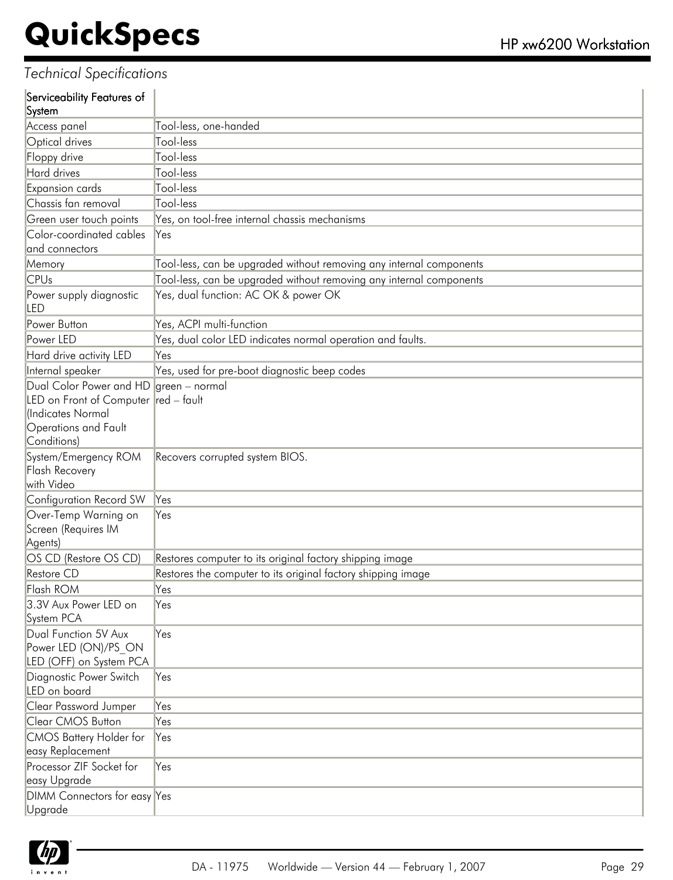|          | Serviceability Features of |  |
|----------|----------------------------|--|
| $\sim$ . |                            |  |

| System                                  |                                                                     |
|-----------------------------------------|---------------------------------------------------------------------|
| Access panel                            | Tool-less, one-handed                                               |
| <b>Optical drives</b>                   | Tool-less                                                           |
| Floppy drive                            | Tool-less                                                           |
| Hard drives                             | Tool-less                                                           |
| Expansion cards                         | Tool-less                                                           |
| Chassis fan removal                     | Tool-less                                                           |
| Green user touch points                 | Yes, on tool-free internal chassis mechanisms                       |
| Color-coordinated cables                | Yes                                                                 |
| and connectors                          |                                                                     |
| Memory                                  | Tool-less, can be upgraded without removing any internal components |
| <b>CPUs</b>                             | Tool-less, can be upgraded without removing any internal components |
| Power supply diagnostic<br>LED          | Yes, dual function: AC OK & power OK                                |
| Power Button                            | Yes, ACPI multi-function                                            |
| Power LED                               | Yes, dual color LED indicates normal operation and faults.          |
| Hard drive activity LED                 | Yes                                                                 |
| Internal speaker                        | Yes, used for pre-boot diagnostic beep codes                        |
| Dual Color Power and HD                 | green - normal                                                      |
| LED on Front of Computer red - fault    |                                                                     |
| (Indicates Normal                       |                                                                     |
| Operations and Fault                    |                                                                     |
| Conditions)                             |                                                                     |
| System/Emergency ROM                    | Recovers corrupted system BIOS.                                     |
| Flash Recovery                          |                                                                     |
| with Video                              |                                                                     |
| Configuration Record SW                 | Yes                                                                 |
| Over-Temp Warning on                    | Yes                                                                 |
| Screen (Requires IM                     |                                                                     |
| Agents)                                 |                                                                     |
| OS CD (Restore OS CD)<br>Restore CD     | Restores computer to its original factory shipping image            |
|                                         | Restores the computer to its original factory shipping image        |
| Flash ROM                               | Yes                                                                 |
| 3.3V Aux Power LED on<br>System PCA     | Yes                                                                 |
| Dual Function 5V Aux                    | Yes                                                                 |
| Power LED (ON)/PS ON                    |                                                                     |
| LED (OFF) on System PCA                 |                                                                     |
| Diagnostic Power Switch<br>LED on board | Yes                                                                 |
| <b>Clear Password Jumper</b>            | Yes                                                                 |
| Clear CMOS Button                       | Yes                                                                 |
| <b>CMOS Battery Holder for</b>          | Yes                                                                 |
| easy Replacement                        |                                                                     |
| Processor ZIF Socket for                | Yes                                                                 |
| easy Upgrade                            |                                                                     |
| DIMM Connectors for easy Yes<br>Upgrade |                                                                     |
|                                         |                                                                     |

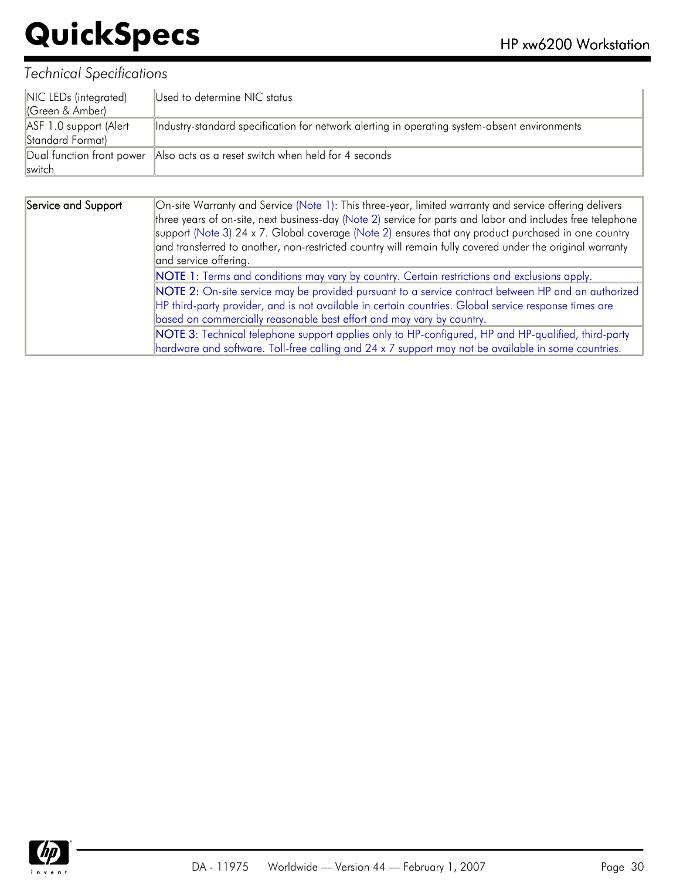| NIC LEDs (integrated)<br>(Green & Amber)   | Used to determine NIC status                                                                 |
|--------------------------------------------|----------------------------------------------------------------------------------------------|
| ASF 1.0 support (Alert<br>Standard Format) | Industry-standard specification for network alerting in operating system-absent environments |
| <b>Iswitch</b>                             | Dual function front power Also acts as a reset switch when held for 4 seconds                |

| Service and Support | On-site Warranty and Service (Note 1): This three-year, limited warranty and service offering delivers<br>three years of on-site, next business-day (Note 2) service for parts and labor and includes free telephone<br>support (Note 3) 24 x 7. Global coverage (Note 2) ensures that any product purchased in one country<br>and transferred to another, non-restricted country will remain fully covered under the original warranty<br>and service offering. |  |
|---------------------|------------------------------------------------------------------------------------------------------------------------------------------------------------------------------------------------------------------------------------------------------------------------------------------------------------------------------------------------------------------------------------------------------------------------------------------------------------------|--|
|                     | NOTE 1: Terms and conditions may vary by country. Certain restrictions and exclusions apply.                                                                                                                                                                                                                                                                                                                                                                     |  |
|                     | NOTE 2: On-site service may be provided pursuant to a service contract between HP and an authorized                                                                                                                                                                                                                                                                                                                                                              |  |
|                     | HP third-party provider, and is not available in certain countries. Global service response times are                                                                                                                                                                                                                                                                                                                                                            |  |
|                     | based on commercially reasonable best effort and may vary by country.                                                                                                                                                                                                                                                                                                                                                                                            |  |
|                     | NOTE 3: Technical telephone support applies only to HP-configured, HP and HP-qualified, third-party                                                                                                                                                                                                                                                                                                                                                              |  |
|                     | hardware and software. Toll-free calling and 24 x 7 support may not be available in some countries.                                                                                                                                                                                                                                                                                                                                                              |  |

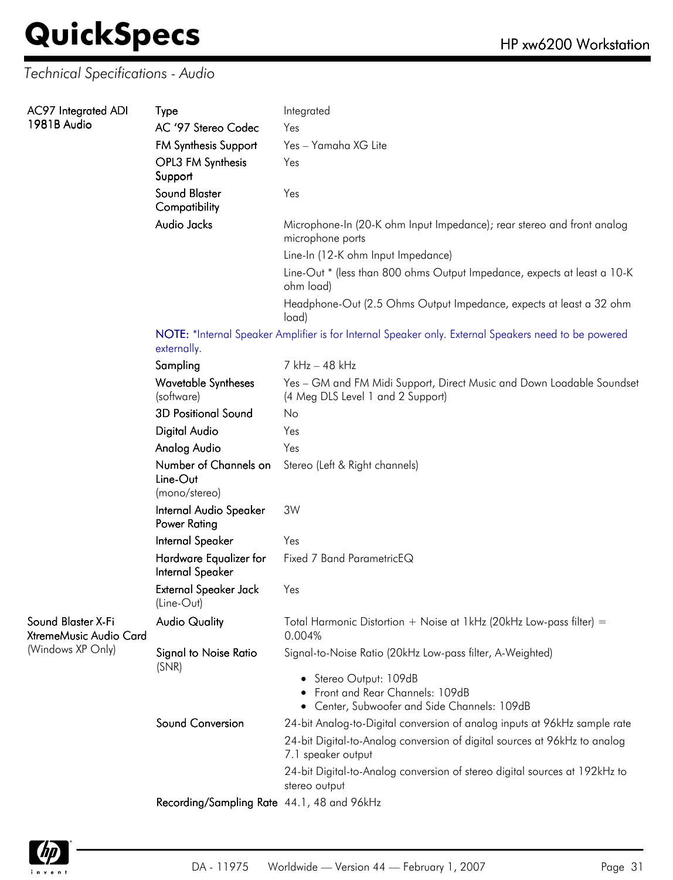### *Technical Specifications - Audio*

| <b>AC97</b> Integrated ADI<br>1981B Audio                         | <b>Type</b>                                                                                                         | Integrated                                                                                                 |  |  |
|-------------------------------------------------------------------|---------------------------------------------------------------------------------------------------------------------|------------------------------------------------------------------------------------------------------------|--|--|
|                                                                   | AC '97 Stereo Codec                                                                                                 | Yes                                                                                                        |  |  |
|                                                                   | <b>FM Synthesis Support</b>                                                                                         | Yes - Yamaha XG Lite                                                                                       |  |  |
|                                                                   | OPL3 FM Synthesis<br>Support                                                                                        | Yes                                                                                                        |  |  |
|                                                                   | <b>Sound Blaster</b><br>Compatibility                                                                               | Yes                                                                                                        |  |  |
|                                                                   | Audio Jacks                                                                                                         | Microphone-In (20-K ohm Input Impedance); rear stereo and front analog<br>microphone ports                 |  |  |
|                                                                   |                                                                                                                     | Line-In (12-K ohm Input Impedance)                                                                         |  |  |
|                                                                   |                                                                                                                     | Line-Out * (less than 800 ohms Output Impedance, expects at least a 10-K<br>ohm load)                      |  |  |
|                                                                   |                                                                                                                     | Headphone-Out (2.5 Ohms Output Impedance, expects at least a 32 ohm<br>load)                               |  |  |
|                                                                   | NOTE: *Internal Speaker Amplifier is for Internal Speaker only. External Speakers need to be powered<br>externally. |                                                                                                            |  |  |
|                                                                   | Sampling                                                                                                            | 7 kHz - 48 kHz                                                                                             |  |  |
|                                                                   | <b>Wavetable Syntheses</b><br>(software)                                                                            | Yes - GM and FM Midi Support, Direct Music and Down Loadable Soundset<br>(4 Meg DLS Level 1 and 2 Support) |  |  |
|                                                                   | <b>3D Positional Sound</b>                                                                                          | No                                                                                                         |  |  |
|                                                                   | Digital Audio                                                                                                       | Yes                                                                                                        |  |  |
|                                                                   | Analog Audio                                                                                                        | Yes                                                                                                        |  |  |
|                                                                   | Number of Channels on<br>Line-Out<br>(mono/stereo)                                                                  | Stereo (Left & Right channels)                                                                             |  |  |
|                                                                   | Internal Audio Speaker<br>Power Rating                                                                              | 3W                                                                                                         |  |  |
|                                                                   | Internal Speaker                                                                                                    | Yes                                                                                                        |  |  |
|                                                                   | Hardware Equalizer for<br>Internal Speaker                                                                          | Fixed 7 Band ParametricEQ                                                                                  |  |  |
|                                                                   | External Speaker Jack<br>(Line-Out)                                                                                 | Yes                                                                                                        |  |  |
| Sound Blaster X-Fi<br>XtremeMusic Audio Card<br>(Windows XP Only) | <b>Audio Quality</b>                                                                                                | Total Harmonic Distortion + Noise at 1kHz (20kHz Low-pass filter) =<br>0.004%                              |  |  |
|                                                                   | <b>Signal to Noise Ratio</b><br>(SNR)                                                                               | Signal-to-Noise Ratio (20kHz Low-pass filter, A-Weighted)                                                  |  |  |
|                                                                   |                                                                                                                     | • Stereo Output: 109dB<br>Front and Rear Channels: 109dB<br>Center, Subwoofer and Side Channels: 109dB     |  |  |
|                                                                   | Sound Conversion                                                                                                    | 24-bit Analog-to-Digital conversion of analog inputs at 96kHz sample rate                                  |  |  |
|                                                                   |                                                                                                                     | 24-bit Digital-to-Analog conversion of digital sources at 96kHz to analog<br>7.1 speaker output            |  |  |
|                                                                   |                                                                                                                     | 24-bit Digital-to-Analog conversion of stereo digital sources at 192kHz to<br>stereo output                |  |  |
|                                                                   | Recording/Sampling Rate 44.1, 48 and 96kHz                                                                          |                                                                                                            |  |  |

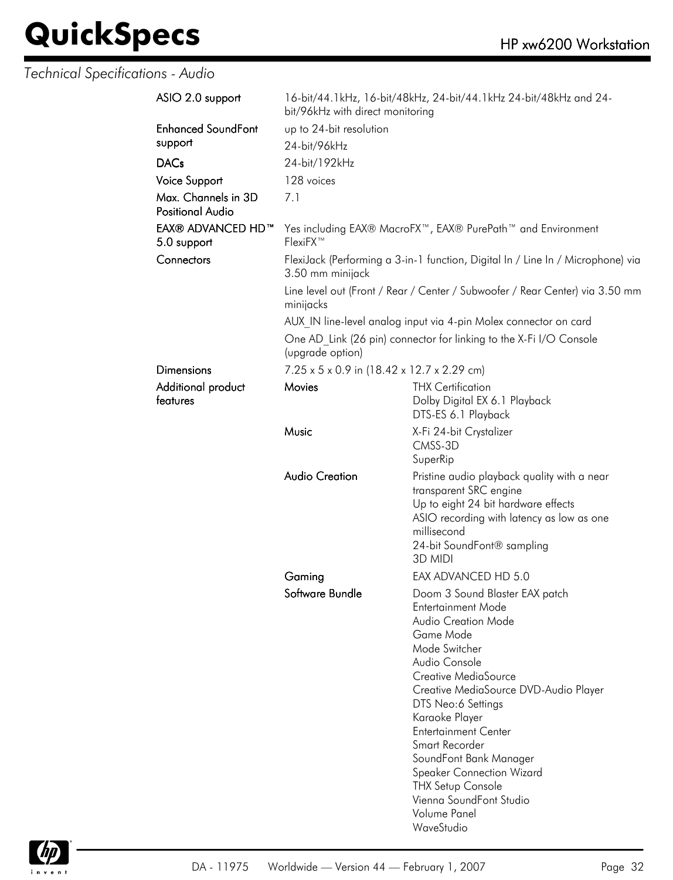*Technical Specifications - Audio*

| ASIO 2.0 support          | 16-bit/44.1kHz, 16-bit/48kHz, 24-bit/44.1kHz 24-bit/48kHz and 24-<br>bit/96kHz with direct monitoring |                                                                                                                                                                                                                                                                                                                                                                                |  |
|---------------------------|-------------------------------------------------------------------------------------------------------|--------------------------------------------------------------------------------------------------------------------------------------------------------------------------------------------------------------------------------------------------------------------------------------------------------------------------------------------------------------------------------|--|
| <b>Enhanced SoundFont</b> | up to 24-bit resolution                                                                               |                                                                                                                                                                                                                                                                                                                                                                                |  |
| support                   | 24-bit/96kHz                                                                                          |                                                                                                                                                                                                                                                                                                                                                                                |  |
| <b>DACs</b>               | 24-bit/192kHz                                                                                         |                                                                                                                                                                                                                                                                                                                                                                                |  |
| <b>Voice Support</b>      | 128 voices                                                                                            |                                                                                                                                                                                                                                                                                                                                                                                |  |
| Max. Channels in 3D       | 7.1                                                                                                   |                                                                                                                                                                                                                                                                                                                                                                                |  |
| <b>Positional Audio</b>   |                                                                                                       |                                                                                                                                                                                                                                                                                                                                                                                |  |
| EAX® ADVANCED HD™         |                                                                                                       |                                                                                                                                                                                                                                                                                                                                                                                |  |
| 5.0 support               | Yes including EAX® MacroFX <sup>™</sup> , EAX® PurePath <sup>™</sup> and Environment<br>FlexiFX™      |                                                                                                                                                                                                                                                                                                                                                                                |  |
| Connectors                | FlexiJack (Performing a 3-in-1 function, Digital In / Line In / Microphone) via<br>3.50 mm minijack   |                                                                                                                                                                                                                                                                                                                                                                                |  |
|                           | Line level out (Front / Rear / Center / Subwoofer / Rear Center) via 3.50 mm<br>minijacks             |                                                                                                                                                                                                                                                                                                                                                                                |  |
|                           |                                                                                                       | AUX IN line-level analog input via 4-pin Molex connector on card                                                                                                                                                                                                                                                                                                               |  |
|                           | One AD Link (26 pin) connector for linking to the X-Fi I/O Console<br>(upgrade option)                |                                                                                                                                                                                                                                                                                                                                                                                |  |
| <b>Dimensions</b>         | 7.25 x 5 x 0.9 in (18.42 x 12.7 x 2.29 cm)                                                            |                                                                                                                                                                                                                                                                                                                                                                                |  |
| Additional product        | Movies                                                                                                | <b>THX Certification</b>                                                                                                                                                                                                                                                                                                                                                       |  |
| features                  |                                                                                                       | Dolby Digital EX 6.1 Playback<br>DTS-ES 6.1 Playback                                                                                                                                                                                                                                                                                                                           |  |
|                           |                                                                                                       |                                                                                                                                                                                                                                                                                                                                                                                |  |
|                           | Music                                                                                                 | X-Fi 24-bit Crystalizer<br>CMSS-3D                                                                                                                                                                                                                                                                                                                                             |  |
|                           |                                                                                                       | SuperRip                                                                                                                                                                                                                                                                                                                                                                       |  |
|                           | <b>Audio Creation</b>                                                                                 | Pristine audio playback quality with a near<br>transparent SRC engine<br>Up to eight 24 bit hardware effects<br>ASIO recording with latency as low as one<br>millisecond<br>24-bit SoundFont® sampling<br>3D MIDI                                                                                                                                                              |  |
|                           | Gaming                                                                                                | EAX ADVANCED HD 5.0                                                                                                                                                                                                                                                                                                                                                            |  |
|                           | Software Bundle                                                                                       | Doom 3 Sound Blaster EAX patch<br>Entertainment Mode<br><b>Audio Creation Mode</b><br>Game Mode<br>Mode Switcher<br>Audio Console<br>Creative MediaSource<br>Creative MediaSource DVD-Audio Player<br>DTS Neo:6 Settings<br>Karaoke Player<br><b>Entertainment Center</b><br>Smart Recorder<br>SoundFont Bank Manager<br><b>Speaker Connection Wizard</b><br>THX Setup Console |  |
|                           |                                                                                                       | Vienna SoundFont Studio<br>Volume Panel<br>WaveStudio                                                                                                                                                                                                                                                                                                                          |  |

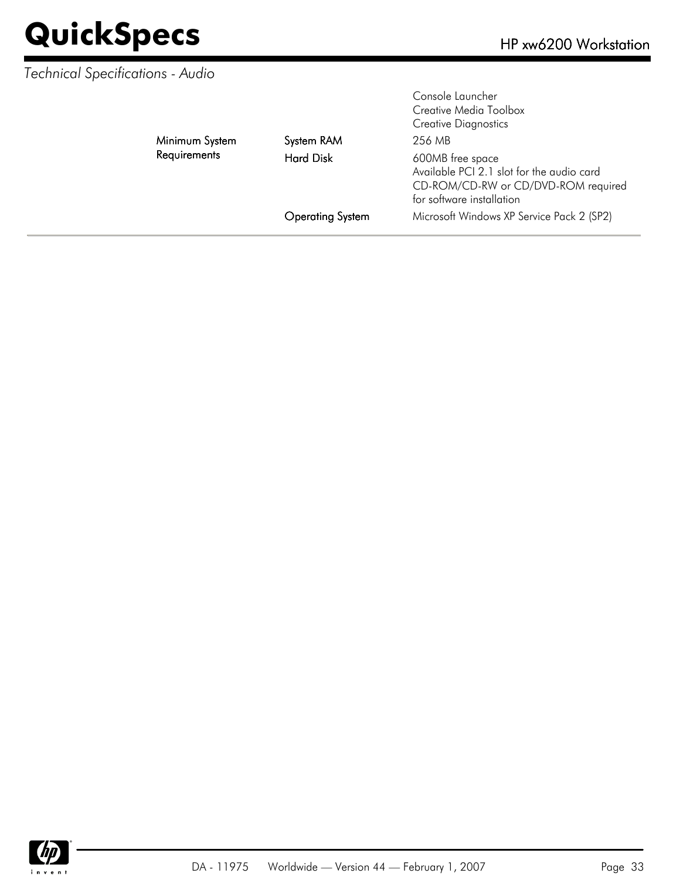### *Technical Specifications - Audio*

| Minimum System<br>Requirements | System RAM<br><b>Hard Disk</b><br><b>Operating System</b> | 256 MB<br>600MB free space<br>Available PCI 2.1 slot for the audio card<br>CD-ROM/CD-RW or CD/DVD-ROM required<br>for software installation<br>Microsoft Windows XP Service Pack 2 (SP2) |
|--------------------------------|-----------------------------------------------------------|------------------------------------------------------------------------------------------------------------------------------------------------------------------------------------------|
|                                |                                                           | Console Launcher<br>Creative Media Toolbox<br><b>Creative Diagnostics</b>                                                                                                                |

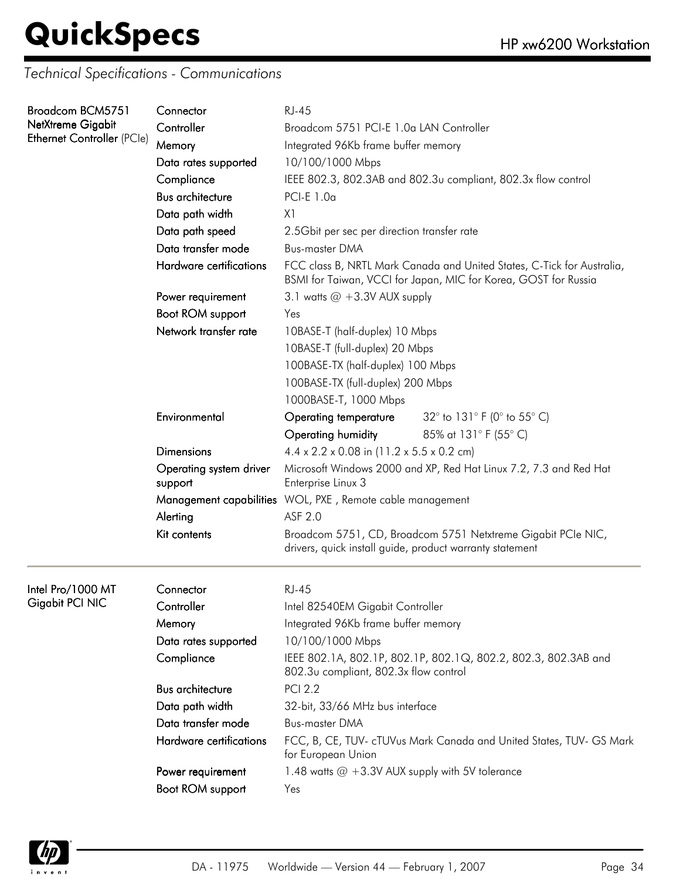*Technical Specifications - Communications*

| Broadcom BCM5751<br>NetXtreme Gigabit<br><b>Ethernet Controller (PCle)</b> | Connector                          | <b>RJ-45</b>                                                                                                                              |  |
|----------------------------------------------------------------------------|------------------------------------|-------------------------------------------------------------------------------------------------------------------------------------------|--|
|                                                                            | Controller                         | Broadcom 5751 PCI-E 1.0a LAN Controller                                                                                                   |  |
|                                                                            | Memory                             | Integrated 96Kb frame buffer memory                                                                                                       |  |
|                                                                            | Data rates supported               | 10/100/1000 Mbps                                                                                                                          |  |
|                                                                            | Compliance                         | IEEE 802.3, 802.3AB and 802.3u compliant, 802.3x flow control                                                                             |  |
|                                                                            | <b>Bus architecture</b>            | PCI-E $1.0a$                                                                                                                              |  |
|                                                                            | Data path width                    | X <sub>1</sub>                                                                                                                            |  |
|                                                                            | Data path speed                    | 2.5Gbit per sec per direction transfer rate                                                                                               |  |
|                                                                            | Data transfer mode                 | <b>Bus-master DMA</b>                                                                                                                     |  |
|                                                                            | Hardware certifications            | FCC class B, NRTL Mark Canada and United States, C-Tick for Australia,<br>BSMI for Taiwan, VCCI for Japan, MIC for Korea, GOST for Russia |  |
|                                                                            | Power requirement                  | 3.1 watts $@ + 3.3V$ AUX supply                                                                                                           |  |
|                                                                            | Boot ROM support                   | Yes                                                                                                                                       |  |
|                                                                            | Network transfer rate              | 10BASE-T (half-duplex) 10 Mbps                                                                                                            |  |
|                                                                            |                                    | 10BASE-T (full-duplex) 20 Mbps                                                                                                            |  |
|                                                                            |                                    | 100BASE-TX (half-duplex) 100 Mbps                                                                                                         |  |
|                                                                            |                                    | 100BASE-TX (full-duplex) 200 Mbps                                                                                                         |  |
|                                                                            |                                    | 1000BASE-T, 1000 Mbps                                                                                                                     |  |
|                                                                            | Environmental                      | 32 $^{\circ}$ to 131 $^{\circ}$ F (0 $^{\circ}$ to 55 $^{\circ}$ C)<br>Operating temperature                                              |  |
|                                                                            |                                    | 85% at 131° F (55° C)<br>Operating humidity                                                                                               |  |
|                                                                            | <b>Dimensions</b>                  | $4.4 \times 2.2 \times 0.08$ in (11.2 x 5.5 x 0.2 cm)                                                                                     |  |
|                                                                            | Operating system driver<br>support | Microsoft Windows 2000 and XP, Red Hat Linux 7.2, 7.3 and Red Hat<br>Enterprise Linux 3                                                   |  |
|                                                                            |                                    | Management capabilities WOL, PXE, Remote cable management                                                                                 |  |
|                                                                            | Alerting                           | ASF 2.0                                                                                                                                   |  |
|                                                                            | Kit contents                       | Broadcom 5751, CD, Broadcom 5751 Netxtreme Gigabit PCIe NIC,<br>drivers, quick install guide, product warranty statement                  |  |
| Intel Pro/1000 MT                                                          | Connector                          | <b>RJ-45</b>                                                                                                                              |  |
| Gigabit PCI NIC                                                            | Controller                         | Intel 82540EM Gigabit Controller                                                                                                          |  |
|                                                                            | Memory                             | Integrated 96Kb frame buffer memory                                                                                                       |  |
|                                                                            | Data rates supported               | 10/100/1000 Mbps                                                                                                                          |  |
|                                                                            | Compliance                         | IEEE 802.1A, 802.1P, 802.1P, 802.1Q, 802.2, 802.3, 802.3AB and<br>802.3u compliant, 802.3x flow control                                   |  |
|                                                                            | <b>Bus architecture</b>            | <b>PCI 2.2</b>                                                                                                                            |  |
|                                                                            | Data path width                    | 32-bit, 33/66 MHz bus interface                                                                                                           |  |
|                                                                            | Data transfer mode                 | <b>Bus-master DMA</b>                                                                                                                     |  |
|                                                                            | Hardware certifications            | FCC, B, CE, TUV- cTUVus Mark Canada and United States, TUV- GS Mark<br>for European Union                                                 |  |
|                                                                            | Power requirement                  | 1.48 watts @ +3.3V AUX supply with 5V tolerance                                                                                           |  |
|                                                                            | Boot ROM support                   | Yes                                                                                                                                       |  |
|                                                                            |                                    |                                                                                                                                           |  |

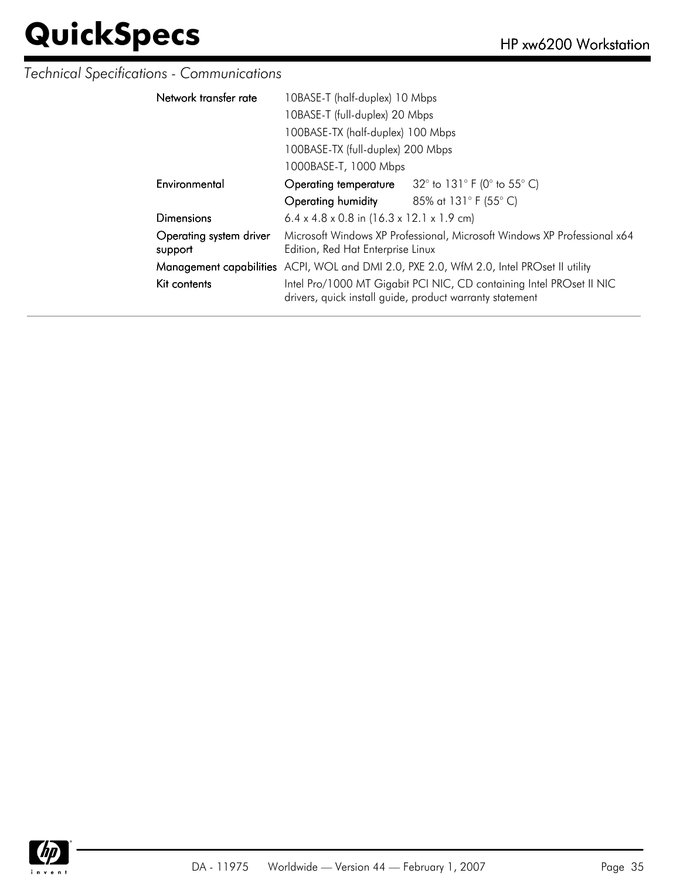### *Technical Specifications - Communications*

| Network transfer rate              | 10BASE-T (half-duplex) 10 Mbps                                                                                                   |                             |  |
|------------------------------------|----------------------------------------------------------------------------------------------------------------------------------|-----------------------------|--|
|                                    | 10BASE-T (full-duplex) 20 Mbps                                                                                                   |                             |  |
|                                    | 100BASE-TX (half-duplex) 100 Mbps                                                                                                |                             |  |
|                                    | 100BASE-TX (full-duplex) 200 Mbps                                                                                                |                             |  |
|                                    | 1000BASE-T, 1000 Mbps                                                                                                            |                             |  |
| Environmental                      | Operating temperature                                                                                                            | 32° to 131° F (0° to 55° C) |  |
|                                    | <b>Operating humidity</b> 85% at $131^{\circ}$ F (55° C)                                                                         |                             |  |
| Dimensions                         | 6.4 x 4.8 x 0.8 in $(16.3 \times 12.1 \times 1.9 \text{ cm})$                                                                    |                             |  |
| Operating system driver<br>support | Microsoft Windows XP Professional, Microsoft Windows XP Professional x64<br>Edition, Red Hat Enterprise Linux                    |                             |  |
|                                    | Management capabilities ACPI, WOL and DMI 2.0, PXE 2.0, WfM 2.0, Intel PROset II utility                                         |                             |  |
| Kit contents                       | Intel Pro/1000 MT Gigabit PCI NIC, CD containing Intel PROset II NIC<br>drivers, quick install guide, product warranty statement |                             |  |

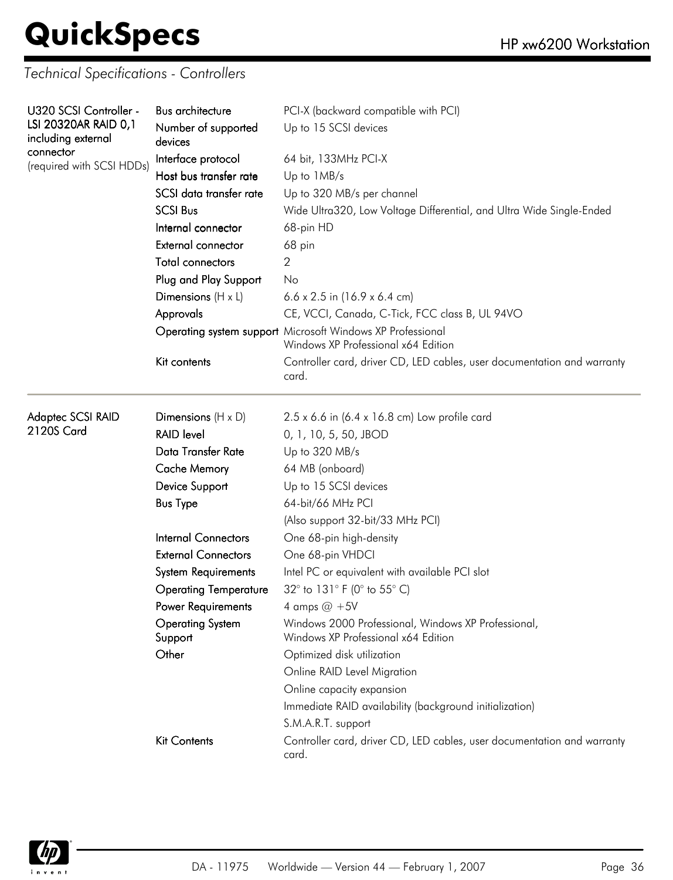*Technical Specifications - Controllers*

| U320 SCSI Controller -          | <b>Bus architecture</b>            | PCI-X (backward compatible with PCI)                                                              |
|---------------------------------|------------------------------------|---------------------------------------------------------------------------------------------------|
| LSI 20320AR RAID 0,1            | Number of supported                | Up to 15 SCSI devices                                                                             |
| including external<br>connector | devices                            |                                                                                                   |
| (required with SCSI HDDs)       | Interface protocol                 | 64 bit, 133MHz PCI-X                                                                              |
|                                 | Host bus transfer rate             | Up to 1MB/s                                                                                       |
|                                 | SCSI data transfer rate            | Up to 320 MB/s per channel                                                                        |
|                                 | <b>SCSI Bus</b>                    | Wide Ultra320, Low Voltage Differential, and Ultra Wide Single-Ended                              |
|                                 | Internal connector                 | 68-pin HD                                                                                         |
|                                 | External connector                 | 68 pin                                                                                            |
|                                 | <b>Total connectors</b>            | 2                                                                                                 |
|                                 | Plug and Play Support              | No                                                                                                |
|                                 | Dimensions $(H \times L)$          | $6.6 \times 2.5$ in (16.9 x 6.4 cm)                                                               |
|                                 | Approvals                          | CE, VCCI, Canada, C-Tick, FCC class B, UL 94VO                                                    |
|                                 |                                    | Operating system support Microsoft Windows XP Professional<br>Windows XP Professional x64 Edition |
|                                 | Kit contents                       | Controller card, driver CD, LED cables, user documentation and warranty<br>card.                  |
| Adaptec SCSI RAID               | Dimensions $(H \times D)$          | $2.5 \times 6.6$ in (6.4 x 16.8 cm) Low profile card                                              |
| 2120S Card                      | <b>RAID level</b>                  | 0, 1, 10, 5, 50, JBOD                                                                             |
|                                 | Data Transfer Rate                 | Up to 320 MB/s                                                                                    |
|                                 | <b>Cache Memory</b>                | 64 MB (onboard)                                                                                   |
|                                 | Device Support                     | Up to 15 SCSI devices                                                                             |
|                                 | <b>Bus Type</b>                    | 64-bit/66 MHz PCI                                                                                 |
|                                 |                                    | (Also support 32-bit/33 MHz PCI)                                                                  |
|                                 | <b>Internal Connectors</b>         | One 68-pin high-density                                                                           |
|                                 | <b>External Connectors</b>         | One 68-pin VHDCI                                                                                  |
|                                 | <b>System Requirements</b>         | Intel PC or equivalent with available PCI slot                                                    |
|                                 | <b>Operating Temperature</b>       | 32° to 131° F (0° to 55° C)                                                                       |
|                                 | Power Requirements                 | 4 amps $@ + 5V$                                                                                   |
|                                 | <b>Operating System</b><br>Support | Windows 2000 Professional, Windows XP Professional,<br>Windows XP Professional x64 Edition        |
|                                 | Other                              | Optimized disk utilization                                                                        |
|                                 |                                    | Online RAID Level Migration                                                                       |
|                                 |                                    | Online capacity expansion                                                                         |
|                                 |                                    | Immediate RAID availability (background initialization)                                           |
|                                 |                                    | S.M.A.R.T. support                                                                                |
|                                 | <b>Kit Contents</b>                | Controller card, driver CD, LED cables, user documentation and warranty<br>card.                  |

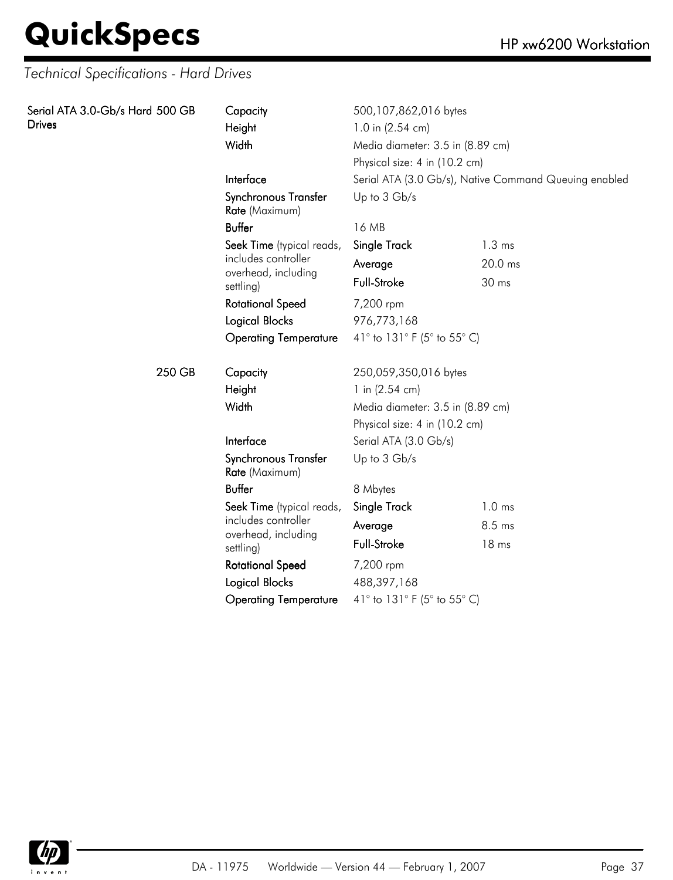### **QuickSpecs**

| Serial ATA 3.0-Gb/s Hard 500 GB<br><b>Drives</b> | Capacity<br>Height<br>Width                | 500,107,862,016 bytes<br>1.0 in (2.54 cm)<br>Media diameter: 3.5 in (8.89 cm) |                                                       |
|--------------------------------------------------|--------------------------------------------|-------------------------------------------------------------------------------|-------------------------------------------------------|
|                                                  |                                            | Physical size: 4 in (10.2 cm)                                                 |                                                       |
|                                                  | Interface                                  |                                                                               | Serial ATA (3.0 Gb/s), Native Command Queuing enabled |
|                                                  | Synchronous Transfer<br>Rate (Maximum)     | Up to 3 Gb/s                                                                  |                                                       |
|                                                  | <b>Buffer</b>                              | 16 MB                                                                         |                                                       |
|                                                  | Seek Time (typical reads,                  | Single Track                                                                  | $1.3 \text{ ms}$                                      |
|                                                  | includes controller<br>overhead, including | Average                                                                       | 20.0 ms                                               |
|                                                  | settling)                                  | Full-Stroke                                                                   | 30 ms                                                 |
|                                                  | <b>Rotational Speed</b>                    | 7,200 rpm                                                                     |                                                       |
|                                                  | <b>Logical Blocks</b>                      | 976,773,168                                                                   |                                                       |
| 250 GB                                           | <b>Operating Temperature</b>               | 41° to 131° F (5° to 55° C)                                                   |                                                       |
|                                                  | Capacity                                   | 250,059,350,016 bytes                                                         |                                                       |
|                                                  | Height                                     | 1 in $(2.54 \text{ cm})$                                                      |                                                       |
|                                                  | Width                                      | Media diameter: 3.5 in (8.89 cm)                                              |                                                       |
|                                                  |                                            | Physical size: 4 in (10.2 cm)                                                 |                                                       |
|                                                  | Interface                                  | Serial ATA (3.0 Gb/s)                                                         |                                                       |
|                                                  | Synchronous Transfer<br>Rate (Maximum)     | Up to 3 Gb/s                                                                  |                                                       |
|                                                  | <b>Buffer</b>                              | 8 Mbytes                                                                      |                                                       |
|                                                  | Seek Time (typical reads,                  | Single Track                                                                  | 1.0 <sub>ms</sub>                                     |
|                                                  | includes controller                        | Average                                                                       | 8.5 ms                                                |
|                                                  | overhead, including<br>settling)           | Full-Stroke                                                                   | 18 ms                                                 |
|                                                  | <b>Rotational Speed</b>                    | 7,200 rpm                                                                     |                                                       |
|                                                  | <b>Logical Blocks</b>                      | 488,397,168                                                                   |                                                       |
|                                                  | <b>Operating Temperature</b>               | 41° to 131° F (5° to 55° C)                                                   |                                                       |

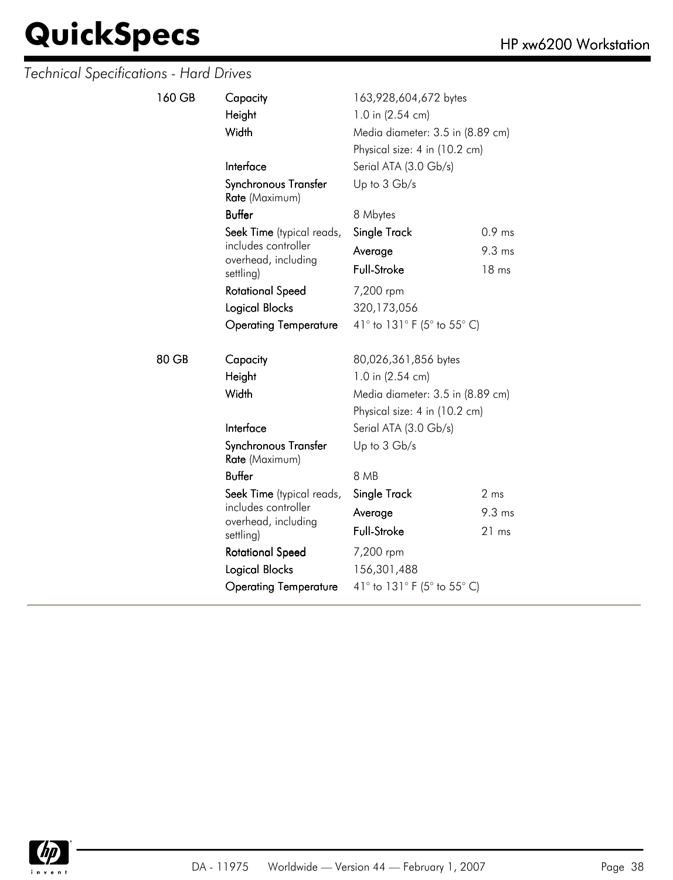| 160 GB | Capacity<br>Height<br>Width                | 163,928,604,672 bytes<br>1.0 in (2.54 cm)<br>Media diameter: 3.5 in (8.89 cm)<br>Physical size: 4 in (10.2 cm) |                   |
|--------|--------------------------------------------|----------------------------------------------------------------------------------------------------------------|-------------------|
|        | Interface                                  | Serial ATA (3.0 Gb/s)                                                                                          |                   |
|        | Synchronous Transfer<br>Rate (Maximum)     | Up to 3 Gb/s                                                                                                   |                   |
|        | Buffer                                     | 8 Mbytes                                                                                                       |                   |
|        | Seek Time (typical reads,                  | Single Track                                                                                                   | 0.9 <sub>ms</sub> |
|        | includes controller<br>overhead, including | Average                                                                                                        | 9.3 ms            |
|        | settling)                                  | Full-Stroke                                                                                                    | 18 ms             |
|        | <b>Rotational Speed</b>                    | 7,200 rpm                                                                                                      |                   |
|        | Logical Blocks                             | 320,173,056                                                                                                    |                   |
|        | <b>Operating Temperature</b>               | 41° to 131° F (5° to 55° C)                                                                                    |                   |
| 80 GB  | Capacity                                   | 80,026,361,856 bytes                                                                                           |                   |
|        | Height                                     | 1.0 in (2.54 cm)                                                                                               |                   |
|        | Width                                      | Media diameter: 3.5 in (8.89 cm)                                                                               |                   |
|        |                                            | Physical size: 4 in (10.2 cm)                                                                                  |                   |
|        | Interface                                  | Serial ATA (3.0 Gb/s)                                                                                          |                   |
|        | Synchronous Transfer<br>Rate (Maximum)     | Up to 3 Gb/s                                                                                                   |                   |
|        | Buffer                                     | 8 MB                                                                                                           |                   |
|        | Seek Time (typical reads,                  | Single Track                                                                                                   | 2 ms              |
|        | includes controller<br>overhead, including | Average                                                                                                        | $9.3 \text{ ms}$  |
|        | settling)                                  | Full-Stroke                                                                                                    | 21 ms             |
|        | <b>Rotational Speed</b>                    | 7,200 rpm                                                                                                      |                   |
|        | Logical Blocks                             | 156,301,488                                                                                                    |                   |
|        | <b>Operating Temperature</b>               | 41° to 131° F (5° to 55° C)                                                                                    |                   |
|        |                                            |                                                                                                                |                   |

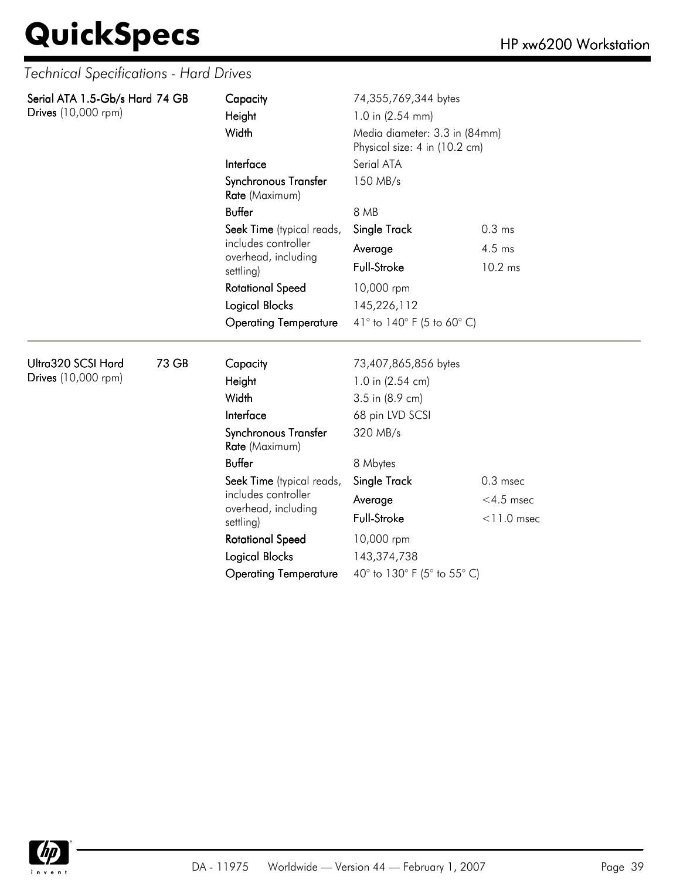| Serial ATA 1.5-Gb/s Hard 74 GB<br>Drives (10,000 rpm) |                                 | Capacity<br>Height<br>Width                |                             | 74,355,769,344 bytes<br>1.0 in (2.54 mm)<br>Media diameter: 3.3 in (84mm)<br>Physical size: 4 in (10.2 cm) |  |  |
|-------------------------------------------------------|---------------------------------|--------------------------------------------|-----------------------------|------------------------------------------------------------------------------------------------------------|--|--|
|                                                       |                                 | Interface<br>Synchronous Transfer          | Serial ATA<br>150 MB/s      |                                                                                                            |  |  |
|                                                       | Rate (Maximum)<br><b>Buffer</b> | 8 MB                                       |                             |                                                                                                            |  |  |
|                                                       |                                 | Seek Time (typical reads,                  | Single Track                | 0.3 <sub>ms</sub>                                                                                          |  |  |
|                                                       |                                 | includes controller<br>overhead, including | Average                     | 4.5 ms                                                                                                     |  |  |
|                                                       |                                 | settling)                                  | <b>Full-Stroke</b>          | 10.2 ms                                                                                                    |  |  |
|                                                       |                                 | <b>Rotational Speed</b>                    | 10,000 rpm                  |                                                                                                            |  |  |
|                                                       |                                 | <b>Logical Blocks</b>                      | 145,226,112                 |                                                                                                            |  |  |
|                                                       |                                 | <b>Operating Temperature</b>               | 41° to 140° F (5 to 60° C)  |                                                                                                            |  |  |
| Ultra320 SCSI Hard                                    | 73 GB                           | Capacity                                   | 73,407,865,856 bytes        |                                                                                                            |  |  |
| Drives (10,000 rpm)                                   |                                 | Height                                     | 1.0 in (2.54 cm)            |                                                                                                            |  |  |
|                                                       |                                 | Width                                      | 3.5 in (8.9 cm)             |                                                                                                            |  |  |
|                                                       |                                 | Interface                                  | 68 pin LVD SCSI             |                                                                                                            |  |  |
|                                                       |                                 | Synchronous Transfer<br>Rate (Maximum)     | 320 MB/s                    |                                                                                                            |  |  |
|                                                       |                                 | <b>Buffer</b>                              | 8 Mbytes                    |                                                                                                            |  |  |
|                                                       |                                 | Seek Time (typical reads,                  | <b>Single Track</b>         | $0.3$ msec                                                                                                 |  |  |
|                                                       |                                 | includes controller<br>overhead, including | Average                     | $<$ 4.5 msec                                                                                               |  |  |
|                                                       |                                 | settling)                                  | <b>Full-Stroke</b>          | $<$ 11.0 msec                                                                                              |  |  |
|                                                       |                                 | <b>Rotational Speed</b>                    | 10,000 rpm                  |                                                                                                            |  |  |
|                                                       |                                 | <b>Logical Blocks</b>                      | 143,374,738                 |                                                                                                            |  |  |
|                                                       |                                 | <b>Operating Temperature</b>               | 40° to 130° F (5° to 55° C) |                                                                                                            |  |  |

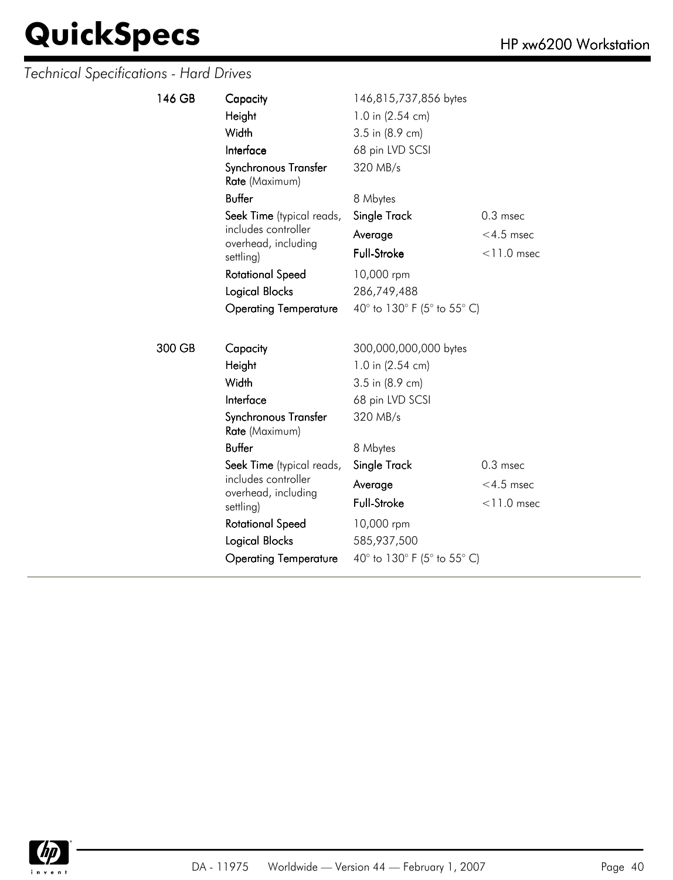| 146 GB | Capacity                               | 146,815,737,856 bytes       |               |
|--------|----------------------------------------|-----------------------------|---------------|
|        | Height                                 | 1.0 in (2.54 cm)            |               |
|        | Width                                  | 3.5 in (8.9 cm)             |               |
|        | Interface                              | 68 pin LVD SCSI             |               |
|        | Synchronous Transfer<br>Rate (Maximum) | 320 MB/s                    |               |
|        | <b>Buffer</b>                          | 8 Mbytes                    |               |
|        | Seek Time (typical reads,              | Single Track                | $0.3$ msec    |
|        | includes controller                    | Average                     | $<$ 4.5 msec  |
|        | overhead, including<br>settling)       | <b>Full-Stroke</b>          | $<$ 11.0 msec |
|        | <b>Rotational Speed</b>                | 10,000 rpm                  |               |
|        | <b>Logical Blocks</b>                  | 286,749,488                 |               |
|        | <b>Operating Temperature</b>           | 40° to 130° F (5° to 55° C) |               |
|        |                                        |                             |               |
| 300 GB | Capacity                               | 300,000,000,000 bytes       |               |
|        | Height                                 | 1.0 in (2.54 cm)            |               |
|        | Width                                  | 3.5 in (8.9 cm)             |               |
|        | Interface                              | 68 pin LVD SCSI             |               |
|        | Synchronous Transfer<br>Rate (Maximum) | 320 MB/s                    |               |
|        | <b>Buffer</b>                          | 8 Mbytes                    |               |
|        | Seek Time (typical reads,              | Single Track                | $0.3$ msec    |
|        | includes controller                    | Average                     | $<$ 4.5 msec  |
|        | overhead, including<br>settling)       | Full-Stroke                 | $<$ 11.0 msec |
|        | <b>Rotational Speed</b>                | 10,000 rpm                  |               |
|        | <b>Logical Blocks</b>                  | 585,937,500                 |               |
|        | <b>Operating Temperature</b>           | 40° to 130° F (5° to 55° C) |               |

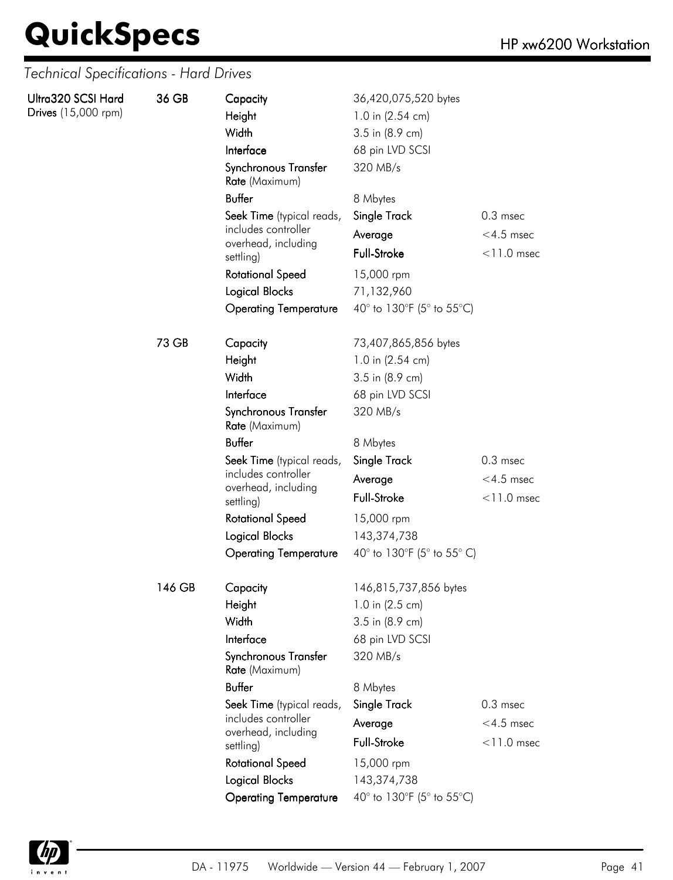| Ultra320 SCSI Hard<br>Drives (15,000 rpm) | 36 GB  | Capacity<br>Height<br>Width<br>Interface<br>Synchronous Transfer<br>Rate (Maximum) | 36,420,075,520 bytes<br>1.0 in (2.54 cm)<br>3.5 in (8.9 cm)<br>68 pin LVD SCSI<br>320 MB/s |               |
|-------------------------------------------|--------|------------------------------------------------------------------------------------|--------------------------------------------------------------------------------------------|---------------|
|                                           |        | <b>Buffer</b>                                                                      | 8 Mbytes                                                                                   |               |
|                                           |        | Seek Time (typical reads,                                                          | Single Track                                                                               | $0.3$ msec    |
|                                           |        | includes controller                                                                | Average                                                                                    | $<$ 4.5 msec  |
|                                           |        | overhead, including<br>settling)                                                   | Full-Stroke                                                                                | $<$ 11.0 msec |
|                                           |        | <b>Rotational Speed</b>                                                            | 15,000 rpm                                                                                 |               |
|                                           |        | Logical Blocks                                                                     | 71,132,960                                                                                 |               |
|                                           |        | <b>Operating Temperature</b>                                                       | 40° to 130°F (5° to 55°C)                                                                  |               |
|                                           | 73 GB  | Capacity                                                                           | 73,407,865,856 bytes                                                                       |               |
|                                           |        | Height                                                                             | 1.0 in (2.54 cm)                                                                           |               |
|                                           |        | Width                                                                              | 3.5 in (8.9 cm)                                                                            |               |
|                                           |        | Interface                                                                          | 68 pin LVD SCSI                                                                            |               |
|                                           |        | Synchronous Transfer<br>Rate (Maximum)                                             | 320 MB/s                                                                                   |               |
|                                           |        | <b>Buffer</b>                                                                      | 8 Mbytes                                                                                   |               |
|                                           |        | Seek Time (typical reads,                                                          | Single Track                                                                               | $0.3$ msec    |
|                                           |        | includes controller<br>overhead, including                                         | Average                                                                                    | $<$ 4.5 msec  |
|                                           |        | settling)                                                                          | Full-Stroke                                                                                | $<$ 11.0 msec |
|                                           |        | <b>Rotational Speed</b>                                                            | 15,000 rpm                                                                                 |               |
|                                           |        | <b>Logical Blocks</b>                                                              | 143,374,738                                                                                |               |
|                                           |        | <b>Operating Temperature</b>                                                       | 40° to 130°F (5° to 55° C)                                                                 |               |
|                                           | 146 GB | Capacity                                                                           | 146,815,737,856 bytes                                                                      |               |
|                                           |        | Height                                                                             | 1.0 in (2.5 cm)                                                                            |               |
|                                           |        | Width                                                                              | 3.5 in (8.9 cm)                                                                            |               |
|                                           |        | Interface                                                                          | 68 pin LVD SCSI                                                                            |               |
|                                           |        | Synchronous Transfer<br>Rate (Maximum)                                             | 320 MB/s                                                                                   |               |
|                                           |        | <b>Buffer</b>                                                                      | 8 Mbytes                                                                                   |               |
|                                           |        | Seek Time (typical reads,                                                          | Single Track                                                                               | $0.3$ msec    |
|                                           |        | includes controller<br>overhead, including                                         | Average                                                                                    | $<$ 4.5 msec  |
|                                           |        | settling)                                                                          | Full-Stroke                                                                                | $<$ 11.0 msec |
|                                           |        | <b>Rotational Speed</b>                                                            | 15,000 rpm                                                                                 |               |
|                                           |        | Logical Blocks                                                                     | 143,374,738                                                                                |               |
|                                           |        | <b>Operating Temperature</b>                                                       | 40° to 130°F (5° to 55°C)                                                                  |               |

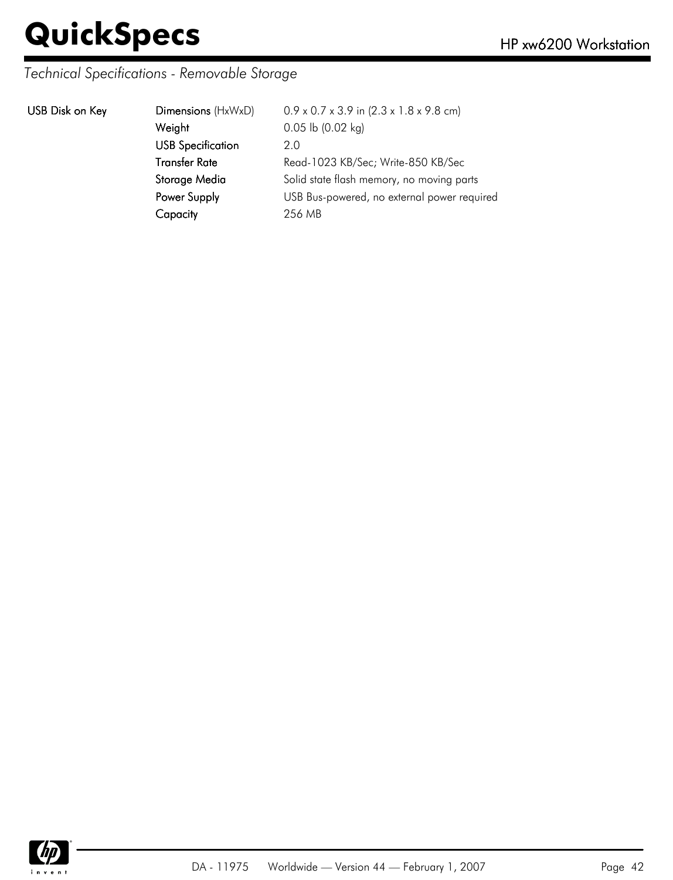#### *Technical Specifications - Removable Storage*

|  | USB Disk on Key |  |  |
|--|-----------------|--|--|
|--|-----------------|--|--|

| USB Disk on Key | Dimensions (HxWxD)       | $0.9 \times 0.7 \times 3.9$ in $(2.3 \times 1.8 \times 9.8$ cm) |
|-----------------|--------------------------|-----------------------------------------------------------------|
|                 | Weight                   | $0.05$ lb $(0.02$ kg)                                           |
|                 | <b>USB Specification</b> | 2.0                                                             |
|                 | <b>Transfer Rate</b>     | Read-1023 KB/Sec; Write-850 KB/Sec                              |
|                 | Storage Media            | Solid state flash memory, no moving parts                       |
|                 | Power Supply             | USB Bus-powered, no external power required                     |
|                 | Capacity                 | 256 MB                                                          |
|                 |                          |                                                                 |

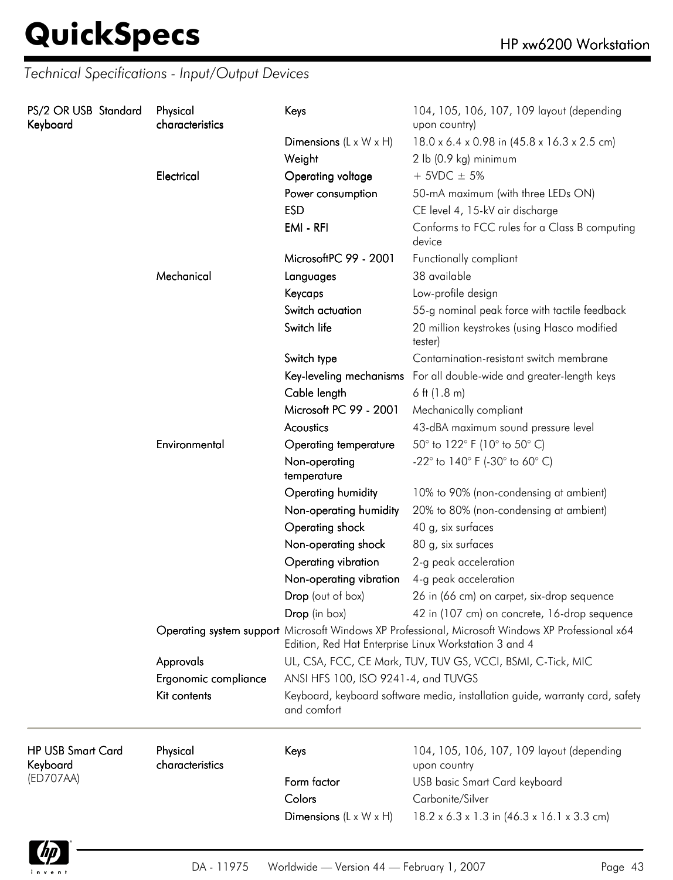| PS/2 OR USB Standard<br>Keyboard     |               | Physical<br>characteristics  | Keys                                                                                                                                                       | 104, 105, 106, 107, 109 layout (depending<br>upon country)          |  |
|--------------------------------------|---------------|------------------------------|------------------------------------------------------------------------------------------------------------------------------------------------------------|---------------------------------------------------------------------|--|
|                                      |               |                              | Dimensions $(L \times W \times H)$                                                                                                                         | 18.0 x 6.4 x 0.98 in (45.8 x 16.3 x 2.5 cm)                         |  |
|                                      |               |                              | Weight                                                                                                                                                     | 2 lb (0.9 kg) minimum                                               |  |
|                                      |               | Electrical                   | Operating voltage                                                                                                                                          | $+$ 5VDC $\pm$ 5%                                                   |  |
|                                      |               |                              | Power consumption                                                                                                                                          | 50-mA maximum (with three LEDs ON)                                  |  |
|                                      |               |                              | <b>ESD</b>                                                                                                                                                 | CE level 4, 15-kV air discharge                                     |  |
|                                      |               |                              | EMI - RFI                                                                                                                                                  | Conforms to FCC rules for a Class B computing<br>device             |  |
|                                      |               |                              | MicrosoftPC 99 - 2001                                                                                                                                      | Functionally compliant                                              |  |
|                                      |               | Mechanical                   | Languages                                                                                                                                                  | 38 available                                                        |  |
|                                      |               |                              | Keycaps                                                                                                                                                    | Low-profile design                                                  |  |
|                                      |               |                              | Switch actuation                                                                                                                                           | 55-g nominal peak force with tactile feedback                       |  |
|                                      |               |                              | Switch life                                                                                                                                                | 20 million keystrokes (using Hasco modified<br>tester)              |  |
|                                      |               |                              | Switch type                                                                                                                                                | Contamination-resistant switch membrane                             |  |
|                                      |               |                              |                                                                                                                                                            | Key-leveling mechanisms For all double-wide and greater-length keys |  |
|                                      |               |                              | Cable length                                                                                                                                               | 6 ft $(1.8 \text{ m})$                                              |  |
|                                      |               | Microsoft PC 99 - 2001       | Mechanically compliant                                                                                                                                     |                                                                     |  |
|                                      |               | Acoustics                    | 43-dBA maximum sound pressure level                                                                                                                        |                                                                     |  |
|                                      | Environmental | <b>Operating temperature</b> | 50° to 122° F (10° to 50° C)                                                                                                                               |                                                                     |  |
|                                      |               | Non-operating<br>temperature | -22 $^{\circ}$ to 140 $^{\circ}$ F (-30 $^{\circ}$ to 60 $^{\circ}$ C)                                                                                     |                                                                     |  |
|                                      |               | Operating humidity           | 10% to 90% (non-condensing at ambient)                                                                                                                     |                                                                     |  |
|                                      |               | Non-operating humidity       | 20% to 80% (non-condensing at ambient)                                                                                                                     |                                                                     |  |
|                                      |               |                              | Operating shock                                                                                                                                            | 40 g, six surfaces                                                  |  |
|                                      |               |                              | Non-operating shock                                                                                                                                        | 80 g, six surfaces                                                  |  |
|                                      |               |                              | Operating vibration                                                                                                                                        | 2-g peak acceleration                                               |  |
|                                      |               |                              | Non-operating vibration                                                                                                                                    | 4-g peak acceleration                                               |  |
|                                      |               |                              | Drop (out of box)                                                                                                                                          | 26 in (66 cm) on carpet, six-drop sequence                          |  |
|                                      |               |                              | Drop (in box)                                                                                                                                              | 42 in (107 cm) on concrete, 16-drop sequence                        |  |
|                                      |               |                              | Operating system support Microsoft Windows XP Professional, Microsoft Windows XP Professional x64<br>Edition, Red Hat Enterprise Linux Workstation 3 and 4 |                                                                     |  |
|                                      |               | Approvals                    |                                                                                                                                                            | UL, CSA, FCC, CE Mark, TUV, TUV GS, VCCI, BSMI, C-Tick, MIC         |  |
|                                      |               | Ergonomic compliance         | ANSI HFS 100, ISO 9241-4, and TUVGS                                                                                                                        |                                                                     |  |
|                                      | Kit contents  | and comfort                  | Keyboard, keyboard software media, installation guide, warranty card, safety                                                                               |                                                                     |  |
| <b>HP USB Smart Card</b><br>Keyboard |               | Physical<br>characteristics  | Keys                                                                                                                                                       | 104, 105, 106, 107, 109 layout (depending<br>upon country           |  |
| (ED707AA)                            |               |                              | Form factor                                                                                                                                                | <b>USB</b> basic Smart Card keyboard                                |  |
|                                      |               |                              | Colors                                                                                                                                                     | Carbonite/Silver                                                    |  |
|                                      |               |                              | Dimensions $(L \times W \times H)$                                                                                                                         | $18.2 \times 6.3 \times 1.3$ in $(46.3 \times 16.1 \times 3.3$ cm)  |  |

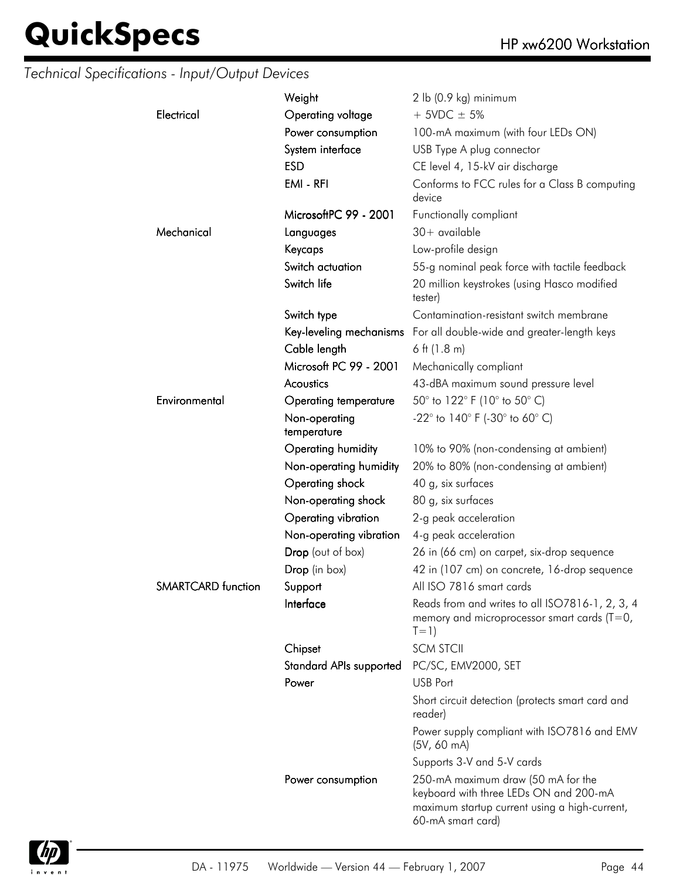|                           | Weight                         | 2 lb (0.9 kg) minimum                                                                                                                              |
|---------------------------|--------------------------------|----------------------------------------------------------------------------------------------------------------------------------------------------|
| Electrical                | Operating voltage              | $+$ 5VDC $\pm$ 5%                                                                                                                                  |
|                           | Power consumption              |                                                                                                                                                    |
|                           |                                | 100-mA maximum (with four LEDs ON)                                                                                                                 |
|                           | System interface               | USB Type A plug connector                                                                                                                          |
|                           | <b>ESD</b>                     | CE level 4, 15-kV air discharge                                                                                                                    |
|                           | EMI - RFI                      | Conforms to FCC rules for a Class B computing<br>device                                                                                            |
|                           | MicrosoftPC 99 - 2001          | Functionally compliant                                                                                                                             |
| Mechanical                | Languages                      | $30+$ available                                                                                                                                    |
|                           | Keycaps                        | Low-profile design                                                                                                                                 |
|                           | Switch actuation               | 55-g nominal peak force with tactile feedback                                                                                                      |
|                           | Switch life                    | 20 million keystrokes (using Hasco modified<br>tester)                                                                                             |
|                           | Switch type                    | Contamination-resistant switch membrane                                                                                                            |
|                           |                                | Key-leveling mechanisms For all double-wide and greater-length keys                                                                                |
|                           | Cable length                   | $6$ ft (1.8 m)                                                                                                                                     |
|                           | Microsoft PC 99 - 2001         | Mechanically compliant                                                                                                                             |
|                           | Acoustics                      | 43-dBA maximum sound pressure level                                                                                                                |
| Environmental             | Operating temperature          | 50° to 122° F (10° to 50° C)                                                                                                                       |
|                           | Non-operating<br>temperature   | $-22^{\circ}$ to 140° F (-30° to 60° C)                                                                                                            |
|                           | Operating humidity             | 10% to 90% (non-condensing at ambient)                                                                                                             |
|                           | Non-operating humidity         | 20% to 80% (non-condensing at ambient)                                                                                                             |
|                           | Operating shock                | 40 g, six surfaces                                                                                                                                 |
|                           | Non-operating shock            | 80 g, six surfaces                                                                                                                                 |
|                           | Operating vibration            | 2-g peak acceleration                                                                                                                              |
|                           | Non-operating vibration        | 4-g peak acceleration                                                                                                                              |
|                           | Drop (out of box)              | 26 in (66 cm) on carpet, six-drop sequence                                                                                                         |
|                           | Drop (in box)                  | 42 in (107 cm) on concrete, 16-drop sequence                                                                                                       |
| <b>SMARTCARD</b> function | Support                        | All ISO 7816 smart cards                                                                                                                           |
|                           | Interface                      | Reads from and writes to all ISO7816-1, 2, 3, 4<br>memory and microprocessor smart cards ( $T=0$ ,<br>$T=1)$                                       |
|                           | Chipset                        | <b>SCM STCII</b>                                                                                                                                   |
|                           | <b>Standard APIs supported</b> | PC/SC, EMV2000, SET                                                                                                                                |
|                           | Power                          | <b>USB Port</b>                                                                                                                                    |
|                           |                                | Short circuit detection (protects smart card and<br>reader)                                                                                        |
|                           |                                | Power supply compliant with ISO7816 and EMV<br>(5V, 60 mA)                                                                                         |
|                           |                                | Supports 3-V and 5-V cards                                                                                                                         |
|                           | Power consumption              | 250-mA maximum draw (50 mA for the<br>keyboard with three LEDs ON and 200-mA<br>maximum startup current using a high-current,<br>60-mA smart card) |
|                           |                                |                                                                                                                                                    |

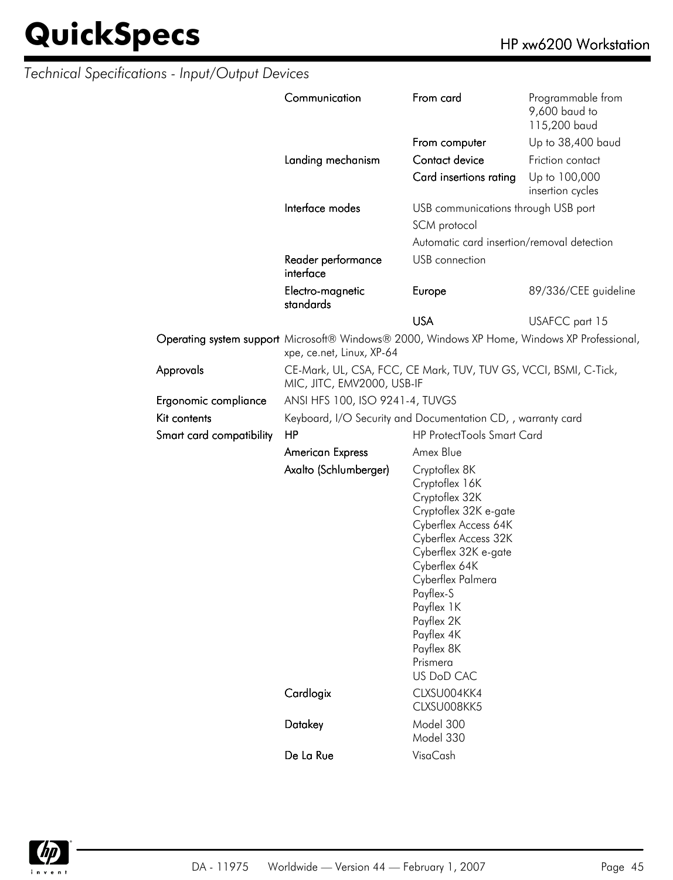|                          | Communication                                                                                                             | From card                                                                                                                                                                                                                                                                               | Programmable from<br>9,600 baud to<br>115,200 baud |  |
|--------------------------|---------------------------------------------------------------------------------------------------------------------------|-----------------------------------------------------------------------------------------------------------------------------------------------------------------------------------------------------------------------------------------------------------------------------------------|----------------------------------------------------|--|
|                          |                                                                                                                           | From computer                                                                                                                                                                                                                                                                           | Up to 38,400 baud                                  |  |
|                          | Landing mechanism                                                                                                         | Contact device                                                                                                                                                                                                                                                                          | Friction contact                                   |  |
|                          |                                                                                                                           | Card insertions rating                                                                                                                                                                                                                                                                  | Up to 100,000<br>insertion cycles                  |  |
|                          | Interface modes                                                                                                           | USB communications through USB port                                                                                                                                                                                                                                                     |                                                    |  |
|                          |                                                                                                                           | SCM protocol                                                                                                                                                                                                                                                                            |                                                    |  |
|                          |                                                                                                                           | Automatic card insertion/removal detection                                                                                                                                                                                                                                              |                                                    |  |
|                          | Reader performance<br>interface                                                                                           | USB connection                                                                                                                                                                                                                                                                          |                                                    |  |
|                          | Electro-magnetic<br>standards                                                                                             | Europe                                                                                                                                                                                                                                                                                  | 89/336/CEE guideline                               |  |
|                          |                                                                                                                           | <b>USA</b>                                                                                                                                                                                                                                                                              | USAFCC part 15                                     |  |
|                          | Operating system support Microsoft® Windows® 2000, Windows XP Home, Windows XP Professional,<br>xpe, ce.net, Linux, XP-64 |                                                                                                                                                                                                                                                                                         |                                                    |  |
| Approvals                | CE-Mark, UL, CSA, FCC, CE Mark, TUV, TUV GS, VCCI, BSMI, C-Tick,<br>MIC, JITC, EMV2000, USB-IF                            |                                                                                                                                                                                                                                                                                         |                                                    |  |
| Ergonomic compliance     | ANSI HFS 100, ISO 9241-4, TUVGS                                                                                           |                                                                                                                                                                                                                                                                                         |                                                    |  |
| Kit contents             | Keyboard, I/O Security and Documentation CD, , warranty card                                                              |                                                                                                                                                                                                                                                                                         |                                                    |  |
| Smart card compatibility | <b>HP ProtectTools Smart Card</b><br>HP                                                                                   |                                                                                                                                                                                                                                                                                         |                                                    |  |
|                          | <b>American Express</b>                                                                                                   | Amex Blue                                                                                                                                                                                                                                                                               |                                                    |  |
|                          | Axalto (Schlumberger)                                                                                                     | Cryptoflex 8K<br>Cryptoflex 16K<br>Cryptoflex 32K<br>Cryptoflex 32K e-gate<br>Cyberflex Access 64K<br>Cyberflex Access 32K<br>Cyberflex 32K e-gate<br>Cyberflex 64K<br>Cyberflex Palmera<br>Payflex-S<br>Payflex 1K<br>Payflex 2K<br>Payflex 4K<br>Payflex 8K<br>Prismera<br>US DoD CAC |                                                    |  |
|                          | Cardlogix                                                                                                                 | CLXSU004KK4<br>CLXSU008KK5                                                                                                                                                                                                                                                              |                                                    |  |
|                          | Datakey                                                                                                                   | Model 300<br>Model 330                                                                                                                                                                                                                                                                  |                                                    |  |
|                          | De La Rue                                                                                                                 | VisaCash                                                                                                                                                                                                                                                                                |                                                    |  |

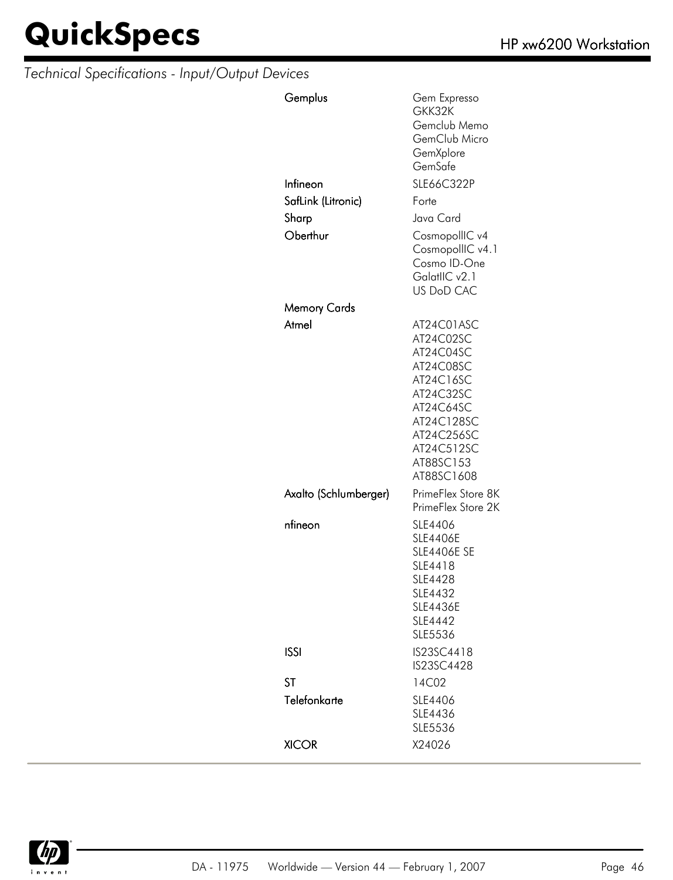| Gemplus               | Gem Expresso<br>GKK32K<br>Gemclub Memo<br>GemClub Micro<br>GemXplore<br>GemSafe                                                                               |
|-----------------------|---------------------------------------------------------------------------------------------------------------------------------------------------------------|
| Infineon              | SLE66C322P                                                                                                                                                    |
| SafLink (Litronic)    | Forte                                                                                                                                                         |
| Sharp                 | Java Card                                                                                                                                                     |
| Oberthur              | CosmopollIC v4<br>CosmopollIC v4.1<br>Cosmo ID-One<br>GalatlIC v2.1<br><b>US DoD CAC</b>                                                                      |
| Memory Cards          |                                                                                                                                                               |
| Atmel                 | AT24C01ASC<br>AT24C02SC<br>AT24C04SC<br>AT24C08SC<br>AT24C16SC<br>AT24C32SC<br>AT24C64SC<br>AT24C128SC<br>AT24C256SC<br>AT24C512SC<br>AT88SC153<br>AT88SC1608 |
| Axalto (Schlumberger) | PrimeFlex Store 8K<br>PrimeFlex Store 2K                                                                                                                      |
| nfineon               | SLE4406<br><b>SLE4406E</b><br><b>SLE4406E SE</b><br>SLE4418<br><b>SLE4428</b><br>SLE4432<br><b>SLE4436E</b><br>SLE4442<br>SLE5536                             |
| <b>ISSI</b>           | IS23SC4418<br>IS23SC4428                                                                                                                                      |
| <b>ST</b>             | 14C02                                                                                                                                                         |
| Telefonkarte          | SLE4406<br>SLE4436<br>SLE5536                                                                                                                                 |
| <b>XICOR</b>          | X24026                                                                                                                                                        |

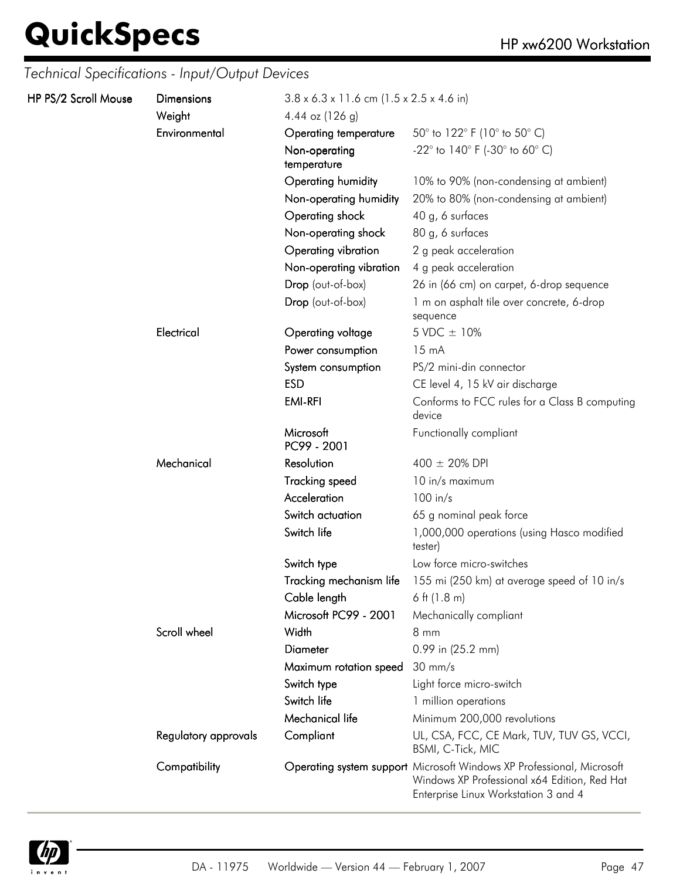| HP PS/2 Scroll Mouse | <b>Dimensions</b><br>Weight | $3.8 \times 6.3 \times 11.6$ cm (1.5 x 2.5 x 4.6 in)<br>4.44 oz $(126 g)$ |                                                                                                                                                               |
|----------------------|-----------------------------|---------------------------------------------------------------------------|---------------------------------------------------------------------------------------------------------------------------------------------------------------|
|                      | Environmental               | Operating temperature                                                     | 50 $^{\circ}$ to 122 $^{\circ}$ F (10 $^{\circ}$ to 50 $^{\circ}$ C)                                                                                          |
|                      |                             | Non-operating<br>temperature                                              | -22 $^{\circ}$ to 140 $^{\circ}$ F (-30 $^{\circ}$ to 60 $^{\circ}$ C)                                                                                        |
|                      |                             | Operating humidity                                                        | 10% to 90% (non-condensing at ambient)                                                                                                                        |
|                      |                             | Non-operating humidity                                                    | 20% to 80% (non-condensing at ambient)                                                                                                                        |
|                      |                             | Operating shock                                                           | 40 g, 6 surfaces                                                                                                                                              |
|                      |                             | Non-operating shock                                                       | 80 g, 6 surfaces                                                                                                                                              |
|                      |                             | Operating vibration                                                       | 2 g peak acceleration                                                                                                                                         |
|                      |                             | Non-operating vibration                                                   | 4 g peak acceleration                                                                                                                                         |
|                      |                             | Drop (out-of-box)                                                         | 26 in (66 cm) on carpet, 6-drop sequence                                                                                                                      |
|                      |                             | Drop (out-of-box)                                                         | 1 m on asphalt tile over concrete, 6-drop<br>sequence                                                                                                         |
|                      | Electrical                  | Operating voltage                                                         | 5 VDC $\pm$ 10%                                                                                                                                               |
|                      |                             | Power consumption                                                         | $15 \text{ mA}$                                                                                                                                               |
|                      |                             | System consumption                                                        | PS/2 mini-din connector                                                                                                                                       |
|                      |                             | <b>ESD</b>                                                                | CE level 4, 15 kV air discharge                                                                                                                               |
|                      |                             | <b>EMI-RFI</b>                                                            | Conforms to FCC rules for a Class B computing<br>device                                                                                                       |
|                      |                             | Microsoft<br>PC99 - 2001                                                  | Functionally compliant                                                                                                                                        |
|                      | Mechanical                  | Resolution                                                                | $400 \pm 20\%$ DPI                                                                                                                                            |
|                      |                             | <b>Tracking speed</b>                                                     | 10 in/s maximum                                                                                                                                               |
|                      |                             | Acceleration                                                              | $100$ in/s                                                                                                                                                    |
|                      |                             | Switch actuation                                                          | 65 g nominal peak force                                                                                                                                       |
|                      |                             | Switch life                                                               | 1,000,000 operations (using Hasco modified<br>tester)                                                                                                         |
|                      |                             | Switch type                                                               | Low force micro-switches                                                                                                                                      |
|                      |                             | Tracking mechanism life                                                   | 155 mi (250 km) at average speed of 10 in/s                                                                                                                   |
|                      |                             | Cable length                                                              | 6 ft $(1.8 \text{ m})$                                                                                                                                        |
|                      |                             | Microsoft PC99 - 2001                                                     | Mechanically compliant                                                                                                                                        |
|                      | Scroll wheel                | Width                                                                     | 8 mm                                                                                                                                                          |
|                      |                             | <b>Diameter</b>                                                           | 0.99 in (25.2 mm)                                                                                                                                             |
|                      |                             | Maximum rotation speed                                                    | $30 \text{ mm/s}$                                                                                                                                             |
|                      |                             | Switch type                                                               | Light force micro-switch                                                                                                                                      |
|                      |                             | Switch life                                                               | 1 million operations                                                                                                                                          |
|                      |                             | Mechanical life                                                           | Minimum 200,000 revolutions                                                                                                                                   |
|                      | Regulatory approvals        | Compliant                                                                 | UL, CSA, FCC, CE Mark, TUV, TUV GS, VCCI,<br><b>BSMI, C-Tick, MIC</b>                                                                                         |
|                      | Compatibility               |                                                                           | Operating system support Microsoft Windows XP Professional, Microsoft<br>Windows XP Professional x64 Edition, Red Hat<br>Enterprise Linux Workstation 3 and 4 |

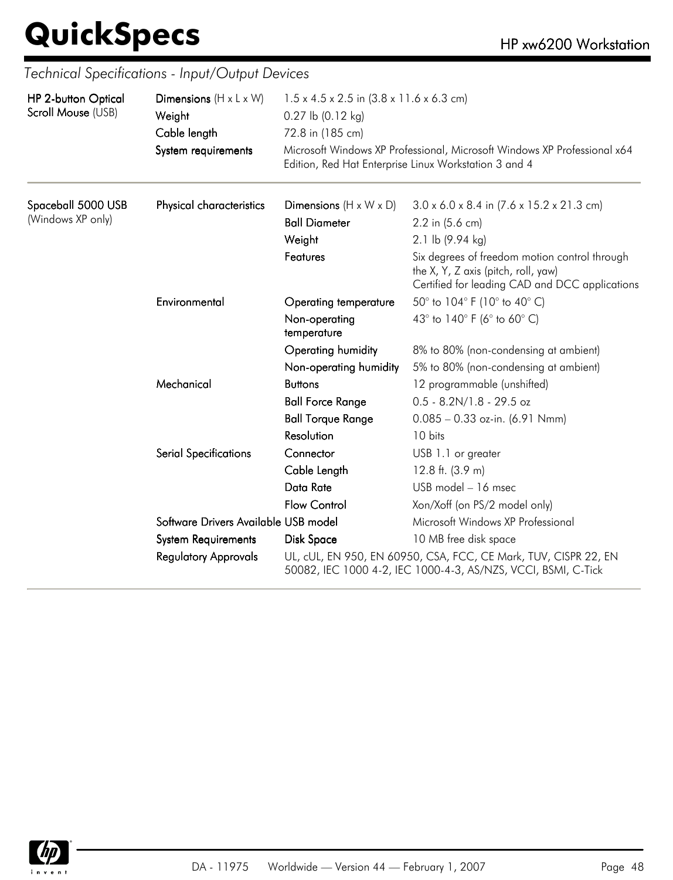| <b>HP 2-button Optical</b> | Dimensions $(H \times L \times W)$   | $1.5 \times 4.5 \times 2.5$ in $(3.8 \times 11.6 \times 6.3$ cm) |                                                                                                                                        |  |  |
|----------------------------|--------------------------------------|------------------------------------------------------------------|----------------------------------------------------------------------------------------------------------------------------------------|--|--|
| Scroll Mouse (USB)         | Weight                               | $0.27$ lb $(0.12$ kg)                                            |                                                                                                                                        |  |  |
|                            | Cable length                         | 72.8 in (185 cm)                                                 |                                                                                                                                        |  |  |
|                            | System requirements                  |                                                                  | Microsoft Windows XP Professional, Microsoft Windows XP Professional x64<br>Edition, Red Hat Enterprise Linux Workstation 3 and 4      |  |  |
| Spaceball 5000 USB         | Physical characteristics             | Dimensions $(H \times W \times D)$                               | $3.0 \times 6.0 \times 8.4$ in $(7.6 \times 15.2 \times 21.3$ cm)                                                                      |  |  |
| (Windows XP only)          |                                      | <b>Ball Diameter</b>                                             | 2.2 in (5.6 cm)                                                                                                                        |  |  |
|                            |                                      | Weight                                                           | 2.1 lb (9.94 kg)                                                                                                                       |  |  |
|                            |                                      | Features                                                         | Six degrees of freedom motion control through<br>the X, Y, Z axis (pitch, roll, yaw)<br>Certified for leading CAD and DCC applications |  |  |
|                            | Environmental                        | <b>Operating temperature</b>                                     | 50° to 104° F (10° to 40° C)                                                                                                           |  |  |
|                            |                                      | Non-operating<br>temperature                                     | 43° to 140° F (6° to 60° C)                                                                                                            |  |  |
|                            |                                      | Operating humidity                                               | 8% to 80% (non-condensing at ambient)                                                                                                  |  |  |
|                            |                                      | Non-operating humidity                                           | 5% to 80% (non-condensing at ambient)                                                                                                  |  |  |
|                            | Mechanical                           | <b>Buttons</b>                                                   | 12 programmable (unshifted)                                                                                                            |  |  |
|                            |                                      | <b>Ball Force Range</b>                                          | $0.5 - 8.2N/1.8 - 29.5$ oz                                                                                                             |  |  |
|                            |                                      | <b>Ball Torque Range</b>                                         | $0.085 - 0.33$ oz-in. (6.91 Nmm)                                                                                                       |  |  |
|                            |                                      | Resolution                                                       | 10 bits                                                                                                                                |  |  |
|                            | <b>Serial Specifications</b>         | Connector                                                        | USB 1.1 or greater                                                                                                                     |  |  |
|                            |                                      | Cable Length                                                     | 12.8 ft. $(3.9 m)$                                                                                                                     |  |  |
|                            |                                      | Data Rate                                                        | USB model - 16 msec                                                                                                                    |  |  |
|                            |                                      | <b>Flow Control</b>                                              | Xon/Xoff (on PS/2 model only)                                                                                                          |  |  |
|                            | Software Drivers Available USB model |                                                                  | Microsoft Windows XP Professional                                                                                                      |  |  |
|                            | <b>System Requirements</b>           | Disk Space                                                       | 10 MB free disk space                                                                                                                  |  |  |
|                            | <b>Regulatory Approvals</b>          |                                                                  | UL, cUL, EN 950, EN 60950, CSA, FCC, CE Mark, TUV, CISPR 22, EN<br>50082, IEC 1000 4-2, IEC 1000-4-3, AS/NZS, VCCI, BSMI, C-Tick       |  |  |

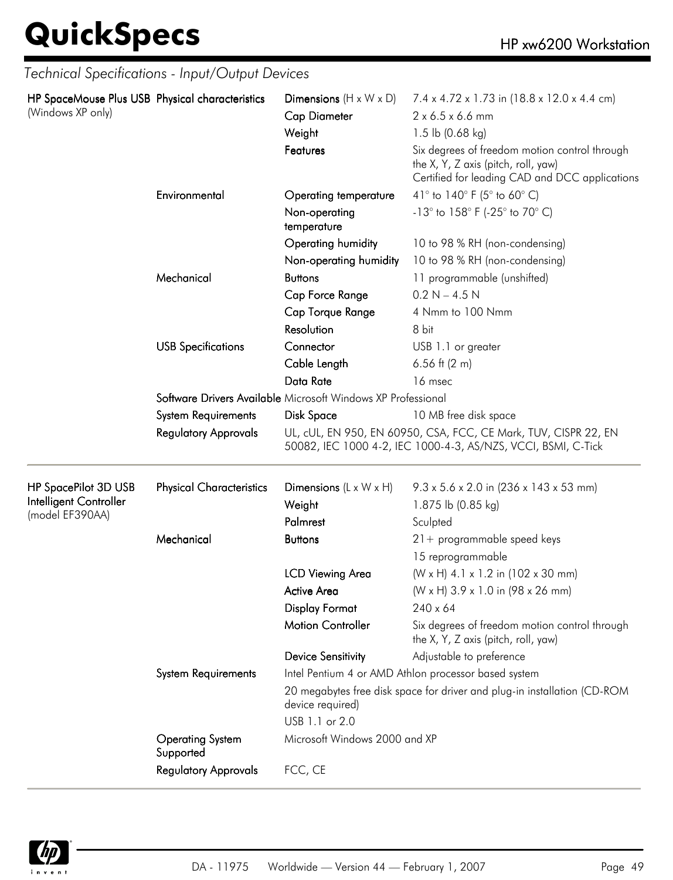|                                                 | Technical Specifications - Input/Output Devices |                                                              |                                                                                                                                        |  |
|-------------------------------------------------|-------------------------------------------------|--------------------------------------------------------------|----------------------------------------------------------------------------------------------------------------------------------------|--|
| HP SpaceMouse Plus USB Physical characteristics |                                                 | Dimensions $(H \times W \times D)$                           | 7.4 x 4.72 x 1.73 in (18.8 x 12.0 x 4.4 cm)                                                                                            |  |
| (Windows XP only)                               |                                                 | <b>Cap Diameter</b>                                          | 2 x 6.5 x 6.6 mm                                                                                                                       |  |
|                                                 |                                                 | Weight                                                       | 1.5 lb $(0.68 \text{ kg})$                                                                                                             |  |
|                                                 |                                                 | Features                                                     | Six degrees of freedom motion control through<br>the X, Y, Z axis (pitch, roll, yaw)<br>Certified for leading CAD and DCC applications |  |
|                                                 | Environmental                                   | Operating temperature                                        | 41° to 140° F (5° to 60° C)                                                                                                            |  |
|                                                 |                                                 | Non-operating<br>temperature                                 | -13° to 158° F (-25° to 70° C)                                                                                                         |  |
|                                                 |                                                 | Operating humidity                                           | 10 to 98 % RH (non-condensing)                                                                                                         |  |
|                                                 |                                                 | Non-operating humidity                                       | 10 to 98 % RH (non-condensing)                                                                                                         |  |
|                                                 | Mechanical                                      | <b>Buttons</b>                                               | 11 programmable (unshifted)                                                                                                            |  |
|                                                 |                                                 | Cap Force Range                                              | $0.2 N - 4.5 N$                                                                                                                        |  |
|                                                 |                                                 | Cap Torque Range                                             | 4 Nmm to 100 Nmm                                                                                                                       |  |
|                                                 |                                                 | Resolution                                                   | 8 bit                                                                                                                                  |  |
|                                                 | <b>USB Specifications</b>                       | Connector                                                    | USB 1.1 or greater                                                                                                                     |  |
|                                                 |                                                 | Cable Length                                                 | 6.56 ft $(2 m)$                                                                                                                        |  |
|                                                 |                                                 | Data Rate                                                    | 16 msec                                                                                                                                |  |
|                                                 |                                                 | Software Drivers Available Microsoft Windows XP Professional |                                                                                                                                        |  |
|                                                 | <b>System Requirements</b>                      | Disk Space                                                   | 10 MB free disk space                                                                                                                  |  |
|                                                 | <b>Regulatory Approvals</b>                     |                                                              | UL, cUL, EN 950, EN 60950, CSA, FCC, CE Mark, TUV, CISPR 22, EN<br>50082, IEC 1000 4-2, IEC 1000-4-3, AS/NZS, VCCI, BSMI, C-Tick       |  |
| HP SpacePilot 3D USB                            | <b>Physical Characteristics</b>                 | Dimensions $(L \times W \times H)$                           | $9.3 \times 5.6 \times 2.0$ in (236 x 143 x 53 mm)                                                                                     |  |
| Intelligent Controller                          |                                                 | Weight                                                       | 1.875 lb (0.85 kg)                                                                                                                     |  |
| (model EF390AA)                                 |                                                 | Palmrest                                                     | Sculpted                                                                                                                               |  |
|                                                 | Mechanical                                      | <b>Buttons</b>                                               | $21 +$ programmable speed keys                                                                                                         |  |
|                                                 |                                                 |                                                              | 15 reprogrammable                                                                                                                      |  |
|                                                 |                                                 | <b>LCD Viewing Area</b>                                      | (W x H) 4.1 x 1.2 in (102 x 30 mm)                                                                                                     |  |
|                                                 |                                                 | <b>Active Area</b>                                           | (W x H) 3.9 x 1.0 in (98 x 26 mm)                                                                                                      |  |
|                                                 |                                                 | <b>Display Format</b>                                        | $240 \times 64$                                                                                                                        |  |
|                                                 |                                                 | <b>Motion Controller</b>                                     | Six degrees of freedom motion control through<br>the X, Y, Z axis (pitch, roll, yaw)                                                   |  |
|                                                 |                                                 | <b>Device Sensitivity</b>                                    | Adjustable to preference                                                                                                               |  |
|                                                 | <b>System Requirements</b>                      |                                                              | Intel Pentium 4 or AMD Athlon processor based system                                                                                   |  |
|                                                 |                                                 | device required)                                             | 20 megabytes free disk space for driver and plug-in installation (CD-ROM                                                               |  |
|                                                 |                                                 | USB 1.1 or 2.0                                               |                                                                                                                                        |  |
|                                                 | <b>Operating System</b><br>Supported            | Microsoft Windows 2000 and XP                                |                                                                                                                                        |  |
|                                                 | <b>Regulatory Approvals</b>                     | FCC, CE                                                      |                                                                                                                                        |  |

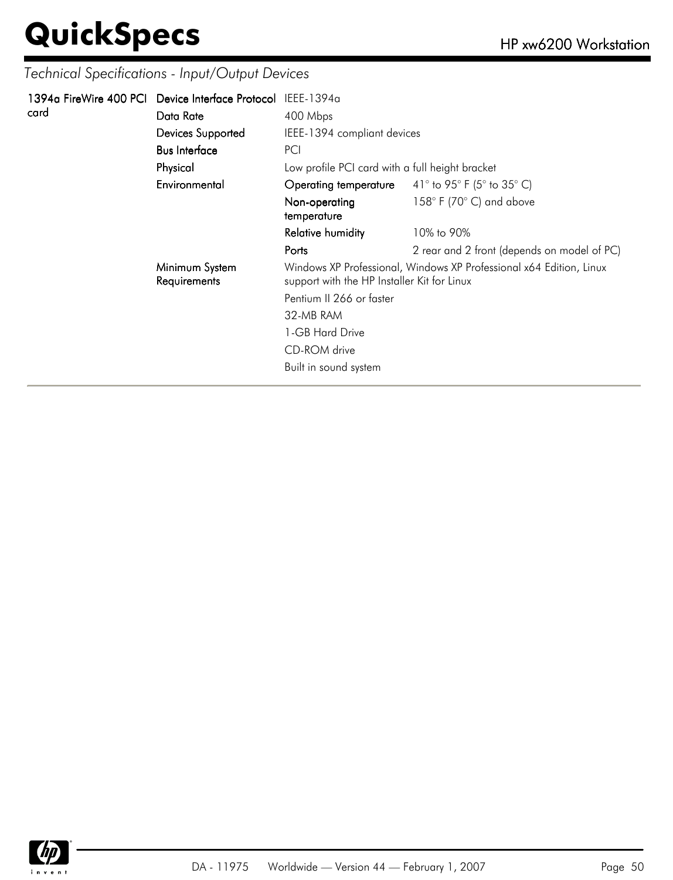|      | 1394a FireWire 400 PCI Device Interface Protocol IEEE-1394a |                                                                                                                    |                                             |
|------|-------------------------------------------------------------|--------------------------------------------------------------------------------------------------------------------|---------------------------------------------|
| card | Data Rate                                                   | 400 Mbps                                                                                                           |                                             |
|      | Devices Supported                                           | IEEE-1394 compliant devices                                                                                        |                                             |
|      | <b>Bus Interface</b>                                        | PCI                                                                                                                |                                             |
|      | Physical                                                    | Low profile PCI card with a full height bracket                                                                    |                                             |
|      | Environmental                                               | Operating temperature                                                                                              | 41° to 95° F (5° to 35° C)                  |
|      |                                                             | Non-operating<br>temperature                                                                                       | $158^{\circ}$ F (70 $^{\circ}$ C) and above |
|      |                                                             | <b>Relative humidity</b>                                                                                           | 10% to 90%                                  |
|      |                                                             | Ports                                                                                                              | 2 rear and 2 front (depends on model of PC) |
|      | Minimum System<br>Requirements                              | Windows XP Professional, Windows XP Professional x64 Edition, Linux<br>support with the HP Installer Kit for Linux |                                             |
|      |                                                             | Pentium II 266 or faster                                                                                           |                                             |
|      |                                                             | 32-MB RAM                                                                                                          |                                             |
|      |                                                             | 1-GB Hard Drive                                                                                                    |                                             |
|      |                                                             | CD-ROM drive                                                                                                       |                                             |
|      |                                                             | Built in sound system                                                                                              |                                             |
|      |                                                             |                                                                                                                    |                                             |

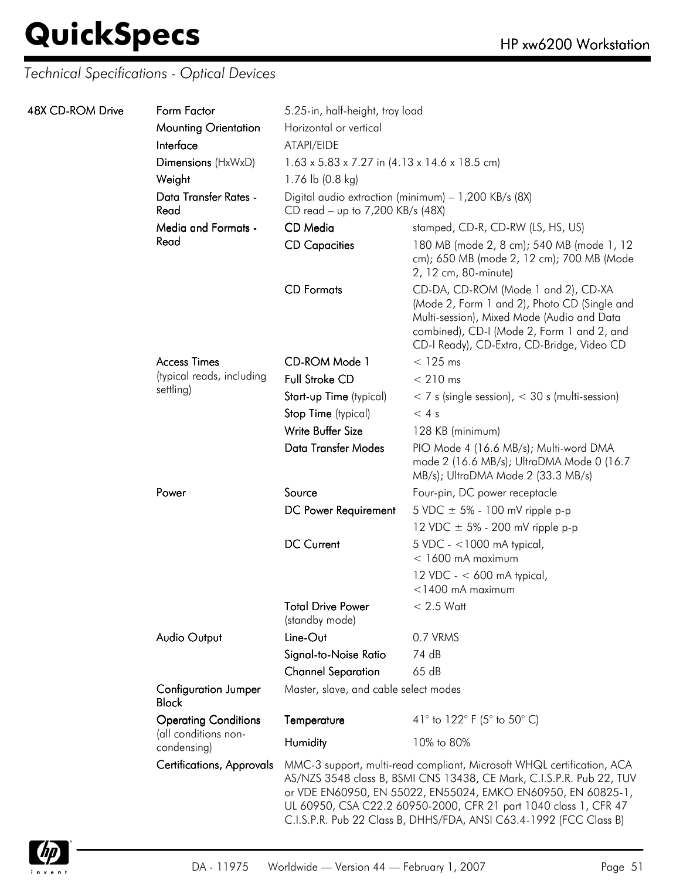| 48X CD-ROM Drive | Form Factor                                         | 5.25-in, half-height, tray load                                                          |                                                                                                                                                                                                                                                                                                                                                          |  |  |
|------------------|-----------------------------------------------------|------------------------------------------------------------------------------------------|----------------------------------------------------------------------------------------------------------------------------------------------------------------------------------------------------------------------------------------------------------------------------------------------------------------------------------------------------------|--|--|
|                  | <b>Mounting Orientation</b>                         | Horizontal or vertical                                                                   |                                                                                                                                                                                                                                                                                                                                                          |  |  |
|                  | Interface                                           | ATAPI/EIDE                                                                               |                                                                                                                                                                                                                                                                                                                                                          |  |  |
|                  | Dimensions (HxWxD)                                  | $1.63 \times 5.83 \times 7.27$ in $(4.13 \times 14.6 \times 18.5$ cm)                    |                                                                                                                                                                                                                                                                                                                                                          |  |  |
|                  | Weight                                              | 1.76 lb (0.8 kg)                                                                         |                                                                                                                                                                                                                                                                                                                                                          |  |  |
|                  | Data Transfer Rates -<br>Read                       | Digital audio extraction (minimum) - 1,200 KB/s (8X)<br>CD read - up to 7,200 KB/s (48X) |                                                                                                                                                                                                                                                                                                                                                          |  |  |
|                  | <b>Media and Formats -</b>                          | CD Media                                                                                 | stamped, CD-R, CD-RW (LS, HS, US)                                                                                                                                                                                                                                                                                                                        |  |  |
|                  | Read                                                | <b>CD Capacities</b>                                                                     | 180 MB (mode 2, 8 cm); 540 MB (mode 1, 12<br>cm); 650 MB (mode 2, 12 cm); 700 MB (Mode<br>2, 12 cm, 80-minute)                                                                                                                                                                                                                                           |  |  |
|                  |                                                     | <b>CD</b> Formats                                                                        | CD-DA, CD-ROM (Mode 1 and 2), CD-XA<br>(Mode 2, Form 1 and 2), Photo CD (Single and<br>Multi-session), Mixed Mode (Audio and Data<br>combined), CD-I (Mode 2, Form 1 and 2, and<br>CD-I Ready), CD-Extra, CD-Bridge, Video CD                                                                                                                            |  |  |
|                  | <b>Access Times</b>                                 | CD-ROM Mode 1                                                                            | $<$ 125 ms                                                                                                                                                                                                                                                                                                                                               |  |  |
|                  | (typical reads, including                           | <b>Full Stroke CD</b>                                                                    | $< 210$ ms                                                                                                                                                                                                                                                                                                                                               |  |  |
|                  | settling)                                           | Start-up Time (typical)                                                                  | $<$ 7 s (single session), $<$ 30 s (multi-session)                                                                                                                                                                                                                                                                                                       |  |  |
|                  |                                                     | Stop Time (typical)                                                                      | < 4s                                                                                                                                                                                                                                                                                                                                                     |  |  |
|                  |                                                     | Write Buffer Size                                                                        | 128 KB (minimum)                                                                                                                                                                                                                                                                                                                                         |  |  |
|                  |                                                     | Data Transfer Modes                                                                      | PIO Mode 4 (16.6 MB/s); Multi-word DMA<br>mode 2 (16.6 MB/s); UltraDMA Mode 0 (16.7<br>MB/s); UltraDMA Mode 2 (33.3 MB/s)                                                                                                                                                                                                                                |  |  |
|                  | Power                                               | Source                                                                                   | Four-pin, DC power receptacle                                                                                                                                                                                                                                                                                                                            |  |  |
|                  |                                                     | DC Power Requirement                                                                     | 5 VDC $\pm$ 5% - 100 mV ripple p-p                                                                                                                                                                                                                                                                                                                       |  |  |
|                  |                                                     |                                                                                          | 12 VDC $\pm$ 5% - 200 mV ripple p-p                                                                                                                                                                                                                                                                                                                      |  |  |
|                  |                                                     | <b>DC Current</b>                                                                        | $5$ VDC - <1000 mA typical,<br>$<$ 1600 mA maximum                                                                                                                                                                                                                                                                                                       |  |  |
|                  |                                                     |                                                                                          | 12 VDC - $<$ 600 mA typical,<br>$<$ 1400 mA maximum                                                                                                                                                                                                                                                                                                      |  |  |
|                  |                                                     | <b>Total Drive Power</b><br>(standby mode)                                               | $< 2.5$ Watt                                                                                                                                                                                                                                                                                                                                             |  |  |
|                  | <b>Audio Output</b>                                 | Line-Out                                                                                 | 0.7 VRMS                                                                                                                                                                                                                                                                                                                                                 |  |  |
|                  |                                                     | Signal-to-Noise Ratio                                                                    | 74 dB                                                                                                                                                                                                                                                                                                                                                    |  |  |
|                  |                                                     | <b>Channel Separation</b>                                                                | 65dB                                                                                                                                                                                                                                                                                                                                                     |  |  |
|                  | <b>Configuration Jumper</b><br><b>Block</b>         | Master, slave, and cable select modes                                                    |                                                                                                                                                                                                                                                                                                                                                          |  |  |
|                  | <b>Operating Conditions</b><br>(all conditions non- | Temperature                                                                              | 41° to 122° F (5° to 50° C)                                                                                                                                                                                                                                                                                                                              |  |  |
|                  | condensing)                                         | Humidity                                                                                 | 10% to 80%                                                                                                                                                                                                                                                                                                                                               |  |  |
|                  | <b>Certifications, Approvals</b>                    |                                                                                          | MMC-3 support, multi-read compliant, Microsoft WHQL certification, ACA<br>AS/NZS 3548 class B, BSMI CNS 13438, CE Mark, C.I.S.P.R. Pub 22, TUV<br>or VDE EN60950, EN 55022, EN55024, EMKO EN60950, EN 60825-1,<br>UL 60950, CSA C22.2 60950-2000, CFR 21 part 1040 class 1, CFR 47<br>C.I.S.P.R. Pub 22 Class B, DHHS/FDA, ANSI C63.4-1992 (FCC Class B) |  |  |

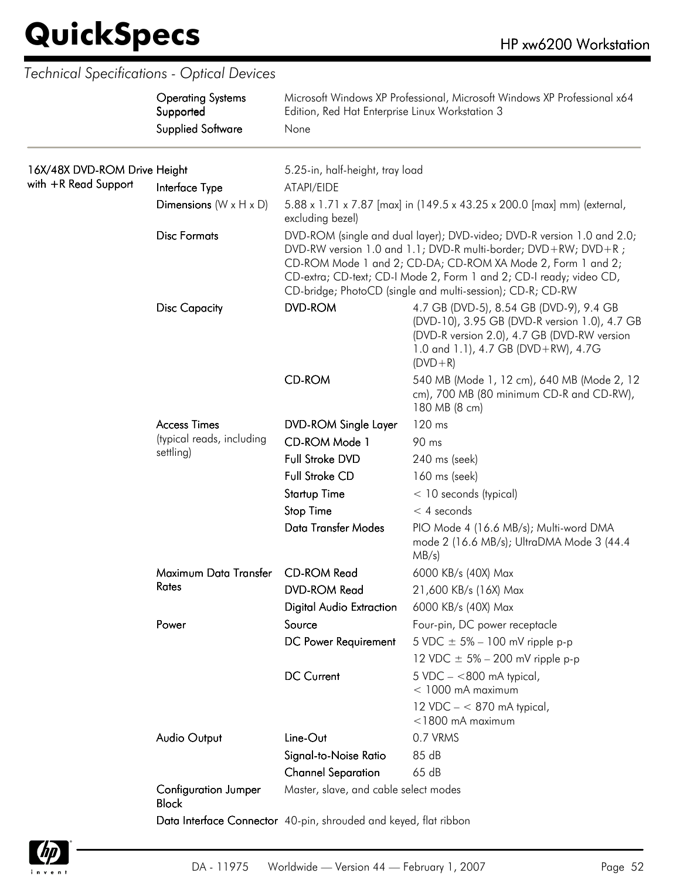$\overline{\phantom{a}}$ 

| <b>Supplied Software</b><br>16X/48X DVD-ROM Drive Height<br>5.25-in, half-height, tray load<br>with +R Read Support<br>Interface Type<br>ATAPI/EIDE<br>Dimensions $(W \times H \times D)$<br>5.88 x 1.71 x 7.87 [max] in (149.5 x 43.25 x 200.0 [max] mm) (external,<br>excluding bezel)<br><b>Disc Formats</b><br>DVD-ROM (single and dual layer); DVD-video; DVD-R version 1.0 and 2.0;<br>DVD-RW version 1.0 and 1.1; DVD-R multi-border; DVD+RW; DVD+R;<br>CD-ROM Mode 1 and 2; CD-DA; CD-ROM XA Mode 2, Form 1 and 2;<br>CD-extra; CD-text; CD-I Mode 2, Form 1 and 2; CD-I ready; video CD,<br>CD-bridge; PhotoCD (single and multi-session); CD-R; CD-RW<br><b>DVD-ROM</b><br>4.7 GB (DVD-5), 8.54 GB (DVD-9), 9.4 GB<br><b>Disc Capacity</b><br>(DVD-10), 3.95 GB (DVD-R version 1.0), 4.7 GB<br>(DVD-R version 2.0), 4.7 GB (DVD-RW version<br>1.0 and 1.1), 4.7 GB (DVD+RW), 4.7G<br>$(DVD + R)$<br><b>CD-ROM</b><br>540 MB (Mode 1, 12 cm), 640 MB (Mode 2, 12<br>cm), 700 MB (80 minimum CD-R and CD-RW),<br>180 MB (8 cm)<br>120 ms<br><b>Access Times</b><br><b>DVD-ROM Single Layer</b><br>(typical reads, including<br>CD-ROM Mode 1<br>90 ms<br>settling)<br>Full Stroke DVD<br>240 ms (seek)<br><b>Full Stroke CD</b><br>160 ms (seek)<br><b>Startup Time</b><br>$<$ 10 seconds (typical)<br><b>Stop Time</b><br>$<$ 4 seconds<br><b>Data Transfer Modes</b><br>PIO Mode 4 (16.6 MB/s); Multi-word DMA<br>mode 2 (16.6 MB/s); UltraDMA Mode 3 (44.4<br>MB/s)<br>Maximum Data Transfer<br><b>CD-ROM Read</b><br>6000 KB/s (40X) Max<br>Rates<br><b>DVD-ROM Read</b><br>21,600 KB/s (16X) Max<br><b>Digital Audio Extraction</b><br>6000 KB/s (40X) Max<br>Source<br>Power<br>Four-pin, DC power receptacle |  |
|-----------------------------------------------------------------------------------------------------------------------------------------------------------------------------------------------------------------------------------------------------------------------------------------------------------------------------------------------------------------------------------------------------------------------------------------------------------------------------------------------------------------------------------------------------------------------------------------------------------------------------------------------------------------------------------------------------------------------------------------------------------------------------------------------------------------------------------------------------------------------------------------------------------------------------------------------------------------------------------------------------------------------------------------------------------------------------------------------------------------------------------------------------------------------------------------------------------------------------------------------------------------------------------------------------------------------------------------------------------------------------------------------------------------------------------------------------------------------------------------------------------------------------------------------------------------------------------------------------------------------------------------------------------------------------------------------------------------------------|--|
|                                                                                                                                                                                                                                                                                                                                                                                                                                                                                                                                                                                                                                                                                                                                                                                                                                                                                                                                                                                                                                                                                                                                                                                                                                                                                                                                                                                                                                                                                                                                                                                                                                                                                                                             |  |
|                                                                                                                                                                                                                                                                                                                                                                                                                                                                                                                                                                                                                                                                                                                                                                                                                                                                                                                                                                                                                                                                                                                                                                                                                                                                                                                                                                                                                                                                                                                                                                                                                                                                                                                             |  |
|                                                                                                                                                                                                                                                                                                                                                                                                                                                                                                                                                                                                                                                                                                                                                                                                                                                                                                                                                                                                                                                                                                                                                                                                                                                                                                                                                                                                                                                                                                                                                                                                                                                                                                                             |  |
|                                                                                                                                                                                                                                                                                                                                                                                                                                                                                                                                                                                                                                                                                                                                                                                                                                                                                                                                                                                                                                                                                                                                                                                                                                                                                                                                                                                                                                                                                                                                                                                                                                                                                                                             |  |
|                                                                                                                                                                                                                                                                                                                                                                                                                                                                                                                                                                                                                                                                                                                                                                                                                                                                                                                                                                                                                                                                                                                                                                                                                                                                                                                                                                                                                                                                                                                                                                                                                                                                                                                             |  |
|                                                                                                                                                                                                                                                                                                                                                                                                                                                                                                                                                                                                                                                                                                                                                                                                                                                                                                                                                                                                                                                                                                                                                                                                                                                                                                                                                                                                                                                                                                                                                                                                                                                                                                                             |  |
|                                                                                                                                                                                                                                                                                                                                                                                                                                                                                                                                                                                                                                                                                                                                                                                                                                                                                                                                                                                                                                                                                                                                                                                                                                                                                                                                                                                                                                                                                                                                                                                                                                                                                                                             |  |
|                                                                                                                                                                                                                                                                                                                                                                                                                                                                                                                                                                                                                                                                                                                                                                                                                                                                                                                                                                                                                                                                                                                                                                                                                                                                                                                                                                                                                                                                                                                                                                                                                                                                                                                             |  |
|                                                                                                                                                                                                                                                                                                                                                                                                                                                                                                                                                                                                                                                                                                                                                                                                                                                                                                                                                                                                                                                                                                                                                                                                                                                                                                                                                                                                                                                                                                                                                                                                                                                                                                                             |  |
|                                                                                                                                                                                                                                                                                                                                                                                                                                                                                                                                                                                                                                                                                                                                                                                                                                                                                                                                                                                                                                                                                                                                                                                                                                                                                                                                                                                                                                                                                                                                                                                                                                                                                                                             |  |
|                                                                                                                                                                                                                                                                                                                                                                                                                                                                                                                                                                                                                                                                                                                                                                                                                                                                                                                                                                                                                                                                                                                                                                                                                                                                                                                                                                                                                                                                                                                                                                                                                                                                                                                             |  |
|                                                                                                                                                                                                                                                                                                                                                                                                                                                                                                                                                                                                                                                                                                                                                                                                                                                                                                                                                                                                                                                                                                                                                                                                                                                                                                                                                                                                                                                                                                                                                                                                                                                                                                                             |  |
|                                                                                                                                                                                                                                                                                                                                                                                                                                                                                                                                                                                                                                                                                                                                                                                                                                                                                                                                                                                                                                                                                                                                                                                                                                                                                                                                                                                                                                                                                                                                                                                                                                                                                                                             |  |
|                                                                                                                                                                                                                                                                                                                                                                                                                                                                                                                                                                                                                                                                                                                                                                                                                                                                                                                                                                                                                                                                                                                                                                                                                                                                                                                                                                                                                                                                                                                                                                                                                                                                                                                             |  |
|                                                                                                                                                                                                                                                                                                                                                                                                                                                                                                                                                                                                                                                                                                                                                                                                                                                                                                                                                                                                                                                                                                                                                                                                                                                                                                                                                                                                                                                                                                                                                                                                                                                                                                                             |  |
|                                                                                                                                                                                                                                                                                                                                                                                                                                                                                                                                                                                                                                                                                                                                                                                                                                                                                                                                                                                                                                                                                                                                                                                                                                                                                                                                                                                                                                                                                                                                                                                                                                                                                                                             |  |
|                                                                                                                                                                                                                                                                                                                                                                                                                                                                                                                                                                                                                                                                                                                                                                                                                                                                                                                                                                                                                                                                                                                                                                                                                                                                                                                                                                                                                                                                                                                                                                                                                                                                                                                             |  |
|                                                                                                                                                                                                                                                                                                                                                                                                                                                                                                                                                                                                                                                                                                                                                                                                                                                                                                                                                                                                                                                                                                                                                                                                                                                                                                                                                                                                                                                                                                                                                                                                                                                                                                                             |  |
| DC Power Requirement<br>5 VDC $\pm$ 5% – 100 mV ripple p-p                                                                                                                                                                                                                                                                                                                                                                                                                                                                                                                                                                                                                                                                                                                                                                                                                                                                                                                                                                                                                                                                                                                                                                                                                                                                                                                                                                                                                                                                                                                                                                                                                                                                  |  |
| 12 VDC $\pm$ 5% – 200 mV ripple p-p                                                                                                                                                                                                                                                                                                                                                                                                                                                                                                                                                                                                                                                                                                                                                                                                                                                                                                                                                                                                                                                                                                                                                                                                                                                                                                                                                                                                                                                                                                                                                                                                                                                                                         |  |
| <b>DC Current</b><br>$5$ VDC $-$ <800 mA typical,<br>$<$ 1000 mA maximum                                                                                                                                                                                                                                                                                                                                                                                                                                                                                                                                                                                                                                                                                                                                                                                                                                                                                                                                                                                                                                                                                                                                                                                                                                                                                                                                                                                                                                                                                                                                                                                                                                                    |  |
| 12 VDC $- < 870$ mA typical,<br>$<$ 1800 mA maximum                                                                                                                                                                                                                                                                                                                                                                                                                                                                                                                                                                                                                                                                                                                                                                                                                                                                                                                                                                                                                                                                                                                                                                                                                                                                                                                                                                                                                                                                                                                                                                                                                                                                         |  |
| 0.7 VRMS<br><b>Audio Output</b><br>Line-Out                                                                                                                                                                                                                                                                                                                                                                                                                                                                                                                                                                                                                                                                                                                                                                                                                                                                                                                                                                                                                                                                                                                                                                                                                                                                                                                                                                                                                                                                                                                                                                                                                                                                                 |  |
| 85 dB<br>Signal-to-Noise Ratio                                                                                                                                                                                                                                                                                                                                                                                                                                                                                                                                                                                                                                                                                                                                                                                                                                                                                                                                                                                                                                                                                                                                                                                                                                                                                                                                                                                                                                                                                                                                                                                                                                                                                              |  |
| 65 dB<br><b>Channel Separation</b>                                                                                                                                                                                                                                                                                                                                                                                                                                                                                                                                                                                                                                                                                                                                                                                                                                                                                                                                                                                                                                                                                                                                                                                                                                                                                                                                                                                                                                                                                                                                                                                                                                                                                          |  |
| Master, slave, and cable select modes<br><b>Configuration Jumper</b><br><b>Block</b>                                                                                                                                                                                                                                                                                                                                                                                                                                                                                                                                                                                                                                                                                                                                                                                                                                                                                                                                                                                                                                                                                                                                                                                                                                                                                                                                                                                                                                                                                                                                                                                                                                        |  |
| Data Interface Connector 40-pin, shrouded and keyed, flat ribbon                                                                                                                                                                                                                                                                                                                                                                                                                                                                                                                                                                                                                                                                                                                                                                                                                                                                                                                                                                                                                                                                                                                                                                                                                                                                                                                                                                                                                                                                                                                                                                                                                                                            |  |

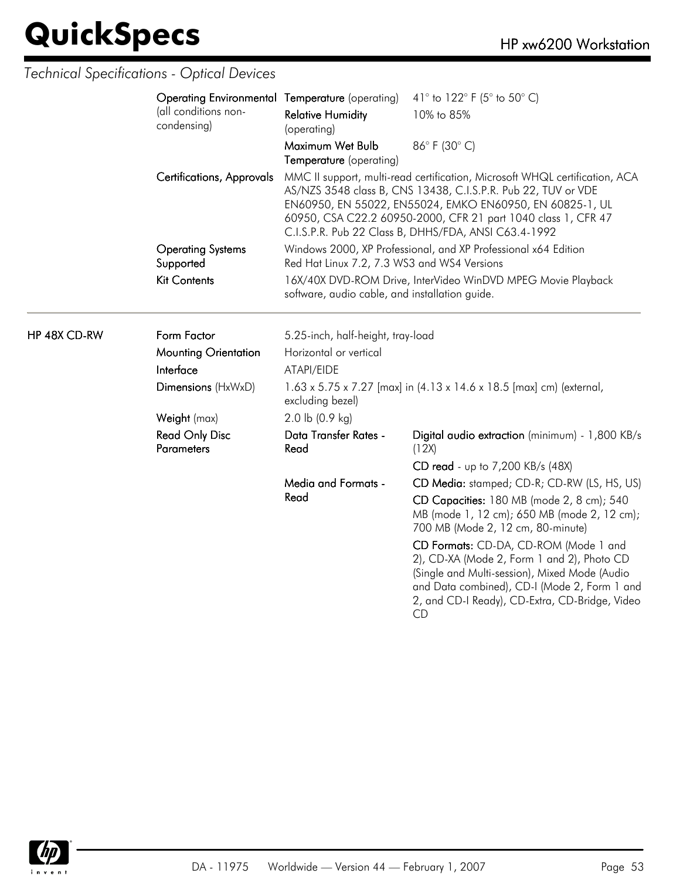HP 48X CD-RW

| Operating Environmental Temperature (operating) |                                                                                                                | 41° to 122° F (5° to 50° C)                                                                                                                                                                                                                                                                                                       |
|-------------------------------------------------|----------------------------------------------------------------------------------------------------------------|-----------------------------------------------------------------------------------------------------------------------------------------------------------------------------------------------------------------------------------------------------------------------------------------------------------------------------------|
| (all conditions non-<br>condensing)             | <b>Relative Humidity</b><br>(operating)                                                                        | 10% to 85%                                                                                                                                                                                                                                                                                                                        |
|                                                 | Maximum Wet Bulb<br>Temperature (operating)                                                                    | 86°F (30°C)                                                                                                                                                                                                                                                                                                                       |
| Certifications, Approvals                       |                                                                                                                | MMC II support, multi-read certification, Microsoft WHQL certification, ACA<br>AS/NZS 3548 class B, CNS 13438, C.I.S.P.R. Pub 22, TUV or VDE<br>EN60950, EN 55022, EN55024, EMKO EN60950, EN 60825-1, UL<br>60950, CSA C22.2 60950-2000, CFR 21 part 1040 class 1, CFR 47<br>C.I.S.P.R. Pub 22 Class B, DHHS/FDA, ANSI C63.4-1992 |
| <b>Operating Systems</b><br>Supported           | Red Hat Linux 7.2, 7.3 WS3 and WS4 Versions                                                                    | Windows 2000, XP Professional, and XP Professional x64 Edition                                                                                                                                                                                                                                                                    |
| <b>Kit Contents</b>                             | 16X/40X DVD-ROM Drive, InterVideo WinDVD MPEG Movie Playback<br>software, audio cable, and installation guide. |                                                                                                                                                                                                                                                                                                                                   |
| Form Factor                                     | 5.25-inch, half-height, tray-load                                                                              |                                                                                                                                                                                                                                                                                                                                   |
| <b>Mounting Orientation</b>                     | Horizontal or vertical                                                                                         |                                                                                                                                                                                                                                                                                                                                   |
| Interface                                       | ATAPI/EIDE                                                                                                     |                                                                                                                                                                                                                                                                                                                                   |
| Dimensions (HxWxD)                              | excluding bezel)                                                                                               | 1.63 x 5.75 x 7.27 [max] in (4.13 x 14.6 x 18.5 [max] cm) (external,                                                                                                                                                                                                                                                              |
| Weight (max)                                    | 2.0 lb $(0.9 \text{ kg})$                                                                                      |                                                                                                                                                                                                                                                                                                                                   |
| <b>Read Only Disc</b><br><b>Parameters</b>      | Data Transfer Rates -<br>Read                                                                                  | Digital audio extraction (minimum) - 1,800 KB/s<br>(12X)                                                                                                                                                                                                                                                                          |
|                                                 |                                                                                                                | CD read - up to 7,200 KB/s (48X)                                                                                                                                                                                                                                                                                                  |
|                                                 | Media and Formats -                                                                                            | CD Media: stamped; CD-R; CD-RW (LS, HS, US)                                                                                                                                                                                                                                                                                       |
|                                                 | Read                                                                                                           | CD Capacities: 180 MB (mode 2, 8 cm); 540<br>MB (mode 1, 12 cm); 650 MB (mode 2, 12 cm);<br>700 MB (Mode 2, 12 cm, 80-minute)                                                                                                                                                                                                     |
|                                                 |                                                                                                                | CD Formats: CD-DA, CD-ROM (Mode 1 and<br>2), CD-XA (Mode 2, Form 1 and 2), Photo CD<br>(Single and Multi-session), Mixed Mode (Audio<br>and Data combined), CD-I (Mode 2, Form 1 and<br>2, and CD-I Ready), CD-Extra, CD-Bridge, Video<br><b>CD</b>                                                                               |

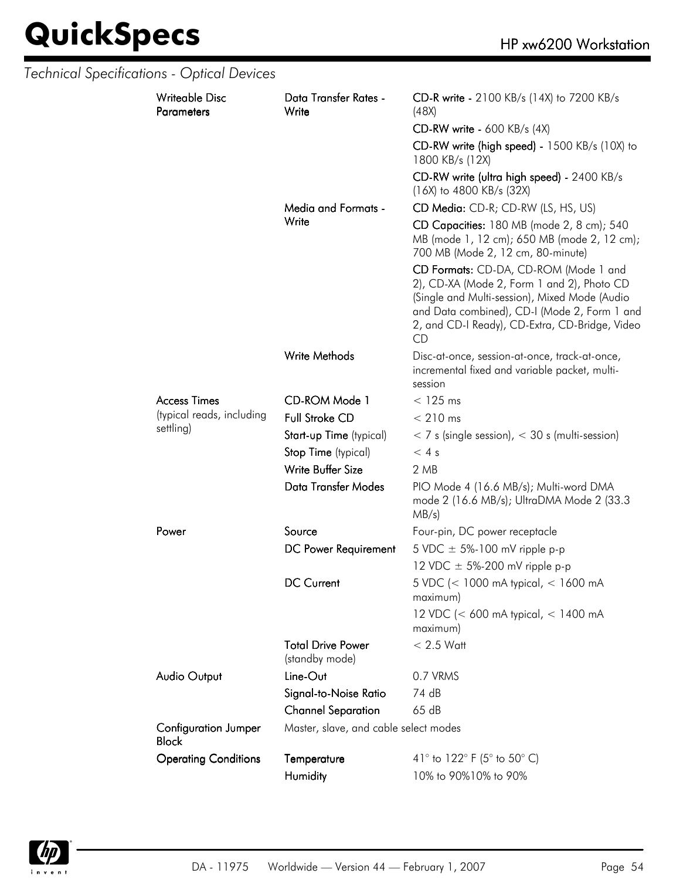|  | Technical Specifications - Optical Devices  |                                            |                                                                                                                                                                                                                                              |
|--|---------------------------------------------|--------------------------------------------|----------------------------------------------------------------------------------------------------------------------------------------------------------------------------------------------------------------------------------------------|
|  | <b>Writeable Disc</b><br><b>Parameters</b>  | Data Transfer Rates -<br>Write             | CD-R write - 2100 KB/s (14X) to 7200 KB/s<br>(48X)                                                                                                                                                                                           |
|  |                                             |                                            | <b>CD-RW write - 600 KB/s (4X)</b>                                                                                                                                                                                                           |
|  |                                             |                                            | CD-RW write (high speed) - 1500 KB/s (10X) to<br>1800 KB/s (12X)                                                                                                                                                                             |
|  |                                             |                                            | CD-RW write (ultra high speed) - 2400 KB/s<br>(16X) to 4800 KB/s (32X)                                                                                                                                                                       |
|  |                                             | Media and Formats -                        | CD Media: CD-R; CD-RW (LS, HS, US)                                                                                                                                                                                                           |
|  |                                             | Write                                      | CD Capacities: 180 MB (mode 2, 8 cm); 540<br>MB (mode 1, 12 cm); 650 MB (mode 2, 12 cm);<br>700 MB (Mode 2, 12 cm, 80-minute)                                                                                                                |
|  |                                             |                                            | CD Formats: CD-DA, CD-ROM (Mode 1 and<br>2), CD-XA (Mode 2, Form 1 and 2), Photo CD<br>(Single and Multi-session), Mixed Mode (Audio<br>and Data combined), CD-I (Mode 2, Form 1 and<br>2, and CD-I Ready), CD-Extra, CD-Bridge, Video<br>CD |
|  |                                             | Write Methods                              | Disc-at-once, session-at-once, track-at-once,<br>incremental fixed and variable packet, multi-<br>session                                                                                                                                    |
|  | <b>Access Times</b>                         | CD-ROM Mode 1                              | $<$ 125 ms                                                                                                                                                                                                                                   |
|  | (typical reads, including<br>settling)      | <b>Full Stroke CD</b>                      | $< 210$ ms                                                                                                                                                                                                                                   |
|  |                                             | Start-up Time (typical)                    | $<$ 7 s (single session), $<$ 30 s (multi-session)                                                                                                                                                                                           |
|  |                                             | Stop Time (typical)                        | < 4s                                                                                                                                                                                                                                         |
|  |                                             | Write Buffer Size                          | 2 MB                                                                                                                                                                                                                                         |
|  |                                             | <b>Data Transfer Modes</b>                 | PIO Mode 4 (16.6 MB/s); Multi-word DMA<br>mode 2 (16.6 MB/s); UltraDMA Mode 2 (33.3<br>$MB/s$ )                                                                                                                                              |
|  | Power                                       | Source                                     | Four-pin, DC power receptacle                                                                                                                                                                                                                |
|  |                                             | DC Power Requirement                       | 5 VDC $\pm$ 5%-100 mV ripple p-p                                                                                                                                                                                                             |
|  |                                             |                                            | 12 VDC $\pm$ 5%-200 mV ripple p-p                                                                                                                                                                                                            |
|  |                                             | <b>DC Current</b>                          | 5 VDC (< 1000 mA typical, < 1600 mA<br>maximum)                                                                                                                                                                                              |
|  |                                             |                                            | 12 VDC (< 600 mA typical, < 1400 mA<br>maximum)                                                                                                                                                                                              |
|  |                                             | <b>Total Drive Power</b><br>(standby mode) | $< 2.5$ Watt                                                                                                                                                                                                                                 |
|  | Audio Output                                | Line-Out                                   | 0.7 VRMS                                                                                                                                                                                                                                     |
|  |                                             | Signal-to-Noise Ratio                      | 74 dB                                                                                                                                                                                                                                        |
|  |                                             | <b>Channel Separation</b>                  | 65 dB                                                                                                                                                                                                                                        |
|  | <b>Configuration Jumper</b><br><b>Block</b> | Master, slave, and cable select modes      |                                                                                                                                                                                                                                              |
|  | <b>Operating Conditions</b>                 | Temperature                                | 41° to 122° F (5° to 50° C)                                                                                                                                                                                                                  |
|  |                                             | Humidity                                   | 10% to 90%10% to 90%                                                                                                                                                                                                                         |

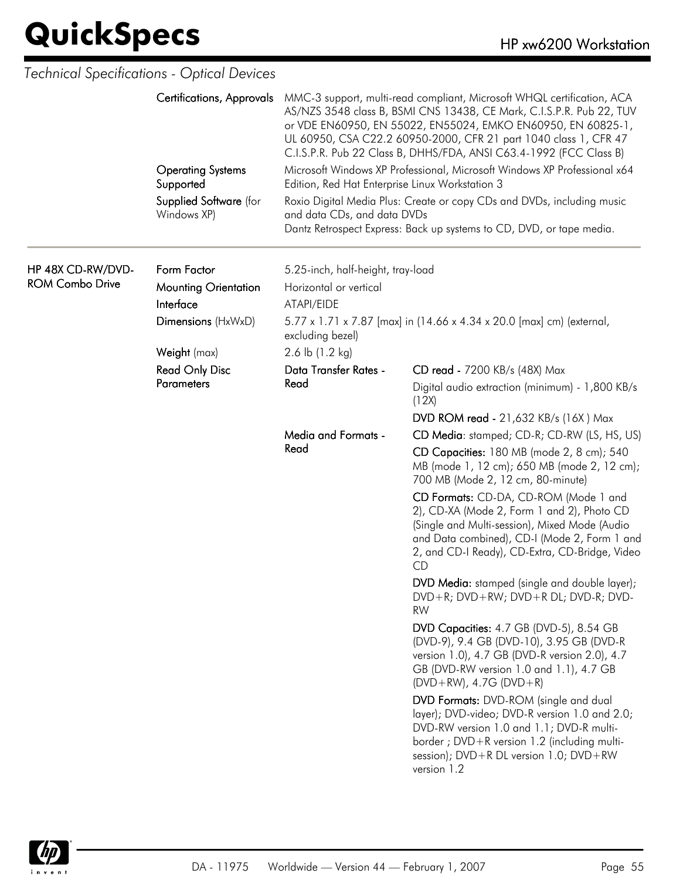|                                       | <b>Technical Specifications - Optical Devices</b> |                                                                                           |                                                                                                                                                                                                                                                                                                                                                          |
|---------------------------------------|---------------------------------------------------|-------------------------------------------------------------------------------------------|----------------------------------------------------------------------------------------------------------------------------------------------------------------------------------------------------------------------------------------------------------------------------------------------------------------------------------------------------------|
|                                       | <b>Certifications, Approvals</b>                  |                                                                                           | MMC-3 support, multi-read compliant, Microsoft WHQL certification, ACA<br>AS/NZS 3548 class B, BSMI CNS 13438, CE Mark, C.I.S.P.R. Pub 22, TUV<br>or VDE EN60950, EN 55022, EN55024, EMKO EN60950, EN 60825-1,<br>UL 60950, CSA C22.2 60950-2000, CFR 21 part 1040 class 1, CFR 47<br>C.I.S.P.R. Pub 22 Class B, DHHS/FDA, ANSI C63.4-1992 (FCC Class B) |
| <b>Operating Systems</b><br>Supported |                                                   | Edition, Red Hat Enterprise Linux Workstation 3                                           | Microsoft Windows XP Professional, Microsoft Windows XP Professional x64                                                                                                                                                                                                                                                                                 |
|                                       | Supplied Software (for<br>Windows XP)             | and data CDs, and data DVDs                                                               | Roxio Digital Media Plus: Create or copy CDs and DVDs, including music<br>Dantz Retrospect Express: Back up systems to CD, DVD, or tape media.                                                                                                                                                                                                           |
| HP 48X CD-RW/DVD-                     | Form Factor                                       | 5.25-inch, half-height, tray-load                                                         |                                                                                                                                                                                                                                                                                                                                                          |
| <b>ROM Combo Drive</b>                | <b>Mounting Orientation</b>                       | Horizontal or vertical                                                                    |                                                                                                                                                                                                                                                                                                                                                          |
|                                       | Interface                                         | ATAPI/EIDE                                                                                |                                                                                                                                                                                                                                                                                                                                                          |
|                                       | Dimensions (HxWxD)                                | 5.77 x 1.71 x 7.87 [max] in (14.66 x 4.34 x 20.0 [max] cm) (external,<br>excluding bezel) |                                                                                                                                                                                                                                                                                                                                                          |
|                                       | Weight (max)                                      | 2.6 lb (1.2 kg)                                                                           |                                                                                                                                                                                                                                                                                                                                                          |
|                                       | <b>Read Only Disc</b>                             | Data Transfer Rates -                                                                     | CD read - 7200 KB/s (48X) Max                                                                                                                                                                                                                                                                                                                            |
|                                       | <b>Parameters</b>                                 | Read                                                                                      | Digital audio extraction (minimum) - 1,800 KB/s<br>(12X)                                                                                                                                                                                                                                                                                                 |
|                                       |                                                   |                                                                                           | <b>DVD ROM read - 21,632 KB/s (16X) Max</b>                                                                                                                                                                                                                                                                                                              |
|                                       |                                                   | <b>Media and Formats -</b>                                                                | CD Media: stamped; CD-R; CD-RW (LS, HS, US)                                                                                                                                                                                                                                                                                                              |
|                                       |                                                   | Read                                                                                      | CD Capacities: 180 MB (mode 2, 8 cm); 540<br>MB (mode 1, 12 cm); 650 MB (mode 2, 12 cm);<br>700 MB (Mode 2, 12 cm, 80-minute)                                                                                                                                                                                                                            |
|                                       |                                                   |                                                                                           | CD Formats: CD-DA, CD-ROM (Mode 1 and<br>2), CD-XA (Mode 2, Form 1 and 2), Photo CD<br>(Single and Multi-session), Mixed Mode (Audio<br>and Data combined), CD-I (Mode 2, Form 1 and<br>2, and CD-I Ready), CD-Extra, CD-Bridge, Video<br>CD                                                                                                             |
|                                       |                                                   |                                                                                           | DVD Media: stamped (single and double layer);<br>DVD+R; DVD+RW; DVD+R DL; DVD-R; DVD-<br><b>RW</b>                                                                                                                                                                                                                                                       |
|                                       |                                                   |                                                                                           | DVD Capacities: 4.7 GB (DVD-5), 8.54 GB<br>(DVD-9), 9.4 GB (DVD-10), 3.95 GB (DVD-R<br>version 1.0), 4.7 GB (DVD-R version 2.0), 4.7<br>GB (DVD-RW version 1.0 and 1.1), 4.7 GB<br>$(DVD+RW)$ , 4.7G $(DVD+R)$                                                                                                                                           |
|                                       |                                                   |                                                                                           | DVD Formats: DVD-ROM (single and dual<br>layer); DVD-video; DVD-R version 1.0 and 2.0;<br>DVD-RW version 1.0 and 1.1; DVD-R multi-<br>border; DVD+R version 1.2 (including multi-<br>session); DVD+R DL version 1.0; DVD+RW<br>version 1.2                                                                                                               |

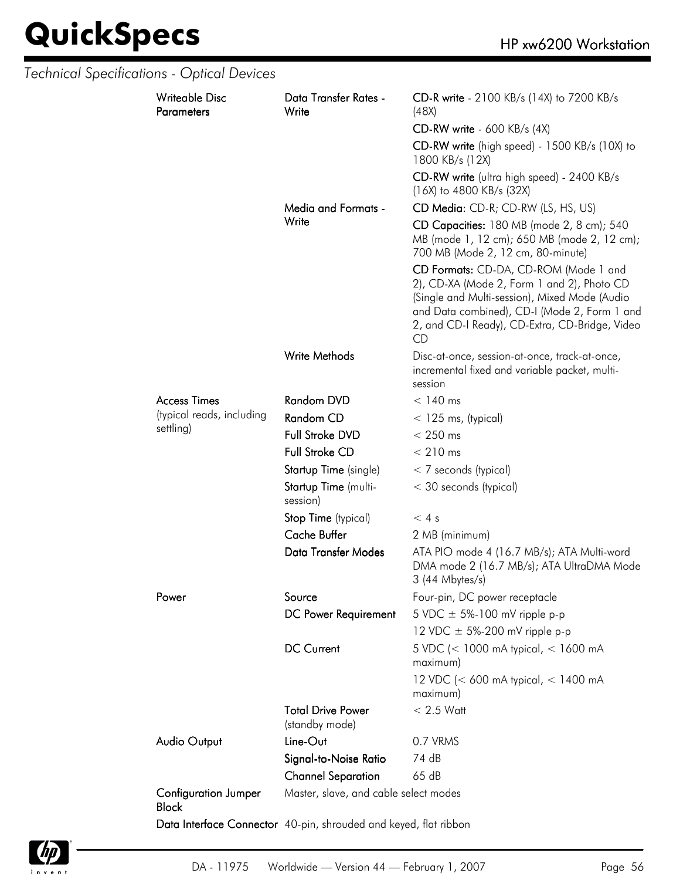|  | Technical Specifications - Optical Devices  |                                                                  |                                                                                                                                                                                                                                              |
|--|---------------------------------------------|------------------------------------------------------------------|----------------------------------------------------------------------------------------------------------------------------------------------------------------------------------------------------------------------------------------------|
|  | <b>Writeable Disc</b><br><b>Parameters</b>  | Data Transfer Rates -<br>Write                                   | CD-R write - 2100 KB/s (14X) to 7200 KB/s<br>(48X)                                                                                                                                                                                           |
|  |                                             |                                                                  | $CD-RW$ write - 600 KB/s (4X)                                                                                                                                                                                                                |
|  |                                             |                                                                  | CD-RW write (high speed) - 1500 KB/s (10X) to<br>1800 KB/s (12X)                                                                                                                                                                             |
|  |                                             |                                                                  | CD-RW write (ultra high speed) - 2400 KB/s<br>$(16X)$ to 4800 KB/s $(32X)$                                                                                                                                                                   |
|  |                                             | Media and Formats -                                              | CD Media: CD-R; CD-RW (LS, HS, US)                                                                                                                                                                                                           |
|  |                                             | Write                                                            | CD Capacities: 180 MB (mode 2, 8 cm); 540<br>MB (mode 1, 12 cm); 650 MB (mode 2, 12 cm);<br>700 MB (Mode 2, 12 cm, 80-minute)                                                                                                                |
|  |                                             |                                                                  | CD Formats: CD-DA, CD-ROM (Mode 1 and<br>2), CD-XA (Mode 2, Form 1 and 2), Photo CD<br>(Single and Multi-session), Mixed Mode (Audio<br>and Data combined), CD-I (Mode 2, Form 1 and<br>2, and CD-I Ready), CD-Extra, CD-Bridge, Video<br>CD |
|  |                                             | Write Methods                                                    | Disc-at-once, session-at-once, track-at-once,<br>incremental fixed and variable packet, multi-<br>session                                                                                                                                    |
|  | <b>Access Times</b>                         | Random DVD                                                       | $< 140$ ms                                                                                                                                                                                                                                   |
|  | (typical reads, including                   | Random CD                                                        | $<$ 125 ms, (typical)                                                                                                                                                                                                                        |
|  | settling)                                   | Full Stroke DVD                                                  | $< 250$ ms                                                                                                                                                                                                                                   |
|  |                                             | <b>Full Stroke CD</b>                                            | $< 210$ ms                                                                                                                                                                                                                                   |
|  |                                             | Startup Time (single)                                            | $<$ 7 seconds (typical)                                                                                                                                                                                                                      |
|  |                                             | Startup Time (multi-<br>session)                                 | < 30 seconds (typical)                                                                                                                                                                                                                       |
|  |                                             | Stop Time (typical)                                              | < 4s                                                                                                                                                                                                                                         |
|  |                                             | <b>Cache Buffer</b>                                              | 2 MB (minimum)                                                                                                                                                                                                                               |
|  |                                             | Data Transfer Modes                                              | ATA PIO mode 4 (16.7 MB/s); ATA Multi-word<br>DMA mode 2 (16.7 MB/s); ATA UltraDMA Mode<br>3 (44 Mbytes/s)                                                                                                                                   |
|  | Power                                       | Source                                                           | Four-pin, DC power receptacle                                                                                                                                                                                                                |
|  |                                             | DC Power Requirement                                             | 5 VDC $\pm$ 5%-100 mV ripple p-p                                                                                                                                                                                                             |
|  |                                             |                                                                  | 12 VDC $\pm$ 5%-200 mV ripple p-p                                                                                                                                                                                                            |
|  |                                             | <b>DC Current</b>                                                | 5 VDC (< 1000 mA typical, < 1600 mA<br>maximum)                                                                                                                                                                                              |
|  |                                             |                                                                  | 12 VDC (< 600 mA typical, < 1400 mA<br>maximum)                                                                                                                                                                                              |
|  |                                             | <b>Total Drive Power</b><br>(standby mode)                       | $< 2.5$ Watt                                                                                                                                                                                                                                 |
|  | Audio Output                                | Line-Out                                                         | 0.7 VRMS                                                                                                                                                                                                                                     |
|  |                                             | Signal-to-Noise Ratio                                            | 74 dB                                                                                                                                                                                                                                        |
|  |                                             | <b>Channel Separation</b>                                        | 65 dB                                                                                                                                                                                                                                        |
|  | <b>Configuration Jumper</b><br><b>Block</b> | Master, slave, and cable select modes                            |                                                                                                                                                                                                                                              |
|  |                                             | Data Interface Connector 40-pin, shrouded and keyed, flat ribbon |                                                                                                                                                                                                                                              |

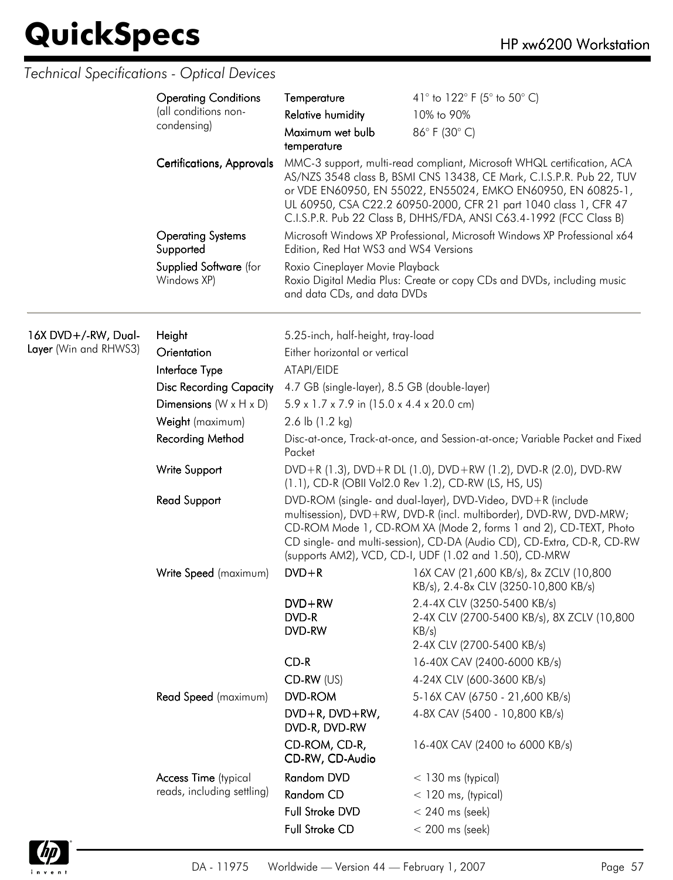|                       | <b>Operating Conditions</b>           | Temperature                                                                                                                                                                                                                                                                                                                               | 41° to 122° F (5° to 50° C)                                                                                                                                                                                                                                                                                                                              |  |
|-----------------------|---------------------------------------|-------------------------------------------------------------------------------------------------------------------------------------------------------------------------------------------------------------------------------------------------------------------------------------------------------------------------------------------|----------------------------------------------------------------------------------------------------------------------------------------------------------------------------------------------------------------------------------------------------------------------------------------------------------------------------------------------------------|--|
|                       | (all conditions non-<br>condensing)   | <b>Relative humidity</b>                                                                                                                                                                                                                                                                                                                  | 10% to 90%                                                                                                                                                                                                                                                                                                                                               |  |
|                       |                                       | Maximum wet bulb<br>temperature                                                                                                                                                                                                                                                                                                           | 86°F (30°C)                                                                                                                                                                                                                                                                                                                                              |  |
|                       | <b>Certifications, Approvals</b>      |                                                                                                                                                                                                                                                                                                                                           | MMC-3 support, multi-read compliant, Microsoft WHQL certification, ACA<br>AS/NZS 3548 class B, BSMI CNS 13438, CE Mark, C.I.S.P.R. Pub 22, TUV<br>or VDE EN60950, EN 55022, EN55024, EMKO EN60950, EN 60825-1,<br>UL 60950, CSA C22.2 60950-2000, CFR 21 part 1040 class 1, CFR 47<br>C.I.S.P.R. Pub 22 Class B, DHHS/FDA, ANSI C63.4-1992 (FCC Class B) |  |
|                       | <b>Operating Systems</b><br>Supported | Edition, Red Hat WS3 and WS4 Versions                                                                                                                                                                                                                                                                                                     | Microsoft Windows XP Professional, Microsoft Windows XP Professional x64                                                                                                                                                                                                                                                                                 |  |
|                       | Supplied Software (for<br>Windows XP) | Roxio Cineplayer Movie Playback<br>and data CDs, and data DVDs                                                                                                                                                                                                                                                                            | Roxio Digital Media Plus: Create or copy CDs and DVDs, including music                                                                                                                                                                                                                                                                                   |  |
| 16X DVD+/-RW, Dual-   | Height                                | 5.25-inch, half-height, tray-load                                                                                                                                                                                                                                                                                                         |                                                                                                                                                                                                                                                                                                                                                          |  |
| Layer (Win and RHWS3) | Orientation                           | Either horizontal or vertical                                                                                                                                                                                                                                                                                                             |                                                                                                                                                                                                                                                                                                                                                          |  |
|                       | Interface Type                        | ATAPI/EIDE                                                                                                                                                                                                                                                                                                                                |                                                                                                                                                                                                                                                                                                                                                          |  |
|                       | <b>Disc Recording Capacity</b>        | 4.7 GB (single-layer), 8.5 GB (double-layer)                                                                                                                                                                                                                                                                                              |                                                                                                                                                                                                                                                                                                                                                          |  |
|                       | Dimensions $(W \times H \times D)$    | 5.9 x 1.7 x 7.9 in (15.0 x 4.4 x 20.0 cm)                                                                                                                                                                                                                                                                                                 |                                                                                                                                                                                                                                                                                                                                                          |  |
|                       | Weight (maximum)                      | 2.6 lb $(1.2 \text{ kg})$                                                                                                                                                                                                                                                                                                                 |                                                                                                                                                                                                                                                                                                                                                          |  |
|                       | Recording Method                      | Disc-at-once, Track-at-once, and Session-at-once; Variable Packet and Fixed<br>Packet                                                                                                                                                                                                                                                     |                                                                                                                                                                                                                                                                                                                                                          |  |
|                       | Write Support                         | DVD+R (1.3), DVD+R DL (1.0), DVD+RW (1.2), DVD-R (2.0), DVD-RW<br>(1.1), CD-R (OBII Vol2.0 Rev 1.2), CD-RW (LS, HS, US)                                                                                                                                                                                                                   |                                                                                                                                                                                                                                                                                                                                                          |  |
|                       | <b>Read Support</b>                   | DVD-ROM (single- and dual-layer), DVD-Video, DVD+R (include<br>multisession), DVD+RW, DVD-R (incl. multiborder), DVD-RW, DVD-MRW;<br>CD-ROM Mode 1, CD-ROM XA (Mode 2, forms 1 and 2), CD-TEXT, Photo<br>CD single- and multi-session), CD-DA (Audio CD), CD-Extra, CD-R, CD-RW<br>(supports AM2), VCD, CD-I, UDF (1.02 and 1.50), CD-MRW |                                                                                                                                                                                                                                                                                                                                                          |  |
|                       | Write Speed (maximum)                 | $DVD + R$                                                                                                                                                                                                                                                                                                                                 | 16X CAV (21,600 KB/s), 8x ZCLV (10,800<br>KB/s), 2.4-8x CLV (3250-10,800 KB/s)                                                                                                                                                                                                                                                                           |  |
|                       |                                       | $DVD+RW$<br>DVD-R<br>DVD-RW                                                                                                                                                                                                                                                                                                               | 2.4-4X CLV (3250-5400 KB/s)<br>2-4X CLV (2700-5400 KB/s), 8X ZCLV (10,800<br>KB/s)                                                                                                                                                                                                                                                                       |  |
|                       |                                       | $CD-R$                                                                                                                                                                                                                                                                                                                                    | 2-4X CLV (2700-5400 KB/s)<br>16-40X CAV (2400-6000 KB/s)                                                                                                                                                                                                                                                                                                 |  |
|                       |                                       | $CD-RW$ (US)                                                                                                                                                                                                                                                                                                                              | 4-24X CLV (600-3600 KB/s)                                                                                                                                                                                                                                                                                                                                |  |
|                       | Read Speed (maximum)                  | <b>DVD-ROM</b>                                                                                                                                                                                                                                                                                                                            | 5-16X CAV (6750 - 21,600 KB/s)                                                                                                                                                                                                                                                                                                                           |  |
|                       |                                       | DVD+R, DVD+RW,<br>DVD-R, DVD-RW                                                                                                                                                                                                                                                                                                           | 4-8X CAV (5400 - 10,800 KB/s)                                                                                                                                                                                                                                                                                                                            |  |
|                       |                                       | CD-ROM, CD-R,<br>CD-RW, CD-Audio                                                                                                                                                                                                                                                                                                          | 16-40X CAV (2400 to 6000 KB/s)                                                                                                                                                                                                                                                                                                                           |  |
|                       | Access Time (typical                  | Random DVD                                                                                                                                                                                                                                                                                                                                | $<$ 130 ms (typical)                                                                                                                                                                                                                                                                                                                                     |  |
|                       | reads, including settling)            | Random CD                                                                                                                                                                                                                                                                                                                                 | $<$ 120 ms, (typical)                                                                                                                                                                                                                                                                                                                                    |  |
|                       |                                       | Full Stroke DVD                                                                                                                                                                                                                                                                                                                           | $< 240$ ms (seek)                                                                                                                                                                                                                                                                                                                                        |  |
|                       |                                       | Full Stroke CD                                                                                                                                                                                                                                                                                                                            | $< 200$ ms (seek)                                                                                                                                                                                                                                                                                                                                        |  |

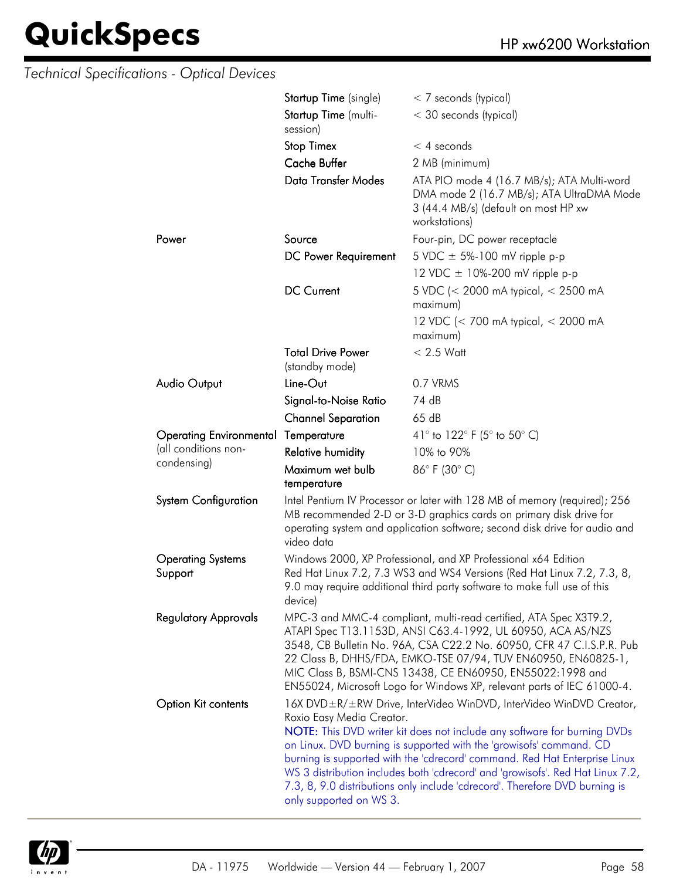| <b>Technical Specifications - Optical Devices</b> |                                                                                                                                                                                                                                                                                                                                                                                                                   |                                                                                                                                                                                                                                                                                                                                                                                                                                                                          |
|---------------------------------------------------|-------------------------------------------------------------------------------------------------------------------------------------------------------------------------------------------------------------------------------------------------------------------------------------------------------------------------------------------------------------------------------------------------------------------|--------------------------------------------------------------------------------------------------------------------------------------------------------------------------------------------------------------------------------------------------------------------------------------------------------------------------------------------------------------------------------------------------------------------------------------------------------------------------|
|                                                   | Startup Time (single)                                                                                                                                                                                                                                                                                                                                                                                             | < 7 seconds (typical)                                                                                                                                                                                                                                                                                                                                                                                                                                                    |
|                                                   | Startup Time (multi-<br>session)                                                                                                                                                                                                                                                                                                                                                                                  | < 30 seconds (typical)                                                                                                                                                                                                                                                                                                                                                                                                                                                   |
|                                                   | <b>Stop Timex</b>                                                                                                                                                                                                                                                                                                                                                                                                 | $<$ 4 seconds                                                                                                                                                                                                                                                                                                                                                                                                                                                            |
|                                                   | Cache Buffer                                                                                                                                                                                                                                                                                                                                                                                                      | 2 MB (minimum)                                                                                                                                                                                                                                                                                                                                                                                                                                                           |
|                                                   | <b>Data Transfer Modes</b>                                                                                                                                                                                                                                                                                                                                                                                        | ATA PIO mode 4 (16.7 MB/s); ATA Multi-word<br>DMA mode 2 (16.7 MB/s); ATA UltraDMA Mode<br>3 (44.4 MB/s) (default on most HP xw<br>workstations)                                                                                                                                                                                                                                                                                                                         |
| Power                                             | Source                                                                                                                                                                                                                                                                                                                                                                                                            | Four-pin, DC power receptacle                                                                                                                                                                                                                                                                                                                                                                                                                                            |
|                                                   | DC Power Requirement                                                                                                                                                                                                                                                                                                                                                                                              | 5 VDC $\pm$ 5%-100 mV ripple p-p                                                                                                                                                                                                                                                                                                                                                                                                                                         |
|                                                   |                                                                                                                                                                                                                                                                                                                                                                                                                   | 12 VDC $\pm$ 10%-200 mV ripple p-p                                                                                                                                                                                                                                                                                                                                                                                                                                       |
|                                                   | <b>DC Current</b>                                                                                                                                                                                                                                                                                                                                                                                                 | 5 VDC (< 2000 mA typical, < 2500 mA<br>maximum)                                                                                                                                                                                                                                                                                                                                                                                                                          |
|                                                   |                                                                                                                                                                                                                                                                                                                                                                                                                   | 12 VDC (< 700 mA typical, < 2000 mA<br>maximum)                                                                                                                                                                                                                                                                                                                                                                                                                          |
|                                                   | <b>Total Drive Power</b><br>(standby mode)                                                                                                                                                                                                                                                                                                                                                                        | $< 2.5$ Watt                                                                                                                                                                                                                                                                                                                                                                                                                                                             |
| <b>Audio Output</b>                               | Line-Out                                                                                                                                                                                                                                                                                                                                                                                                          | 0.7 VRMS                                                                                                                                                                                                                                                                                                                                                                                                                                                                 |
|                                                   | Signal-to-Noise Ratio                                                                                                                                                                                                                                                                                                                                                                                             | 74 dB                                                                                                                                                                                                                                                                                                                                                                                                                                                                    |
|                                                   | <b>Channel Separation</b>                                                                                                                                                                                                                                                                                                                                                                                         | 65dB                                                                                                                                                                                                                                                                                                                                                                                                                                                                     |
| <b>Operating Environmental</b>                    | Temperature                                                                                                                                                                                                                                                                                                                                                                                                       | 41 $\degree$ to 122 $\degree$ F (5 $\degree$ to 50 $\degree$ C)                                                                                                                                                                                                                                                                                                                                                                                                          |
| (all conditions non-                              | <b>Relative humidity</b>                                                                                                                                                                                                                                                                                                                                                                                          | 10% to 90%                                                                                                                                                                                                                                                                                                                                                                                                                                                               |
| condensing)                                       | Maximum wet bulb<br>temperature                                                                                                                                                                                                                                                                                                                                                                                   | 86°F (30°C)                                                                                                                                                                                                                                                                                                                                                                                                                                                              |
| <b>System Configuration</b>                       | video data                                                                                                                                                                                                                                                                                                                                                                                                        | Intel Pentium IV Processor or later with 128 MB of memory (required); 256<br>MB recommended 2-D or 3-D graphics cards on primary disk drive for<br>operating system and application software; second disk drive for audio and                                                                                                                                                                                                                                            |
| <b>Operating Systems</b><br>Support               | Windows 2000, XP Professional, and XP Professional x64 Edition<br>Red Hat Linux 7.2, 7.3 WS3 and WS4 Versions (Red Hat Linux 7.2, 7.3, 8,<br>9.0 may require additional third party software to make full use of this<br>device)                                                                                                                                                                                  |                                                                                                                                                                                                                                                                                                                                                                                                                                                                          |
| <b>Regulatory Approvals</b>                       | MPC-3 and MMC-4 compliant, multi-read certified, ATA Spec X3T9.2,<br>ATAPI Spec T13.1153D, ANSI C63.4-1992, UL 60950, ACA AS/NZS<br>3548, CB Bulletin No. 96A, CSA C22.2 No. 60950, CFR 47 C.I.S.P.R. Pub<br>22 Class B, DHHS/FDA, EMKO-TSE 07/94, TUV EN60950, EN60825-1,<br>MIC Class B, BSMI-CNS 13438, CE EN60950, EN55022:1998 and<br>EN55024, Microsoft Logo for Windows XP, relevant parts of IEC 61000-4. |                                                                                                                                                                                                                                                                                                                                                                                                                                                                          |
| Option Kit contents                               | Roxio Easy Media Creator.<br>only supported on WS 3.                                                                                                                                                                                                                                                                                                                                                              | 16X DVD ± R/ ± RW Drive, InterVideo WinDVD, InterVideo WinDVD Creator,<br>NOTE: This DVD writer kit does not include any software for burning DVDs<br>on Linux. DVD burning is supported with the 'growisofs' command. CD<br>burning is supported with the 'cdrecord' command. Red Hat Enterprise Linux<br>WS 3 distribution includes both 'cdrecord' and 'growisofs'. Red Hat Linux 7.2,<br>7.3, 8, 9.0 distributions only include 'cdrecord'. Therefore DVD burning is |

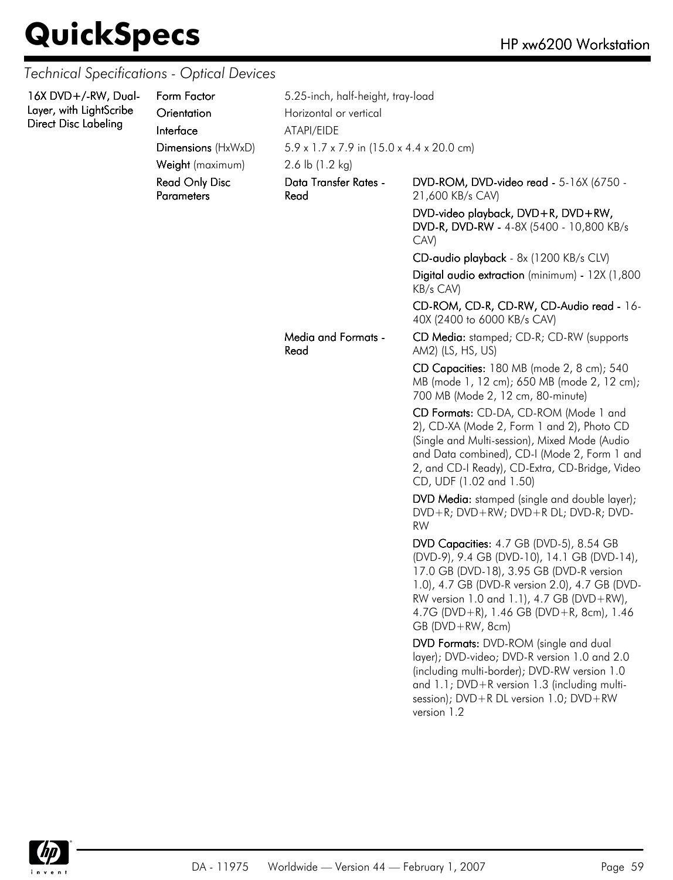| 16X DVD+/-RW, Dual-<br>Layer, with LightScribe<br>Direct Disc Labeling | Form Factor<br>Orientation<br>Interface    | 5.25-inch, half-height, tray-load<br>Horizontal or vertical<br>ATAPI/EIDE          |                                                                                                                                                                                                                                                                                                                                                                                                |  |
|------------------------------------------------------------------------|--------------------------------------------|------------------------------------------------------------------------------------|------------------------------------------------------------------------------------------------------------------------------------------------------------------------------------------------------------------------------------------------------------------------------------------------------------------------------------------------------------------------------------------------|--|
|                                                                        | Dimensions (HxWxD)<br>Weight (maximum)     | $5.9 \times 1.7 \times 7.9$ in (15.0 x 4.4 x 20.0 cm)<br>2.6 lb $(1.2 \text{ kg})$ |                                                                                                                                                                                                                                                                                                                                                                                                |  |
|                                                                        | <b>Read Only Disc</b><br><b>Parameters</b> | Data Transfer Rates -<br>Read                                                      | DVD-ROM, DVD-video read - 5-16X (6750 -<br>21,600 KB/s CAV)                                                                                                                                                                                                                                                                                                                                    |  |
|                                                                        |                                            |                                                                                    | DVD-video playback, DVD+R, DVD+RW,<br>DVD-R, DVD-RW - 4-8X (5400 - 10,800 KB/s<br>CAV)                                                                                                                                                                                                                                                                                                         |  |
|                                                                        |                                            |                                                                                    | CD-audio playback - 8x (1200 KB/s CLV)                                                                                                                                                                                                                                                                                                                                                         |  |
|                                                                        |                                            |                                                                                    | Digital audio extraction (minimum) - 12X (1,800<br>KB/s CAV)                                                                                                                                                                                                                                                                                                                                   |  |
|                                                                        |                                            |                                                                                    | CD-ROM, CD-R, CD-RW, CD-Audio read - 16-<br>40X (2400 to 6000 KB/s CAV)                                                                                                                                                                                                                                                                                                                        |  |
|                                                                        |                                            | Media and Formats -<br>Read                                                        | CD Media: stamped; CD-R; CD-RW (supports<br>AM2) (LS, HS, US)                                                                                                                                                                                                                                                                                                                                  |  |
|                                                                        |                                            |                                                                                    | CD Capacities: 180 MB (mode 2, 8 cm); 540<br>MB (mode 1, 12 cm); 650 MB (mode 2, 12 cm);<br>700 MB (Mode 2, 12 cm, 80-minute)                                                                                                                                                                                                                                                                  |  |
|                                                                        |                                            |                                                                                    | CD Formats: CD-DA, CD-ROM (Mode 1 and<br>2), CD-XA (Mode 2, Form 1 and 2), Photo CD<br>(Single and Multi-session), Mixed Mode (Audio<br>and Data combined), CD-I (Mode 2, Form 1 and<br>2, and CD-I Ready), CD-Extra, CD-Bridge, Video<br>CD, UDF (1.02 and 1.50)                                                                                                                              |  |
|                                                                        |                                            |                                                                                    | DVD Media: stamped (single and double layer);<br>DVD+R; DVD+RW; DVD+R DL; DVD-R; DVD-<br><b>RW</b>                                                                                                                                                                                                                                                                                             |  |
|                                                                        |                                            |                                                                                    | DVD Capacities: 4.7 GB (DVD-5), 8.54 GB<br>(DVD-9), 9.4 GB (DVD-10), 14.1 GB (DVD-14),<br>17.0 GB (DVD-18), 3.95 GB (DVD-R version<br>1.0), 4.7 GB (DVD-R version 2.0), 4.7 GB (DVD-<br>RW version 1.0 and 1.1), 4.7 GB (DVD+RW),<br>4.7G (DVD+R), 1.46 GB (DVD+R, 8cm), 1.46<br>$GB (DVD + RW, 8cm)$<br>DVD Formats: DVD-ROM (single and dual<br>layer); DVD-video; DVD-R version 1.0 and 2.0 |  |
|                                                                        |                                            |                                                                                    | (including multi-border); DVD-RW version 1.0<br>and 1.1; DVD+R version 1.3 (including multi-<br>session); DVD+R DL version 1.0; DVD+RW<br>version 1.2                                                                                                                                                                                                                                          |  |
|                                                                        |                                            |                                                                                    |                                                                                                                                                                                                                                                                                                                                                                                                |  |

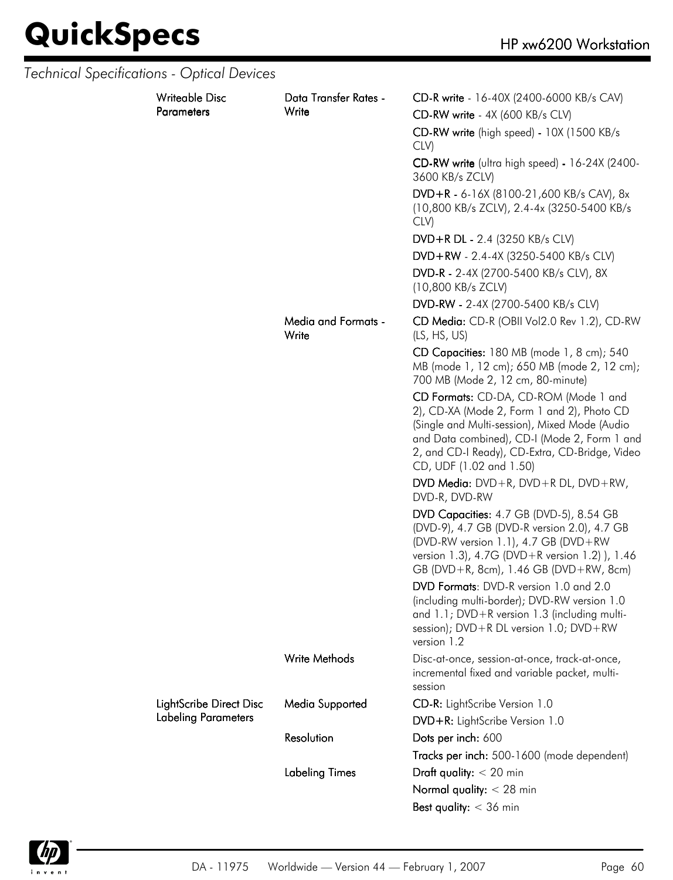| <b>Technical Specifications - Optical Devices</b> |                            |                                     |                                                                                                                                                                                                                                                                   |  |
|---------------------------------------------------|----------------------------|-------------------------------------|-------------------------------------------------------------------------------------------------------------------------------------------------------------------------------------------------------------------------------------------------------------------|--|
|                                                   | <b>Writeable Disc</b>      | Data Transfer Rates -               | CD-R write - 16-40X (2400-6000 KB/s CAV)                                                                                                                                                                                                                          |  |
|                                                   | <b>Parameters</b>          | Write                               | CD-RW write - 4X (600 KB/s CLV)                                                                                                                                                                                                                                   |  |
|                                                   |                            |                                     | CD-RW write (high speed) - 10X (1500 KB/s<br>CLV)                                                                                                                                                                                                                 |  |
|                                                   |                            |                                     | CD-RW write (ultra high speed) - 16-24X (2400-<br>3600 KB/s ZCLV)                                                                                                                                                                                                 |  |
|                                                   |                            |                                     | $DVD + R - 6 - 16X (8100 - 21,600 KB/s CAV), 8x$<br>(10,800 KB/s ZCLV), 2.4-4x (3250-5400 KB/s<br>CLV)                                                                                                                                                            |  |
|                                                   |                            |                                     | DVD+R DL - 2.4 (3250 KB/s CLV)                                                                                                                                                                                                                                    |  |
|                                                   |                            |                                     | DVD+RW - 2.4-4X (3250-5400 KB/s CLV)                                                                                                                                                                                                                              |  |
|                                                   |                            |                                     | DVD-R - 2-4X (2700-5400 KB/s CLV), 8X<br>(10,800 KB/s ZCLV)                                                                                                                                                                                                       |  |
|                                                   |                            |                                     | DVD-RW - 2-4X (2700-5400 KB/s CLV)                                                                                                                                                                                                                                |  |
|                                                   |                            | <b>Media and Formats -</b><br>Write | CD Media: CD-R (OBII Vol2.0 Rev 1.2), CD-RW<br>(LS, HS, US)                                                                                                                                                                                                       |  |
|                                                   |                            |                                     | CD Capacities: 180 MB (mode 1, 8 cm); 540<br>MB (mode 1, 12 cm); 650 MB (mode 2, 12 cm);<br>700 MB (Mode 2, 12 cm, 80-minute)                                                                                                                                     |  |
|                                                   |                            |                                     | CD Formats: CD-DA, CD-ROM (Mode 1 and<br>2), CD-XA (Mode 2, Form 1 and 2), Photo CD<br>(Single and Multi-session), Mixed Mode (Audio<br>and Data combined), CD-I (Mode 2, Form 1 and<br>2, and CD-I Ready), CD-Extra, CD-Bridge, Video<br>CD, UDF (1.02 and 1.50) |  |
|                                                   |                            |                                     | DVD Media: $DVD + R$ , $DVD + R DL$ , $DVD + RW$ ,<br>DVD-R, DVD-RW                                                                                                                                                                                               |  |
|                                                   |                            |                                     | DVD Capacities: 4.7 GB (DVD-5), 8.54 GB<br>(DVD-9), 4.7 GB (DVD-R version 2.0), 4.7 GB<br>(DVD-RW version 1.1), 4.7 GB (DVD+RW<br>version 1.3), 4.7G (DVD+R version 1.2)), 1.46<br>GB (DVD+R, 8cm), 1.46 GB (DVD+RW, 8cm)                                         |  |
|                                                   |                            |                                     | DVD Formats: DVD-R version 1.0 and 2.0<br>(including multi-border); DVD-RW version 1.0<br>and 1.1; DVD+R version 1.3 (including multi-<br>session); $DVD + R DL$ version 1.0; $DVD + RW$<br>version 1.2                                                           |  |
|                                                   |                            | <b>Write Methods</b>                | Disc-at-once, session-at-once, track-at-once,<br>incremental fixed and variable packet, multi-<br>session                                                                                                                                                         |  |
|                                                   | LightScribe Direct Disc    | Media Supported                     | CD-R: LightScribe Version 1.0                                                                                                                                                                                                                                     |  |
|                                                   | <b>Labeling Parameters</b> |                                     | DVD+R: LightScribe Version 1.0                                                                                                                                                                                                                                    |  |
|                                                   |                            | Resolution                          | Dots per inch: 600                                                                                                                                                                                                                                                |  |
|                                                   |                            |                                     | Tracks per inch: 500-1600 (mode dependent)                                                                                                                                                                                                                        |  |
|                                                   |                            | <b>Labeling Times</b>               | Draft quality: $<$ 20 min                                                                                                                                                                                                                                         |  |
|                                                   |                            | Normal quality: $<$ 28 min          |                                                                                                                                                                                                                                                                   |  |
|                                                   |                            |                                     | Best quality: $<$ 36 min                                                                                                                                                                                                                                          |  |

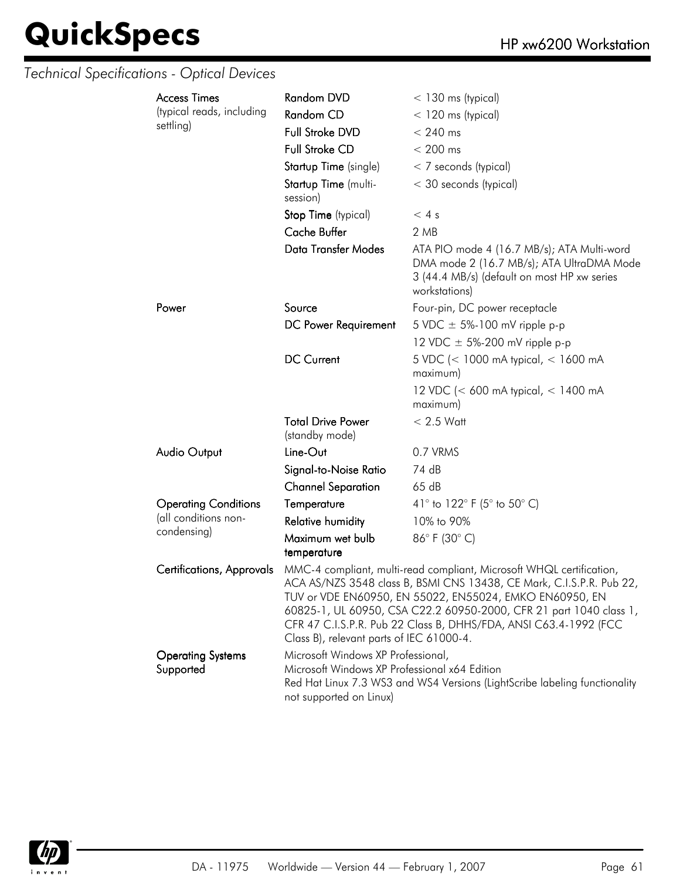| <b>Access Times</b>                   | <b>Random DVD</b>                                                                                                                                                                                                                                                                                                                                                                             | $<$ 130 ms (typical)                                                                                                                                    |
|---------------------------------------|-----------------------------------------------------------------------------------------------------------------------------------------------------------------------------------------------------------------------------------------------------------------------------------------------------------------------------------------------------------------------------------------------|---------------------------------------------------------------------------------------------------------------------------------------------------------|
| (typical reads, including             | Random CD                                                                                                                                                                                                                                                                                                                                                                                     | $<$ 120 ms (typical)                                                                                                                                    |
| settling)                             | Full Stroke DVD                                                                                                                                                                                                                                                                                                                                                                               | $< 240$ ms                                                                                                                                              |
|                                       | <b>Full Stroke CD</b>                                                                                                                                                                                                                                                                                                                                                                         | $< 200$ ms                                                                                                                                              |
|                                       | Startup Time (single)                                                                                                                                                                                                                                                                                                                                                                         | < 7 seconds (typical)                                                                                                                                   |
|                                       | Startup Time (multi-<br>session)                                                                                                                                                                                                                                                                                                                                                              | < 30 seconds (typical)                                                                                                                                  |
|                                       | Stop Time (typical)                                                                                                                                                                                                                                                                                                                                                                           | < 4s                                                                                                                                                    |
|                                       | Cache Buffer                                                                                                                                                                                                                                                                                                                                                                                  | 2 MB                                                                                                                                                    |
|                                       | Data Transfer Modes                                                                                                                                                                                                                                                                                                                                                                           | ATA PIO mode 4 (16.7 MB/s); ATA Multi-word<br>DMA mode 2 (16.7 MB/s); ATA UltraDMA Mode<br>3 (44.4 MB/s) (default on most HP xw series<br>workstations) |
| Power                                 | Source                                                                                                                                                                                                                                                                                                                                                                                        | Four-pin, DC power receptacle                                                                                                                           |
|                                       | DC Power Requirement                                                                                                                                                                                                                                                                                                                                                                          | 5 VDC $\pm$ 5%-100 mV ripple p-p                                                                                                                        |
|                                       |                                                                                                                                                                                                                                                                                                                                                                                               | 12 VDC $\pm$ 5%-200 mV ripple p-p                                                                                                                       |
|                                       | <b>DC Current</b>                                                                                                                                                                                                                                                                                                                                                                             | 5 VDC (< 1000 mA typical, < 1600 mA<br>maximum)                                                                                                         |
|                                       |                                                                                                                                                                                                                                                                                                                                                                                               | 12 VDC (< 600 mA typical, < 1400 mA<br>maximum)                                                                                                         |
|                                       | <b>Total Drive Power</b><br>(standby mode)                                                                                                                                                                                                                                                                                                                                                    | $< 2.5$ Watt                                                                                                                                            |
| <b>Audio Output</b>                   | Line-Out                                                                                                                                                                                                                                                                                                                                                                                      | 0.7 VRMS                                                                                                                                                |
|                                       | Signal-to-Noise Ratio                                                                                                                                                                                                                                                                                                                                                                         | 74 dB                                                                                                                                                   |
|                                       | <b>Channel Separation</b>                                                                                                                                                                                                                                                                                                                                                                     | 65dB                                                                                                                                                    |
| <b>Operating Conditions</b>           | Temperature                                                                                                                                                                                                                                                                                                                                                                                   | 41° to 122° F (5° to 50° C)                                                                                                                             |
| (all conditions non-                  | <b>Relative humidity</b>                                                                                                                                                                                                                                                                                                                                                                      | 10% to 90%                                                                                                                                              |
| condensing)                           | Maximum wet bulb                                                                                                                                                                                                                                                                                                                                                                              | 86°F (30°C)                                                                                                                                             |
|                                       | temperature                                                                                                                                                                                                                                                                                                                                                                                   |                                                                                                                                                         |
| <b>Certifications, Approvals</b>      | MMC-4 compliant, multi-read compliant, Microsoft WHQL certification,<br>ACA AS/NZS 3548 class B, BSMI CNS 13438, CE Mark, C.I.S.P.R. Pub 22,<br>TUV or VDE EN60950, EN 55022, EN55024, EMKO EN60950, EN<br>60825-1, UL 60950, CSA C22.2 60950-2000, CFR 21 part 1040 class 1,<br>CFR 47 C.I.S.P.R. Pub 22 Class B, DHHS/FDA, ANSI C63.4-1992 (FCC<br>Class B), relevant parts of IEC 61000-4. |                                                                                                                                                         |
| <b>Operating Systems</b><br>Supported | Microsoft Windows XP Professional,<br>Microsoft Windows XP Professional x64 Edition<br>not supported on Linux)                                                                                                                                                                                                                                                                                | Red Hat Linux 7.3 WS3 and WS4 Versions (LightScribe labeling functionality                                                                              |

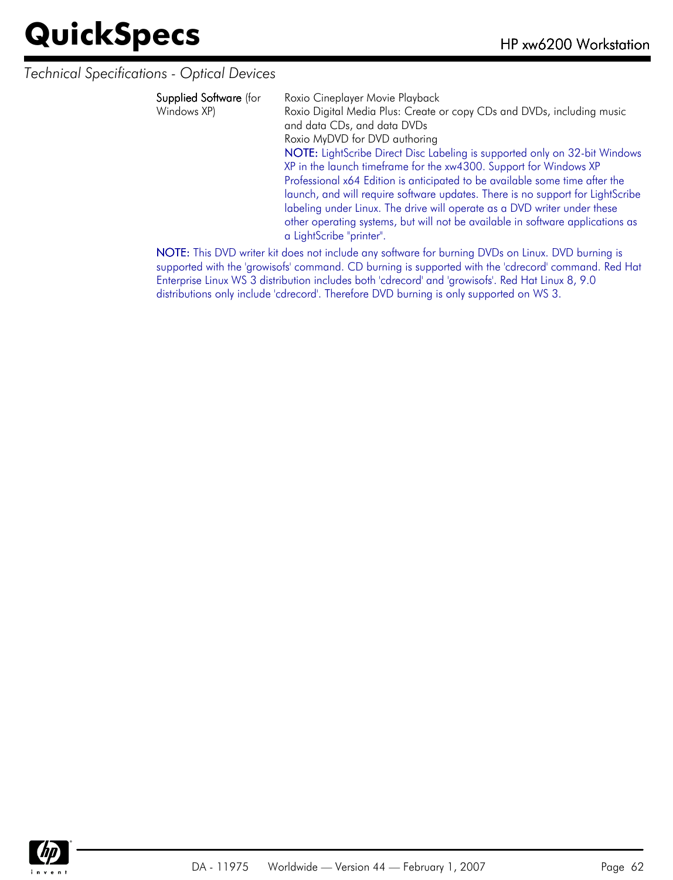*Technical Specifications - Optical Devices*

| <b>Supplied Software</b> (for<br>Windows XP) | Roxio Cineplayer Movie Playback<br>Roxio Digital Media Plus: Create or copy CDs and DVDs, including music<br>and data CDs, and data DVDs<br>Roxio MyDVD for DVD authoring<br>NOTE: LightScribe Direct Disc Labeling is supported only on 32-bit Windows<br>XP in the launch timeframe for the xw4300. Support for Windows XP<br>Professional x64 Edition is anticipated to be available some time after the<br>launch, and will require software updates. There is no support for LightScribe<br>labeling under Linux. The drive will operate as a DVD writer under these<br>other operating systems, but will not be available in software applications as |
|----------------------------------------------|-------------------------------------------------------------------------------------------------------------------------------------------------------------------------------------------------------------------------------------------------------------------------------------------------------------------------------------------------------------------------------------------------------------------------------------------------------------------------------------------------------------------------------------------------------------------------------------------------------------------------------------------------------------|
|                                              | a LightScribe "printer".                                                                                                                                                                                                                                                                                                                                                                                                                                                                                                                                                                                                                                    |

NOTE: This DVD writer kit does not include any software for burning DVDs on Linux. DVD burning is supported with the 'growisofs' command. CD burning is supported with the 'cdrecord' command. Red Hat Enterprise Linux WS 3 distribution includes both 'cdrecord' and 'growisofs'. Red Hat Linux 8, 9.0 distributions only include 'cdrecord'. Therefore DVD burning is only supported on WS 3.

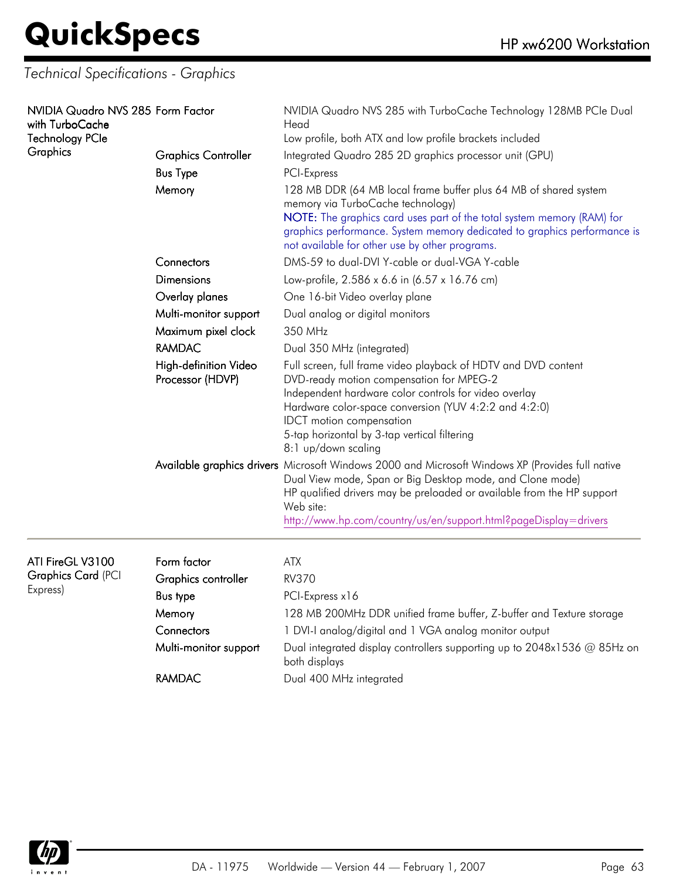*Technical Specifications - Graphics*

| NVIDIA Quadro NVS 285 Form Factor<br>with TurboCache<br><b>Technology PCIe</b><br>Graphics | <b>Graphics Controller</b><br><b>Bus Type</b><br>Memory | NVIDIA Quadro NVS 285 with TurboCache Technology 128MB PCIe Dual<br>Head<br>Low profile, both ATX and low profile brackets included<br>Integrated Quadro 285 2D graphics processor unit (GPU)<br>PCI-Express<br>128 MB DDR (64 MB local frame buffer plus 64 MB of shared system<br>memory via TurboCache technology)<br>NOTE: The graphics card uses part of the total system memory (RAM) for<br>graphics performance. System memory dedicated to graphics performance is<br>not available for other use by other programs. |  |
|--------------------------------------------------------------------------------------------|---------------------------------------------------------|-------------------------------------------------------------------------------------------------------------------------------------------------------------------------------------------------------------------------------------------------------------------------------------------------------------------------------------------------------------------------------------------------------------------------------------------------------------------------------------------------------------------------------|--|
|                                                                                            | Connectors                                              | DMS-59 to dual-DVI Y-cable or dual-VGA Y-cable                                                                                                                                                                                                                                                                                                                                                                                                                                                                                |  |
|                                                                                            | <b>Dimensions</b>                                       | Low-profile, 2.586 x 6.6 in (6.57 x 16.76 cm)                                                                                                                                                                                                                                                                                                                                                                                                                                                                                 |  |
|                                                                                            | Overlay planes                                          | One 16-bit Video overlay plane                                                                                                                                                                                                                                                                                                                                                                                                                                                                                                |  |
|                                                                                            | Multi-monitor support                                   | Dual analog or digital monitors                                                                                                                                                                                                                                                                                                                                                                                                                                                                                               |  |
|                                                                                            | Maximum pixel clock                                     | 350 MHz                                                                                                                                                                                                                                                                                                                                                                                                                                                                                                                       |  |
|                                                                                            | <b>RAMDAC</b>                                           | Dual 350 MHz (integrated)                                                                                                                                                                                                                                                                                                                                                                                                                                                                                                     |  |
|                                                                                            | High-definition Video<br>Processor (HDVP)               | Full screen, full frame video playback of HDTV and DVD content<br>DVD-ready motion compensation for MPEG-2<br>Independent hardware color controls for video overlay<br>Hardware color-space conversion (YUV 4:2:2 and 4:2:0)<br><b>IDCT</b> motion compensation<br>5-tap horizontal by 3-tap vertical filtering<br>8:1 up/down scaling                                                                                                                                                                                        |  |
|                                                                                            |                                                         | Available graphics drivers Microsoft Windows 2000 and Microsoft Windows XP (Provides full native<br>Dual View mode, Span or Big Desktop mode, and Clone mode)<br>HP qualified drivers may be preloaded or available from the HP support<br>Web site:<br>http://www.hp.com/country/us/en/support.html?pageDisplay=drivers                                                                                                                                                                                                      |  |
| ATI FireGL V3100                                                                           | Form factor                                             | <b>ATX</b>                                                                                                                                                                                                                                                                                                                                                                                                                                                                                                                    |  |
| <b>Graphics Card (PCI</b>                                                                  | Graphics controller                                     | <b>RV370</b>                                                                                                                                                                                                                                                                                                                                                                                                                                                                                                                  |  |
| Express)                                                                                   | <b>Bus type</b>                                         | PCI-Express x16                                                                                                                                                                                                                                                                                                                                                                                                                                                                                                               |  |
|                                                                                            | Memory                                                  | 128 MB 200MHz DDR unified frame buffer, Z-buffer and Texture storage                                                                                                                                                                                                                                                                                                                                                                                                                                                          |  |
|                                                                                            | Connectors                                              | 1 DVI-I analog/digital and 1 VGA analog monitor output                                                                                                                                                                                                                                                                                                                                                                                                                                                                        |  |
|                                                                                            | Multi-monitor support                                   | Dual integrated display controllers supporting up to 2048x1536 @ 85Hz on<br>both displays                                                                                                                                                                                                                                                                                                                                                                                                                                     |  |
|                                                                                            | <b>RAMDAC</b>                                           | Dual 400 MHz integrated                                                                                                                                                                                                                                                                                                                                                                                                                                                                                                       |  |

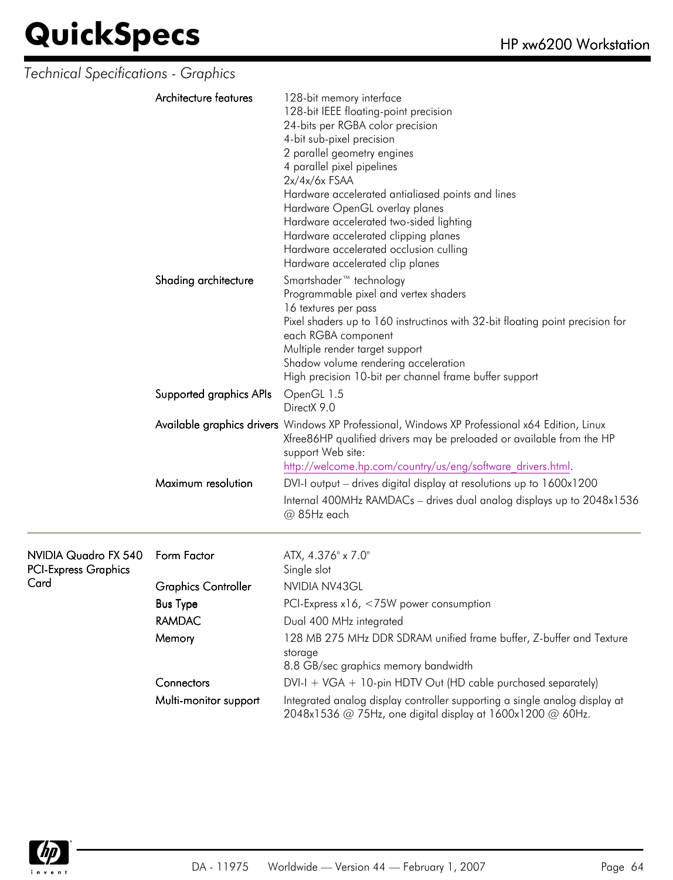| Technical Specifications - Graphics                 |                            |                                                                                                                                                                                                                                                                                                                                                                                                                                                                            |
|-----------------------------------------------------|----------------------------|----------------------------------------------------------------------------------------------------------------------------------------------------------------------------------------------------------------------------------------------------------------------------------------------------------------------------------------------------------------------------------------------------------------------------------------------------------------------------|
|                                                     | Architecture features      | 128-bit memory interface<br>128-bit IEEE floating-point precision<br>24-bits per RGBA color precision<br>4-bit sub-pixel precision<br>2 parallel geometry engines<br>4 parallel pixel pipelines<br>$2x/4x/6x$ FSAA<br>Hardware accelerated antialiased points and lines<br>Hardware OpenGL overlay planes<br>Hardware accelerated two-sided lighting<br>Hardware accelerated clipping planes<br>Hardware accelerated occlusion culling<br>Hardware accelerated clip planes |
|                                                     | Shading architecture       | Smartshader <sup>™</sup> technology<br>Programmable pixel and vertex shaders<br>16 textures per pass<br>Pixel shaders up to 160 instructinos with 32-bit floating point precision for<br>each RGBA component<br>Multiple render target support<br>Shadow volume rendering acceleration<br>High precision 10-bit per channel frame buffer support                                                                                                                           |
|                                                     | Supported graphics APIs    | OpenGL 1.5<br>DirectX 9.0                                                                                                                                                                                                                                                                                                                                                                                                                                                  |
|                                                     |                            | Available graphics drivers Windows XP Professional, Windows XP Professional x64 Edition, Linux<br>Xfree86HP qualified drivers may be preloaded or available from the HP<br>support Web site:<br>http://welcome.hp.com/country/us/eng/software_drivers.html.                                                                                                                                                                                                                |
|                                                     | Maximum resolution         | DVI-I output – drives digital display at resolutions up to 1600x1200                                                                                                                                                                                                                                                                                                                                                                                                       |
|                                                     |                            | Internal 400MHz RAMDACs - drives dual analog displays up to 2048x1536<br>@ 85Hz each                                                                                                                                                                                                                                                                                                                                                                                       |
| NVIDIA Quadro FX 540<br><b>PCI-Express Graphics</b> | Form Factor                | ATX, 4.376" x 7.0"<br>Single slot                                                                                                                                                                                                                                                                                                                                                                                                                                          |
| Card                                                | <b>Graphics Controller</b> | NVIDIA NV43GL                                                                                                                                                                                                                                                                                                                                                                                                                                                              |
|                                                     | <b>Bus Type</b>            | PCI-Express x16, <75W power consumption                                                                                                                                                                                                                                                                                                                                                                                                                                    |
|                                                     | <b>RAMDAC</b>              | Dual 400 MHz integrated                                                                                                                                                                                                                                                                                                                                                                                                                                                    |
|                                                     | Memory                     | 128 MB 275 MHz DDR SDRAM unified frame buffer, Z-buffer and Texture<br>storage<br>8.8 GB/sec graphics memory bandwidth                                                                                                                                                                                                                                                                                                                                                     |
|                                                     | Connectors                 | $DVI-I + VGA + 10$ -pin HDTV Out (HD cable purchased separately)                                                                                                                                                                                                                                                                                                                                                                                                           |
|                                                     | Multi-monitor support      | Integrated analog display controller supporting a single analog display at<br>2048x1536 @ 75Hz, one digital display at 1600x1200 @ 60Hz.                                                                                                                                                                                                                                                                                                                                   |

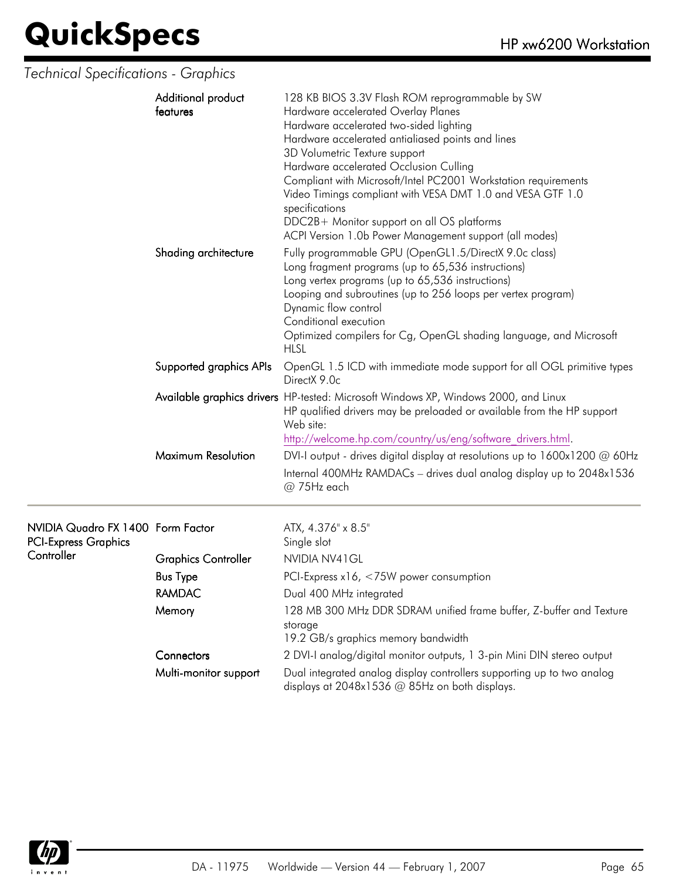#### *Technical Specifications - Graphics*

| Additional product<br>features | 128 KB BIOS 3.3V Flash ROM reprogrammable by SW<br>Hardware accelerated Overlay Planes<br>Hardware accelerated two-sided lighting<br>Hardware accelerated antialiased points and lines<br>3D Volumetric Texture support<br>Hardware accelerated Occlusion Culling<br>Compliant with Microsoft/Intel PC2001 Workstation requirements<br>Video Timings compliant with VESA DMT 1.0 and VESA GTF 1.0<br>specifications<br>DDC2B+ Monitor support on all OS platforms<br>ACPI Version 1.0b Power Management support (all modes) |
|--------------------------------|-----------------------------------------------------------------------------------------------------------------------------------------------------------------------------------------------------------------------------------------------------------------------------------------------------------------------------------------------------------------------------------------------------------------------------------------------------------------------------------------------------------------------------|
| Shading architecture           | Fully programmable GPU (OpenGL1.5/DirectX 9.0c class)<br>Long fragment programs (up to 65,536 instructions)<br>Long vertex programs (up to 65,536 instructions)<br>Looping and subroutines (up to 256 loops per vertex program)<br>Dynamic flow control<br>Conditional execution<br>Optimized compilers for Cg, OpenGL shading language, and Microsoft<br><b>HLSL</b>                                                                                                                                                       |
| Supported graphics APIs        | OpenGL 1.5 ICD with immediate mode support for all OGL primitive types<br>DirectX 9.0c                                                                                                                                                                                                                                                                                                                                                                                                                                      |
|                                | Available graphics drivers HP-tested: Microsoft Windows XP, Windows 2000, and Linux<br>HP qualified drivers may be preloaded or available from the HP support<br>Web site:<br>http://welcome.hp.com/country/us/eng/software_drivers.html.                                                                                                                                                                                                                                                                                   |
| Maximum Resolution             | DVI-I output - drives digital display at resolutions up to $1600x1200$ @ 60Hz<br>Internal 400MHz RAMDACs - drives dual analog display up to 2048x1536<br>$@$ 75Hz each                                                                                                                                                                                                                                                                                                                                                      |

| NVIDIA Quadro FX 1400 Form Factor |                            | ATX, 4.376" x 8.5"                                                                                                         |
|-----------------------------------|----------------------------|----------------------------------------------------------------------------------------------------------------------------|
| <b>PCI-Express Graphics</b>       |                            | Single slot                                                                                                                |
| Controller                        | <b>Graphics Controller</b> | NVIDIA NV41 GL                                                                                                             |
|                                   | <b>Bus Type</b>            | PCI-Express $x16, < 75W$ power consumption                                                                                 |
|                                   | RAMDAC                     | Dual 400 MHz integrated                                                                                                    |
|                                   | Memory                     | 128 MB 300 MHz DDR SDRAM unified frame buffer, Z-buffer and Texture<br>storage                                             |
|                                   |                            | 19.2 GB/s graphics memory bandwidth                                                                                        |
|                                   | <b>Connectors</b>          | 2 DVI-I analog/digital monitor outputs, 1 3-pin Mini DIN stereo output                                                     |
|                                   | Multi-monitor support      | Dual integrated analog display controllers supporting up to two analog<br>displays at $2048x1536$ @ 85Hz on both displays. |

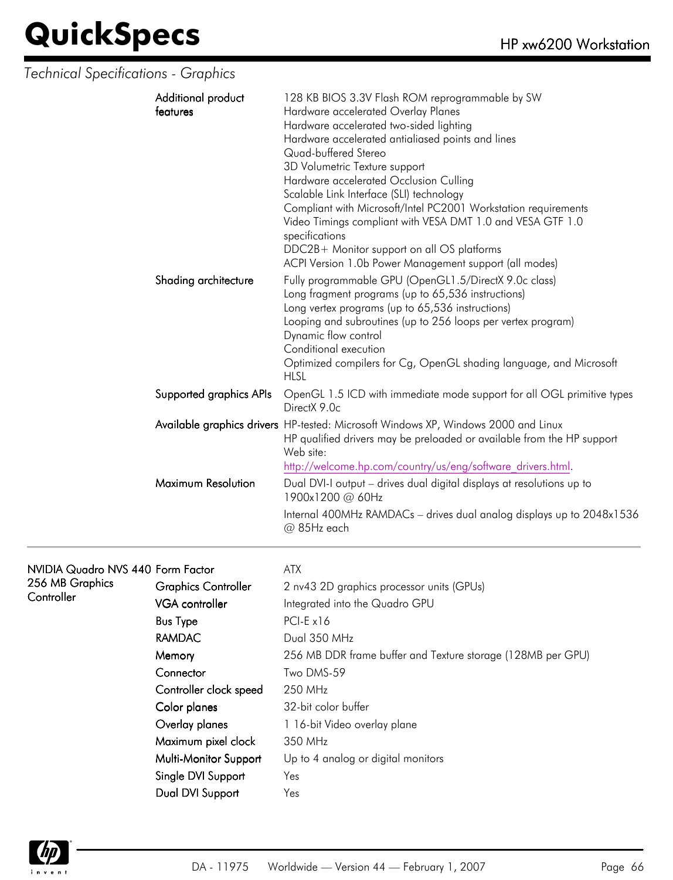*Technical Specifications - Graphics*

| Additional product<br>features | 128 KB BIOS 3.3V Flash ROM reprogrammable by SW<br>Hardware accelerated Overlay Planes<br>Hardware accelerated two-sided lighting<br>Hardware accelerated antialiased points and lines<br>Quad-buffered Stereo<br>3D Volumetric Texture support<br>Hardware accelerated Occlusion Culling<br>Scalable Link Interface (SLI) technology<br>Compliant with Microsoft/Intel PC2001 Workstation requirements<br>Video Timings compliant with VESA DMT 1.0 and VESA GTF 1.0<br>specifications<br>DDC2B+ Monitor support on all OS platforms<br>ACPI Version 1.0b Power Management support (all modes) |
|--------------------------------|-------------------------------------------------------------------------------------------------------------------------------------------------------------------------------------------------------------------------------------------------------------------------------------------------------------------------------------------------------------------------------------------------------------------------------------------------------------------------------------------------------------------------------------------------------------------------------------------------|
| Shading architecture           | Fully programmable GPU (OpenGL1.5/DirectX 9.0c class)<br>Long fragment programs (up to 65,536 instructions)<br>Long vertex programs (up to 65,536 instructions)<br>Looping and subroutines (up to 256 loops per vertex program)<br>Dynamic flow control<br>Conditional execution<br>Optimized compilers for Cg, OpenGL shading language, and Microsoft<br><b>HLSL</b>                                                                                                                                                                                                                           |
| Supported graphics APIs        | OpenGL 1.5 ICD with immediate mode support for all OGL primitive types<br>DirectX 9.0c                                                                                                                                                                                                                                                                                                                                                                                                                                                                                                          |
|                                | Available graphics drivers HP-tested: Microsoft Windows XP, Windows 2000 and Linux<br>HP qualified drivers may be preloaded or available from the HP support<br>Web site:<br>http://welcome.hp.com/country/us/eng/software_drivers.html.                                                                                                                                                                                                                                                                                                                                                        |
| Maximum Resolution             | Dual DVI-I output - drives dual digital displays at resolutions up to<br>1900x1200 @ 60Hz<br>Internal 400MHz RAMDACs - drives dual analog displays up to 2048x1536<br>@ 85Hz each                                                                                                                                                                                                                                                                                                                                                                                                               |

#### NVIDIA Quadro NVS 440 Form Factor ATX 256 MB

| 256 MB Graphics | <b>Graphics Controller</b> | 2 nv43 2D graphics processor units (GPUs)                   |
|-----------------|----------------------------|-------------------------------------------------------------|
| Controller      | <b>VGA</b> controller      | Integrated into the Quadro GPU                              |
|                 | <b>Bus Type</b>            | $PCI-E x16$                                                 |
|                 | <b>RAMDAC</b>              | Dual 350 MHz                                                |
|                 | Memory                     | 256 MB DDR frame buffer and Texture storage (128MB per GPU) |
|                 | Connector                  | Two DMS-59                                                  |
|                 | Controller clock speed     | 250 MHz                                                     |
|                 | Color planes               | 32-bit color buffer                                         |
|                 | Overlay planes             | 1 16-bit Video overlay plane                                |
|                 | Maximum pixel clock        | 350 MHz                                                     |
|                 | Multi-Monitor Support      | Up to 4 analog or digital monitors                          |
|                 | Single DVI Support         | Yes                                                         |
|                 | Dual DVI Support           | Yes                                                         |

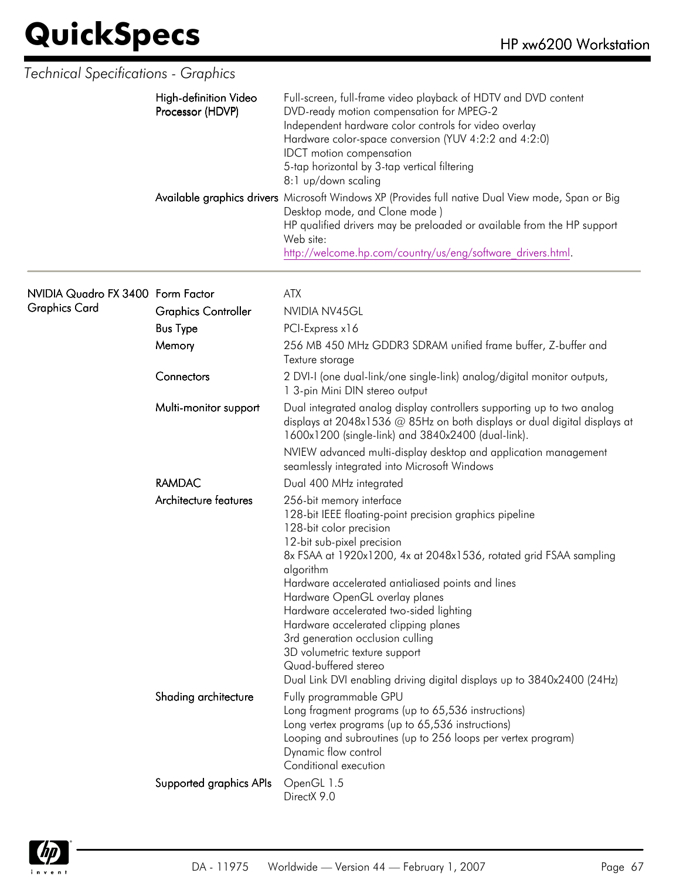| <b>Technical Specifications - Graphics</b> |                                           |                                                                                                                                                                                                                                                                                                                                                                                                                                                                                                                                                                                 |
|--------------------------------------------|-------------------------------------------|---------------------------------------------------------------------------------------------------------------------------------------------------------------------------------------------------------------------------------------------------------------------------------------------------------------------------------------------------------------------------------------------------------------------------------------------------------------------------------------------------------------------------------------------------------------------------------|
|                                            | High-definition Video<br>Processor (HDVP) | Full-screen, full-frame video playback of HDTV and DVD content<br>DVD-ready motion compensation for MPEG-2<br>Independent hardware color controls for video overlay<br>Hardware color-space conversion (YUV 4:2:2 and 4:2:0)<br><b>IDCT</b> motion compensation<br>5-tap horizontal by 3-tap vertical filtering<br>8:1 up/down scaling                                                                                                                                                                                                                                          |
|                                            |                                           | Available graphics drivers Microsoft Windows XP (Provides full native Dual View mode, Span or Big<br>Desktop mode, and Clone mode)<br>HP qualified drivers may be preloaded or available from the HP support<br>Web site:<br>http://welcome.hp.com/country/us/eng/software drivers.html.                                                                                                                                                                                                                                                                                        |
| NVIDIA Quadro FX 3400 Form Factor          |                                           | <b>ATX</b>                                                                                                                                                                                                                                                                                                                                                                                                                                                                                                                                                                      |
| <b>Graphics Card</b>                       | <b>Graphics Controller</b>                | NVIDIA NV45GL                                                                                                                                                                                                                                                                                                                                                                                                                                                                                                                                                                   |
|                                            | <b>Bus Type</b>                           | PCI-Express x16                                                                                                                                                                                                                                                                                                                                                                                                                                                                                                                                                                 |
|                                            | Memory                                    | 256 MB 450 MHz GDDR3 SDRAM unified frame buffer, Z-buffer and<br>Texture storage                                                                                                                                                                                                                                                                                                                                                                                                                                                                                                |
|                                            | Connectors                                | 2 DVI-I (one dual-link/one single-link) analog/digital monitor outputs,<br>1 3-pin Mini DIN stereo output                                                                                                                                                                                                                                                                                                                                                                                                                                                                       |
|                                            | Multi-monitor support                     | Dual integrated analog display controllers supporting up to two analog<br>displays at 2048x1536 @ 85Hz on both displays or dual digital displays at<br>1600x1200 (single-link) and 3840x2400 (dual-link).                                                                                                                                                                                                                                                                                                                                                                       |
|                                            |                                           | NVIEW advanced multi-display desktop and application management<br>seamlessly integrated into Microsoft Windows                                                                                                                                                                                                                                                                                                                                                                                                                                                                 |
|                                            | <b>RAMDAC</b>                             | Dual 400 MHz integrated                                                                                                                                                                                                                                                                                                                                                                                                                                                                                                                                                         |
|                                            | Architecture features                     | 256-bit memory interface<br>128-bit IEEE floating-point precision graphics pipeline<br>128-bit color precision<br>12-bit sub-pixel precision<br>8x FSAA at 1920x1200, 4x at 2048x1536, rotated grid FSAA sampling<br>algorithm<br>Hardware accelerated antialiased points and lines<br>Hardware OpenGL overlay planes<br>Hardware accelerated two-sided lighting<br>Hardware accelerated clipping planes<br>3rd generation occlusion culling<br>3D volumetric texture support<br>Quad-buffered stereo<br>Dual Link DVI enabling driving digital displays up to 3840x2400 (24Hz) |
|                                            | Shading architecture                      | Fully programmable GPU<br>Long fragment programs (up to 65,536 instructions)<br>Long vertex programs (up to 65,536 instructions)<br>Looping and subroutines (up to 256 loops per vertex program)<br>Dynamic flow control<br>Conditional execution                                                                                                                                                                                                                                                                                                                               |
|                                            | Supported graphics APIs                   | OpenGL 1.5<br>DirectX 9.0                                                                                                                                                                                                                                                                                                                                                                                                                                                                                                                                                       |

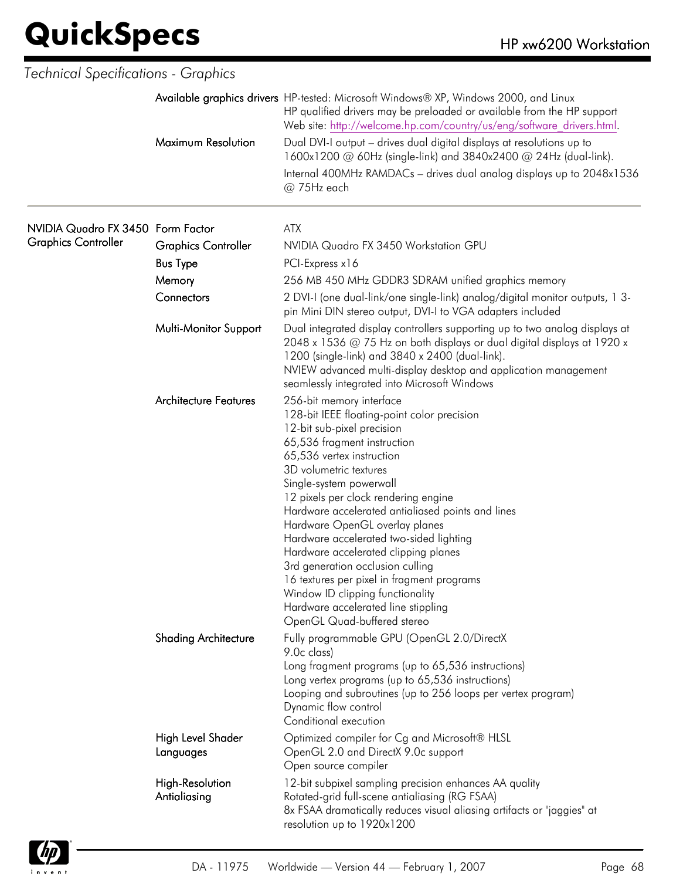| <b>Technical Specifications - Graphics</b> |                                        |                                                                                                                                                                                                                                                                                                                                                                                                                                                                                                                                                                                                                                      |
|--------------------------------------------|----------------------------------------|--------------------------------------------------------------------------------------------------------------------------------------------------------------------------------------------------------------------------------------------------------------------------------------------------------------------------------------------------------------------------------------------------------------------------------------------------------------------------------------------------------------------------------------------------------------------------------------------------------------------------------------|
|                                            |                                        | Available graphics drivers HP-tested: Microsoft Windows® XP, Windows 2000, and Linux<br>HP qualified drivers may be preloaded or available from the HP support<br>Web site: http://welcome.hp.com/country/us/eng/software drivers.html.                                                                                                                                                                                                                                                                                                                                                                                              |
|                                            | Maximum Resolution                     | Dual DVI-I output - drives dual digital displays at resolutions up to<br>1600x1200 @ 60Hz (single-link) and 3840x2400 @ 24Hz (dual-link).                                                                                                                                                                                                                                                                                                                                                                                                                                                                                            |
|                                            |                                        | Internal 400MHz RAMDACs - drives dual analog displays up to 2048x1536<br>@ 75Hz each                                                                                                                                                                                                                                                                                                                                                                                                                                                                                                                                                 |
| NVIDIA Quadro FX 3450 Form Factor          |                                        | <b>ATX</b>                                                                                                                                                                                                                                                                                                                                                                                                                                                                                                                                                                                                                           |
| <b>Graphics Controller</b>                 | <b>Graphics Controller</b>             | NVIDIA Quadro FX 3450 Workstation GPU                                                                                                                                                                                                                                                                                                                                                                                                                                                                                                                                                                                                |
|                                            | <b>Bus Type</b>                        | PCI-Express x16                                                                                                                                                                                                                                                                                                                                                                                                                                                                                                                                                                                                                      |
|                                            | Memory                                 | 256 MB 450 MHz GDDR3 SDRAM unified graphics memory                                                                                                                                                                                                                                                                                                                                                                                                                                                                                                                                                                                   |
|                                            | Connectors                             | 2 DVI-I (one dual-link/one single-link) analog/digital monitor outputs, 1 3-<br>pin Mini DIN stereo output, DVI-I to VGA adapters included                                                                                                                                                                                                                                                                                                                                                                                                                                                                                           |
|                                            | Multi-Monitor Support                  | Dual integrated display controllers supporting up to two analog displays at<br>2048 x 1536 @ 75 Hz on both displays or dual digital displays at 1920 x<br>1200 (single-link) and 3840 x 2400 (dual-link).<br>NVIEW advanced multi-display desktop and application management<br>seamlessly integrated into Microsoft Windows                                                                                                                                                                                                                                                                                                         |
|                                            | <b>Architecture Features</b>           | 256-bit memory interface<br>128-bit IEEE floating-point color precision<br>12-bit sub-pixel precision<br>65,536 fragment instruction<br>65,536 vertex instruction<br>3D volumetric textures<br>Single-system powerwall<br>12 pixels per clock rendering engine<br>Hardware accelerated antialiased points and lines<br>Hardware OpenGL overlay planes<br>Hardware accelerated two-sided lighting<br>Hardware accelerated clipping planes<br>3rd generation occlusion culling<br>16 textures per pixel in tragment programs<br>Window ID clipping functionality<br>Hardware accelerated line stippling<br>OpenGL Quad-buffered stereo |
|                                            | <b>Shading Architecture</b>            | Fully programmable GPU (OpenGL 2.0/DirectX<br>9.0c class)<br>Long fragment programs (up to 65,536 instructions)<br>Long vertex programs (up to 65,536 instructions)<br>Looping and subroutines (up to 256 loops per vertex program)<br>Dynamic flow control<br>Conditional execution                                                                                                                                                                                                                                                                                                                                                 |
|                                            | High Level Shader<br>Languages         | Optimized compiler for Cg and Microsoft® HLSL<br>OpenGL 2.0 and DirectX 9.0c support<br>Open source compiler                                                                                                                                                                                                                                                                                                                                                                                                                                                                                                                         |
|                                            | <b>High-Resolution</b><br>Antialiasing | 12-bit subpixel sampling precision enhances AA quality<br>Rotated-grid full-scene antialiasing (RG FSAA)<br>8x FSAA dramatically reduces visual aliasing artifacts or "jaggies" at<br>resolution up to 1920x1200                                                                                                                                                                                                                                                                                                                                                                                                                     |

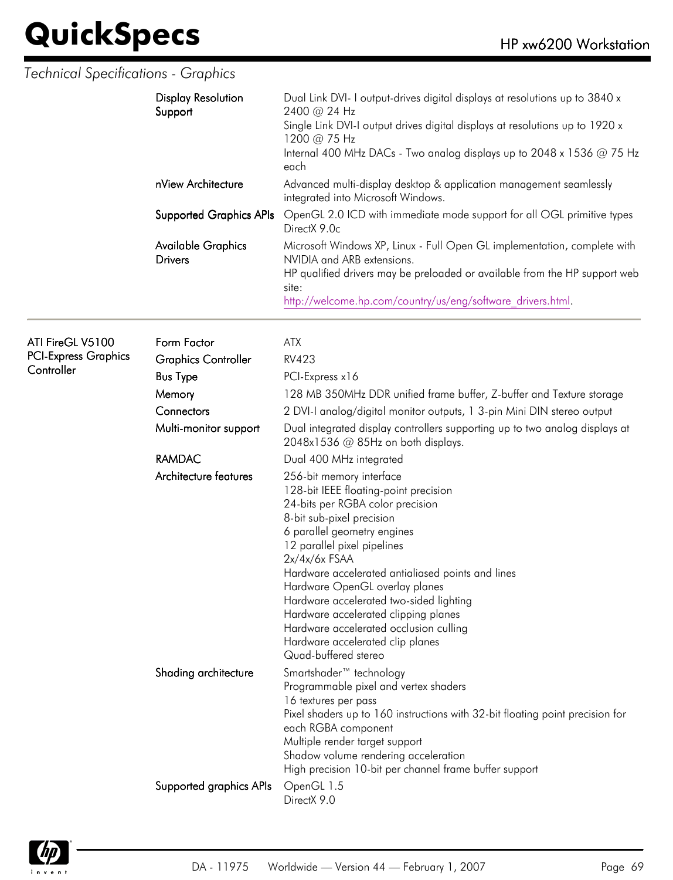#### *Technical Specifications - Graphics*

|                                                               | <b>Display Resolution</b><br>Support<br>nView Architecture<br><b>Supported Graphics APIs</b><br><b>Available Graphics</b> | Dual Link DVI- I output-drives digital displays at resolutions up to 3840 x<br>2400 @ 24 Hz<br>Single Link DVI-I output drives digital displays at resolutions up to 1920 x<br>1200 @ 75 Hz<br>Internal 400 MHz DACs - Two analog displays up to 2048 x 1536 @ 75 Hz<br>each<br>Advanced multi-display desktop & application management seamlessly<br>integrated into Microsoft Windows.<br>OpenGL 2.0 ICD with immediate mode support for all OGL primitive types<br>DirectX 9.0c<br>Microsoft Windows XP, Linux - Full Open GL implementation, complete with |
|---------------------------------------------------------------|---------------------------------------------------------------------------------------------------------------------------|----------------------------------------------------------------------------------------------------------------------------------------------------------------------------------------------------------------------------------------------------------------------------------------------------------------------------------------------------------------------------------------------------------------------------------------------------------------------------------------------------------------------------------------------------------------|
|                                                               | <b>Drivers</b>                                                                                                            | NVIDIA and ARB extensions.<br>HP qualified drivers may be preloaded or available from the HP support web<br>site:<br>http://welcome.hp.com/country/us/eng/software drivers.html.                                                                                                                                                                                                                                                                                                                                                                               |
| ATI FireGL V5100<br><b>PCI-Express Graphics</b><br>Controller | Form Factor<br><b>Graphics Controller</b>                                                                                 | <b>ATX</b><br><b>RV423</b>                                                                                                                                                                                                                                                                                                                                                                                                                                                                                                                                     |
|                                                               | <b>Bus Type</b>                                                                                                           | PCI-Express x16                                                                                                                                                                                                                                                                                                                                                                                                                                                                                                                                                |
|                                                               | Memory                                                                                                                    | 128 MB 350MHz DDR unified frame buffer, Z-buffer and Texture storage                                                                                                                                                                                                                                                                                                                                                                                                                                                                                           |
|                                                               | Connectors                                                                                                                | 2 DVI-I analog/digital monitor outputs, 1 3-pin Mini DIN stereo output                                                                                                                                                                                                                                                                                                                                                                                                                                                                                         |
|                                                               | Multi-monitor support                                                                                                     | Dual integrated display controllers supporting up to two analog displays at<br>2048x1536 @ 85Hz on both displays.                                                                                                                                                                                                                                                                                                                                                                                                                                              |
|                                                               | <b>RAMDAC</b>                                                                                                             | Dual 400 MHz integrated                                                                                                                                                                                                                                                                                                                                                                                                                                                                                                                                        |
|                                                               | Architecture features                                                                                                     | 256-bit memory interface<br>128-bit IEEE floating-point precision<br>24-bits per RGBA color precision<br>8-bit sub-pixel precision<br>6 parallel geometry engines<br>12 parallel pixel pipelines<br>$2x/4x/6x$ FSAA<br>Hardware accelerated antialiased points and lines<br>Hardware OpenGL overlay planes<br>Hardware accelerated two-sided lighting<br>Hardware accelerated clipping planes<br>Hardware accelerated occlusion culling<br>Hardware accelerated clip planes<br>Quad-buffered stereo                                                            |
|                                                               | Shading architecture                                                                                                      | Smartshader <sup>™</sup> technology<br>Programmable pixel and vertex shaders<br>16 textures per pass<br>Pixel shaders up to 160 instructions with 32-bit floating point precision for<br>each RGBA component<br>Multiple render target support<br>Shadow volume rendering acceleration<br>High precision 10-bit per channel frame buffer support                                                                                                                                                                                                               |
|                                                               | Supported graphics APIs                                                                                                   | OpenGL 1.5<br>DirectX 9.0                                                                                                                                                                                                                                                                                                                                                                                                                                                                                                                                      |

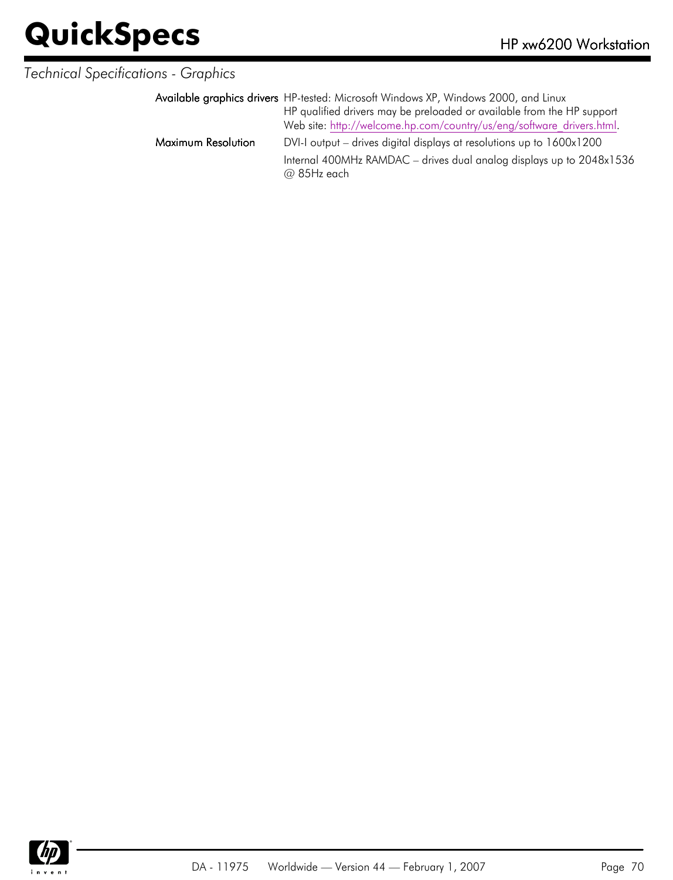#### *Technical Specifications - Graphics*

|                    | Available graphics drivers HP-tested: Microsoft Windows XP, Windows 2000, and Linux   |
|--------------------|---------------------------------------------------------------------------------------|
|                    | HP qualified drivers may be preloaded or available from the HP support                |
|                    | Web site: http://welcome.hp.com/country/us/eng/software drivers.html.                 |
| Maximum Resolution | DVI-I output – drives digital displays at resolutions up to 1600x1200                 |
|                    | Internal 400MHz RAMDAC – drives dual analog displays up to 2048x1536<br>$@$ 85Hz each |

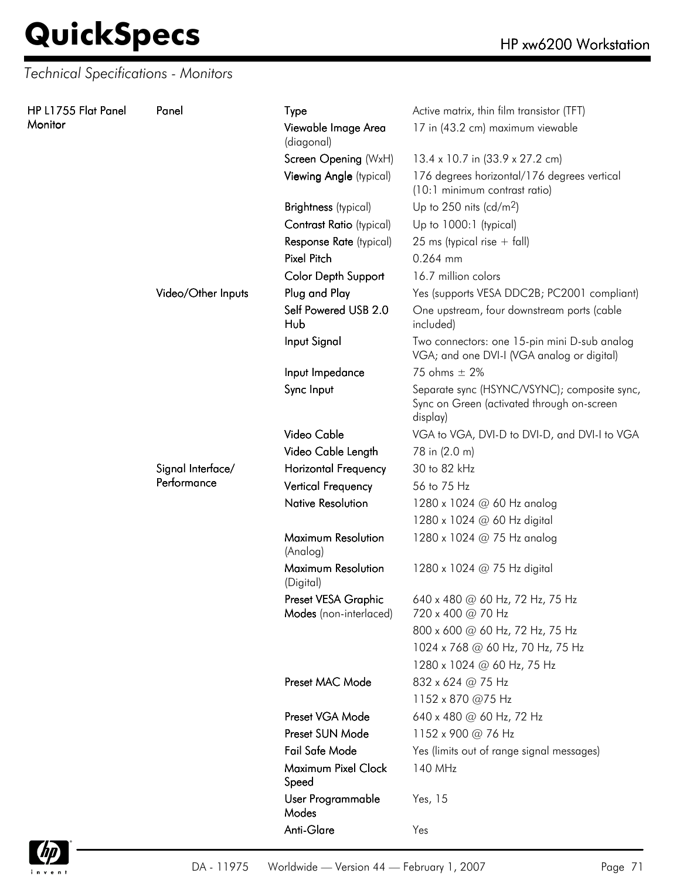*Technical Specifications - Monitors*

| HP L1755 Flat Panel | Panel              | <b>Type</b>                                   | Active matrix, thin film transistor (TFT)                                                              |
|---------------------|--------------------|-----------------------------------------------|--------------------------------------------------------------------------------------------------------|
| Monitor             |                    | Viewable Image Area<br>(diagonal)             | 17 in (43.2 cm) maximum viewable                                                                       |
|                     |                    | Screen Opening (WxH)                          | 13.4 x 10.7 in (33.9 x 27.2 cm)                                                                        |
|                     |                    | Viewing Angle (typical)                       | 176 degrees horizontal/176 degrees vertical<br>(10:1 minimum contrast ratio)                           |
|                     |                    | <b>Brightness</b> (typical)                   | Up to 250 nits (cd/m <sup>2</sup> )                                                                    |
|                     |                    | Contrast Ratio (typical)                      | Up to 1000:1 (typical)                                                                                 |
|                     |                    | Response Rate (typical)                       | 25 ms (typical rise $+$ fall)                                                                          |
|                     |                    | <b>Pixel Pitch</b>                            | 0.264 mm                                                                                               |
|                     |                    | Color Depth Support                           | 16.7 million colors                                                                                    |
|                     | Video/Other Inputs | Plug and Play                                 | Yes (supports VESA DDC2B; PC2001 compliant)                                                            |
|                     |                    | Self Powered USB 2.0<br>Hub                   | One upstream, four downstream ports (cable<br>included)                                                |
|                     |                    | Input Signal                                  | Two connectors: one 15-pin mini D-sub analog<br>VGA; and one DVI-I (VGA analog or digital)             |
|                     |                    | Input Impedance                               | 75 ohms $\pm$ 2%                                                                                       |
|                     |                    | Sync Input                                    | Separate sync (HSYNC/VSYNC); composite sync,<br>Sync on Green (activated through on-screen<br>display) |
|                     |                    | Video Cable                                   | VGA to VGA, DVI-D to DVI-D, and DVI-I to VGA                                                           |
|                     |                    | Video Cable Length                            | 78 in (2.0 m)                                                                                          |
|                     | Signal Interface/  | <b>Horizontal Frequency</b>                   | 30 to 82 kHz                                                                                           |
|                     | Performance        | <b>Vertical Frequency</b>                     | 56 to 75 Hz                                                                                            |
|                     |                    | <b>Native Resolution</b>                      | 1280 x 1024 @ 60 Hz analog                                                                             |
|                     |                    |                                               | 1280 x 1024 @ 60 Hz digital                                                                            |
|                     |                    | Maximum Resolution<br>(Analog)                | 1280 x 1024 @ 75 Hz analog                                                                             |
|                     |                    | Maximum Resolution<br>(Digital)               | 1280 x 1024 @ 75 Hz digital                                                                            |
|                     |                    | Preset VESA Graphic<br>Modes (non-interlaced) | 640 x 480 @ 60 Hz, 72 Hz, 75 Hz<br>720 x 400 @ 70 Hz                                                   |
|                     |                    |                                               | 800 x 600 @ 60 Hz, 72 Hz, 75 Hz                                                                        |
|                     |                    |                                               | 1024 x 768 @ 60 Hz, 70 Hz, 75 Hz                                                                       |
|                     |                    |                                               | 1280 x 1024 @ 60 Hz, 75 Hz                                                                             |
|                     |                    | Preset MAC Mode                               | 832 x 624 @ 75 Hz                                                                                      |
|                     |                    |                                               | 1152 x 870 @75 Hz                                                                                      |
|                     |                    | Preset VGA Mode                               | 640 x 480 @ 60 Hz, 72 Hz                                                                               |
|                     |                    | Preset SUN Mode                               | 1152 x 900 @ 76 Hz                                                                                     |
|                     |                    | Fail Safe Mode                                | Yes (limits out of range signal messages)                                                              |
|                     |                    | Maximum Pixel Clock<br>Speed                  | 140 MHz                                                                                                |
|                     |                    | User Programmable<br>Modes                    | Yes, 15                                                                                                |
|                     |                    | Anti-Glare                                    | Yes                                                                                                    |

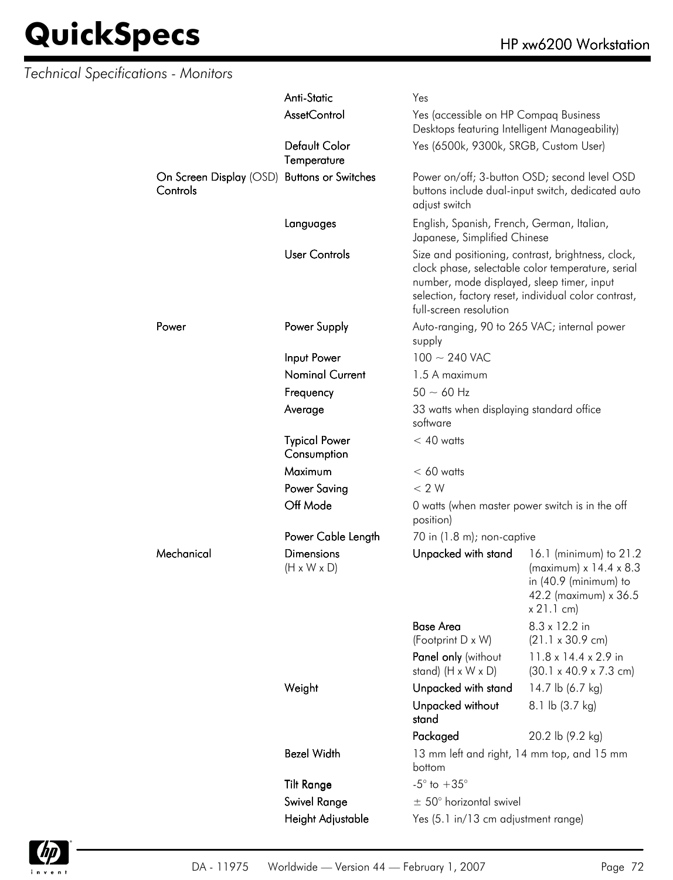| <b>Technical Specifications - Monitors</b> |                                                         |                                              |                                                                                                                                                                                                                                         |                                                                                                                                |  |
|--------------------------------------------|---------------------------------------------------------|----------------------------------------------|-----------------------------------------------------------------------------------------------------------------------------------------------------------------------------------------------------------------------------------------|--------------------------------------------------------------------------------------------------------------------------------|--|
|                                            |                                                         | Anti-Static                                  | Yes                                                                                                                                                                                                                                     |                                                                                                                                |  |
|                                            |                                                         | <b>AssetControl</b>                          | Yes (accessible on HP Compaq Business<br>Desktops featuring Intelligent Manageability)                                                                                                                                                  |                                                                                                                                |  |
|                                            |                                                         | Default Color<br>Temperature                 | Yes (6500k, 9300k, SRGB, Custom User)                                                                                                                                                                                                   |                                                                                                                                |  |
|                                            | On Screen Display (OSD) Buttons or Switches<br>Controls |                                              | Power on/off; 3-button OSD; second level OSD<br>buttons include dual-input switch, dedicated auto<br>adjust switch                                                                                                                      |                                                                                                                                |  |
|                                            |                                                         | Languages                                    | English, Spanish, French, German, Italian,<br>Japanese, Simplified Chinese                                                                                                                                                              |                                                                                                                                |  |
|                                            |                                                         | <b>User Controls</b>                         | Size and positioning, contrast, brightness, clock,<br>clock phase, selectable color temperature, serial<br>number, mode displayed, sleep timer, input<br>selection, factory reset, individual color contrast,<br>full-screen resolution |                                                                                                                                |  |
|                                            | Power                                                   | Power Supply                                 | Auto-ranging, 90 to 265 VAC; internal power<br>supply                                                                                                                                                                                   |                                                                                                                                |  |
|                                            |                                                         | Input Power                                  | $100 \sim 240$ VAC                                                                                                                                                                                                                      |                                                                                                                                |  |
|                                            |                                                         | <b>Nominal Current</b>                       | 1.5 A maximum                                                                                                                                                                                                                           |                                                                                                                                |  |
|                                            |                                                         | Frequency                                    | $50 \sim 60$ Hz                                                                                                                                                                                                                         |                                                                                                                                |  |
|                                            |                                                         | Average                                      | 33 watts when displaying standard office<br>software                                                                                                                                                                                    |                                                                                                                                |  |
|                                            |                                                         | <b>Typical Power</b><br>Consumption          | $< 40$ watts                                                                                                                                                                                                                            |                                                                                                                                |  |
|                                            |                                                         | Maximum                                      | $< 60$ watts                                                                                                                                                                                                                            |                                                                                                                                |  |
|                                            |                                                         | <b>Power Saving</b>                          | < 2 W                                                                                                                                                                                                                                   |                                                                                                                                |  |
|                                            |                                                         | Off Mode                                     | 0 watts (when master power switch is in the off<br>position)                                                                                                                                                                            |                                                                                                                                |  |
|                                            |                                                         | Power Cable Length                           | 70 in $(1.8 \text{ m})$ ; non-captive                                                                                                                                                                                                   |                                                                                                                                |  |
|                                            | Mechanical                                              | <b>Dimensions</b><br>$(H \times W \times D)$ | Unpacked with stand                                                                                                                                                                                                                     | 16.1 (minimum) to 21.2<br>(maximum) $x$ 14.4 $x$ 8.3<br>in $(40.9 \text{ (minimum)}$ to<br>42.2 (maximum) x 36.5<br>x 21.1 cm) |  |
|                                            |                                                         |                                              | <b>Base Area</b>                                                                                                                                                                                                                        | $8.3 \times 12.2$ in                                                                                                           |  |
|                                            |                                                         |                                              | (Footprint D x W)                                                                                                                                                                                                                       | $(21.1 \times 30.9 \text{ cm})$                                                                                                |  |
|                                            |                                                         |                                              | Panel only (without<br>stand) $(H \times W \times D)$                                                                                                                                                                                   | 11.8 x 14.4 x 2.9 in<br>$(30.1 \times 40.9 \times 7.3 \text{ cm})$                                                             |  |
|                                            |                                                         | Weight                                       | Unpacked with stand                                                                                                                                                                                                                     | 14.7 lb (6.7 kg)                                                                                                               |  |
|                                            |                                                         |                                              | Unpacked without<br>stand                                                                                                                                                                                                               | 8.1 lb (3.7 kg)                                                                                                                |  |
|                                            |                                                         |                                              | Packaged                                                                                                                                                                                                                                | 20.2 lb (9.2 kg)                                                                                                               |  |
|                                            |                                                         | <b>Bezel Width</b>                           | 13 mm left and right, 14 mm top, and 15 mm<br>bottom                                                                                                                                                                                    |                                                                                                                                |  |
|                                            |                                                         | <b>Tilt Range</b>                            | $-5^{\circ}$ to $+35^{\circ}$                                                                                                                                                                                                           |                                                                                                                                |  |
|                                            |                                                         | Swivel Range                                 | $\pm$ 50° horizontal swivel                                                                                                                                                                                                             |                                                                                                                                |  |
|                                            |                                                         | Height Adjustable                            | Yes (5.1 in/13 cm adjustment range)                                                                                                                                                                                                     |                                                                                                                                |  |

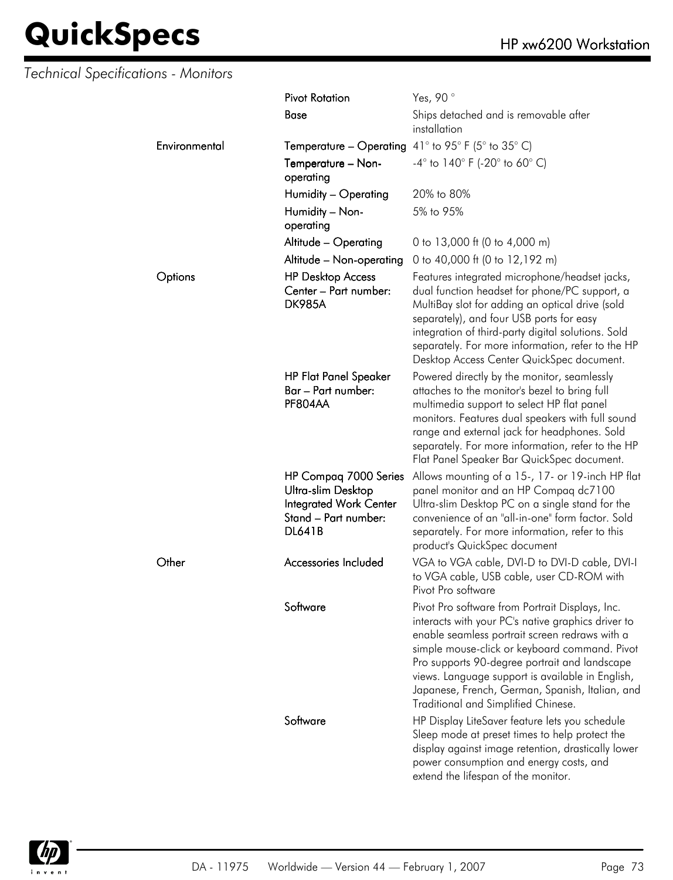#### *Technical Specifications - Monitors*

|               | <b>Pivot Rotation</b>                                                                                                 | Yes, 90°                                                                                                                                                                                                                                                                                                                                                                                                |
|---------------|-----------------------------------------------------------------------------------------------------------------------|---------------------------------------------------------------------------------------------------------------------------------------------------------------------------------------------------------------------------------------------------------------------------------------------------------------------------------------------------------------------------------------------------------|
|               | <b>Base</b>                                                                                                           | Ships detached and is removable after<br>installation                                                                                                                                                                                                                                                                                                                                                   |
| Environmental | <b>Temperature – Operating</b> 41° to 95° F (5° to 35° C)                                                             |                                                                                                                                                                                                                                                                                                                                                                                                         |
|               | Temperature - Non-<br>operating                                                                                       | $-4^{\circ}$ to $140^{\circ}$ F (-20° to 60° C)                                                                                                                                                                                                                                                                                                                                                         |
|               | Humidity - Operating                                                                                                  | 20% to 80%                                                                                                                                                                                                                                                                                                                                                                                              |
|               | Humidity - Non-<br>operating                                                                                          | 5% to 95%                                                                                                                                                                                                                                                                                                                                                                                               |
|               | Altitude - Operating                                                                                                  | 0 to 13,000 ft (0 to 4,000 m)                                                                                                                                                                                                                                                                                                                                                                           |
|               | Altitude - Non-operating                                                                                              | 0 to 40,000 ft (0 to 12,192 m)                                                                                                                                                                                                                                                                                                                                                                          |
| Options       | <b>HP Desktop Access</b><br>Center - Part number:<br><b>DK985A</b>                                                    | Features integrated microphone/headset jacks,<br>dual function headset for phone/PC support, a<br>MultiBay slot for adding an optical drive (sold<br>separately), and four USB ports for easy<br>integration of third-party digital solutions. Sold<br>separately. For more information, refer to the HP<br>Desktop Access Center QuickSpec document.                                                   |
|               | <b>HP Flat Panel Speaker</b><br>Bar – Part number:<br>PF804AA                                                         | Powered directly by the monitor, seamlessly<br>attaches to the monitor's bezel to bring full<br>multimedia support to select HP flat panel<br>monitors. Features dual speakers with full sound<br>range and external jack for headphones. Sold<br>separately. For more information, refer to the HP<br>Flat Panel Speaker Bar QuickSpec document.                                                       |
|               | HP Compag 7000 Series<br>Ultra-slim Desktop<br><b>Integrated Work Center</b><br>Stand - Part number:<br><b>DL641B</b> | Allows mounting of a 15-, 17- or 19-inch HP flat<br>panel monitor and an HP Compaq dc7100<br>Ultra-slim Desktop PC on a single stand for the<br>convenience of an "all-in-one" form factor. Sold<br>separately. For more information, refer to this<br>product's QuickSpec document                                                                                                                     |
| Other         | Accessories Included                                                                                                  | VGA to VGA cable, DVI-D to DVI-D cable, DVI-I<br>to VGA cable, USB cable, user CD-ROM with<br>Pivot Pro software                                                                                                                                                                                                                                                                                        |
|               | Software                                                                                                              | Pivot Pro software from Portrait Displays, Inc.<br>interacts with your PC's native graphics driver to<br>enable seamless portrait screen redraws with a<br>simple mouse-click or keyboard command. Pivot<br>Pro supports 90-degree portrait and landscape<br>views. Language support is available in English,<br>Japanese, French, German, Spanish, Italian, and<br>Traditional and Simplified Chinese. |
|               | Software                                                                                                              | HP Display LiteSaver feature lets you schedule<br>Sleep mode at preset times to help protect the<br>display against image retention, drastically lower<br>power consumption and energy costs, and<br>extend the lifespan of the monitor.                                                                                                                                                                |

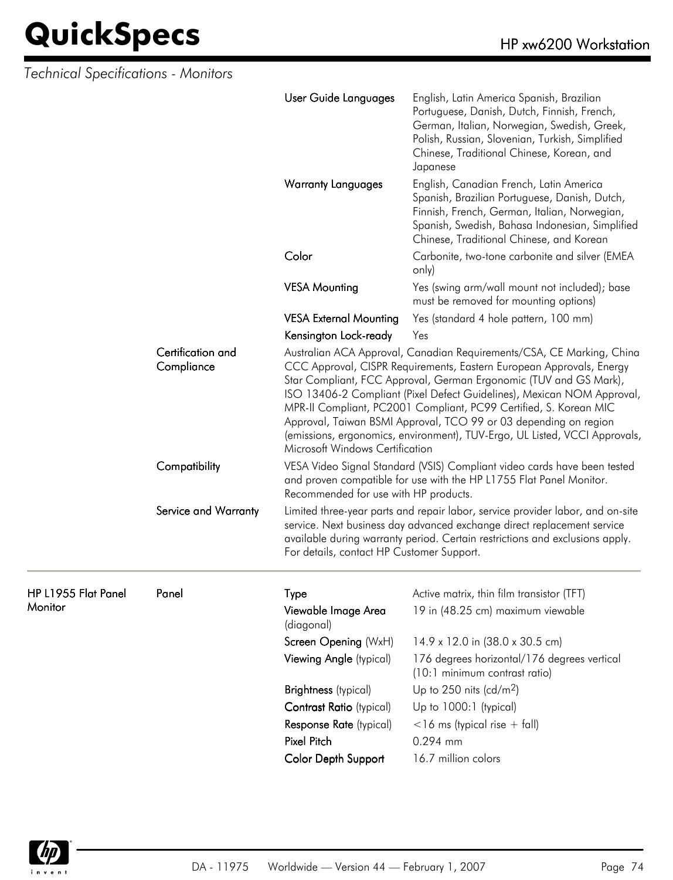| Technical Specifications - Monitors |                      |                                                                                                                                                                                                                                                                                                                                                                                                                                                                                                                                                        |                                                                                                                                                                                                                                                     |  |
|-------------------------------------|----------------------|--------------------------------------------------------------------------------------------------------------------------------------------------------------------------------------------------------------------------------------------------------------------------------------------------------------------------------------------------------------------------------------------------------------------------------------------------------------------------------------------------------------------------------------------------------|-----------------------------------------------------------------------------------------------------------------------------------------------------------------------------------------------------------------------------------------------------|--|
|                                     |                      | User Guide Languages                                                                                                                                                                                                                                                                                                                                                                                                                                                                                                                                   | English, Latin America Spanish, Brazilian<br>Portuguese, Danish, Dutch, Finnish, French,<br>German, Italian, Norwegian, Swedish, Greek,<br>Polish, Russian, Slovenian, Turkish, Simplified<br>Chinese, Traditional Chinese, Korean, and<br>Japanese |  |
|                                     |                      | <b>Warranty Languages</b>                                                                                                                                                                                                                                                                                                                                                                                                                                                                                                                              | English, Canadian French, Latin America<br>Spanish, Brazilian Portuguese, Danish, Dutch,<br>Finnish, French, German, Italian, Norwegian,<br>Spanish, Swedish, Bahasa Indonesian, Simplified<br>Chinese, Traditional Chinese, and Korean             |  |
|                                     |                      | Color                                                                                                                                                                                                                                                                                                                                                                                                                                                                                                                                                  | Carbonite, two-tone carbonite and silver (EMEA<br>only)                                                                                                                                                                                             |  |
|                                     |                      | <b>VESA Mounting</b>                                                                                                                                                                                                                                                                                                                                                                                                                                                                                                                                   | Yes (swing arm/wall mount not included); base<br>must be removed for mounting options)                                                                                                                                                              |  |
|                                     |                      | <b>VESA External Mounting</b>                                                                                                                                                                                                                                                                                                                                                                                                                                                                                                                          | Yes (standard 4 hole pattern, 100 mm)                                                                                                                                                                                                               |  |
|                                     |                      | Kensington Lock-ready                                                                                                                                                                                                                                                                                                                                                                                                                                                                                                                                  | Yes                                                                                                                                                                                                                                                 |  |
| Certification and<br>Compliance     |                      | Australian ACA Approval, Canadian Requirements/CSA, CE Marking, China<br>CCC Approval, CISPR Requirements, Eastern European Approvals, Energy<br>Star Compliant, FCC Approval, German Ergonomic (TUV and GS Mark),<br>ISO 13406-2 Compliant (Pixel Defect Guidelines), Mexican NOM Approval,<br>MPR-II Compliant, PC2001 Compliant, PC99 Certified, S. Korean MIC<br>Approval, Taiwan BSMI Approval, TCO 99 or 03 depending on region<br>(emissions, ergonomics, environment), TUV-Ergo, UL Listed, VCCI Approvals,<br>Microsoft Windows Certification |                                                                                                                                                                                                                                                     |  |
|                                     | Compatibility        | VESA Video Signal Standard (VSIS) Compliant video cards have been tested<br>and proven compatible for use with the HP L1755 Flat Panel Monitor.<br>Recommended for use with HP products.                                                                                                                                                                                                                                                                                                                                                               |                                                                                                                                                                                                                                                     |  |
|                                     | Service and Warranty | For details, contact HP Customer Support.                                                                                                                                                                                                                                                                                                                                                                                                                                                                                                              | Limited three-year parts and repair labor, service provider labor, and on-site<br>service. Next business day advanced exchange direct replacement service<br>available during warranty period. Certain restrictions and exclusions apply.           |  |
| HP L1955 Flat Panel                 | Panel                | Type                                                                                                                                                                                                                                                                                                                                                                                                                                                                                                                                                   | Active matrix, thin film transistor (TFT)                                                                                                                                                                                                           |  |
| <b>Monitor</b>                      |                      | Viewable Image Area<br>(diagonal)                                                                                                                                                                                                                                                                                                                                                                                                                                                                                                                      | 19 in (48.25 cm) maximum viewable                                                                                                                                                                                                                   |  |
|                                     |                      | Screen Opening (WxH)                                                                                                                                                                                                                                                                                                                                                                                                                                                                                                                                   | 14.9 x 12.0 in (38.0 x 30.5 cm)                                                                                                                                                                                                                     |  |
|                                     |                      | Viewing Angle (typical)                                                                                                                                                                                                                                                                                                                                                                                                                                                                                                                                | 176 degrees horizontal/176 degrees vertical<br>(10:1 minimum contrast ratio)                                                                                                                                                                        |  |
|                                     |                      | <b>Brightness</b> (typical)                                                                                                                                                                                                                                                                                                                                                                                                                                                                                                                            | Up to 250 nits (cd/m <sup>2</sup> )                                                                                                                                                                                                                 |  |
|                                     |                      | Contrast Ratio (typical)                                                                                                                                                                                                                                                                                                                                                                                                                                                                                                                               | Up to 1000:1 (typical)                                                                                                                                                                                                                              |  |
|                                     |                      | Response Rate (typical)                                                                                                                                                                                                                                                                                                                                                                                                                                                                                                                                | $<$ 16 ms (typical rise + fall)                                                                                                                                                                                                                     |  |
|                                     |                      | Pixel Pitch                                                                                                                                                                                                                                                                                                                                                                                                                                                                                                                                            | 0.294 mm                                                                                                                                                                                                                                            |  |
|                                     |                      | Color Depth Support                                                                                                                                                                                                                                                                                                                                                                                                                                                                                                                                    | 16.7 million colors                                                                                                                                                                                                                                 |  |

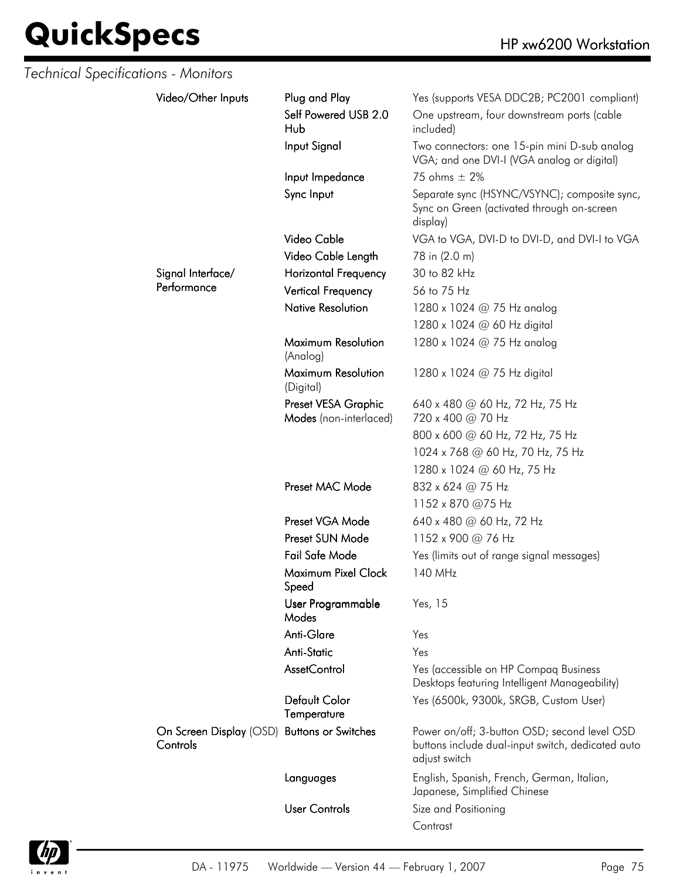| Technical Specifications - Monitors |                                                         |                                               |                                                                                                                    |
|-------------------------------------|---------------------------------------------------------|-----------------------------------------------|--------------------------------------------------------------------------------------------------------------------|
|                                     | Video/Other Inputs                                      | Plug and Play                                 | Yes (supports VESA DDC2B; PC2001 compliant)                                                                        |
|                                     |                                                         | Self Powered USB 2.0<br>Hub                   | One upstream, four downstream ports (cable<br>included)                                                            |
|                                     |                                                         | Input Signal                                  | Two connectors: one 15-pin mini D-sub analog<br>VGA; and one DVI-I (VGA analog or digital)                         |
|                                     |                                                         | Input Impedance                               | 75 ohms $\pm$ 2%                                                                                                   |
|                                     |                                                         | Sync Input                                    | Separate sync (HSYNC/VSYNC); composite sync,<br>Sync on Green (activated through on-screen<br>display)             |
|                                     |                                                         | Video Cable                                   | VGA to VGA, DVI-D to DVI-D, and DVI-I to VGA                                                                       |
|                                     |                                                         | Video Cable Length                            | 78 in (2.0 m)                                                                                                      |
|                                     | Signal Interface/                                       | <b>Horizontal Frequency</b>                   | 30 to 82 kHz                                                                                                       |
|                                     | Performance                                             | <b>Vertical Frequency</b>                     | 56 to 75 Hz                                                                                                        |
|                                     |                                                         | <b>Native Resolution</b>                      | 1280 x 1024 @ 75 Hz analog                                                                                         |
|                                     |                                                         |                                               | 1280 x 1024 @ 60 Hz digital                                                                                        |
|                                     |                                                         | Maximum Resolution<br>(Analog)                | 1280 x 1024 @ 75 Hz analog                                                                                         |
|                                     |                                                         | Maximum Resolution<br>(Digital)               | 1280 x 1024 $@$ 75 Hz digital                                                                                      |
|                                     |                                                         | Preset VESA Graphic<br>Modes (non-interlaced) | 640 x 480 @ 60 Hz, 72 Hz, 75 Hz<br>720 x 400 @ 70 Hz                                                               |
|                                     |                                                         |                                               | 800 x 600 @ 60 Hz, 72 Hz, 75 Hz                                                                                    |
|                                     |                                                         |                                               | 1024 x 768 @ 60 Hz, 70 Hz, 75 Hz                                                                                   |
|                                     |                                                         |                                               | 1280 x 1024 @ 60 Hz, 75 Hz                                                                                         |
|                                     |                                                         | Preset MAC Mode                               | 832 x 624 @ 75 Hz                                                                                                  |
|                                     |                                                         |                                               | 1152 x 870 @75 Hz                                                                                                  |
|                                     |                                                         | Preset VGA Mode                               | 640 x 480 @ 60 Hz, 72 Hz                                                                                           |
|                                     |                                                         | Preset SUN Mode                               | 1152 x 900 @ 76 Hz                                                                                                 |
|                                     |                                                         | Fail Safe Mode                                | Yes (limits out of range signal messages)                                                                          |
|                                     |                                                         | Maximum Pixel Clock<br>Speed                  | 140 MHz                                                                                                            |
|                                     |                                                         | User Programmable<br>Modes                    | Yes, 15                                                                                                            |
|                                     |                                                         | Anti-Glare                                    | Yes                                                                                                                |
|                                     |                                                         | <b>Anti-Static</b>                            | Yes                                                                                                                |
|                                     |                                                         | AssetControl                                  | Yes (accessible on HP Compaq Business<br>Desktops featuring Intelligent Manageability)                             |
|                                     |                                                         | <b>Default Color</b><br>Temperature           | Yes (6500k, 9300k, SRGB, Custom User)                                                                              |
|                                     | On Screen Display (OSD) Buttons or Switches<br>Controls |                                               | Power on/off; 3-button OSD; second level OSD<br>buttons include dual-input switch, dedicated auto<br>adjust switch |
|                                     |                                                         | Languages                                     | English, Spanish, French, German, Italian,<br>Japanese, Simplified Chinese                                         |
|                                     |                                                         | <b>User Controls</b>                          | Size and Positioning                                                                                               |
|                                     |                                                         |                                               | Contrast                                                                                                           |

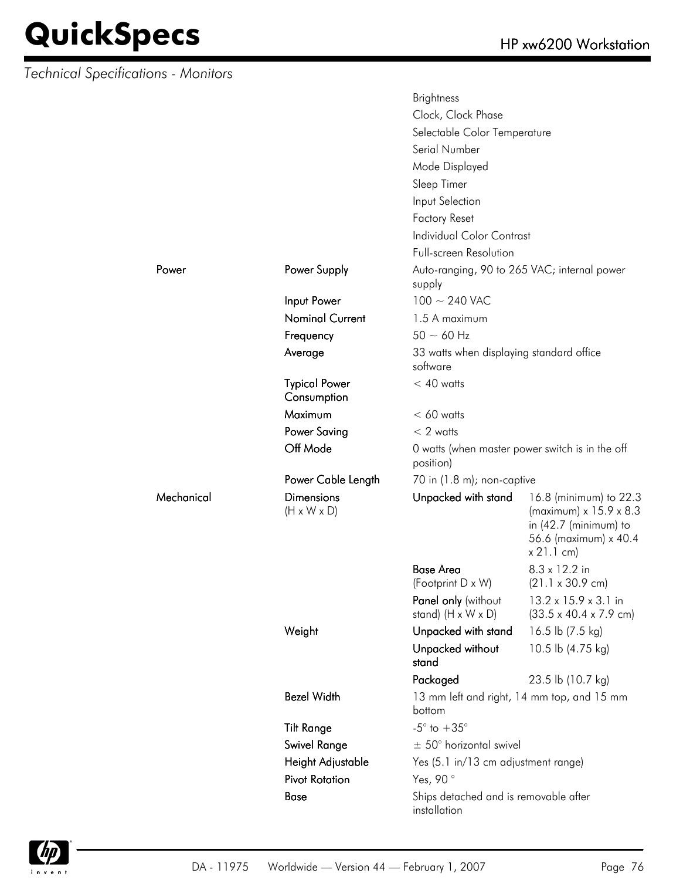*Technical Specifications - Monitors*

Mechanical

|            |                                              | <b>Brightness</b>                                     |                                                                                                                            |
|------------|----------------------------------------------|-------------------------------------------------------|----------------------------------------------------------------------------------------------------------------------------|
|            |                                              | Clock, Clock Phase                                    |                                                                                                                            |
|            |                                              | Selectable Color Temperature                          |                                                                                                                            |
|            |                                              | Serial Number                                         |                                                                                                                            |
|            |                                              | Mode Displayed                                        |                                                                                                                            |
|            |                                              | Sleep Timer                                           |                                                                                                                            |
|            |                                              | Input Selection                                       |                                                                                                                            |
|            |                                              | <b>Factory Reset</b>                                  |                                                                                                                            |
|            |                                              | <b>Individual Color Contrast</b>                      |                                                                                                                            |
|            |                                              | <b>Full-screen Resolution</b>                         |                                                                                                                            |
| Power      | Power Supply                                 | Auto-ranging, 90 to 265 VAC; internal power           |                                                                                                                            |
|            |                                              | supply                                                |                                                                                                                            |
|            | Input Power                                  | $100 \sim 240$ VAC                                    |                                                                                                                            |
|            | <b>Nominal Current</b>                       | 1.5 A maximum                                         |                                                                                                                            |
|            | Frequency                                    | $50 \sim 60$ Hz                                       |                                                                                                                            |
|            | Average                                      | 33 watts when displaying standard office<br>software  |                                                                                                                            |
|            | <b>Typical Power</b>                         | $< 40$ watts                                          |                                                                                                                            |
|            | Consumption                                  |                                                       |                                                                                                                            |
|            | Maximum                                      | $< 60$ watts                                          |                                                                                                                            |
|            | <b>Power Saving</b>                          | $< 2$ watts                                           |                                                                                                                            |
|            | Off Mode                                     | position)                                             | 0 watts (when master power switch is in the off                                                                            |
|            | Power Cable Length                           | 70 in (1.8 m); non-captive                            |                                                                                                                            |
| Mechanical | <b>Dimensions</b><br>$(H \times W \times D)$ | Unpacked with stand                                   | 16.8 (minimum) to 22.3<br>(maximum) x 15.9 x 8.3<br>in $(42.7 \text{ (minimum)}$ to<br>56.6 (maximum) x 40.4<br>x 21.1 cm) |
|            |                                              | <b>Base Area</b>                                      | 8.3 x 12.2 in                                                                                                              |
|            |                                              | (Footprint D x W)                                     | $(21.1 \times 30.9 \text{ cm})$                                                                                            |
|            |                                              | Panel only (without<br>stand) $(H \times W \times D)$ | 13.2 x 15.9 x 3.1 in<br>$(33.5 \times 40.4 \times 7.9 \text{ cm})$                                                         |
|            | Weight                                       | Unpacked with stand                                   | 16.5 lb (7.5 kg)                                                                                                           |
|            |                                              | Unpacked without<br>stand                             | 10.5 lb (4.75 kg)                                                                                                          |
|            |                                              | Packaged                                              | 23.5 lb (10.7 kg)                                                                                                          |
|            | <b>Bezel Width</b>                           | bottom                                                | 13 mm left and right, 14 mm top, and 15 mm                                                                                 |
|            | <b>Tilt Range</b>                            | $-5^{\circ}$ to $+35^{\circ}$                         |                                                                                                                            |
|            | Swivel Range                                 | $\pm$ 50° horizontal swivel                           |                                                                                                                            |
|            | Height Adjustable                            | Yes (5.1 in/13 cm adjustment range)                   |                                                                                                                            |
|            | <b>Pivot Rotation</b>                        | Yes, 90°                                              |                                                                                                                            |
|            | <b>Base</b>                                  | Ships detached and is removable after<br>installation |                                                                                                                            |

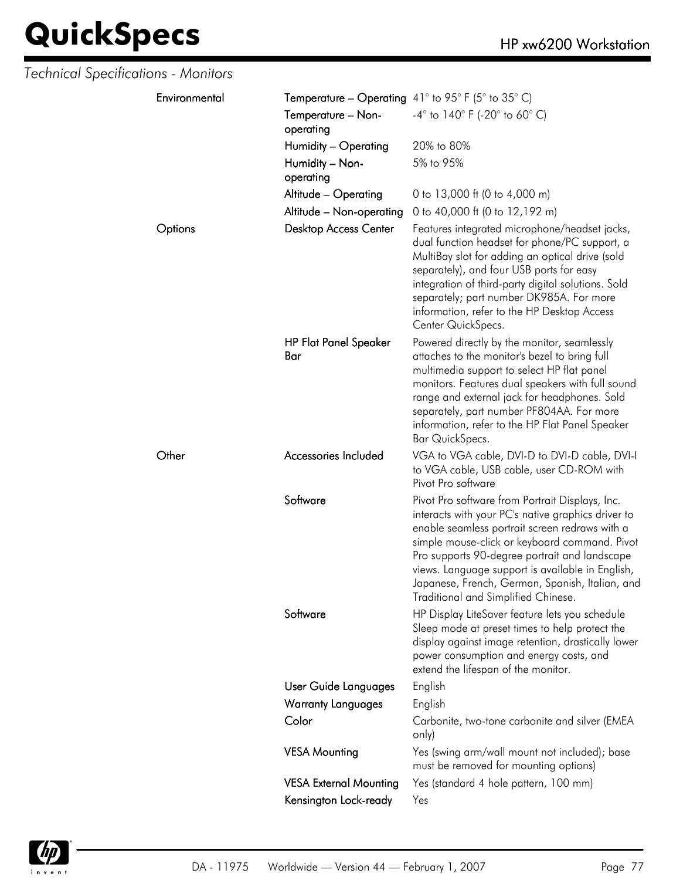| Technical Specifications - Monitors |                                                           |                                                                                                                                                                                                                                                                                                                                                                                                         |
|-------------------------------------|-----------------------------------------------------------|---------------------------------------------------------------------------------------------------------------------------------------------------------------------------------------------------------------------------------------------------------------------------------------------------------------------------------------------------------------------------------------------------------|
| Environmental                       | <b>Temperature – Operating</b> 41° to 95° F (5° to 35° C) |                                                                                                                                                                                                                                                                                                                                                                                                         |
|                                     | Temperature - Non-<br>operating                           | $-4^{\circ}$ to 140° F (-20° to 60° C)                                                                                                                                                                                                                                                                                                                                                                  |
|                                     | Humidity - Operating                                      | 20% to 80%                                                                                                                                                                                                                                                                                                                                                                                              |
|                                     | Humidity - Non-<br>operating                              | 5% to 95%                                                                                                                                                                                                                                                                                                                                                                                               |
|                                     | Altitude - Operating                                      | 0 to 13,000 ft (0 to 4,000 m)                                                                                                                                                                                                                                                                                                                                                                           |
|                                     | Altitude - Non-operating                                  | 0 to 40,000 ft (0 to 12,192 m)                                                                                                                                                                                                                                                                                                                                                                          |
| Options                             | <b>Desktop Access Center</b>                              | Features integrated microphone/headset jacks,<br>dual function headset for phone/PC support, a<br>MultiBay slot for adding an optical drive (sold<br>separately), and four USB ports for easy<br>integration of third-party digital solutions. Sold<br>separately; part number DK985A. For more<br>information, refer to the HP Desktop Access<br>Center QuickSpecs.                                    |
|                                     | <b>HP Flat Panel Speaker</b><br>Bar                       | Powered directly by the monitor, seamlessly<br>attaches to the monitor's bezel to bring full<br>multimedia support to select HP flat panel<br>monitors. Features dual speakers with full sound<br>range and external jack for headphones. Sold<br>separately, part number PF804AA. For more<br>information, refer to the HP Flat Panel Speaker<br>Bar QuickSpecs.                                       |
| Other                               | Accessories Included                                      | VGA to VGA cable, DVI-D to DVI-D cable, DVI-I<br>to VGA cable, USB cable, user CD-ROM with<br>Pivot Pro software                                                                                                                                                                                                                                                                                        |
|                                     | Software                                                  | Pivot Pro software from Portrait Displays, Inc.<br>interacts with your PC's native graphics driver to<br>enable seamless portrait screen redraws with a<br>simple mouse-click or keyboard command. Pivot<br>Pro supports 90-degree portrait and landscape<br>views. Language support is available in English,<br>Japanese, French, German, Spanish, Italian, and<br>Traditional and Simplified Chinese. |
|                                     | Software                                                  | HP Display LiteSaver feature lets you schedule<br>Sleep mode at preset times to help protect the<br>display against image retention, drastically lower<br>power consumption and energy costs, and<br>extend the lifespan of the monitor.                                                                                                                                                                |
|                                     | User Guide Languages                                      | English                                                                                                                                                                                                                                                                                                                                                                                                 |
|                                     | <b>Warranty Languages</b>                                 | English                                                                                                                                                                                                                                                                                                                                                                                                 |
|                                     | Color                                                     | Carbonite, two-tone carbonite and silver (EMEA<br>only)                                                                                                                                                                                                                                                                                                                                                 |
|                                     | <b>VESA Mounting</b>                                      | Yes (swing arm/wall mount not included); base<br>must be removed for mounting options)                                                                                                                                                                                                                                                                                                                  |
|                                     | <b>VESA External Mounting</b>                             | Yes (standard 4 hole pattern, 100 mm)                                                                                                                                                                                                                                                                                                                                                                   |
|                                     | Kensington Lock-ready                                     | Yes                                                                                                                                                                                                                                                                                                                                                                                                     |

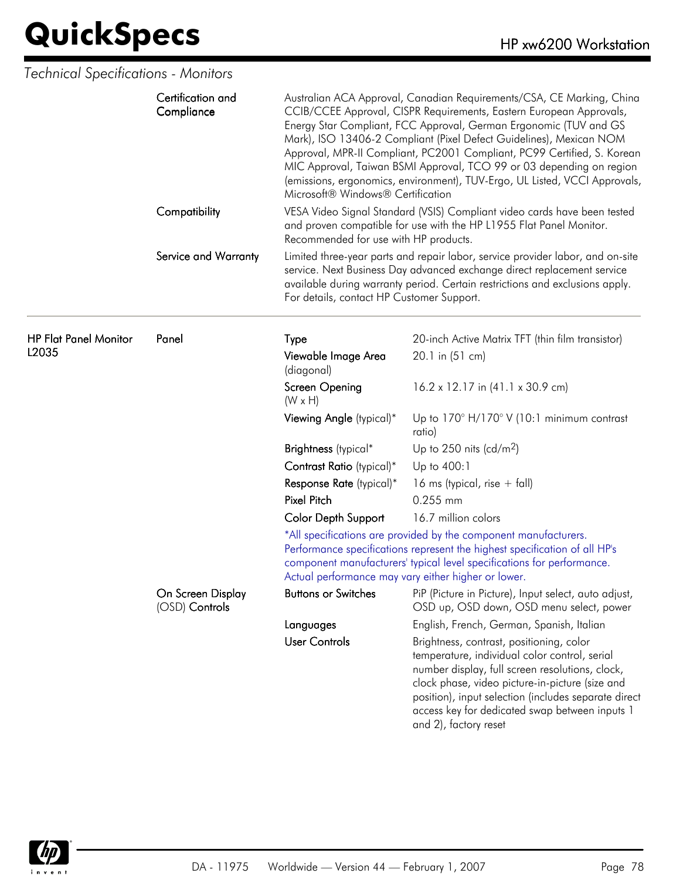| Technical Specifications - Monitors   |                                     |                                                                                                                                                                                                                                                                                                                                                                                                                                                                                                                                                                |                                                                                                                                                                                                                                                                                                                                    |
|---------------------------------------|-------------------------------------|----------------------------------------------------------------------------------------------------------------------------------------------------------------------------------------------------------------------------------------------------------------------------------------------------------------------------------------------------------------------------------------------------------------------------------------------------------------------------------------------------------------------------------------------------------------|------------------------------------------------------------------------------------------------------------------------------------------------------------------------------------------------------------------------------------------------------------------------------------------------------------------------------------|
|                                       | Certification and<br>Compliance     | Australian ACA Approval, Canadian Requirements/CSA, CE Marking, China<br>CCIB/CCEE Approval, CISPR Requirements, Eastern European Approvals,<br>Energy Star Compliant, FCC Approval, German Ergonomic (TUV and GS<br>Mark), ISO 13406-2 Compliant (Pixel Defect Guidelines), Mexican NOM<br>Approval, MPR-II Compliant, PC2001 Compliant, PC99 Certified, S. Korean<br>MIC Approval, Taiwan BSMI Approval, TCO 99 or 03 depending on region<br>(emissions, ergonomics, environment), TUV-Ergo, UL Listed, VCCI Approvals,<br>Microsoft® Windows® Certification |                                                                                                                                                                                                                                                                                                                                    |
|                                       | Compatibility                       | Recommended for use with HP products.                                                                                                                                                                                                                                                                                                                                                                                                                                                                                                                          | VESA Video Signal Standard (VSIS) Compliant video cards have been tested<br>and proven compatible for use with the HP L1955 Flat Panel Monitor.                                                                                                                                                                                    |
|                                       | Service and Warranty                | For details, contact HP Customer Support.                                                                                                                                                                                                                                                                                                                                                                                                                                                                                                                      | Limited three-year parts and repair labor, service provider labor, and on-site<br>service. Next Business Day advanced exchange direct replacement service<br>available during warranty period. Certain restrictions and exclusions apply.                                                                                          |
| <b>HP Flat Panel Monitor</b><br>L2035 | Panel                               | Type                                                                                                                                                                                                                                                                                                                                                                                                                                                                                                                                                           | 20-inch Active Matrix TFT (thin film transistor)                                                                                                                                                                                                                                                                                   |
|                                       |                                     | Viewable Image Area<br>(diagonal)                                                                                                                                                                                                                                                                                                                                                                                                                                                                                                                              | 20.1 in (51 cm)                                                                                                                                                                                                                                                                                                                    |
|                                       |                                     | Screen Opening<br>$(W \times H)$                                                                                                                                                                                                                                                                                                                                                                                                                                                                                                                               | 16.2 x 12.17 in (41.1 x 30.9 cm)                                                                                                                                                                                                                                                                                                   |
|                                       |                                     | Viewing Angle (typical)*                                                                                                                                                                                                                                                                                                                                                                                                                                                                                                                                       | Up to $170^\circ$ H/170° V (10:1 minimum contrast<br>ratio)                                                                                                                                                                                                                                                                        |
|                                       |                                     | Brightness (typical*                                                                                                                                                                                                                                                                                                                                                                                                                                                                                                                                           | Up to 250 nits (cd/m <sup>2</sup> )                                                                                                                                                                                                                                                                                                |
|                                       |                                     | Contrast Ratio (typical)*                                                                                                                                                                                                                                                                                                                                                                                                                                                                                                                                      | Up to 400:1                                                                                                                                                                                                                                                                                                                        |
|                                       |                                     | Response Rate (typical)*                                                                                                                                                                                                                                                                                                                                                                                                                                                                                                                                       | 16 ms (typical, rise $+$ fall)                                                                                                                                                                                                                                                                                                     |
|                                       |                                     | <b>Pixel Pitch</b>                                                                                                                                                                                                                                                                                                                                                                                                                                                                                                                                             | 0.255 mm                                                                                                                                                                                                                                                                                                                           |
|                                       |                                     | <b>Color Depth Support</b>                                                                                                                                                                                                                                                                                                                                                                                                                                                                                                                                     | 16.7 million colors                                                                                                                                                                                                                                                                                                                |
|                                       |                                     | *All specifications are provided by the component manufacturers.<br>Performance specifications represent the highest specification of all HP's<br>component manufacturers' typical level specifications for performance.<br>Actual performance may vary either higher or lower.                                                                                                                                                                                                                                                                                |                                                                                                                                                                                                                                                                                                                                    |
|                                       | On Screen Display<br>(OSD) Controls | <b>Buttons or Switches</b>                                                                                                                                                                                                                                                                                                                                                                                                                                                                                                                                     | PiP (Picture in Picture), Input select, auto adjust,<br>OSD up, OSD down, OSD menu select, power                                                                                                                                                                                                                                   |
|                                       |                                     | Languages                                                                                                                                                                                                                                                                                                                                                                                                                                                                                                                                                      | English, French, German, Spanish, Italian                                                                                                                                                                                                                                                                                          |
|                                       |                                     | <b>User Controls</b>                                                                                                                                                                                                                                                                                                                                                                                                                                                                                                                                           | Brightness, contrast, positioning, color<br>temperature, individual color control, serial<br>number display, full screen resolutions, clock,<br>clock phase, video picture-in-picture (size and<br>position), input selection (includes separate direct<br>access key for dedicated swap between inputs 1<br>and 2), factory reset |

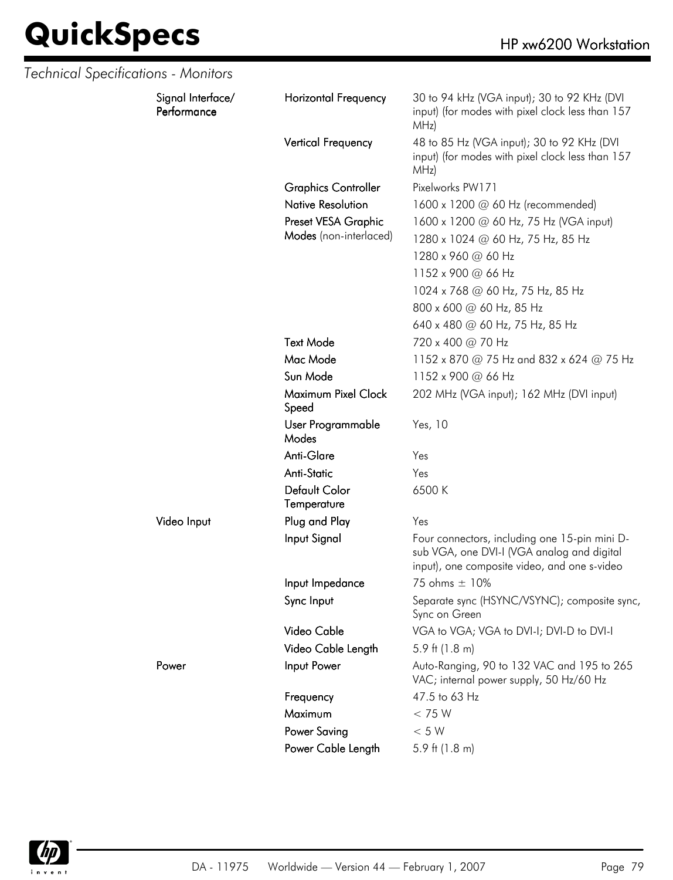| Technical Specifications - Monitors |                                  |                              |                                                                                                                                             |
|-------------------------------------|----------------------------------|------------------------------|---------------------------------------------------------------------------------------------------------------------------------------------|
|                                     | Signal Interface/<br>Performance | <b>Horizontal Frequency</b>  | 30 to 94 kHz (VGA input); 30 to 92 KHz (DVI<br>input) (for modes with pixel clock less than 157<br>MHz)                                     |
|                                     |                                  | Vertical Frequency           | 48 to 85 Hz (VGA input); 30 to 92 KHz (DVI<br>input) (for modes with pixel clock less than 157<br>MHz)                                      |
|                                     |                                  | <b>Graphics Controller</b>   | Pixelworks PW171                                                                                                                            |
|                                     |                                  | <b>Native Resolution</b>     | 1600 x 1200 @ 60 Hz (recommended)                                                                                                           |
|                                     |                                  | Preset VESA Graphic          | 1600 x 1200 @ 60 Hz, 75 Hz (VGA input)                                                                                                      |
|                                     |                                  | Modes (non-interlaced)       | 1280 x 1024 @ 60 Hz, 75 Hz, 85 Hz                                                                                                           |
|                                     |                                  |                              | 1280 x 960 @ 60 Hz                                                                                                                          |
|                                     |                                  |                              | 1152 x 900 @ 66 Hz                                                                                                                          |
|                                     |                                  |                              | 1024 x 768 @ 60 Hz, 75 Hz, 85 Hz                                                                                                            |
|                                     |                                  |                              | 800 x 600 @ 60 Hz, 85 Hz                                                                                                                    |
|                                     |                                  |                              | 640 x 480 @ 60 Hz, 75 Hz, 85 Hz                                                                                                             |
|                                     |                                  | <b>Text Mode</b>             | 720 x 400 @ 70 Hz                                                                                                                           |
|                                     |                                  | Mac Mode                     | 1152 x 870 @ 75 Hz and 832 x 624 @ 75 Hz                                                                                                    |
|                                     |                                  | Sun Mode                     | 1152 x 900 @ 66 Hz                                                                                                                          |
|                                     |                                  | Maximum Pixel Clock<br>Speed | 202 MHz (VGA input); 162 MHz (DVI input)                                                                                                    |
|                                     |                                  | User Programmable<br>Modes   | Yes, 10                                                                                                                                     |
|                                     |                                  | Anti-Glare                   | Yes                                                                                                                                         |
|                                     |                                  | <b>Anti-Static</b>           | Yes                                                                                                                                         |
|                                     |                                  | Default Color<br>Temperature | 6500K                                                                                                                                       |
|                                     | Video Input                      | Plug and Play                | Yes                                                                                                                                         |
|                                     |                                  | Input Signal                 | Four connectors, including one 15-pin mini D-<br>sub VGA, one DVI-I (VGA analog and digital<br>input), one composite video, and one s-video |
|                                     |                                  | Input Impedance              | 75 ohms ± 10%                                                                                                                               |
|                                     |                                  | Sync Input                   | Separate sync (HSYNC/VSYNC); composite sync,<br>Sync on Green                                                                               |
|                                     |                                  | Video Cable                  | VGA to VGA; VGA to DVI-I; DVI-D to DVI-I                                                                                                    |
|                                     |                                  | Video Cable Length           | 5.9 ft $(1.8 \text{ m})$                                                                                                                    |
|                                     | Power                            | Input Power                  | Auto-Ranging, 90 to 132 VAC and 195 to 265<br>VAC; internal power supply, 50 Hz/60 Hz                                                       |
|                                     |                                  | Frequency                    | 47.5 to 63 Hz                                                                                                                               |
|                                     |                                  | Maximum                      | < 75 W                                                                                                                                      |
|                                     |                                  | <b>Power Saving</b>          | $< 5 W$                                                                                                                                     |
|                                     |                                  | Power Cable Length           | 5.9 ft $(1.8 \text{ m})$                                                                                                                    |

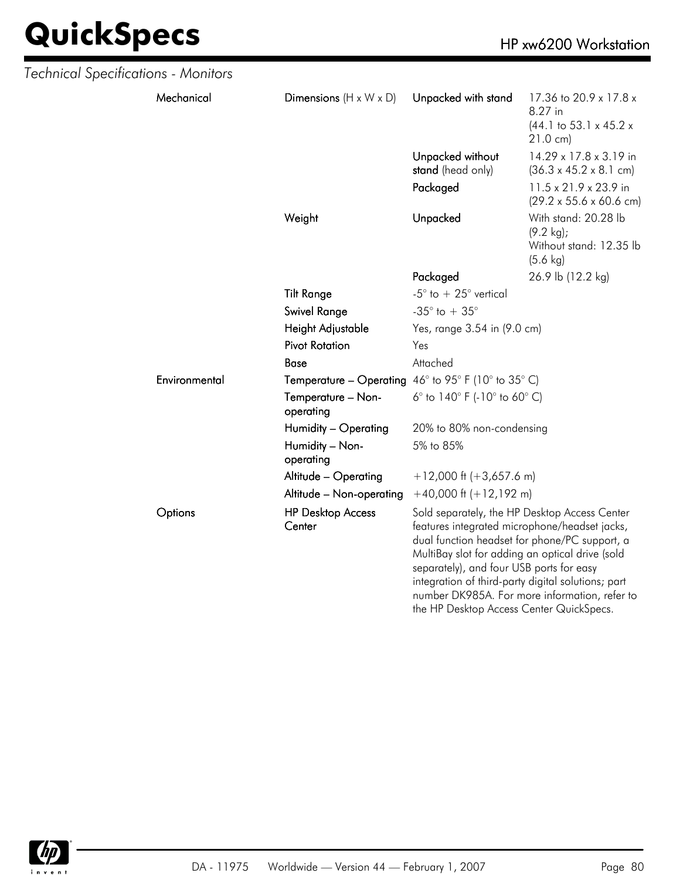| Technical Specifications - Monitors |               |                                                                     |                                                                                                                                                                                                                                                                                                                                                  |                                                                                                       |
|-------------------------------------|---------------|---------------------------------------------------------------------|--------------------------------------------------------------------------------------------------------------------------------------------------------------------------------------------------------------------------------------------------------------------------------------------------------------------------------------------------|-------------------------------------------------------------------------------------------------------|
|                                     | Mechanical    | Dimensions ( $H \times W \times D$ )                                | Unpacked with stand                                                                                                                                                                                                                                                                                                                              | 17.36 to 20.9 x 17.8 x<br>8.27 in<br>$(44.1 \text{ to } 53.1 \times 45.2 \times$<br>$21.0 \text{ cm}$ |
|                                     |               |                                                                     | Unpacked without<br>stand (head only)                                                                                                                                                                                                                                                                                                            | 14.29 x 17.8 x 3.19 in<br>$(36.3 \times 45.2 \times 8.1 \text{ cm})$                                  |
|                                     |               |                                                                     | Packaged                                                                                                                                                                                                                                                                                                                                         | 11.5 x 21.9 x 23.9 in<br>$(29.2 \times 55.6 \times 60.6 \text{ cm})$                                  |
|                                     |               | Weight                                                              | Unpacked                                                                                                                                                                                                                                                                                                                                         | With stand: 20.28 lb<br>$(9.2 \text{ kg})$ ;<br>Without stand: 12.35 lb<br>$(5.6 \text{ kg})$         |
|                                     |               |                                                                     | Packaged                                                                                                                                                                                                                                                                                                                                         | 26.9 lb (12.2 kg)                                                                                     |
|                                     |               | <b>Tilt Range</b>                                                   | -5 $^{\circ}$ to $+25^{\circ}$ vertical                                                                                                                                                                                                                                                                                                          |                                                                                                       |
|                                     |               | Swivel Range                                                        | -35 $^{\circ}$ to + 35 $^{\circ}$                                                                                                                                                                                                                                                                                                                |                                                                                                       |
|                                     |               | Height Adjustable                                                   | Yes, range 3.54 in (9.0 cm)                                                                                                                                                                                                                                                                                                                      |                                                                                                       |
|                                     |               | <b>Pivot Rotation</b>                                               | Yes                                                                                                                                                                                                                                                                                                                                              |                                                                                                       |
|                                     |               | <b>Base</b>                                                         | Attached                                                                                                                                                                                                                                                                                                                                         |                                                                                                       |
|                                     | Environmental | <b>Temperature – Operating</b> $46^{\circ}$ to 95° F (10° to 35° C) |                                                                                                                                                                                                                                                                                                                                                  |                                                                                                       |
|                                     |               | Temperature - Non-<br>operating                                     | 6° to $140^{\circ}$ F (-10° to 60° C)                                                                                                                                                                                                                                                                                                            |                                                                                                       |
|                                     |               | Humidity - Operating                                                | 20% to 80% non-condensing                                                                                                                                                                                                                                                                                                                        |                                                                                                       |
|                                     |               | Humidity - Non-<br>operating                                        | 5% to 85%                                                                                                                                                                                                                                                                                                                                        |                                                                                                       |
|                                     |               | Altitude - Operating                                                | $+12,000$ ft (+3,657.6 m)                                                                                                                                                                                                                                                                                                                        |                                                                                                       |
|                                     |               | Altitude - Non-operating                                            | $+40,000$ ft $(+12,192$ m)                                                                                                                                                                                                                                                                                                                       |                                                                                                       |
|                                     | Options       | <b>HP Desktop Access</b><br>Center                                  | Sold separately, the HP Desktop Access Center<br>features integrated microphone/headset jacks,<br>dual function headset for phone/PC support, a<br>MultiBay slot for adding an optical drive (sold<br>separately), and four USB ports for easy<br>integration of third-party digital solutions; part<br>the HP Desktop Access Center QuickSpecs. | number DK985A. For more information, refer to                                                         |

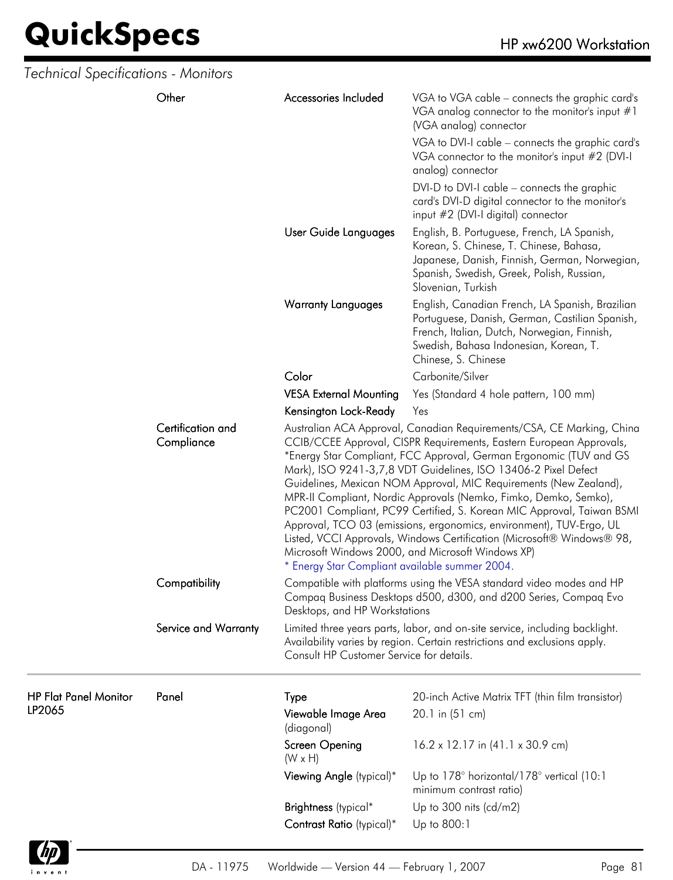| Technical Specifications - Monitors    |                      |                                                                                                                                                                                                                                                                                                                                                                                                                                                                                                                                                                                                                                                                                                                                                                |                                                                                                                                                                                                                                                                                                                                                         |  |
|----------------------------------------|----------------------|----------------------------------------------------------------------------------------------------------------------------------------------------------------------------------------------------------------------------------------------------------------------------------------------------------------------------------------------------------------------------------------------------------------------------------------------------------------------------------------------------------------------------------------------------------------------------------------------------------------------------------------------------------------------------------------------------------------------------------------------------------------|---------------------------------------------------------------------------------------------------------------------------------------------------------------------------------------------------------------------------------------------------------------------------------------------------------------------------------------------------------|--|
|                                        | Other                | Accessories Included                                                                                                                                                                                                                                                                                                                                                                                                                                                                                                                                                                                                                                                                                                                                           | VGA to VGA cable - connects the graphic card's<br>VGA analog connector to the monitor's input #1<br>(VGA analog) connector<br>VGA to DVI-I cable - connects the graphic card's<br>VGA connector to the monitor's input #2 (DVI-I<br>analog) connector<br>DVI-D to DVI-I cable - connects the graphic<br>card's DVI-D digital connector to the monitor's |  |
|                                        |                      | User Guide Languages                                                                                                                                                                                                                                                                                                                                                                                                                                                                                                                                                                                                                                                                                                                                           | input #2 (DVI-I digital) connector<br>English, B. Portuguese, French, LA Spanish,<br>Korean, S. Chinese, T. Chinese, Bahasa,<br>Japanese, Danish, Finnish, German, Norwegian,<br>Spanish, Swedish, Greek, Polish, Russian,<br>Slovenian, Turkish                                                                                                        |  |
|                                        |                      | <b>Warranty Languages</b>                                                                                                                                                                                                                                                                                                                                                                                                                                                                                                                                                                                                                                                                                                                                      | English, Canadian French, LA Spanish, Brazilian<br>Portuguese, Danish, German, Castilian Spanish,<br>French, Italian, Dutch, Norwegian, Finnish,<br>Swedish, Bahasa Indonesian, Korean, T.<br>Chinese, S. Chinese                                                                                                                                       |  |
|                                        |                      | Color                                                                                                                                                                                                                                                                                                                                                                                                                                                                                                                                                                                                                                                                                                                                                          | Carbonite/Silver                                                                                                                                                                                                                                                                                                                                        |  |
|                                        |                      | <b>VESA External Mounting</b>                                                                                                                                                                                                                                                                                                                                                                                                                                                                                                                                                                                                                                                                                                                                  | Yes (Standard 4 hole pattern, 100 mm)                                                                                                                                                                                                                                                                                                                   |  |
|                                        |                      | Kensington Lock-Ready                                                                                                                                                                                                                                                                                                                                                                                                                                                                                                                                                                                                                                                                                                                                          | Yes                                                                                                                                                                                                                                                                                                                                                     |  |
| Certification and<br>Compliance        |                      | Australian ACA Approval, Canadian Requirements/CSA, CE Marking, China<br>CCIB/CCEE Approval, CISPR Requirements, Eastern European Approvals,<br>*Energy Star Compliant, FCC Approval, German Ergonomic (TUV and GS<br>Mark), ISO 9241-3,7,8 VDT Guidelines, ISO 13406-2 Pixel Defect<br>Guidelines, Mexican NOM Approval, MIC Requirements (New Zealand),<br>MPR-II Compliant, Nordic Approvals (Nemko, Fimko, Demko, Semko),<br>PC2001 Compliant, PC99 Certified, S. Korean MIC Approval, Taiwan BSMI<br>Approval, TCO 03 (emissions, ergonomics, environment), TUV-Ergo, UL<br>Listed, VCCI Approvals, Windows Certification (Microsoft® Windows® 98,<br>Microsoft Windows 2000, and Microsoft Windows XP)<br>* Energy Star Compliant available summer 2004. |                                                                                                                                                                                                                                                                                                                                                         |  |
|                                        | Compatibility        | Desktops, and HP Workstations                                                                                                                                                                                                                                                                                                                                                                                                                                                                                                                                                                                                                                                                                                                                  | Compatible with platforms using the VESA standard video modes and HP<br>Compaq Business Desktops d500, d300, and d200 Series, Compaq Evo                                                                                                                                                                                                                |  |
|                                        | Service and Warranty | Consult HP Customer Service for details.                                                                                                                                                                                                                                                                                                                                                                                                                                                                                                                                                                                                                                                                                                                       | Limited three years parts, labor, and on-site service, including backlight.<br>Availability varies by region. Certain restrictions and exclusions apply.                                                                                                                                                                                                |  |
| <b>HP Flat Panel Monitor</b><br>LP2065 | Panel                | Type<br>Viewable Image Area<br>(diagonal)                                                                                                                                                                                                                                                                                                                                                                                                                                                                                                                                                                                                                                                                                                                      | 20-inch Active Matrix TFT (thin film transistor)<br>20.1 in (51 cm)                                                                                                                                                                                                                                                                                     |  |
|                                        |                      | Screen Opening<br>$(W \times H)$                                                                                                                                                                                                                                                                                                                                                                                                                                                                                                                                                                                                                                                                                                                               | $16.2 \times 12.17$ in $(41.1 \times 30.9$ cm)                                                                                                                                                                                                                                                                                                          |  |
|                                        |                      | Viewing Angle (typical)*                                                                                                                                                                                                                                                                                                                                                                                                                                                                                                                                                                                                                                                                                                                                       | Up to 178° horizontal/178° vertical (10:1<br>minimum contrast ratio)                                                                                                                                                                                                                                                                                    |  |
|                                        |                      | Brightness (typical*                                                                                                                                                                                                                                                                                                                                                                                                                                                                                                                                                                                                                                                                                                                                           | Up to 300 nits $(cd/m2)$                                                                                                                                                                                                                                                                                                                                |  |
|                                        |                      | Contrast Ratio (typical)*                                                                                                                                                                                                                                                                                                                                                                                                                                                                                                                                                                                                                                                                                                                                      | Up to 800:1                                                                                                                                                                                                                                                                                                                                             |  |
|                                        |                      |                                                                                                                                                                                                                                                                                                                                                                                                                                                                                                                                                                                                                                                                                                                                                                |                                                                                                                                                                                                                                                                                                                                                         |  |

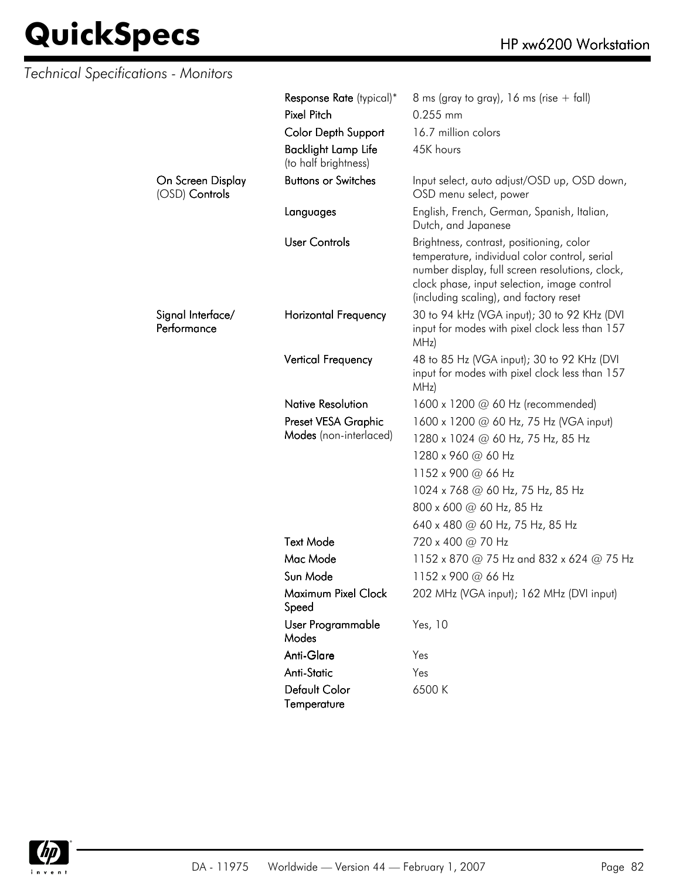| Technical Specifications - Monitors |                                                    |                                                                                                                                                                                                                                       |
|-------------------------------------|----------------------------------------------------|---------------------------------------------------------------------------------------------------------------------------------------------------------------------------------------------------------------------------------------|
|                                     | Response Rate (typical)*                           | 8 ms (gray to gray), 16 ms (rise $+$ fall)                                                                                                                                                                                            |
|                                     | <b>Pixel Pitch</b>                                 | 0.255 mm                                                                                                                                                                                                                              |
|                                     | <b>Color Depth Support</b>                         | 16.7 million colors                                                                                                                                                                                                                   |
|                                     | <b>Backlight Lamp Life</b><br>(to half brightness) | 45K hours                                                                                                                                                                                                                             |
| On Screen Display<br>(OSD) Controls | <b>Buttons or Switches</b>                         | Input select, auto adjust/OSD up, OSD down,<br>OSD menu select, power                                                                                                                                                                 |
|                                     | Languages                                          | English, French, German, Spanish, Italian,<br>Dutch, and Japanese                                                                                                                                                                     |
|                                     | <b>User Controls</b>                               | Brightness, contrast, positioning, color<br>temperature, individual color control, serial<br>number display, full screen resolutions, clock,<br>clock phase, input selection, image control<br>(including scaling), and factory reset |
| Signal Interface/<br>Performance    | <b>Horizontal Frequency</b>                        | 30 to 94 kHz (VGA input); 30 to 92 KHz (DVI<br>input for modes with pixel clock less than 157<br>MHz)                                                                                                                                 |
|                                     | Vertical Frequency                                 | 48 to 85 Hz (VGA input); 30 to 92 KHz (DVI<br>input for modes with pixel clock less than 157<br>MHz)                                                                                                                                  |
|                                     | <b>Native Resolution</b>                           | 1600 x 1200 $\omega$ 60 Hz (recommended)                                                                                                                                                                                              |
|                                     | Preset VESA Graphic                                | 1600 x 1200 @ 60 Hz, 75 Hz (VGA input)                                                                                                                                                                                                |
|                                     | Modes (non-interlaced)                             | 1280 x 1024 @ 60 Hz, 75 Hz, 85 Hz                                                                                                                                                                                                     |
|                                     |                                                    | 1280 x 960 @ 60 Hz                                                                                                                                                                                                                    |
|                                     |                                                    | 1152 x 900 @ 66 Hz                                                                                                                                                                                                                    |
|                                     |                                                    | 1024 x 768 @ 60 Hz, 75 Hz, 85 Hz                                                                                                                                                                                                      |
|                                     |                                                    | 800 x 600 @ 60 Hz, 85 Hz                                                                                                                                                                                                              |
|                                     |                                                    | 640 x 480 @ 60 Hz, 75 Hz, 85 Hz                                                                                                                                                                                                       |
|                                     | <b>Text Mode</b>                                   | 720 x 400 @ 70 Hz                                                                                                                                                                                                                     |
|                                     | Mac Mode                                           | 1152 x 870 @ 75 Hz and 832 x 624 @ 75 Hz                                                                                                                                                                                              |
|                                     | Sun Mode                                           | 1152 x 900 @ 66 Hz                                                                                                                                                                                                                    |
|                                     | Maximum Pixel Clock<br>Speed                       | 202 MHz (VGA input); 162 MHz (DVI input)                                                                                                                                                                                              |
|                                     | User Programmable<br>Modes                         | Yes, 10                                                                                                                                                                                                                               |
|                                     | Anti-Glare                                         | Yes                                                                                                                                                                                                                                   |
|                                     | <b>Anti-Static</b>                                 | Yes                                                                                                                                                                                                                                   |
|                                     | Default Color<br>Temperature                       | 6500 K                                                                                                                                                                                                                                |

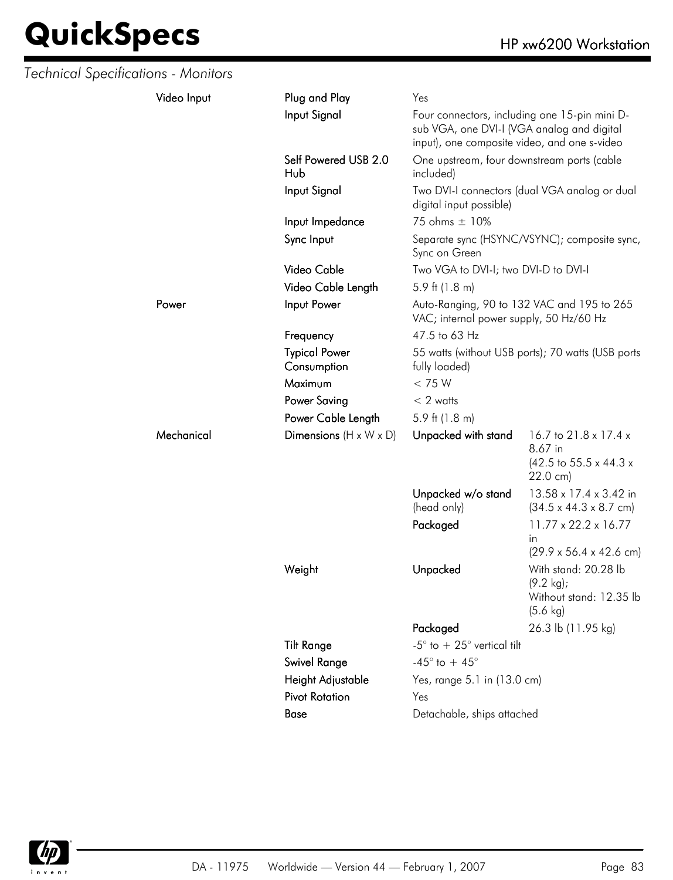| Technical Specifications - Monitors |             |                                                                                                |                                                                                                                                                                   |                                                                                               |
|-------------------------------------|-------------|------------------------------------------------------------------------------------------------|-------------------------------------------------------------------------------------------------------------------------------------------------------------------|-----------------------------------------------------------------------------------------------|
|                                     | Video Input | Plug and Play                                                                                  | Yes                                                                                                                                                               |                                                                                               |
|                                     |             | Input Signal                                                                                   | Four connectors, including one 15-pin mini D-<br>sub VGA, one DVI-I (VGA analog and digital<br>input), one composite video, and one s-video                       |                                                                                               |
|                                     |             | Self Powered USB 2.0<br>Hub                                                                    | One upstream, four downstream ports (cable<br>included)                                                                                                           |                                                                                               |
|                                     |             | Input Signal                                                                                   | digital input possible)                                                                                                                                           | Two DVI-I connectors (dual VGA analog or dual                                                 |
|                                     |             | Input Impedance                                                                                | 75 ohms ± 10%                                                                                                                                                     |                                                                                               |
|                                     |             | Sync Input                                                                                     | Sync on Green                                                                                                                                                     | Separate sync (HSYNC/VSYNC); composite sync,                                                  |
|                                     |             | Video Cable                                                                                    | Two VGA to DVI-I; two DVI-D to DVI-I                                                                                                                              |                                                                                               |
|                                     |             | Video Cable Length                                                                             | 5.9 ft $(1.8 \text{ m})$                                                                                                                                          |                                                                                               |
|                                     | Power       | Input Power                                                                                    | Auto-Ranging, 90 to 132 VAC and 195 to 265<br>VAC; internal power supply, 50 Hz/60 Hz                                                                             |                                                                                               |
|                                     |             | Frequency                                                                                      | 47.5 to 63 Hz                                                                                                                                                     |                                                                                               |
|                                     |             | <b>Typical Power</b><br>Consumption                                                            | fully loaded)                                                                                                                                                     | 55 watts (without USB ports); 70 watts (USB ports                                             |
|                                     |             | Maximum                                                                                        | < 75 W                                                                                                                                                            |                                                                                               |
|                                     |             | <b>Power Saving</b>                                                                            | $< 2$ watts                                                                                                                                                       |                                                                                               |
|                                     |             | Power Cable Length                                                                             | 5.9 ft $(1.8 \text{ m})$                                                                                                                                          |                                                                                               |
|                                     | Mechanical  | Dimensions $(H \times W \times D)$                                                             | Unpacked with stand                                                                                                                                               | 16.7 to 21.8 x 17.4 x<br>8.67 in<br>$(42.5 \text{ to } 55.5 \times 44.3 \times$<br>22.0 cm)   |
|                                     |             |                                                                                                | Unpacked w/o stand<br>(head only)                                                                                                                                 | 13.58 x 17.4 x 3.42 in<br>$(34.5 \times 44.3 \times 8.7 \text{ cm})$                          |
|                                     |             |                                                                                                | Packaged                                                                                                                                                          | $11.77 \times 22.2 \times 16.77$<br>in.<br>$(29.9 \times 56.4 \times 42.6 \text{ cm})$        |
|                                     |             | Weight                                                                                         | Unpacked                                                                                                                                                          | With stand: 20.28 lb<br>$(9.2 \text{ kg})$ ;<br>Without stand: 12.35 lb<br>$(5.6 \text{ kg})$ |
|                                     |             | <b>Tilt Range</b><br><b>Swivel Range</b><br>Height Adjustable<br><b>Pivot Rotation</b><br>Base | Packaged<br>-5 $^{\circ}$ to $+25^{\circ}$ vertical tilt<br>-45 $^{\circ}$ to + 45 $^{\circ}$<br>Yes, range 5.1 in (13.0 cm)<br>Yes<br>Detachable, ships attached | 26.3 lb (11.95 kg)                                                                            |

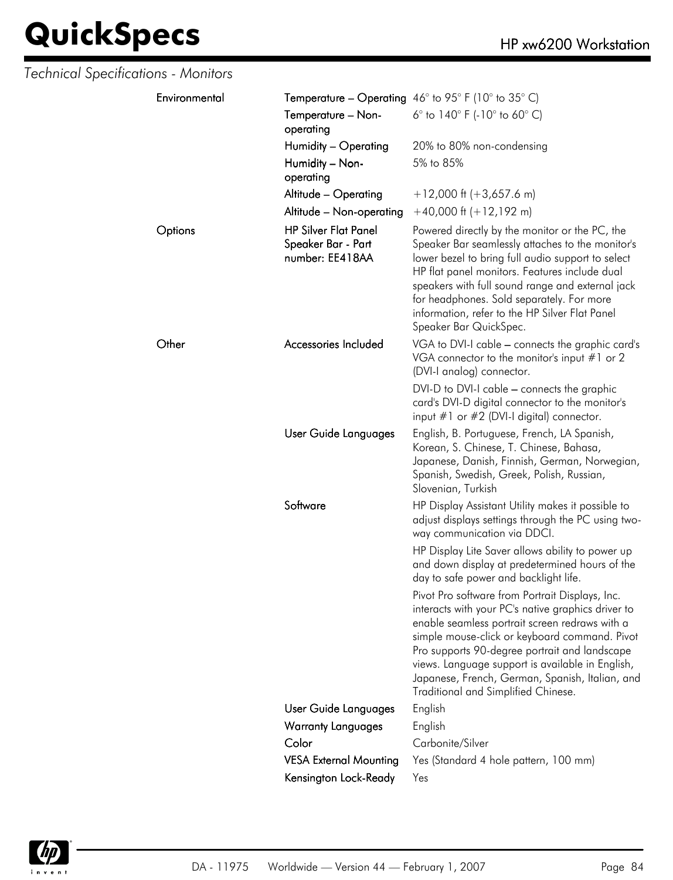| Technical Specifications - Monitors |                                                                      |                                                                                                                                                                                                                                                                                                                                                                                                         |
|-------------------------------------|----------------------------------------------------------------------|---------------------------------------------------------------------------------------------------------------------------------------------------------------------------------------------------------------------------------------------------------------------------------------------------------------------------------------------------------------------------------------------------------|
| Environmental                       |                                                                      | <b>Temperature – Operating</b> 46° to 95° F (10° to 35° C)                                                                                                                                                                                                                                                                                                                                              |
|                                     | Temperature - Non-<br>operating                                      | 6 $\degree$ to 140 $\degree$ F (-10 $\degree$ to 60 $\degree$ C)                                                                                                                                                                                                                                                                                                                                        |
|                                     | Humidity – Operating                                                 | 20% to 80% non-condensing                                                                                                                                                                                                                                                                                                                                                                               |
|                                     | Humidity - Non-<br>operating                                         | 5% to 85%                                                                                                                                                                                                                                                                                                                                                                                               |
|                                     | Altitude - Operating                                                 | $+12,000$ ft (+3,657.6 m)                                                                                                                                                                                                                                                                                                                                                                               |
|                                     | Altitude - Non-operating                                             | $+40,000$ ft $(+12,192$ m)                                                                                                                                                                                                                                                                                                                                                                              |
| Options                             | <b>HP Silver Flat Panel</b><br>Speaker Bar - Part<br>number: EE418AA | Powered directly by the monitor or the PC, the<br>Speaker Bar seamlessly attaches to the monitor's<br>lower bezel to bring full audio support to select<br>HP flat panel monitors. Features include dual<br>speakers with full sound range and external jack<br>for headphones. Sold separately. For more<br>information, refer to the HP Silver Flat Panel<br>Speaker Bar QuickSpec.                   |
| Other                               | Accessories Included                                                 | VGA to DVI-I cable - connects the graphic card's<br>VGA connector to the monitor's input $#1$ or 2<br>(DVI-I analog) connector.                                                                                                                                                                                                                                                                         |
|                                     |                                                                      | DVI-D to DVI-I cable - connects the graphic<br>card's DVI-D digital connector to the monitor's<br>input $#1$ or $#2$ (DVI-I digital) connector.                                                                                                                                                                                                                                                         |
|                                     | User Guide Languages                                                 | English, B. Portuguese, French, LA Spanish,<br>Korean, S. Chinese, T. Chinese, Bahasa,<br>Japanese, Danish, Finnish, German, Norwegian,<br>Spanish, Swedish, Greek, Polish, Russian,<br>Slovenian, Turkish                                                                                                                                                                                              |
|                                     | Software                                                             | HP Display Assistant Utility makes it possible to<br>adjust displays settings through the PC using two-<br>way communication via DDCI.                                                                                                                                                                                                                                                                  |
|                                     |                                                                      | HP Display Lite Saver allows ability to power up<br>and down display at predetermined hours of the<br>day to safe power and backlight life.                                                                                                                                                                                                                                                             |
|                                     |                                                                      | Pivot Pro software from Portrait Displays, Inc.<br>interacts with your PC's native graphics driver to<br>enable seamless portrait screen redraws with a<br>simple mouse-click or keyboard command. Pivot<br>Pro supports 90-degree portrait and landscape<br>views. Language support is available in English,<br>Japanese, French, German, Spanish, Italian, and<br>Traditional and Simplified Chinese. |
|                                     | User Guide Languages                                                 | English                                                                                                                                                                                                                                                                                                                                                                                                 |
|                                     | <b>Warranty Languages</b>                                            | English                                                                                                                                                                                                                                                                                                                                                                                                 |
|                                     | Color                                                                | Carbonite/Silver                                                                                                                                                                                                                                                                                                                                                                                        |
|                                     | <b>VESA External Mounting</b>                                        | Yes (Standard 4 hole pattern, 100 mm)                                                                                                                                                                                                                                                                                                                                                                   |
|                                     | Kensington Lock-Ready                                                | Yes                                                                                                                                                                                                                                                                                                                                                                                                     |

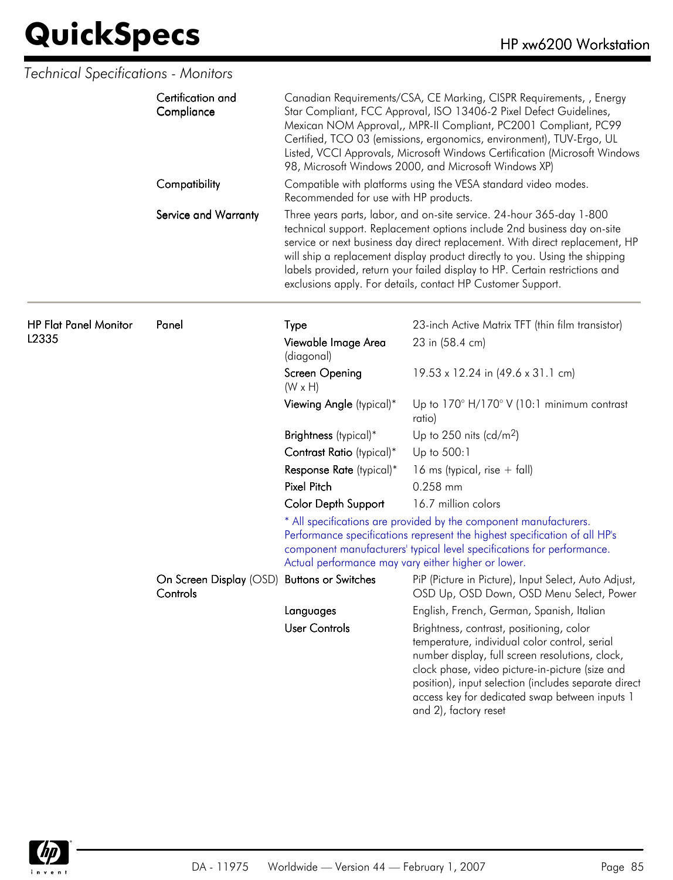|                              | Certification and<br>Compliance<br>Compatibility<br>Service and Warranty | Canadian Requirements/CSA, CE Marking, CISPR Requirements, , Energy<br>Star Compliant, FCC Approval, ISO 13406-2 Pixel Defect Guidelines,<br>Mexican NOM Approval,, MPR-II Compliant, PC2001 Compliant, PC99<br>Certified, TCO 03 (emissions, ergonomics, environment), TUV-Ergo, UL<br>Listed, VCCI Approvals, Microsoft Windows Certification (Microsoft Windows<br>98, Microsoft Windows 2000, and Microsoft Windows XP) |                                                                                                                                                                                                                                                                                                                                                                                                                                                              |  |
|------------------------------|--------------------------------------------------------------------------|-----------------------------------------------------------------------------------------------------------------------------------------------------------------------------------------------------------------------------------------------------------------------------------------------------------------------------------------------------------------------------------------------------------------------------|--------------------------------------------------------------------------------------------------------------------------------------------------------------------------------------------------------------------------------------------------------------------------------------------------------------------------------------------------------------------------------------------------------------------------------------------------------------|--|
|                              |                                                                          | Compatible with platforms using the VESA standard video modes.<br>Recommended for use with HP products.                                                                                                                                                                                                                                                                                                                     |                                                                                                                                                                                                                                                                                                                                                                                                                                                              |  |
|                              |                                                                          |                                                                                                                                                                                                                                                                                                                                                                                                                             | Three years parts, labor, and on-site service. 24-hour 365-day 1-800<br>technical support. Replacement options include 2nd business day on-site<br>service or next business day direct replacement. With direct replacement, HP<br>will ship a replacement display product directly to you. Using the shipping<br>labels provided, return your failed display to HP. Certain restrictions and<br>exclusions apply. For details, contact HP Customer Support. |  |
| <b>HP Flat Panel Monitor</b> | Panel                                                                    | Type                                                                                                                                                                                                                                                                                                                                                                                                                        | 23-inch Active Matrix TFT (thin film transistor)                                                                                                                                                                                                                                                                                                                                                                                                             |  |
| L2335                        |                                                                          | Viewable Image Area<br>(diagonal)                                                                                                                                                                                                                                                                                                                                                                                           | 23 in (58.4 cm)                                                                                                                                                                                                                                                                                                                                                                                                                                              |  |
|                              |                                                                          | Screen Opening<br>$(W \times H)$                                                                                                                                                                                                                                                                                                                                                                                            | 19.53 x 12.24 in (49.6 x 31.1 cm)                                                                                                                                                                                                                                                                                                                                                                                                                            |  |
|                              |                                                                          | Viewing Angle (typical)*                                                                                                                                                                                                                                                                                                                                                                                                    | Up to $170^\circ$ H/170 $^\circ$ V (10:1 minimum contrast<br>ratio)                                                                                                                                                                                                                                                                                                                                                                                          |  |
|                              |                                                                          | Brightness (typical)*                                                                                                                                                                                                                                                                                                                                                                                                       | Up to $250$ nits (cd/m <sup>2</sup> )                                                                                                                                                                                                                                                                                                                                                                                                                        |  |
|                              |                                                                          | Contrast Ratio (typical)*                                                                                                                                                                                                                                                                                                                                                                                                   | Up to 500:1                                                                                                                                                                                                                                                                                                                                                                                                                                                  |  |
|                              |                                                                          | Response Rate (typical)*                                                                                                                                                                                                                                                                                                                                                                                                    | 16 ms (typical, rise $+$ fall)                                                                                                                                                                                                                                                                                                                                                                                                                               |  |
|                              |                                                                          | <b>Pixel Pitch</b>                                                                                                                                                                                                                                                                                                                                                                                                          | 0.258 mm                                                                                                                                                                                                                                                                                                                                                                                                                                                     |  |
|                              |                                                                          | <b>Color Depth Support</b>                                                                                                                                                                                                                                                                                                                                                                                                  | 16.7 million colors                                                                                                                                                                                                                                                                                                                                                                                                                                          |  |
|                              |                                                                          | Actual performance may vary either higher or lower.                                                                                                                                                                                                                                                                                                                                                                         | * All specifications are provided by the component manufacturers.<br>Performance specifications represent the highest specification of all HP's<br>component manufacturers' typical level specifications for performance.                                                                                                                                                                                                                                    |  |
|                              | On Screen Display (OSD) Buttons or Switches<br>Controls                  |                                                                                                                                                                                                                                                                                                                                                                                                                             | PiP (Picture in Picture), Input Select, Auto Adjust,<br>OSD Up, OSD Down, OSD Menu Select, Power                                                                                                                                                                                                                                                                                                                                                             |  |
|                              |                                                                          | Languages                                                                                                                                                                                                                                                                                                                                                                                                                   | English, French, German, Spanish, Italian                                                                                                                                                                                                                                                                                                                                                                                                                    |  |
|                              |                                                                          | <b>User Controls</b>                                                                                                                                                                                                                                                                                                                                                                                                        | Brightness, contrast, positioning, color<br>temperature, individual color control, serial<br>number display, full screen resolutions, clock,<br>clock phase, video picture-in-picture (size and<br>position), input selection (includes separate direct<br>access key for dedicated swap between inputs 1<br>and 2), factory reset                                                                                                                           |  |

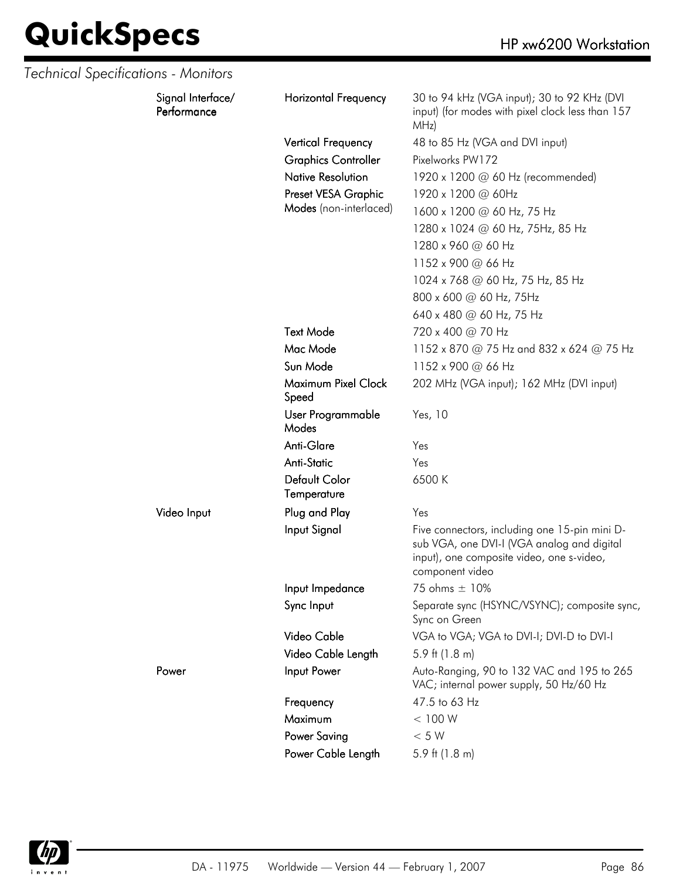| Technical Specifications - Monitors |                                  |                              |                                                                                                                                                             |
|-------------------------------------|----------------------------------|------------------------------|-------------------------------------------------------------------------------------------------------------------------------------------------------------|
|                                     | Signal Interface/<br>Performance | <b>Horizontal Frequency</b>  | 30 to 94 kHz (VGA input); 30 to 92 KHz (DVI<br>input) (for modes with pixel clock less than 157<br>MHz)                                                     |
|                                     |                                  | <b>Vertical Frequency</b>    | 48 to 85 Hz (VGA and DVI input)                                                                                                                             |
|                                     |                                  | <b>Graphics Controller</b>   | Pixelworks PW172                                                                                                                                            |
|                                     |                                  | <b>Native Resolution</b>     | 1920 x 1200 @ 60 Hz (recommended)                                                                                                                           |
|                                     |                                  | Preset VESA Graphic          | 1920 x 1200 @ 60Hz                                                                                                                                          |
|                                     |                                  | Modes (non-interlaced)       | 1600 x 1200 @ 60 Hz, 75 Hz                                                                                                                                  |
|                                     |                                  |                              | 1280 x 1024 @ 60 Hz, 75Hz, 85 Hz                                                                                                                            |
|                                     |                                  |                              | 1280 x 960 @ 60 Hz                                                                                                                                          |
|                                     |                                  |                              | 1152 x 900 @ 66 Hz                                                                                                                                          |
|                                     |                                  |                              | 1024 x 768 @ 60 Hz, 75 Hz, 85 Hz                                                                                                                            |
|                                     |                                  |                              | 800 x 600 @ 60 Hz, 75Hz                                                                                                                                     |
|                                     |                                  |                              | 640 x 480 @ 60 Hz, 75 Hz                                                                                                                                    |
|                                     |                                  | <b>Text Mode</b>             | 720 x 400 @ 70 Hz                                                                                                                                           |
|                                     |                                  | Mac Mode                     | 1152 x 870 @ 75 Hz and 832 x 624 @ 75 Hz                                                                                                                    |
|                                     |                                  | Sun Mode                     | 1152 x 900 @ 66 Hz                                                                                                                                          |
|                                     |                                  | Maximum Pixel Clock<br>Speed | 202 MHz (VGA input); 162 MHz (DVI input)                                                                                                                    |
|                                     |                                  | User Programmable<br>Modes   | Yes, 10                                                                                                                                                     |
|                                     |                                  | Anti-Glare                   | Yes                                                                                                                                                         |
|                                     |                                  | <b>Anti-Static</b>           | Yes                                                                                                                                                         |
|                                     |                                  | Default Color<br>Temperature | 6500K                                                                                                                                                       |
|                                     | Video Input                      | Plug and Play                | Yes                                                                                                                                                         |
|                                     |                                  | Input Signal                 | Five connectors, including one 15-pin mini D-<br>sub VGA, one DVI-I (VGA analog and digital<br>input), one composite video, one s-video,<br>component video |
|                                     |                                  | Input Impedance              | 75 ohms ± 10%                                                                                                                                               |
|                                     |                                  | Sync Input                   | Separate sync (HSYNC/VSYNC); composite sync,<br>Sync on Green                                                                                               |
|                                     |                                  | Video Cable                  | VGA to VGA; VGA to DVI-I; DVI-D to DVI-I                                                                                                                    |
|                                     |                                  | Video Cable Length           | 5.9 ft $(1.8 \text{ m})$                                                                                                                                    |
|                                     | Power                            | Input Power                  | Auto-Ranging, 90 to 132 VAC and 195 to 265<br>VAC; internal power supply, 50 Hz/60 Hz                                                                       |
|                                     |                                  | Frequency                    | 47.5 to 63 Hz                                                                                                                                               |
|                                     |                                  | Maximum                      | < 100 W                                                                                                                                                     |
|                                     |                                  | <b>Power Saving</b>          | $< 5 W$                                                                                                                                                     |
|                                     |                                  | Power Cable Length           | 5.9 ft $(1.8 \text{ m})$                                                                                                                                    |

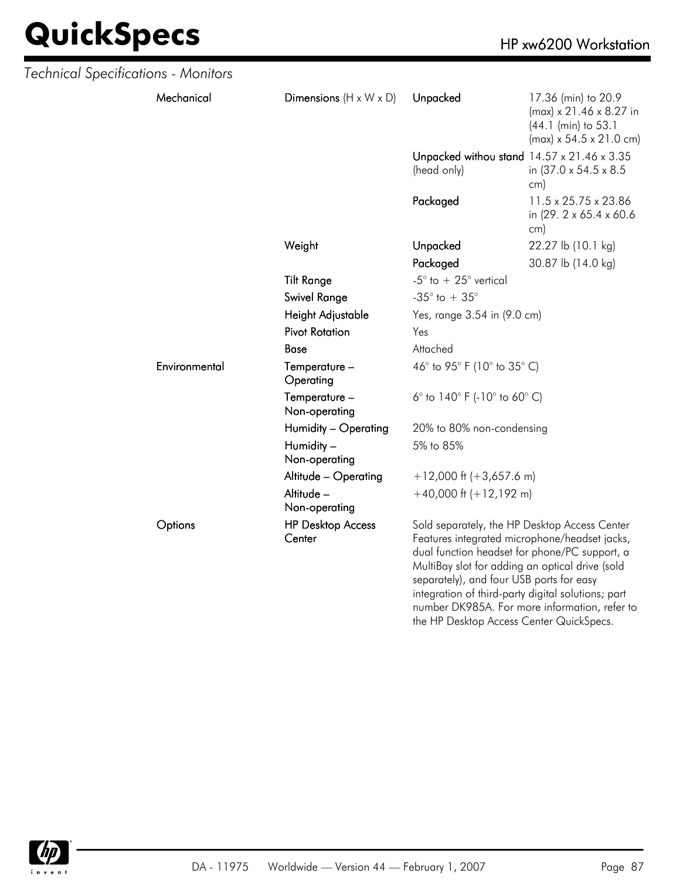| Technical Specifications - Monitors |               |                                    |                                                                                                                                                                                                                                                                                                                                                       |                                                                                                                          |
|-------------------------------------|---------------|------------------------------------|-------------------------------------------------------------------------------------------------------------------------------------------------------------------------------------------------------------------------------------------------------------------------------------------------------------------------------------------------------|--------------------------------------------------------------------------------------------------------------------------|
|                                     | Mechanical    | Dimensions $(H \times W \times D)$ | Unpacked                                                                                                                                                                                                                                                                                                                                              | 17.36 (min) to 20.9<br>$(max) \times 21.46 \times 8.27$ in<br>(44.1 (min) to 53.1<br>$(max) \times 54.5 \times 21.0$ cm) |
|                                     |               |                                    | Unpacked withou stand 14.57 x 21.46 x 3.35<br>(head only)                                                                                                                                                                                                                                                                                             | in (37.0 x 54.5 x 8.5)<br>cm)                                                                                            |
|                                     |               |                                    | Packaged                                                                                                                                                                                                                                                                                                                                              | 11.5 x 25.75 x 23.86<br>in (29. 2 x 65.4 x 60.6)<br>cm)                                                                  |
|                                     |               | Weight                             | Unpacked                                                                                                                                                                                                                                                                                                                                              | 22.27 lb (10.1 kg)                                                                                                       |
|                                     |               |                                    | Packaged                                                                                                                                                                                                                                                                                                                                              | 30.87 lb (14.0 kg)                                                                                                       |
|                                     |               | <b>Tilt Range</b>                  | -5 $^{\circ}$ to $+25^{\circ}$ vertical                                                                                                                                                                                                                                                                                                               |                                                                                                                          |
|                                     |               | <b>Swivel Range</b>                | -35 $^{\circ}$ to + 35 $^{\circ}$                                                                                                                                                                                                                                                                                                                     |                                                                                                                          |
|                                     |               | Height Adjustable                  | Yes, range 3.54 in (9.0 cm)                                                                                                                                                                                                                                                                                                                           |                                                                                                                          |
|                                     |               | <b>Pivot Rotation</b>              | Yes                                                                                                                                                                                                                                                                                                                                                   |                                                                                                                          |
|                                     |               | Base                               | Attached                                                                                                                                                                                                                                                                                                                                              |                                                                                                                          |
|                                     | Environmental | Temperature -<br>Operating         | 46° to 95° F (10° to 35° C)                                                                                                                                                                                                                                                                                                                           |                                                                                                                          |
|                                     |               | Temperature -<br>Non-operating     | 6 $^{\circ}$ to 140 $^{\circ}$ F (-10 $^{\circ}$ to 60 $^{\circ}$ C)                                                                                                                                                                                                                                                                                  |                                                                                                                          |
|                                     |               | Humidity - Operating               | 20% to 80% non-condensing                                                                                                                                                                                                                                                                                                                             |                                                                                                                          |
|                                     |               | Humidity -<br>Non-operating        | 5% to 85%                                                                                                                                                                                                                                                                                                                                             |                                                                                                                          |
|                                     |               | Altitude - Operating               | $+12,000$ ft (+3,657.6 m)                                                                                                                                                                                                                                                                                                                             |                                                                                                                          |
|                                     |               | Altitude -<br>Non-operating        | $+40,000$ ft $(+12,192$ m)                                                                                                                                                                                                                                                                                                                            |                                                                                                                          |
|                                     | Options       | <b>HP Desktop Access</b><br>Center | Sold separately, the HP Desktop Access Center<br>Features integrated microphone/headset jacks,<br>dual function headset for phone/PC support, a<br>MultiBay slot for adding an optical drive (sold<br>separately), and four USB ports for easy<br>integration of third-party digital solutions; part<br>number DK985A. For more information, refer to |                                                                                                                          |



the HP Desktop Access Center QuickSpecs.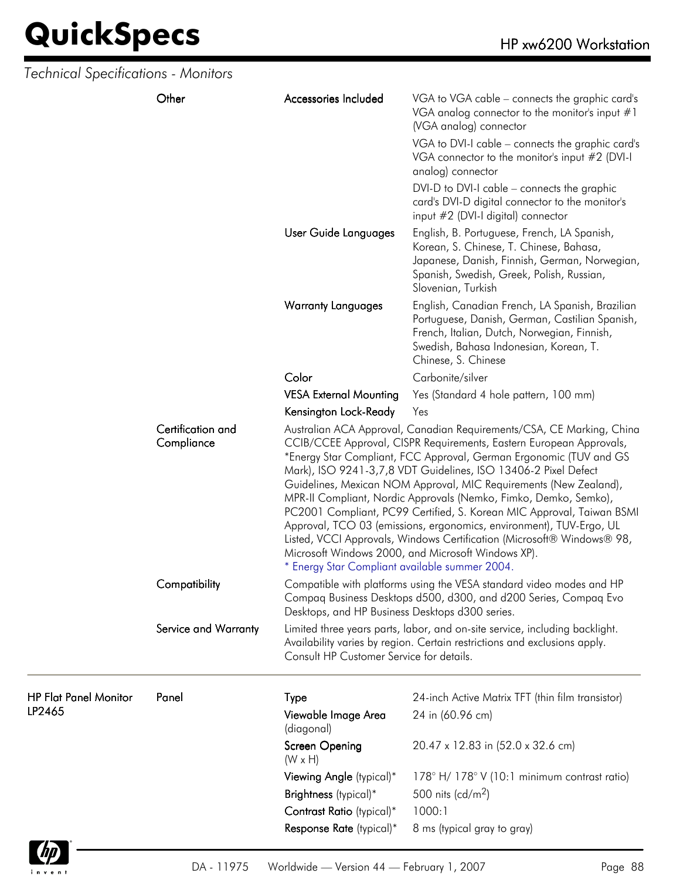| <b>Technical Specifications - Monitors</b> |                                 |                                                 |                                                                                                                                                                                                                                                                                                                                                                                                                                                                                                                                                                                                                                                                                                               |
|--------------------------------------------|---------------------------------|-------------------------------------------------|---------------------------------------------------------------------------------------------------------------------------------------------------------------------------------------------------------------------------------------------------------------------------------------------------------------------------------------------------------------------------------------------------------------------------------------------------------------------------------------------------------------------------------------------------------------------------------------------------------------------------------------------------------------------------------------------------------------|
|                                            | Other                           | Accessories Included                            | VGA to VGA cable – connects the graphic card's<br>VGA analog connector to the monitor's input $#1$<br>(VGA analog) connector                                                                                                                                                                                                                                                                                                                                                                                                                                                                                                                                                                                  |
|                                            |                                 |                                                 | VGA to DVI-I cable - connects the graphic card's<br>VGA connector to the monitor's input #2 (DVI-I<br>analog) connector                                                                                                                                                                                                                                                                                                                                                                                                                                                                                                                                                                                       |
|                                            |                                 |                                                 | DVI-D to DVI-I cable – connects the graphic<br>card's DVI-D digital connector to the monitor's<br>input #2 (DVI-I digital) connector                                                                                                                                                                                                                                                                                                                                                                                                                                                                                                                                                                          |
|                                            |                                 | User Guide Languages                            | English, B. Portuguese, French, LA Spanish,<br>Korean, S. Chinese, T. Chinese, Bahasa,<br>Japanese, Danish, Finnish, German, Norwegian,<br>Spanish, Swedish, Greek, Polish, Russian,<br>Slovenian, Turkish                                                                                                                                                                                                                                                                                                                                                                                                                                                                                                    |
|                                            |                                 | <b>Warranty Languages</b>                       | English, Canadian French, LA Spanish, Brazilian<br>Portuguese, Danish, German, Castilian Spanish,<br>French, Italian, Dutch, Norwegian, Finnish,<br>Swedish, Bahasa Indonesian, Korean, T.<br>Chinese, S. Chinese                                                                                                                                                                                                                                                                                                                                                                                                                                                                                             |
|                                            |                                 | Color                                           | Carbonite/silver                                                                                                                                                                                                                                                                                                                                                                                                                                                                                                                                                                                                                                                                                              |
|                                            |                                 | <b>VESA External Mounting</b>                   | Yes (Standard 4 hole pattern, 100 mm)                                                                                                                                                                                                                                                                                                                                                                                                                                                                                                                                                                                                                                                                         |
|                                            |                                 | Kensington Lock-Ready                           | Yes                                                                                                                                                                                                                                                                                                                                                                                                                                                                                                                                                                                                                                                                                                           |
|                                            | Certification and<br>Compliance | * Energy Star Compliant available summer 2004.  | Australian ACA Approval, Canadian Requirements/CSA, CE Marking, China<br>CCIB/CCEE Approval, CISPR Requirements, Eastern European Approvals,<br>*Energy Star Compliant, FCC Approval, German Ergonomic (TUV and GS<br>Mark), ISO 9241-3,7,8 VDT Guidelines, ISO 13406-2 Pixel Defect<br>Guidelines, Mexican NOM Approval, MIC Requirements (New Zealand),<br>MPR-II Compliant, Nordic Approvals (Nemko, Fimko, Demko, Semko),<br>PC2001 Compliant, PC99 Certified, S. Korean MIC Approval, Taiwan BSMI<br>Approval, TCO 03 (emissions, ergonomics, environment), TUV-Ergo, UL<br>Listed, VCCI Approvals, Windows Certification (Microsoft® Windows® 98,<br>Microsoft Windows 2000, and Microsoft Windows XP). |
|                                            | Compatibility                   | Desktops, and HP Business Desktops d300 series. | Compatible with platforms using the VESA standard video modes and HP<br>Compaq Business Desktops d500, d300, and d200 Series, Compaq Evo                                                                                                                                                                                                                                                                                                                                                                                                                                                                                                                                                                      |
|                                            | Service and Warranty            | Consult HP Customer Service for details.        | Limited three years parts, labor, and on-site service, including backlight.<br>Availability varies by region. Certain restrictions and exclusions apply.                                                                                                                                                                                                                                                                                                                                                                                                                                                                                                                                                      |
| <b>HP Flat Panel Monitor</b>               | Panel                           | Type                                            | 24-inch Active Matrix TFT (thin film transistor)                                                                                                                                                                                                                                                                                                                                                                                                                                                                                                                                                                                                                                                              |
| LP2465                                     |                                 | Viewable Image Area<br>(diagonal)               | 24 in (60.96 cm)                                                                                                                                                                                                                                                                                                                                                                                                                                                                                                                                                                                                                                                                                              |
|                                            |                                 | Screen Opening<br>$(W \times H)$                | 20.47 x 12.83 in (52.0 x 32.6 cm)                                                                                                                                                                                                                                                                                                                                                                                                                                                                                                                                                                                                                                                                             |
|                                            |                                 | Viewing Angle (typical)*                        | 178° H/178° V (10:1 minimum contrast ratio)                                                                                                                                                                                                                                                                                                                                                                                                                                                                                                                                                                                                                                                                   |
|                                            |                                 | Brightness (typical)*                           | 500 nits (cd/m <sup>2</sup> )                                                                                                                                                                                                                                                                                                                                                                                                                                                                                                                                                                                                                                                                                 |
|                                            |                                 | Contrast Ratio (typical)*                       | 1000:1                                                                                                                                                                                                                                                                                                                                                                                                                                                                                                                                                                                                                                                                                                        |
|                                            |                                 | Response Rate (typical)*                        | 8 ms (typical gray to gray)                                                                                                                                                                                                                                                                                                                                                                                                                                                                                                                                                                                                                                                                                   |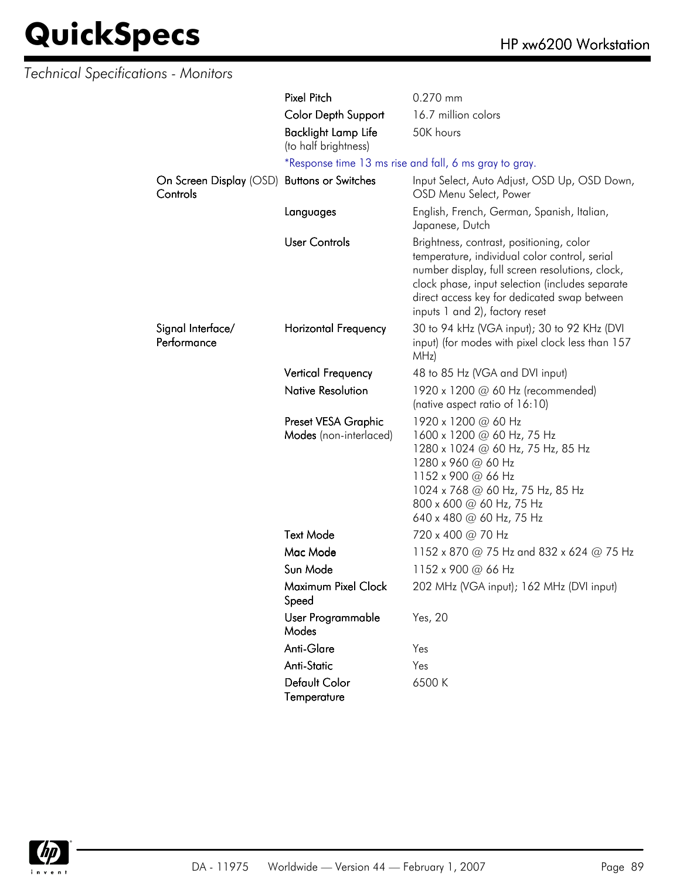| <b>Technical Specifications - Monitors</b> |                                                    |                                                                                                                                                                                                                                                                                   |
|--------------------------------------------|----------------------------------------------------|-----------------------------------------------------------------------------------------------------------------------------------------------------------------------------------------------------------------------------------------------------------------------------------|
|                                            | <b>Pixel Pitch</b>                                 | 0.270 mm                                                                                                                                                                                                                                                                          |
|                                            | <b>Color Depth Support</b>                         | 16.7 million colors                                                                                                                                                                                                                                                               |
|                                            | <b>Backlight Lamp Life</b><br>(to half brightness) | 50K hours                                                                                                                                                                                                                                                                         |
|                                            |                                                    | *Response time 13 ms rise and fall, 6 ms gray to gray.                                                                                                                                                                                                                            |
| Controls                                   | On Screen Display (OSD) Buttons or Switches        | Input Select, Auto Adjust, OSD Up, OSD Down,<br>OSD Menu Select, Power                                                                                                                                                                                                            |
|                                            | Languages                                          | English, French, German, Spanish, Italian,<br>Japanese, Dutch                                                                                                                                                                                                                     |
|                                            | <b>User Controls</b>                               | Brightness, contrast, positioning, color<br>temperature, individual color control, serial<br>number display, full screen resolutions, clock,<br>clock phase, input selection (includes separate<br>direct access key for dedicated swap between<br>inputs 1 and 2), factory reset |
| Signal Interface/<br>Performance           | Horizontal Frequency                               | 30 to 94 kHz (VGA input); 30 to 92 KHz (DVI<br>input) (for modes with pixel clock less than 157<br>MHz)                                                                                                                                                                           |
|                                            | <b>Vertical Frequency</b>                          | 48 to 85 Hz (VGA and DVI input)                                                                                                                                                                                                                                                   |
|                                            | <b>Native Resolution</b>                           | 1920 x 1200 @ 60 Hz (recommended)<br>(native aspect ratio of 16:10)                                                                                                                                                                                                               |
|                                            | Preset VESA Graphic<br>Modes (non-interlaced)      | 1920 x 1200 @ 60 Hz<br>1600 x 1200 @ 60 Hz, 75 Hz<br>1280 x 1024 @ 60 Hz, 75 Hz, 85 Hz<br>1280 x 960 @ 60 Hz<br>1152 x 900 @ 66 Hz<br>1024 x 768 @ 60 Hz, 75 Hz, 85 Hz<br>800 x 600 @ 60 Hz, 75 Hz<br>640 x 480 @ 60 Hz, 75 Hz                                                    |
|                                            | <b>Text Mode</b>                                   | 720 x 400 @ 70 Hz                                                                                                                                                                                                                                                                 |
|                                            | Mac Mode                                           | 1152 x 870 @ 75 Hz and 832 x 624 @ 75 Hz                                                                                                                                                                                                                                          |
|                                            | Sun Mode                                           | 1152 x 900 @ 66 Hz                                                                                                                                                                                                                                                                |
|                                            | Maximum Pixel Clock<br>Speed                       | 202 MHz (VGA input); 162 MHz (DVI input)                                                                                                                                                                                                                                          |
|                                            | User Programmable<br>Modes                         | Yes, 20                                                                                                                                                                                                                                                                           |
|                                            | Anti-Glare                                         | Yes                                                                                                                                                                                                                                                                               |
|                                            | Anti-Static                                        | Yes                                                                                                                                                                                                                                                                               |
|                                            | Default Color<br>Temperature                       | 6500 K                                                                                                                                                                                                                                                                            |

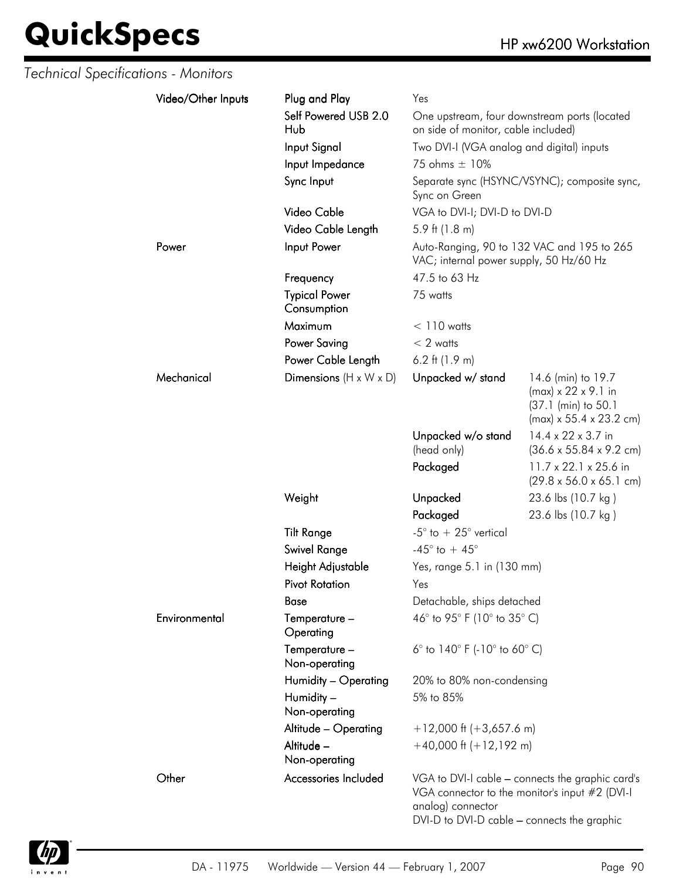| Technical Specifications - Monitors |                    |                                     |                                                                  |                                                                                                                     |
|-------------------------------------|--------------------|-------------------------------------|------------------------------------------------------------------|---------------------------------------------------------------------------------------------------------------------|
|                                     | Video/Other Inputs | Plug and Play                       | Yes                                                              |                                                                                                                     |
|                                     |                    | Self Powered USB 2.0<br>Hub         | on side of monitor, cable included)                              | One upstream, four downstream ports (located                                                                        |
|                                     |                    | Input Signal                        | Two DVI-I (VGA analog and digital) inputs                        |                                                                                                                     |
|                                     |                    | Input Impedance                     | 75 ohms ± 10%                                                    |                                                                                                                     |
|                                     |                    | Sync Input                          | Sync on Green                                                    | Separate sync (HSYNC/VSYNC); composite sync,                                                                        |
|                                     |                    | Video Cable                         | VGA to DVI-I; DVI-D to DVI-D                                     |                                                                                                                     |
|                                     |                    | Video Cable Length                  | 5.9 ft $(1.8 \text{ m})$                                         |                                                                                                                     |
|                                     | Power              | Input Power                         | VAC; internal power supply, 50 Hz/60 Hz                          | Auto-Ranging, 90 to 132 VAC and 195 to 265                                                                          |
|                                     |                    | Frequency                           | 47.5 to 63 Hz                                                    |                                                                                                                     |
|                                     |                    | <b>Typical Power</b><br>Consumption | 75 watts                                                         |                                                                                                                     |
|                                     |                    | Maximum                             | $< 110$ watts                                                    |                                                                                                                     |
|                                     |                    | <b>Power Saving</b>                 | $< 2$ watts                                                      |                                                                                                                     |
|                                     |                    | Power Cable Length                  | 6.2 ft $(1.9 m)$                                                 |                                                                                                                     |
|                                     | Mechanical         | Dimensions $(H \times W \times D)$  | Unpacked w/ stand                                                | 14.6 (min) to 19.7<br>$(max) \times 22 \times 9.1$ in<br>(37.1 (min) to 50.1<br>$(max) \times 55.4 \times 23.2$ cm) |
|                                     |                    |                                     | Unpacked w/o stand<br>(head only)                                | 14.4 x 22 x 3.7 in<br>$(36.6 \times 55.84 \times 9.2 \text{ cm})$                                                   |
|                                     |                    |                                     | Packaged                                                         | 11.7 x 22.1 x 25.6 in<br>$(29.8 \times 56.0 \times 65.1 \text{ cm})$                                                |
|                                     |                    | Weight                              | Unpacked                                                         | 23.6 lbs (10.7 kg)                                                                                                  |
|                                     |                    |                                     | Packaged                                                         | 23.6 lbs (10.7 kg)                                                                                                  |
|                                     |                    | <b>Tilt Range</b>                   | -5 $\degree$ to + 25 $\degree$ vertical                          |                                                                                                                     |
|                                     |                    | <b>Swivel Range</b>                 | -45 $^{\circ}$ to + 45 $^{\circ}$                                |                                                                                                                     |
|                                     |                    | Height Adjustable                   | Yes, range 5.1 in (130 mm)                                       |                                                                                                                     |
|                                     |                    | <b>Pivot Rotation</b>               | Yes                                                              |                                                                                                                     |
|                                     |                    | <b>Base</b>                         | Detachable, ships detached                                       |                                                                                                                     |
|                                     | Environmental      | Temperature -<br>Operating          | 46° to 95° F (10° to 35° C)                                      |                                                                                                                     |
|                                     |                    | Temperature -<br>Non-operating      | 6 $\degree$ to 140 $\degree$ F (-10 $\degree$ to 60 $\degree$ C) |                                                                                                                     |
|                                     |                    | Humidity - Operating                | 20% to 80% non-condensing                                        |                                                                                                                     |
|                                     |                    | Humidity -<br>Non-operating         | 5% to 85%                                                        |                                                                                                                     |
|                                     |                    | Altitude - Operating                | $+12,000$ ft (+3,657.6 m)                                        |                                                                                                                     |
|                                     |                    | Altitude -<br>Non-operating         | $+40,000$ ft $(+12,192$ m)                                       |                                                                                                                     |
|                                     | Other              | Accessories Included                | analog) connector<br>DVI-D to DVI-D cable - connects the graphic | VGA to DVI-I cable - connects the graphic card's<br>VGA connector to the monitor's input #2 (DVI-I                  |

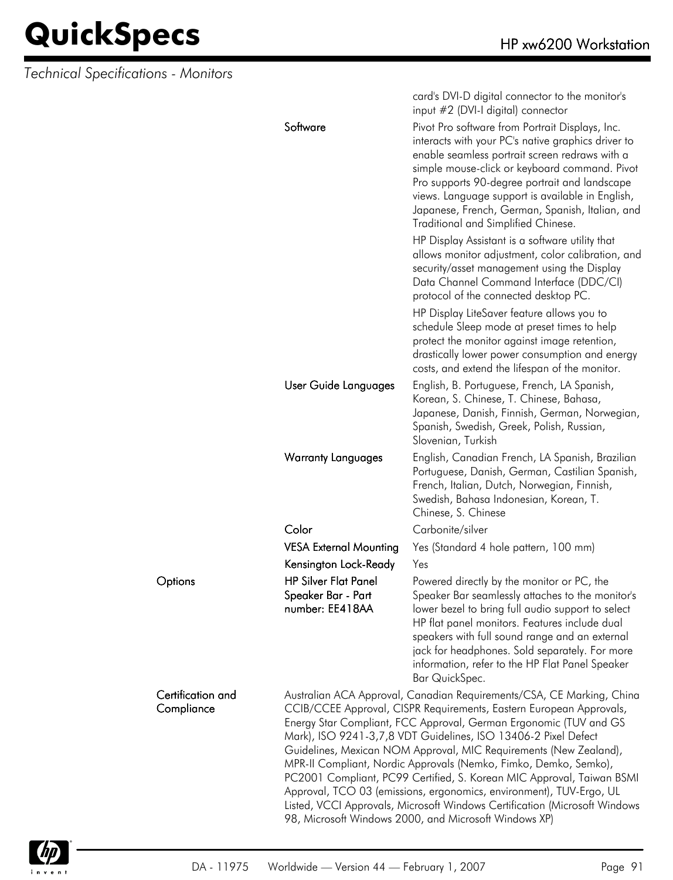*Technical Specifications - Monitors*

|                                 |                                                                                                                                                                                                                                                                                                                                                                                                                                                                                                                                                                                                                                                                                                                     | card's DVI-D digital connector to the monitor's<br>input #2 (DVI-I digital) connector                                                                                                                                                                                                                                                                                                                          |
|---------------------------------|---------------------------------------------------------------------------------------------------------------------------------------------------------------------------------------------------------------------------------------------------------------------------------------------------------------------------------------------------------------------------------------------------------------------------------------------------------------------------------------------------------------------------------------------------------------------------------------------------------------------------------------------------------------------------------------------------------------------|----------------------------------------------------------------------------------------------------------------------------------------------------------------------------------------------------------------------------------------------------------------------------------------------------------------------------------------------------------------------------------------------------------------|
|                                 | Software                                                                                                                                                                                                                                                                                                                                                                                                                                                                                                                                                                                                                                                                                                            | Pivot Pro software from Portrait Displays, Inc.<br>interacts with your PC's native graphics driver to<br>enable seamless portrait screen redraws with a<br>simple mouse-click or keyboard command. Pivot<br>Pro supports 90-degree portrait and landscape<br>views. Language support is available in English,<br>Japanese, French, German, Spanish, Italian, and<br><b>Traditional and Simplified Chinese.</b> |
|                                 |                                                                                                                                                                                                                                                                                                                                                                                                                                                                                                                                                                                                                                                                                                                     | HP Display Assistant is a software utility that<br>allows monitor adjustment, color calibration, and<br>security/asset management using the Display<br>Data Channel Command Interface (DDC/CI)<br>protocol of the connected desktop PC.                                                                                                                                                                        |
|                                 |                                                                                                                                                                                                                                                                                                                                                                                                                                                                                                                                                                                                                                                                                                                     | HP Display LiteSaver feature allows you to<br>schedule Sleep mode at preset times to help<br>protect the monitor against image retention,<br>drastically lower power consumption and energy<br>costs, and extend the lifespan of the monitor.                                                                                                                                                                  |
|                                 | User Guide Languages                                                                                                                                                                                                                                                                                                                                                                                                                                                                                                                                                                                                                                                                                                | English, B. Portuguese, French, LA Spanish,<br>Korean, S. Chinese, T. Chinese, Bahasa,<br>Japanese, Danish, Finnish, German, Norwegian,<br>Spanish, Swedish, Greek, Polish, Russian,<br>Slovenian, Turkish                                                                                                                                                                                                     |
|                                 | <b>Warranty Languages</b>                                                                                                                                                                                                                                                                                                                                                                                                                                                                                                                                                                                                                                                                                           | English, Canadian French, LA Spanish, Brazilian<br>Portuguese, Danish, German, Castilian Spanish,<br>French, Italian, Dutch, Norwegian, Finnish,<br>Swedish, Bahasa Indonesian, Korean, T.<br>Chinese, S. Chinese                                                                                                                                                                                              |
|                                 | Color                                                                                                                                                                                                                                                                                                                                                                                                                                                                                                                                                                                                                                                                                                               | Carbonite/silver                                                                                                                                                                                                                                                                                                                                                                                               |
|                                 | <b>VESA External Mounting</b>                                                                                                                                                                                                                                                                                                                                                                                                                                                                                                                                                                                                                                                                                       | Yes (Standard 4 hole pattern, 100 mm)                                                                                                                                                                                                                                                                                                                                                                          |
|                                 | Kensington Lock-Ready                                                                                                                                                                                                                                                                                                                                                                                                                                                                                                                                                                                                                                                                                               | Yes                                                                                                                                                                                                                                                                                                                                                                                                            |
| Options                         | <b>HP Silver Flat Panel</b><br>Speaker Bar - Part<br>number: EE418AA                                                                                                                                                                                                                                                                                                                                                                                                                                                                                                                                                                                                                                                | Powered directly by the monitor or PC, the<br>Speaker Bar seamlessly attaches to the monitor's<br>lower bezel to bring full audio support to select<br>HP flat panel monitors. Features include dual<br>speakers with full sound range and an external<br>jack for headphones. Sold separately. For more<br>information, refer to the HP Flat Panel Speaker<br>Bar QuickSpec.                                  |
| Certification and<br>Compliance | Australian ACA Approval, Canadian Requirements/CSA, CE Marking, China<br>CCIB/CCEE Approval, CISPR Requirements, Eastern European Approvals,<br>Energy Star Compliant, FCC Approval, German Ergonomic (TUV and GS<br>Mark), ISO 9241-3,7,8 VDT Guidelines, ISO 13406-2 Pixel Defect<br>Guidelines, Mexican NOM Approval, MIC Requirements (New Zealand),<br>MPR-II Compliant, Nordic Approvals (Nemko, Fimko, Demko, Semko),<br>PC2001 Compliant, PC99 Certified, S. Korean MIC Approval, Taiwan BSMI<br>Approval, TCO 03 (emissions, ergonomics, environment), TUV-Ergo, UL<br>Listed, VCCI Approvals, Microsoft Windows Certification (Microsoft Windows<br>98, Microsoft Windows 2000, and Microsoft Windows XP) |                                                                                                                                                                                                                                                                                                                                                                                                                |